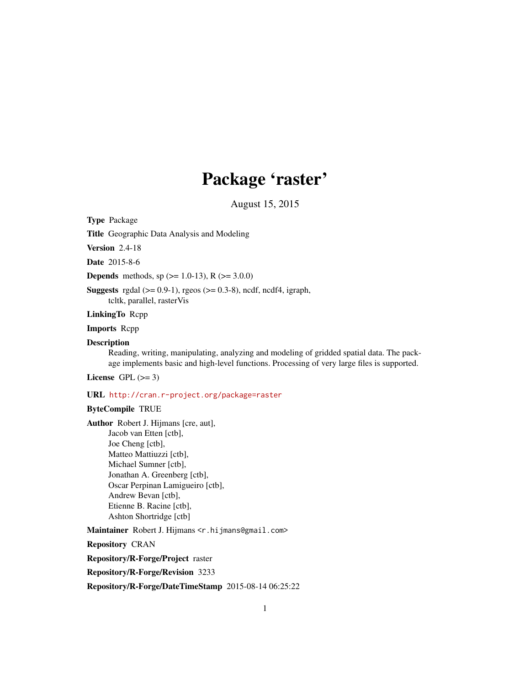# Package 'raster'

August 15, 2015

<span id="page-0-0"></span>Type Package

Title Geographic Data Analysis and Modeling

Version 2.4-18

Date 2015-8-6

**Depends** methods, sp  $(>= 1.0-13)$ , R  $(>= 3.0.0)$ 

Suggests rgdal  $(>= 0.9-1)$ , rgeos  $(>= 0.3-8)$ , ncdf, ncdf4, igraph, tcltk, parallel, rasterVis

LinkingTo Rcpp

Imports Rcpp

#### **Description**

Reading, writing, manipulating, analyzing and modeling of gridded spatial data. The package implements basic and high-level functions. Processing of very large files is supported.

License GPL  $(>= 3)$ 

# URL <http://cran.r-project.org/package=raster>

# ByteCompile TRUE

Author Robert J. Hijmans [cre, aut], Jacob van Etten [ctb], Joe Cheng [ctb], Matteo Mattiuzzi [ctb], Michael Sumner [ctb], Jonathan A. Greenberg [ctb], Oscar Perpinan Lamigueiro [ctb], Andrew Bevan [ctb], Etienne B. Racine [ctb], Ashton Shortridge [ctb]

Maintainer Robert J. Hijmans < r. hijmans@gmail.com>

Repository CRAN

Repository/R-Forge/Project raster

Repository/R-Forge/Revision 3233

Repository/R-Forge/DateTimeStamp 2015-08-14 06:25:22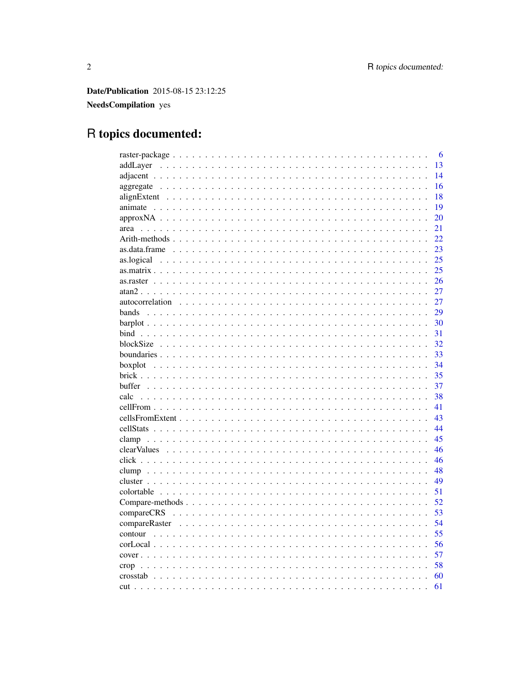**Date/Publication** 2015-08-15 23:12:25

NeedsCompilation yes

# R topics documented:

|      | -6 |
|------|----|
|      | 13 |
|      | 14 |
|      | 16 |
|      | 18 |
|      | 19 |
|      | 20 |
|      | 21 |
|      | 22 |
|      | 23 |
|      | 25 |
|      | 25 |
|      | 26 |
|      | 27 |
|      | 27 |
|      | 29 |
|      | 30 |
|      | 31 |
|      | 32 |
|      | 33 |
|      | 34 |
|      | 35 |
|      | 37 |
| calc | 38 |
|      | 41 |
|      | 43 |
|      | 44 |
|      | 45 |
|      | 46 |
|      | 46 |
|      | 48 |
|      | 49 |
|      | 51 |
|      | 52 |
|      | 53 |
|      | 54 |
|      | 55 |
|      | 56 |
|      | 57 |
|      | 58 |
|      | 60 |
|      | 61 |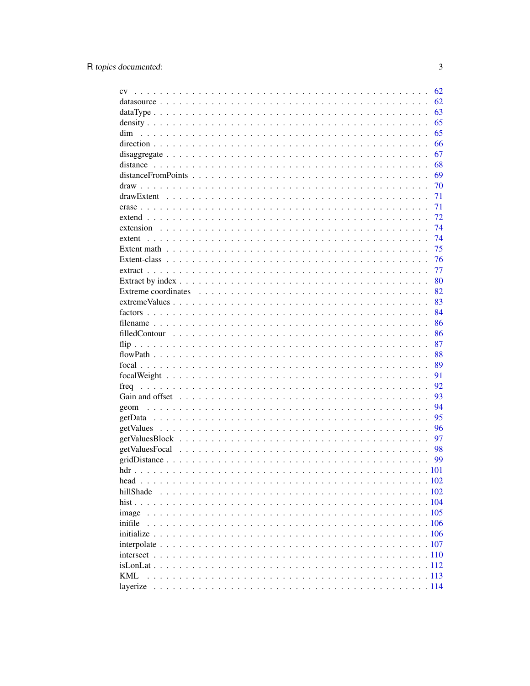|            | 62       |
|------------|----------|
|            | 62       |
|            | 63       |
|            | 65       |
| dim        | 65       |
|            | 66       |
|            | 67       |
|            | 68       |
|            | 69       |
|            | 70       |
|            | 71       |
|            | 71       |
|            | 72       |
|            | 74       |
|            | 74       |
|            | 75       |
|            | 76       |
|            | 77       |
|            | 80       |
|            | 82       |
|            | 83       |
|            | 84       |
|            | 86       |
|            | 86       |
|            |          |
|            | 87<br>88 |
|            |          |
|            | 89       |
|            | 91       |
|            | 92       |
|            | 93       |
|            | 94       |
|            | 95       |
|            | 96       |
|            | 97       |
|            | 98       |
|            | 99       |
|            |          |
|            |          |
| hillShade  |          |
|            |          |
| image      |          |
| inifile    |          |
|            |          |
|            |          |
|            |          |
|            |          |
| <b>KML</b> |          |
|            |          |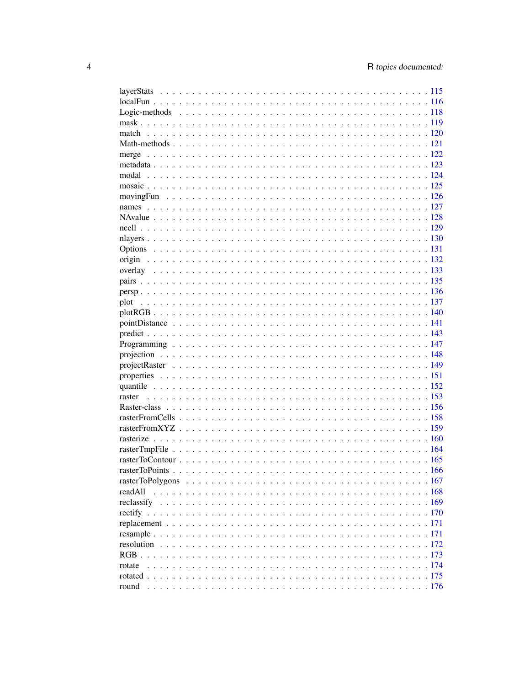| readAll    |              |
|------------|--------------|
|            |              |
|            |              |
|            |              |
|            |              |
|            |              |
|            |              |
| rotate     |              |
|            |              |
| round<br>. | $\ldots$ 176 |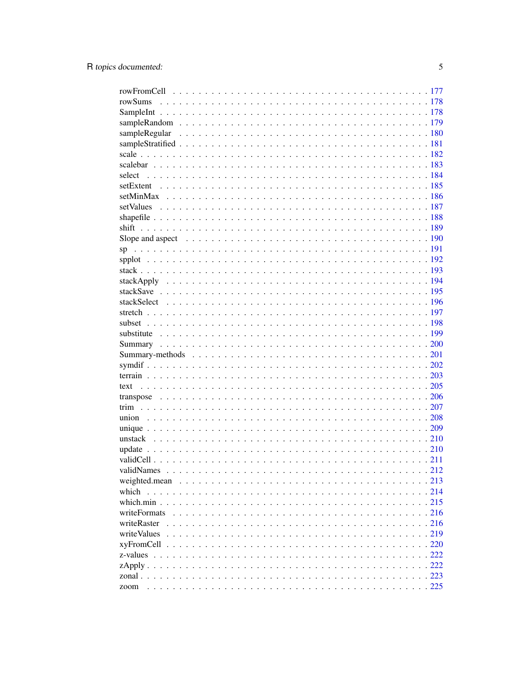| weighted.mean |  |
|---------------|--|
| which         |  |
|               |  |
| writeFormats  |  |
| writeRaster   |  |
| writeValues   |  |
|               |  |
| z-values      |  |
|               |  |
|               |  |
| zoom          |  |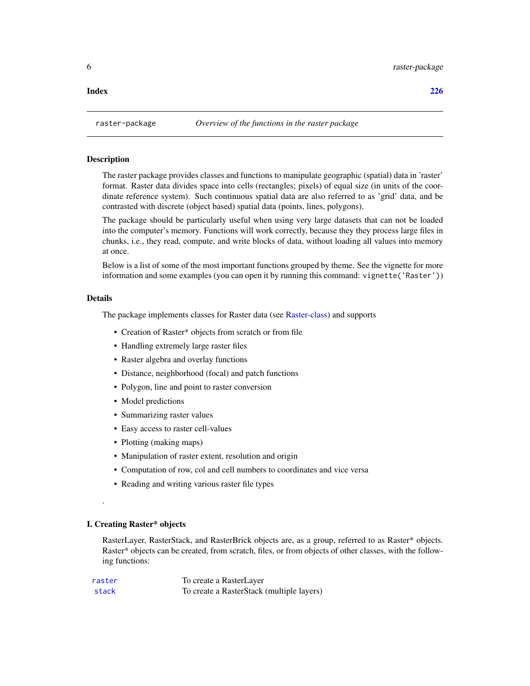#### <span id="page-5-0"></span>**Index** [226](#page-225-0)

#### Description

The raster package provides classes and functions to manipulate geographic (spatial) data in 'raster' format. Raster data divides space into cells (rectangles; pixels) of equal size (in units of the coordinate reference system). Such continuous spatial data are also referred to as 'grid' data, and be contrasted with discrete (object based) spatial data (points, lines, polygons).

The package should be particularly useful when using very large datasets that can not be loaded into the computer's memory. Functions will work correctly, because they they process large files in chunks, i.e., they read, compute, and write blocks of data, without loading all values into memory at once.

Below is a list of some of the most important functions grouped by theme. See the vignette for more information and some examples (you can open it by running this command: vignette('Raster'))

#### Details

The package implements classes for Raster data (see [Raster-class\)](#page-155-1) and supports

- Creation of Raster\* objects from scratch or from file
- Handling extremely large raster files
- Raster algebra and overlay functions
- Distance, neighborhood (focal) and patch functions
- Polygon, line and point to raster conversion
- Model predictions
- Summarizing raster values
- Easy access to raster cell-values
- Plotting (making maps)
- Manipulation of raster extent, resolution and origin
- Computation of row, col and cell numbers to coordinates and vice versa
- Reading and writing various raster file types

#### I. Creating Raster\* objects

.

RasterLayer, RasterStack, and RasterBrick objects are, as a group, referred to as Raster\* objects. Raster\* objects can be created, from scratch, files, or from objects of other classes, with the following functions:

| raster | To create a RasterLayer                   |
|--------|-------------------------------------------|
| stack  | To create a RasterStack (multiple layers) |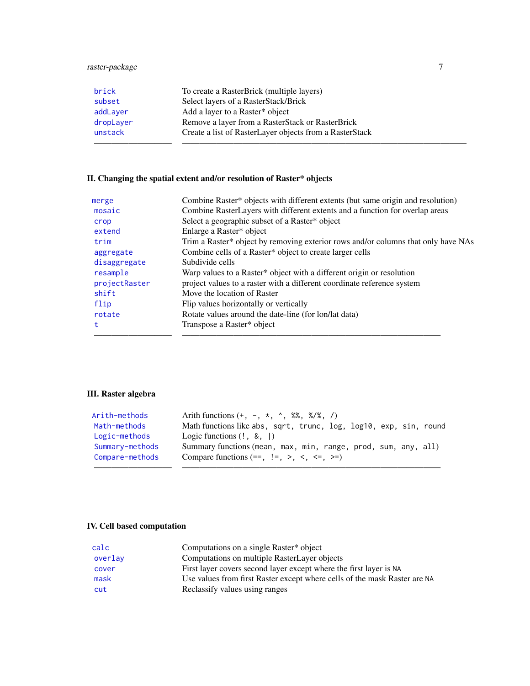# raster-package 7

| brick     | To create a RasterBrick (multiple layers)               |
|-----------|---------------------------------------------------------|
| subset    | Select layers of a RasterStack/Brick                    |
| addLayer  | Add a layer to a Raster* object                         |
| dropLayer | Remove a layer from a RasterStack or RasterBrick        |
| unstack   | Create a list of RasterLayer objects from a RasterStack |
|           |                                                         |

# II. Changing the spatial extent and/or resolution of Raster\* objects

| merge         | Combine Raster* objects with different extents (but same origin and resolution)   |
|---------------|-----------------------------------------------------------------------------------|
| mosaic        | Combine RasterLayers with different extents and a function for overlap areas      |
| crop          | Select a geographic subset of a Raster* object                                    |
| extend        | Enlarge a Raster* object                                                          |
| trim          | Trim a Raster* object by removing exterior rows and/or columns that only have NAs |
| aggregate     | Combine cells of a Raster* object to create larger cells                          |
| disaggregate  | Subdivide cells                                                                   |
| resample      | Warp values to a Raster* object with a different origin or resolution             |
| projectRaster | project values to a raster with a different coordinate reference system           |
| shift         | Move the location of Raster                                                       |
| flip          | Flip values horizontally or vertically                                            |
| rotate        | Rotate values around the date-line (for lon/lat data)                             |
| t             | Transpose a Raster* object                                                        |
|               |                                                                                   |

# III. Raster algebra

| Arith-methods   | Arith functions $(+, -, *, *, *, %$                               |
|-----------------|-------------------------------------------------------------------|
| Math-methods    | Math functions like abs, sqrt, trunc, log, log10, exp, sin, round |
| Logic-methods   | Logic functions $(!, \& ,  )$                                     |
| Summary-methods | Summary functions (mean, max, min, range, prod, sum, any, all)    |
| Compare-methods | Compare functions $(==, !=, >, <, <=, >=)$                        |
|                 |                                                                   |

# IV. Cell based computation

| calc    | Computations on a single Raster* object                                   |
|---------|---------------------------------------------------------------------------|
| overlay | Computations on multiple RasterLayer objects                              |
| cover   | First layer covers second layer except where the first layer is NA        |
| mask    | Use values from first Raster except where cells of the mask Raster are NA |
| cut     | Reclassify values using ranges                                            |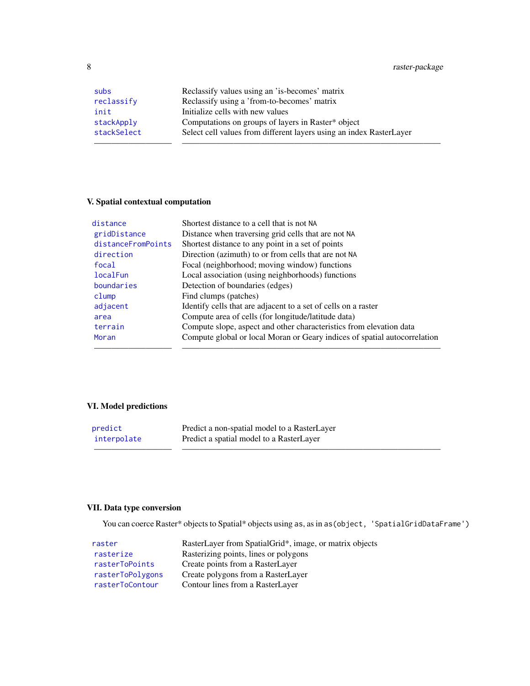8 raster-package

| subs        | Reclassify values using an 'is-becomes' matrix                      |
|-------------|---------------------------------------------------------------------|
| reclassify  | Reclassify using a 'from-to-becomes' matrix                         |
| init        | Initialize cells with new values                                    |
| stackApply  | Computations on groups of layers in Raster* object                  |
| stackSelect | Select cell values from different layers using an index RasterLayer |
|             |                                                                     |

# V. Spatial contextual computation

| distance           | Shortest distance to a cell that is not NA                                |
|--------------------|---------------------------------------------------------------------------|
| gridDistance       | Distance when traversing grid cells that are not NA                       |
| distanceFromPoints | Shortest distance to any point in a set of points                         |
| direction          | Direction (azimuth) to or from cells that are not NA                      |
| focal              | Focal (neighborhood; moving window) functions                             |
| localFun           | Local association (using neighborhoods) functions                         |
| boundaries         | Detection of boundaries (edges)                                           |
| clump              | Find clumps (patches)                                                     |
| adjacent           | Identify cells that are adjacent to a set of cells on a raster            |
| area               | Compute area of cells (for longitude/latitude data)                       |
| terrain            | Compute slope, aspect and other characteristics from elevation data       |
| Moran              | Compute global or local Moran or Geary indices of spatial autocorrelation |
|                    |                                                                           |

# VI. Model predictions

| predict     | Predict a non-spatial model to a RasterLayer |
|-------------|----------------------------------------------|
| interpolate | Predict a spatial model to a RasterLayer     |
|             |                                              |

# VII. Data type conversion

You can coerce Raster\* objects to Spatial\* objects using as, as in as (object, 'SpatialGridDataFrame')

| raster           | RasterLayer from SpatialGrid*, image, or matrix objects |
|------------------|---------------------------------------------------------|
| rasterize        | Rasterizing points, lines or polygons                   |
| rasterToPoints   | Create points from a RasterLayer                        |
| rasterToPolygons | Create polygons from a RasterLayer                      |
| rasterToContour  | Contour lines from a RasterLayer                        |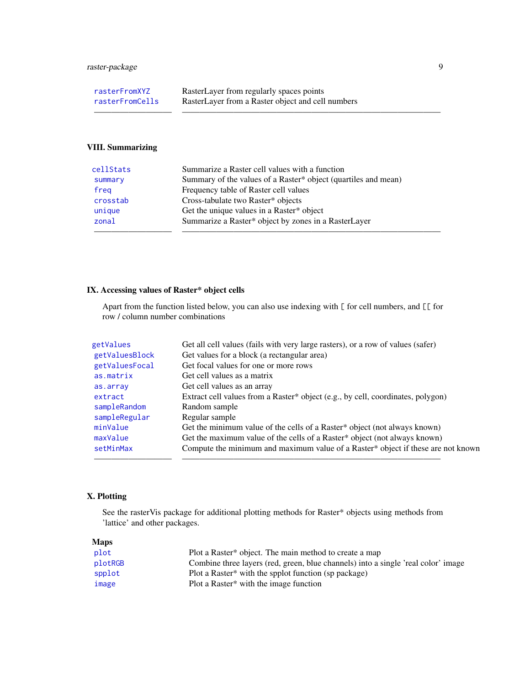| rasterFromXYZ   | RasterLayer from regularly spaces points          |
|-----------------|---------------------------------------------------|
| rasterFromCells | RasterLayer from a Raster object and cell numbers |

# VIII. Summarizing

| cellStats | Summarize a Raster cell values with a function                 |
|-----------|----------------------------------------------------------------|
| summary   | Summary of the values of a Raster* object (quartiles and mean) |
| freg      | Frequency table of Raster cell values                          |
| crosstab  | Cross-tabulate two Raster* objects                             |
| unique    | Get the unique values in a Raster* object                      |
| zonal     | Summarize a Raster* object by zones in a RasterLayer           |
|           |                                                                |

————————— ——————————————————————————————

# IX. Accessing values of Raster\* object cells

Apart from the function listed below, you can also use indexing with [ for cell numbers, and [[ for row / column number combinations

| Get all cell values (fails with very large rasters), or a row of values (safer)  |
|----------------------------------------------------------------------------------|
| Get values for a block (a rectangular area)                                      |
| Get focal values for one or more rows                                            |
| Get cell values as a matrix                                                      |
| Get cell values as an array                                                      |
| Extract cell values from a Raster* object (e.g., by cell, coordinates, polygon)  |
| Random sample                                                                    |
| Regular sample                                                                   |
| Get the minimum value of the cells of a Raster* object (not always known)        |
| Get the maximum value of the cells of a Raster* object (not always known)        |
| Compute the minimum and maximum value of a Raster* object if these are not known |
|                                                                                  |
|                                                                                  |

# X. Plotting

See the rasterVis package for additional plotting methods for Raster\* objects using methods from 'lattice' and other packages.

| <b>Maps</b> |                                                                                   |
|-------------|-----------------------------------------------------------------------------------|
| plot        | Plot a Raster* object. The main method to create a map                            |
| plotRGB     | Combine three layers (red, green, blue channels) into a single 'real color' image |
| spplot      | Plot a Raster <sup>*</sup> with the spplot function (sp package)                  |
| image       | Plot a Raster* with the image function                                            |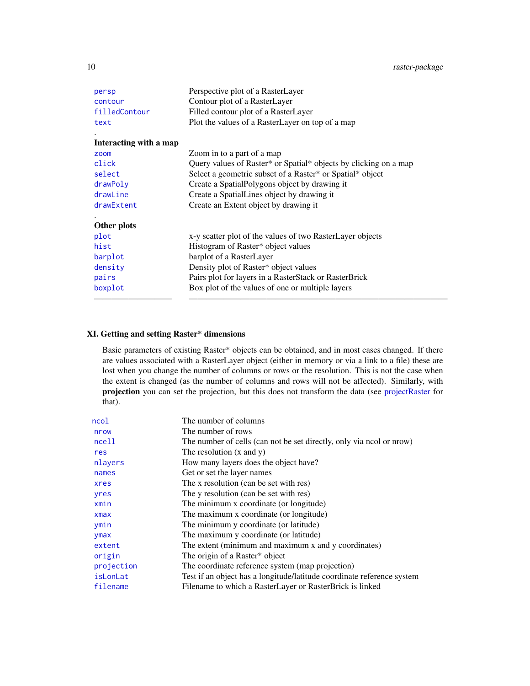| persp                  | Perspective plot of a RasterLayer                                |
|------------------------|------------------------------------------------------------------|
| contour                | Contour plot of a RasterLayer                                    |
| filledContour          | Filled contour plot of a RasterLayer                             |
| text                   | Plot the values of a RasterLayer on top of a map                 |
| Interacting with a map |                                                                  |
| zoom                   | Zoom in to a part of a map                                       |
| click                  | Query values of Raster* or Spatial* objects by clicking on a map |
| select                 | Select a geometric subset of a Raster* or Spatial* object        |
| drawPoly               | Create a Spatial Polygons object by drawing it                   |
| drawLine               | Create a SpatialLines object by drawing it                       |
| drawExtent             | Create an Extent object by drawing it                            |
| Other plots            |                                                                  |
| plot                   | x-y scatter plot of the values of two RasterLayer objects        |
| hist                   | Histogram of Raster* object values                               |
| barplot                | barplot of a RasterLayer                                         |
| density                | Density plot of Raster* object values                            |
| pairs                  | Pairs plot for layers in a RasterStack or RasterBrick            |
| boxplot                | Box plot of the values of one or multiple layers                 |
|                        |                                                                  |

# XI. Getting and setting Raster\* dimensions

Basic parameters of existing Raster\* objects can be obtained, and in most cases changed. If there are values associated with a RasterLayer object (either in memory or via a link to a file) these are lost when you change the number of columns or rows or the resolution. This is not the case when the extent is changed (as the number of columns and rows will not be affected). Similarly, with projection you can set the projection, but this does not transform the data (see [projectRaster](#page-148-1) for that).

| ncol       | The number of columns                                                  |
|------------|------------------------------------------------------------------------|
| nrow       | The number of rows                                                     |
| ncell      | The number of cells (can not be set directly, only via nool or nrow)   |
| res        | The resolution $(x \text{ and } y)$                                    |
| nlayers    | How many layers does the object have?                                  |
| names      | Get or set the layer names                                             |
| xres       | The x resolution (can be set with res)                                 |
| yres       | The y resolution (can be set with res)                                 |
| xmin       | The minimum x coordinate (or longitude)                                |
| $x$ ma $x$ | The maximum x coordinate (or longitude)                                |
| ymin       | The minimum y coordinate (or latitude)                                 |
| ymax       | The maximum y coordinate (or latitude)                                 |
| extent     | The extent (minimum and maximum x and y coordinates)                   |
| origin     | The origin of a Raster* object                                         |
| projection | The coordinate reference system (map projection)                       |
| isLonLat   | Test if an object has a longitude/latitude coordinate reference system |
| filename   | Filename to which a RasterLayer or RasterBrick is linked               |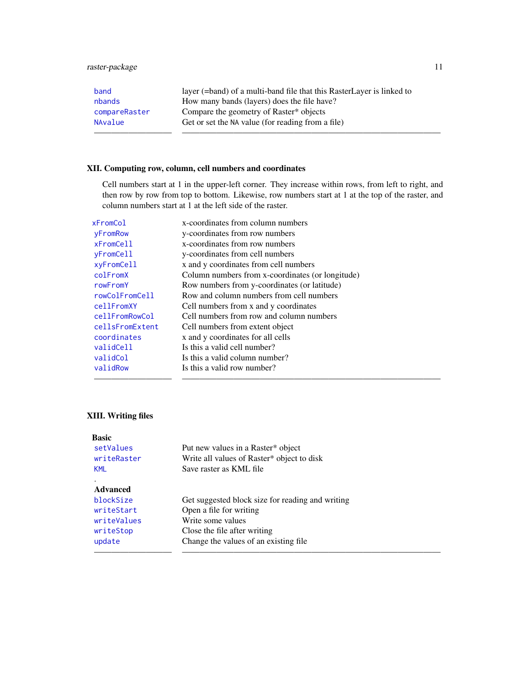# raster-package 11

| band          | layer (=band) of a multi-band file that this RasterLayer is linked to |
|---------------|-----------------------------------------------------------------------|
| nbands        | How many bands (layers) does the file have?                           |
| compareRaster | Compare the geometry of Raster* objects                               |
| NAvalue       | Get or set the NA value (for reading from a file)                     |
|               |                                                                       |

# XII. Computing row, column, cell numbers and coordinates

Cell numbers start at 1 in the upper-left corner. They increase within rows, from left to right, and then row by row from top to bottom. Likewise, row numbers start at 1 at the top of the raster, and column numbers start at 1 at the left side of the raster.

| xFromCol          | x-coordinates from column numbers                |
|-------------------|--------------------------------------------------|
| yFromRow          | y-coordinates from row numbers                   |
| $x$ From $Cell$   | x-coordinates from row numbers                   |
| yFromCell         | y-coordinates from cell numbers                  |
| xyFromCell        | x and y coordinates from cell numbers            |
| colFromX          | Column numbers from x-coordinates (or longitude) |
| rowFromY          | Row numbers from y-coordinates (or latitude)     |
| rowColFromCell    | Row and column numbers from cell numbers         |
| <b>cellFromXY</b> | Cell numbers from x and y coordinates            |
| cellFromRowCol    | Cell numbers from row and column numbers         |
| cellsFromExtent   | Cell numbers from extent object                  |
| coordinates       | x and y coordinates for all cells                |
| validCell         | Is this a valid cell number?                     |
| validCol          | Is this a valid column number?                   |
| validRow          | Is this a valid row number?                      |
|                   |                                                  |

# XIII. Writing files

| <b>Basic</b>    |                                                  |
|-----------------|--------------------------------------------------|
| setValues       | Put new values in a Raster* object               |
| writeRaster     | Write all values of Raster* object to disk       |
| <b>KML</b>      | Save raster as KML file                          |
|                 |                                                  |
| <b>Advanced</b> |                                                  |
| blockSize       | Get suggested block size for reading and writing |
| writeStart      | Open a file for writing                          |
| writeValues     | Write some values                                |
| writeStop       | Close the file after writing                     |
| update          | Change the values of an existing file.           |
|                 |                                                  |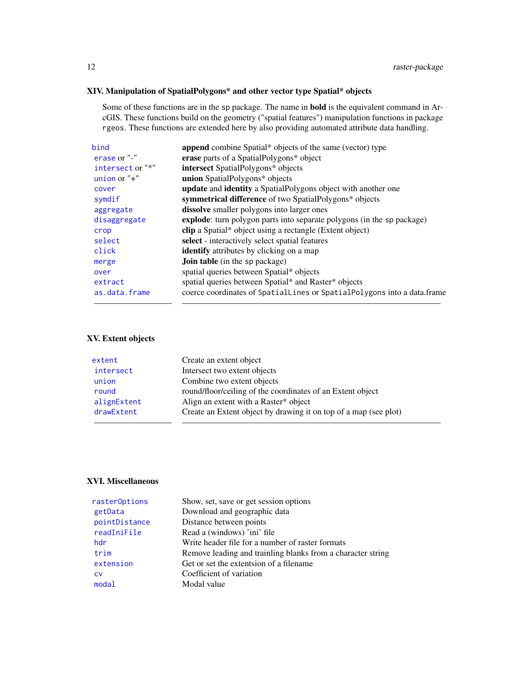# XIV. Manipulation of SpatialPolygons\* and other vector type Spatial\* objects

Some of these functions are in the sp package. The name in bold is the equivalent command in ArcGIS. These functions build on the geometry ("spatial features") manipulation functions in package rgeos. These functions are extended here by also providing automated attribute data handling.

| bind             | append combine Spatial* objects of the same (vector) type               |
|------------------|-------------------------------------------------------------------------|
| erase or "-"     | erase parts of a SpatialPolygons* object                                |
| intersect or "*" | <b>intersect</b> SpatialPolygons* objects                               |
| union or $"$ +"  | union SpatialPolygons* objects                                          |
| cover            | update and identity a SpatialPolygons object with another one           |
| symdif           | symmetrical difference of two SpatialPolygons* objects                  |
| aggregate        | <b>dissolve</b> smaller polygons into larger ones                       |
| disaggregate     | explode: turn polygon parts into separate polygons (in the sp package)  |
| crop             | <b>clip</b> a Spatial* object using a rectangle (Extent object)         |
| select           | select - interactively select spatial features                          |
| click            | <b>identify</b> attributes by clicking on a map                         |
| merge            | <b>Join table</b> (in the sp package)                                   |
| over             | spatial queries between Spatial* objects                                |
| extract          | spatial queries between Spatial* and Raster* objects                    |
| as.data.frame    | coerce coordinates of SpatialLines or SpatialPolygons into a data.frame |
|                  |                                                                         |

# XV. Extent objects

| extent      | Create an extent object                                          |
|-------------|------------------------------------------------------------------|
| intersect   | Intersect two extent objects                                     |
| union       | Combine two extent objects                                       |
| round       | round/floor/ceiling of the coordinates of an Extent object       |
| alignExtent | Align an extent with a Raster* object                            |
| drawExtent  | Create an Extent object by drawing it on top of a map (see plot) |
|             |                                                                  |

# XVI. Miscellaneous

| rasterOptions | Show, set, save or get session options                      |
|---------------|-------------------------------------------------------------|
| getData       | Download and geographic data                                |
| pointDistance | Distance between points                                     |
| readIniFile   | Read a (windows) 'ini' file                                 |
| hdr.          | Write header file for a number of raster formats            |
| trim          | Remove leading and trainling blanks from a character string |
| extension     | Get or set the extentsion of a filename                     |
| <b>CV</b>     | Coefficient of variation                                    |
| modal         | Modal value                                                 |
|               |                                                             |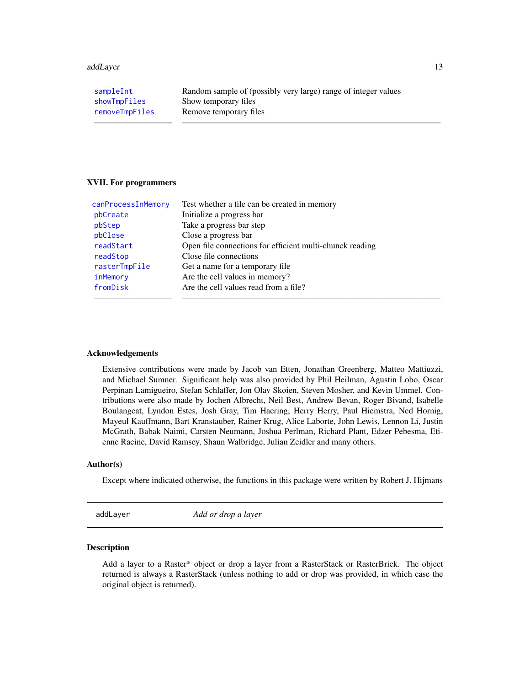#### <span id="page-12-0"></span>addLayer 13

| sampleInt      | Random sample of (possibly very large) range of integer values |
|----------------|----------------------------------------------------------------|
| showTmpFiles   | Show temporary files                                           |
| removeTmpFiles | Remove temporary files                                         |
|                |                                                                |

#### XVII. For programmers

| canProcessInMemory | Test whether a file can be created in memory             |
|--------------------|----------------------------------------------------------|
| pbCreate           | Initialize a progress bar                                |
| pbStep             | Take a progress bar step                                 |
| pbClose            | Close a progress bar                                     |
| readStart          | Open file connections for efficient multi-chunck reading |
| readStop           | Close file connections                                   |
| rasterTmpFile      | Get a name for a temporary file.                         |
| inMemory           | Are the cell values in memory?                           |
| fromDisk           | Are the cell values read from a file?                    |
|                    |                                                          |

#### Acknowledgements

Extensive contributions were made by Jacob van Etten, Jonathan Greenberg, Matteo Mattiuzzi, and Michael Sumner. Significant help was also provided by Phil Heilman, Agustin Lobo, Oscar Perpinan Lamigueiro, Stefan Schlaffer, Jon Olav Skoien, Steven Mosher, and Kevin Ummel. Contributions were also made by Jochen Albrecht, Neil Best, Andrew Bevan, Roger Bivand, Isabelle Boulangeat, Lyndon Estes, Josh Gray, Tim Haering, Herry Herry, Paul Hiemstra, Ned Hornig, Mayeul Kauffmann, Bart Kranstauber, Rainer Krug, Alice Laborte, John Lewis, Lennon Li, Justin McGrath, Babak Naimi, Carsten Neumann, Joshua Perlman, Richard Plant, Edzer Pebesma, Etienne Racine, David Ramsey, Shaun Walbridge, Julian Zeidler and many others.

#### Author(s)

Except where indicated otherwise, the functions in this package were written by Robert J. Hijmans

<span id="page-12-1"></span>addLayer *Add or drop a layer*

### <span id="page-12-2"></span>Description

Add a layer to a Raster\* object or drop a layer from a RasterStack or RasterBrick. The object returned is always a RasterStack (unless nothing to add or drop was provided, in which case the original object is returned).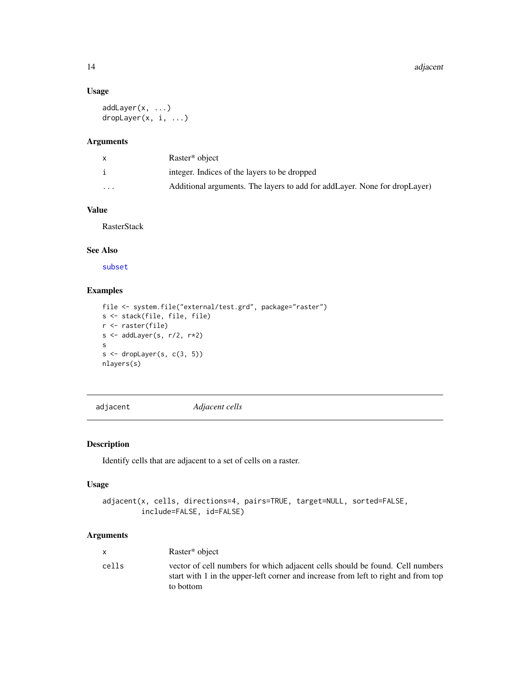# Usage

```
addLayer(x, ...)
dropLayer(x, i, ...)
```
#### Arguments

|          | Raster <sup>*</sup> object                                                  |
|----------|-----------------------------------------------------------------------------|
|          | integer. Indices of the layers to be dropped                                |
| $\cdots$ | Additional arguments. The layers to add for add Layer. None for drop Layer) |

# Value

RasterStack

# See Also

[subset](#page-197-1)

# Examples

```
file <- system.file("external/test.grd", package="raster")
s <- stack(file, file, file)
r <- raster(file)
s \leftarrow addLayer(s, r/2, r*2)s
s \leftarrow dropLayer(s, c(3, 5))
nlayers(s)
```
<span id="page-13-1"></span>adjacent *Adjacent cells*

# Description

Identify cells that are adjacent to a set of cells on a raster.

### Usage

```
adjacent(x, cells, directions=4, pairs=TRUE, target=NULL, sorted=FALSE,
         include=FALSE, id=FALSE)
```
# Arguments

|       | Raster* object                                                                                                                                                                   |
|-------|----------------------------------------------------------------------------------------------------------------------------------------------------------------------------------|
| cells | vector of cell numbers for which adjacent cells should be found. Cell numbers<br>start with 1 in the upper-left corner and increase from left to right and from top<br>to bottom |

<span id="page-13-0"></span>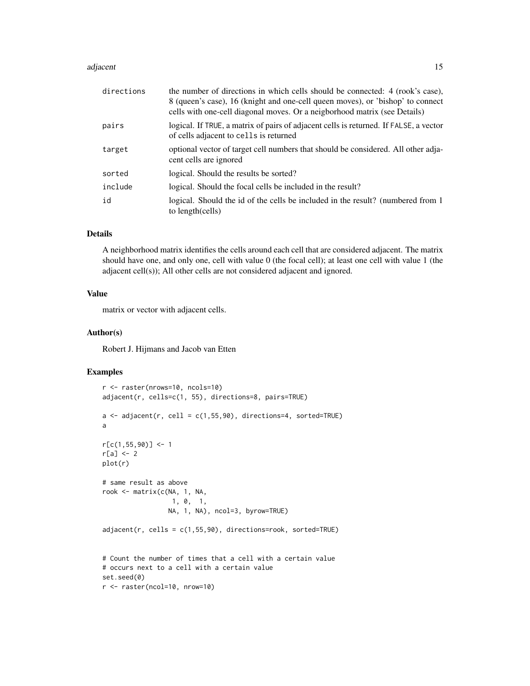#### adjacent 15

| directions | the number of directions in which cells should be connected: 4 (rook's case),<br>8 (queen's case), 16 (knight and one-cell queen moves), or 'bishop' to connect<br>cells with one-cell diagonal moves. Or a neigborhood matrix (see Details) |
|------------|----------------------------------------------------------------------------------------------------------------------------------------------------------------------------------------------------------------------------------------------|
| pairs      | logical. If TRUE, a matrix of pairs of adjacent cells is returned. If FALSE, a vector<br>of cells adjacent to cells is returned                                                                                                              |
| target     | optional vector of target cell numbers that should be considered. All other adja-<br>cent cells are ignored                                                                                                                                  |
| sorted     | logical. Should the results be sorted?                                                                                                                                                                                                       |
| include    | logical. Should the focal cells be included in the result?                                                                                                                                                                                   |
| id         | logical. Should the id of the cells be included in the result? (numbered from 1)<br>to length(cells)                                                                                                                                         |

# Details

A neighborhood matrix identifies the cells around each cell that are considered adjacent. The matrix should have one, and only one, cell with value 0 (the focal cell); at least one cell with value 1 (the adjacent cell(s)); All other cells are not considered adjacent and ignored.

# Value

matrix or vector with adjacent cells.

#### Author(s)

Robert J. Hijmans and Jacob van Etten

```
r <- raster(nrows=10, ncols=10)
adjacent(r, cells=c(1, 55), directions=8, pairs=TRUE)
a \leq -adjacent(r, cell = c(1,55,90), directions=4, sorted=TRUE)
a
r[c(1,55,90)] < -1r[a] <- 2
plot(r)
# same result as above
rook <- matrix(c(NA, 1, NA,
                 1, 0, 1,
                 NA, 1, NA), ncol=3, byrow=TRUE)
adjacent(r, cells = c(1, 55, 90), directions = rook, sorted = TRUE)# Count the number of times that a cell with a certain value
# occurs next to a cell with a certain value
set.seed(0)
r <- raster(ncol=10, nrow=10)
```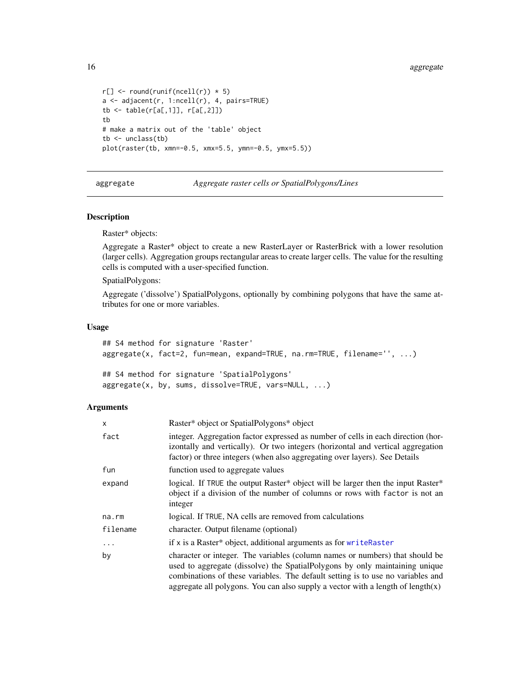```
r[] \leftarrow round(runif(ncell(r)) * 5)a \leftarrow \text{adjacent}(r, 1:\text{ncell}(r), 4, \text{pairs}=TRUE)tb <- table(r[a[,1]], r[a[,2]])
tb
# make a matrix out of the 'table' object
tb \leftarrow unclass(tb)
plot(raster(tb, xmn=-0.5, xmx=5.5, ymn=-0.5, ymx=5.5))
```
<span id="page-15-1"></span>aggregate *Aggregate raster cells or SpatialPolygons/Lines*

#### Description

Raster\* objects:

Aggregate a Raster\* object to create a new RasterLayer or RasterBrick with a lower resolution (larger cells). Aggregation groups rectangular areas to create larger cells. The value for the resulting cells is computed with a user-specified function.

SpatialPolygons:

Aggregate ('dissolve') SpatialPolygons, optionally by combining polygons that have the same attributes for one or more variables.

#### Usage

```
## S4 method for signature 'Raster'
aggregate(x, fact=2, fun=mean, expand=TRUE, na.rm=TRUE, filename='', ...)
```
## S4 method for signature 'SpatialPolygons' aggregate(x, by, sums, dissolve=TRUE, vars=NULL, ...)

#### Arguments

| x          | Raster* object or SpatialPolygons* object                                                                                                                                                                                                                                                                                             |
|------------|---------------------------------------------------------------------------------------------------------------------------------------------------------------------------------------------------------------------------------------------------------------------------------------------------------------------------------------|
| fact       | integer. Aggregation factor expressed as number of cells in each direction (hor-<br>izontally and vertically). Or two integers (horizontal and vertical aggregation<br>factor) or three integers (when also aggregating over layers). See Details                                                                                     |
| fun        | function used to aggregate values                                                                                                                                                                                                                                                                                                     |
| expand     | logical. If TRUE the output Raster* object will be larger then the input Raster*<br>object if a division of the number of columns or rows with factor is not an<br>integer                                                                                                                                                            |
| na.rm      | logical. If TRUE, NA cells are removed from calculations                                                                                                                                                                                                                                                                              |
| filename   | character. Output filename (optional)                                                                                                                                                                                                                                                                                                 |
| $\ddots$ . | if x is a Raster* object, additional arguments as for writeRaster                                                                                                                                                                                                                                                                     |
| by         | character or integer. The variables (column names or numbers) that should be<br>used to aggregate (dissolve) the Spatial Polygons by only maintaining unique<br>combinations of these variables. The default setting is to use no variables and<br>aggregate all polygons. You can also supply a vector with a length of length $(x)$ |

<span id="page-15-0"></span>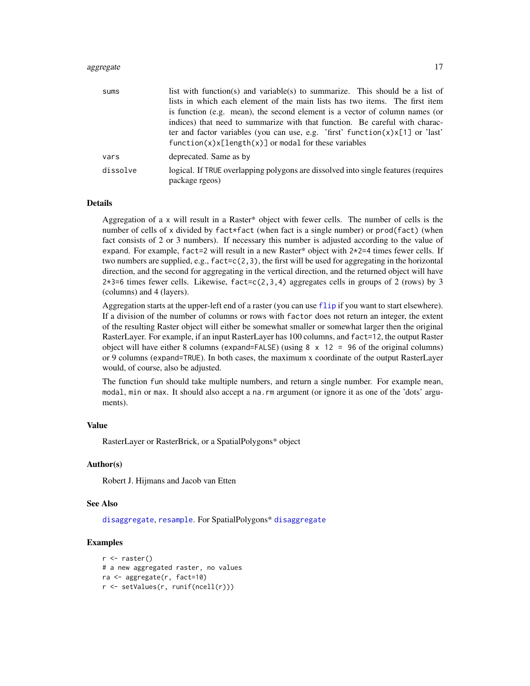#### aggregate the control of the control of the control of the control of the control of the control of the control of the control of the control of the control of the control of the control of the control of the control of th

| sums     | list with function(s) and variable(s) to summarize. This should be a list of                         |
|----------|------------------------------------------------------------------------------------------------------|
|          | lists in which each element of the main lists has two items. The first item                          |
|          | is function (e.g. mean), the second element is a vector of column names (or                          |
|          | indices) that need to summarize with that function. Be careful with charac-                          |
|          | ter and factor variables (you can use, e.g. 'first' function $(x)x[1]$ or 'last'                     |
|          | $function(x)x[length(x)]$ or modal for these variables                                               |
| vars     | deprecated. Same as by                                                                               |
| dissolve | logical. If TRUE overlapping polygons are dissolved into single features (requires<br>package rgeos) |

#### Details

Aggregation of a x will result in a Raster\* object with fewer cells. The number of cells is the number of cells of x divided by fact\*fact (when fact is a single number) or  $prod(fact)$  (when fact consists of 2 or 3 numbers). If necessary this number is adjusted according to the value of expand. For example, fact=2 will result in a new Raster\* object with 2\*2=4 times fewer cells. If two numbers are supplied, e.g.,  $fact = c(2,3)$ , the first will be used for aggregating in the horizontal direction, and the second for aggregating in the vertical direction, and the returned object will have  $2*3=6$  times fewer cells. Likewise, fact=c(2,3,4) aggregates cells in groups of 2 (rows) by 3 (columns) and 4 (layers).

Aggregation starts at the upper-left end of a raster (you can use [flip](#page-86-1) if you want to start elsewhere). If a division of the number of columns or rows with factor does not return an integer, the extent of the resulting Raster object will either be somewhat smaller or somewhat larger then the original RasterLayer. For example, if an input RasterLayer has 100 columns, and fact=12, the output Raster object will have either 8 columns (expand=FALSE) (using  $8 \times 12 = 96$  of the original columns) or 9 columns (expand=TRUE). In both cases, the maximum x coordinate of the output RasterLayer would, of course, also be adjusted.

The function fun should take multiple numbers, and return a single number. For example mean, modal, min or max. It should also accept a na.rm argument (or ignore it as one of the 'dots' arguments).

#### Value

RasterLayer or RasterBrick, or a SpatialPolygons\* object

#### Author(s)

Robert J. Hijmans and Jacob van Etten

#### See Also

[disaggregate](#page-66-1), [resample](#page-170-1). For SpatialPolygons\* [disaggregate](#page-66-1)

```
r <- raster()
# a new aggregated raster, no values
ra <- aggregate(r, fact=10)
r <- setValues(r, runif(ncell(r)))
```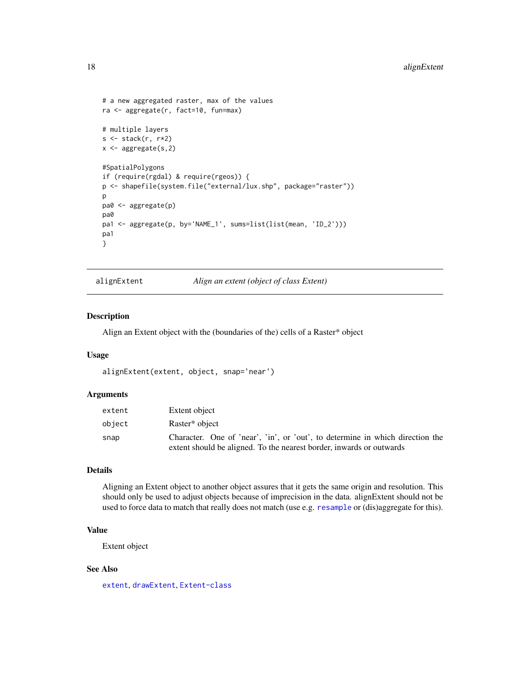```
# a new aggregated raster, max of the values
ra <- aggregate(r, fact=10, fun=max)
# multiple layers
s \leftarrow \text{stack}(r, r \star 2)x \leftarrow aggregate(s,2)
#SpatialPolygons
if (require(rgdal) & require(rgeos)) {
p <- shapefile(system.file("external/lux.shp", package="raster"))
p
pa0 <- aggregate(p)
pa0
pa1 <- aggregate(p, by='NAME_1', sums=list(list(mean, 'ID_2')))
pa1
}
```
<span id="page-17-1"></span>alignExtent *Align an extent (object of class Extent)*

# Description

Align an Extent object with the (boundaries of the) cells of a Raster\* object

# Usage

alignExtent(extent, object, snap='near')

#### Arguments

| extent | Extent object                                                                 |
|--------|-------------------------------------------------------------------------------|
| object | Raster* object                                                                |
| snap   | Character. One of 'near', 'in', or 'out', to determine in which direction the |
|        | extent should be aligned. To the nearest border, inwards or outwards          |

#### Details

Aligning an Extent object to another object assures that it gets the same origin and resolution. This should only be used to adjust objects because of imprecision in the data. alignExtent should not be used to force data to match that really does not match (use e.g. [resample](#page-170-1) or (dis)aggregate for this).

# Value

Extent object

#### See Also

[extent](#page-73-1), [drawExtent](#page-70-1), [Extent-class](#page-75-1)

<span id="page-17-0"></span>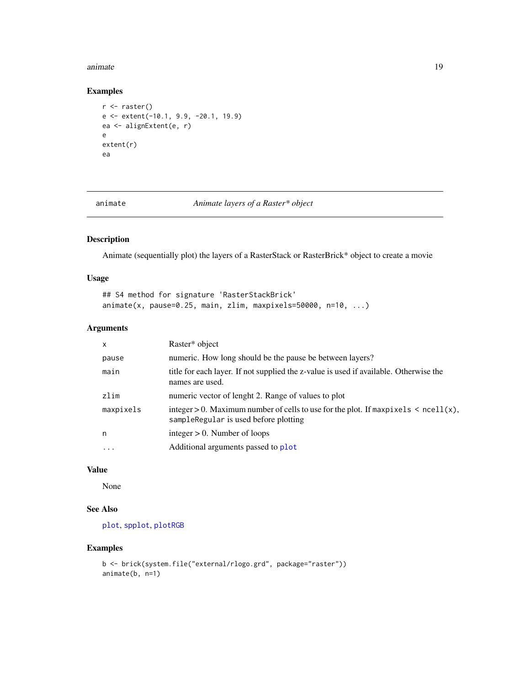#### <span id="page-18-0"></span>animate the contract of the contract of the contract of the contract of the contract of the contract of the contract of the contract of the contract of the contract of the contract of the contract of the contract of the co

# Examples

```
r <- raster()
e <- extent(-10.1, 9.9, -20.1, 19.9)
ea <- alignExtent(e, r)
e
extent(r)
ea
```
animate *Animate layers of a Raster\* object*

# Description

Animate (sequentially plot) the layers of a RasterStack or RasterBrick\* object to create a movie

#### Usage

```
## S4 method for signature 'RasterStackBrick'
animate(x, pause=0.25, main, zlim, maxpixels=50000, n=10, ...)
```
# Arguments

| $\mathsf{x}$ | Raster* object                                                                                                                  |
|--------------|---------------------------------------------------------------------------------------------------------------------------------|
| pause        | numeric. How long should be the pause be between layers?                                                                        |
| main         | title for each layer. If not supplied the z-value is used if available. Otherwise the<br>names are used.                        |
| zlim         | numeric vector of lenght 2. Range of values to plot                                                                             |
| maxpixels    | integer > 0. Maximum number of cells to use for the plot. If maxpixels $\le$ ncell(x),<br>sampleRegular is used before plotting |
| n            | integer $> 0$ . Number of loops                                                                                                 |
| $\cdot$      | Additional arguments passed to plot                                                                                             |
|              |                                                                                                                                 |

#### Value

None

# See Also

[plot](#page-136-1), [spplot](#page-191-1), [plotRGB](#page-139-1)

```
b <- brick(system.file("external/rlogo.grd", package="raster"))
animate(b, n=1)
```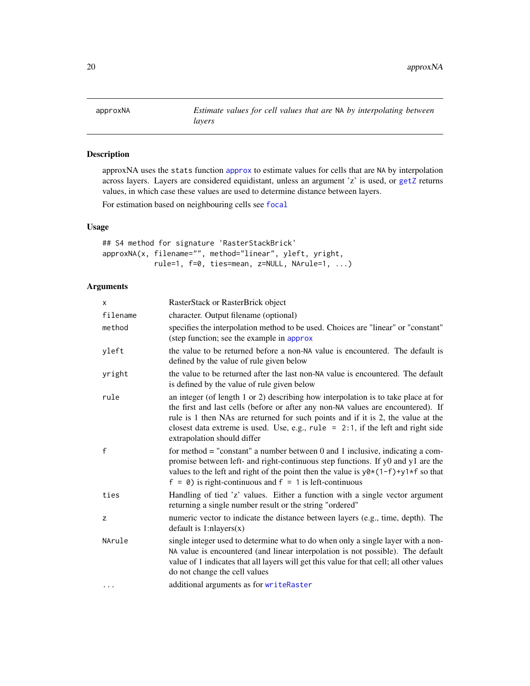<span id="page-19-0"></span>

approxNA uses the stats function [approx](#page-0-0) to estimate values for cells that are NA by interpolation across layers. Layers are considered equidistant, unless an argument 'z' is used, or [getZ](#page-221-1) returns values, in which case these values are used to determine distance between layers.

For estimation based on neighbouring cells see [focal](#page-88-1)

# Usage

```
## S4 method for signature 'RasterStackBrick'
approxNA(x, filename="", method="linear", yleft, yright,
            rule=1, f=0, ties=mean, z=NULL, NArule=1, ...)
```
# Arguments

| <b>X</b> | RasterStack or RasterBrick object                                                                                                                                                                                                                                                                                                                                               |
|----------|---------------------------------------------------------------------------------------------------------------------------------------------------------------------------------------------------------------------------------------------------------------------------------------------------------------------------------------------------------------------------------|
| filename | character. Output filename (optional)                                                                                                                                                                                                                                                                                                                                           |
| method   | specifies the interpolation method to be used. Choices are "linear" or "constant"<br>(step function; see the example in approx                                                                                                                                                                                                                                                  |
| yleft    | the value to be returned before a non-NA value is encountered. The default is<br>defined by the value of rule given below                                                                                                                                                                                                                                                       |
| yright   | the value to be returned after the last non-NA value is encountered. The default<br>is defined by the value of rule given below                                                                                                                                                                                                                                                 |
| rule     | an integer (of length 1 or 2) describing how interpolation is to take place at for<br>the first and last cells (before or after any non-NA values are encountered). If<br>rule is 1 then NAs are returned for such points and if it is 2, the value at the<br>closest data extreme is used. Use, e.g., rule = $2:1$ , if the left and right side<br>extrapolation should differ |
| f        | for method $=$ "constant" a number between 0 and 1 inclusive, indicating a com-<br>promise between left- and right-continuous step functions. If y0 and y1 are the<br>values to the left and right of the point then the value is $y0*(1-f)+y1*f$ so that<br>$f = 0$ ) is right-continuous and $f = 1$ is left-continuous                                                       |
| ties     | Handling of tied 'z' values. Either a function with a single vector argument<br>returning a single number result or the string "ordered"                                                                                                                                                                                                                                        |
| Z        | numeric vector to indicate the distance between layers (e.g., time, depth). The<br>$default$ is 1:nlayers $(x)$                                                                                                                                                                                                                                                                 |
| NArule   | single integer used to determine what to do when only a single layer with a non-<br>NA value is encountered (and linear interpolation is not possible). The default<br>value of 1 indicates that all layers will get this value for that cell; all other values<br>do not change the cell values                                                                                |
| $\cdots$ | additional arguments as for writeRaster                                                                                                                                                                                                                                                                                                                                         |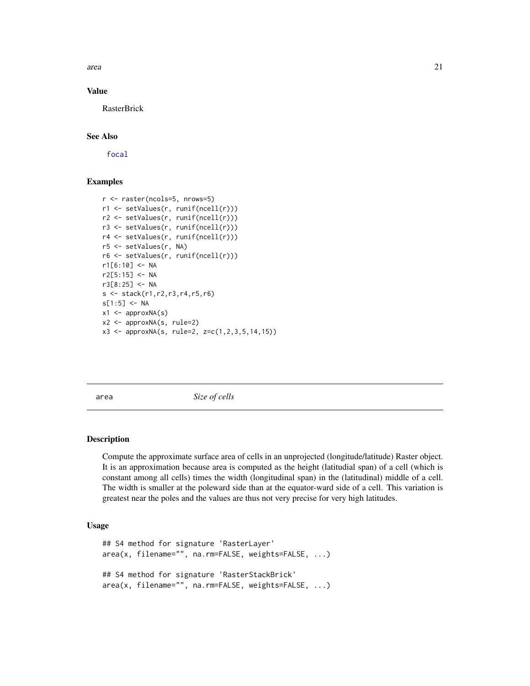<span id="page-20-0"></span>area  $21$ 

#### Value

RasterBrick

#### See Also

[focal](#page-88-1)

# Examples

```
r <- raster(ncols=5, nrows=5)
r1 <- setValues(r, runif(ncell(r)))
r2 <- setValues(r, runif(ncell(r)))
r3 <- setValues(r, runif(ncell(r)))
r4 <- setValues(r, runif(ncell(r)))
r5 <- setValues(r, NA)
r6 <- setValues(r, runif(ncell(r)))
r1[6:10] <- NA
r2[5:15] <- NA
r3[8:25] <- NA
s \leftarrow \text{stack}(r1, r2, r3, r4, r5, r6)s[1:5] <- NA
x1 \leftarrow approxNA(s)x2 <- approxNA(s, rule=2)
x3 <- approxNA(s, rule=2, z=c(1,2,3,5,14,15))
```
<span id="page-20-1"></span>area *Size of cells*

#### **Description**

Compute the approximate surface area of cells in an unprojected (longitude/latitude) Raster object. It is an approximation because area is computed as the height (latitudial span) of a cell (which is constant among all cells) times the width (longitudinal span) in the (latitudinal) middle of a cell. The width is smaller at the poleward side than at the equator-ward side of a cell. This variation is greatest near the poles and the values are thus not very precise for very high latitudes.

### Usage

```
## S4 method for signature 'RasterLayer'
area(x, filename="", na.rm=FALSE, weights=FALSE, ...)
## S4 method for signature 'RasterStackBrick'
area(x, filename="", na.rm=FALSE, weights=FALSE, ...)
```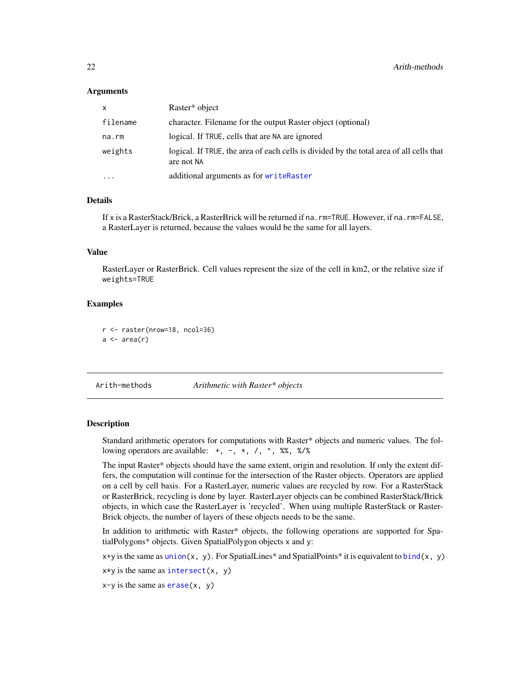#### <span id="page-21-0"></span>**Arguments**

| X        | Raster* object                                                                                        |
|----------|-------------------------------------------------------------------------------------------------------|
| filename | character. Filename for the output Raster object (optional)                                           |
| na.rm    | logical. If TRUE, cells that are NA are ignored                                                       |
| weights  | logical. If TRUE, the area of each cells is divided by the total area of all cells that<br>are not NA |
| $\cdots$ | additional arguments as for writeRaster                                                               |

### Details

If x is a RasterStack/Brick, a RasterBrick will be returned if na.rm=TRUE. However, if na.rm=FALSE, a RasterLayer is returned, because the values would be the same for all layers.

# Value

RasterLayer or RasterBrick. Cell values represent the size of the cell in km2, or the relative size if weights=TRUE

#### Examples

```
r <- raster(nrow=18, ncol=36)
a \leftarrow \text{area}(r)
```
<span id="page-21-1"></span>Arith-methods *Arithmetic with Raster\* objects*

#### **Description**

Standard arithmetic operators for computations with Raster\* objects and numeric values. The following operators are available:  $+, -, *, /, \land, \%$ , %%, %/%

The input Raster\* objects should have the same extent, origin and resolution. If only the extent differs, the computation will continue for the intersection of the Raster objects. Operators are applied on a cell by cell basis. For a RasterLayer, numeric values are recycled by row. For a RasterStack or RasterBrick, recycling is done by layer. RasterLayer objects can be combined RasterStack/Brick objects, in which case the RasterLayer is 'recycled'. When using multiple RasterStack or Raster-Brick objects, the number of layers of these objects needs to be the same.

In addition to arithmetic with Raster\* objects, the following operations are supported for SpatialPolygons\* objects. Given SpatialPolygon objects x and y:

 $x+y$  is the same as [union\(](#page-207-1)x, y). For SpatialLines\* and SpatialPoints\* it is equivalent to [bind\(](#page-30-1)x, y)

 $x \star y$  is the same as [intersect\(](#page-109-1)x, y)

 $x-y$  is the same as  $erase(x, y)$  $erase(x, y)$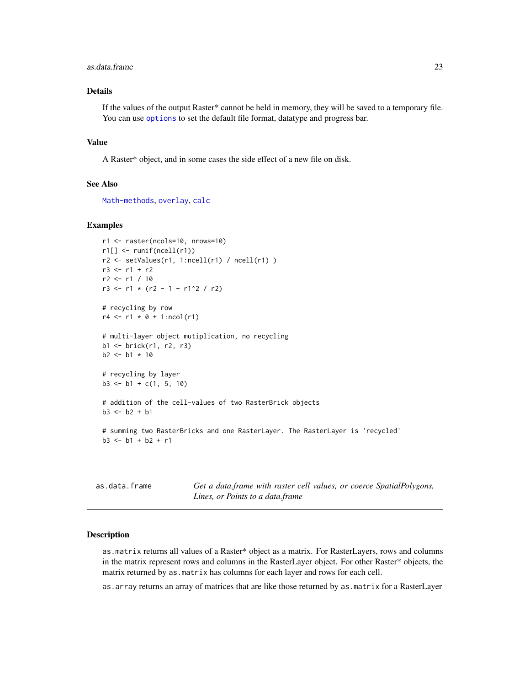#### <span id="page-22-0"></span>as.data.frame 23

# Details

If the values of the output Raster\* cannot be held in memory, they will be saved to a temporary file. You can use [options](#page-0-0) to set the default file format, datatype and progress bar.

#### Value

A Raster\* object, and in some cases the side effect of a new file on disk.

#### See Also

[Math-methods](#page-120-1), [overlay](#page-132-1), [calc](#page-37-1)

#### Examples

```
r1 <- raster(ncols=10, nrows=10)
r1[] <- runif(ncell(r1))
r2 \le setValues(r1, 1:ncell(r1) / ncell(r1) )
r3 < - r1 + r2r2 <- r1 / 10
r3 \le r1 \times (r2 - 1 + r1^2 / r2)# recycling by row
r4 \le r1 \times 0 + 1:ncol(r1)
# multi-layer object mutiplication, no recycling
b1 <- brick(r1, r2, r3)
b2 < -b1 * 10# recycling by layer
b3 \le -b1 + c(1, 5, 10)# addition of the cell-values of two RasterBrick objects
b3 < - b2 + b1# summing two RasterBricks and one RasterLayer. The RasterLayer is 'recycled'
b3 \le -b1 + b2 + r1
```
<span id="page-22-1"></span>as.data.frame *Get a data.frame with raster cell values, or coerce SpatialPolygons, Lines, or Points to a data.frame*

#### **Description**

as.matrix returns all values of a Raster\* object as a matrix. For RasterLayers, rows and columns in the matrix represent rows and columns in the RasterLayer object. For other Raster\* objects, the matrix returned by as.matrix has columns for each layer and rows for each cell.

as.array returns an array of matrices that are like those returned by as.matrix for a RasterLayer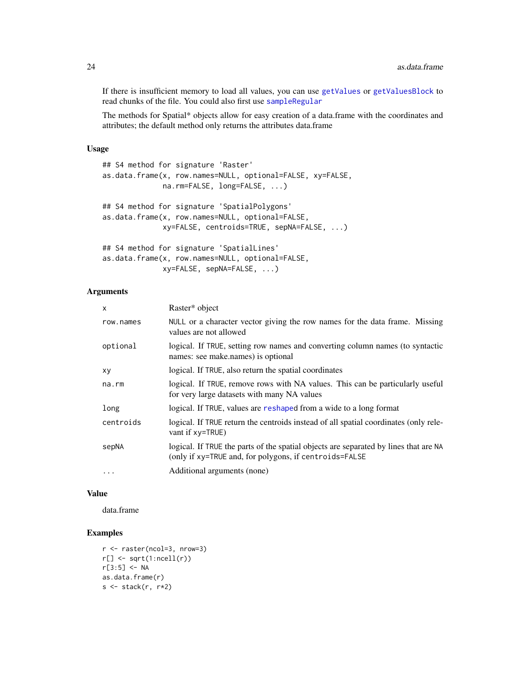If there is insufficient memory to load all values, you can use [getValues](#page-95-1) or [getValuesBlock](#page-96-1) to read chunks of the file. You could also first use [sampleRegular](#page-179-1)

The methods for Spatial\* objects allow for easy creation of a data.frame with the coordinates and attributes; the default method only returns the attributes data.frame

#### Usage

```
## S4 method for signature 'Raster'
as.data.frame(x, row.names=NULL, optional=FALSE, xy=FALSE,
              na.rm=FALSE, long=FALSE, ...)
## S4 method for signature 'SpatialPolygons'
as.data.frame(x, row.names=NULL, optional=FALSE,
              xy=FALSE, centroids=TRUE, sepNA=FALSE, ...)
## S4 method for signature 'SpatialLines'
as.data.frame(x, row.names=NULL, optional=FALSE,
```
xy=FALSE, sepNA=FALSE, ...)

### Arguments

| x         | Raster* object                                                                                                                                 |
|-----------|------------------------------------------------------------------------------------------------------------------------------------------------|
| row.names | NULL or a character vector giving the row names for the data frame. Missing<br>values are not allowed                                          |
| optional  | logical. If TRUE, setting row names and converting column names (to syntactic<br>names: see make.names) is optional                            |
| xy        | logical. If TRUE, also return the spatial coordinates                                                                                          |
| na.rm     | logical. If TRUE, remove rows with NA values. This can be particularly useful<br>for very large datasets with many NA values                   |
| long      | logical. If TRUE, values are reshaped from a wide to a long format                                                                             |
| centroids | logical. If TRUE return the centroids instead of all spatial coordinates (only rele-<br>vant if $xy = TRUE$ )                                  |
| sepNA     | logical. If TRUE the parts of the spatial objects are separated by lines that are NA<br>(only if xy=TRUE and, for polygons, if centroids=FALSE |
| $\ddotsc$ | Additional arguments (none)                                                                                                                    |

#### Value

data.frame

```
r <- raster(ncol=3, nrow=3)
r[] \leftarrow sqrt(1:ncell(r))r[3:5] < -NAas.data.frame(r)
s \leftarrow \text{stack}(r, r \star 2)
```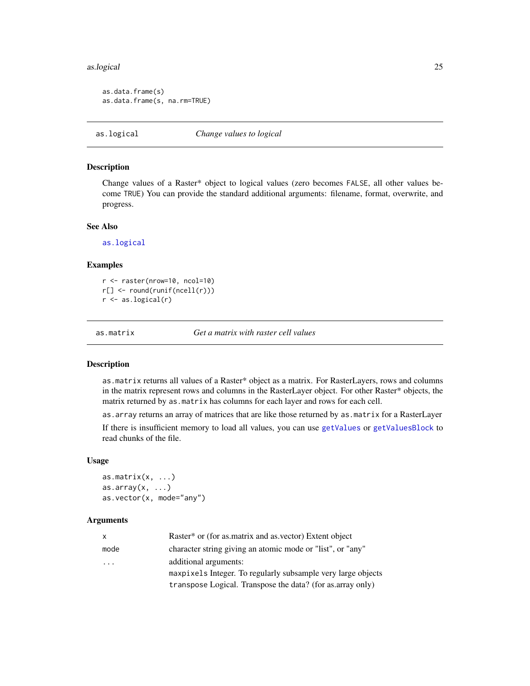#### <span id="page-24-0"></span>as.logical 25

```
as.data.frame(s)
as.data.frame(s, na.rm=TRUE)
```
<span id="page-24-3"></span>as.logical *Change values to logical*

# Description

Change values of a Raster\* object to logical values (zero becomes FALSE, all other values become TRUE) You can provide the standard additional arguments: filename, format, overwrite, and progress.

#### See Also

[as.logical](#page-24-3)

#### Examples

r <- raster(nrow=10, ncol=10) r[] <- round(runif(ncell(r))) r <- as.logical(r)

<span id="page-24-1"></span>as.matrix *Get a matrix with raster cell values*

#### <span id="page-24-2"></span>Description

as.matrix returns all values of a Raster\* object as a matrix. For RasterLayers, rows and columns in the matrix represent rows and columns in the RasterLayer object. For other Raster\* objects, the matrix returned by as.matrix has columns for each layer and rows for each cell.

as.array returns an array of matrices that are like those returned by as.matrix for a RasterLayer

If there is insufficient memory to load all values, you can use [getValues](#page-95-1) or [getValuesBlock](#page-96-1) to read chunks of the file.

#### Usage

as.matrix $(x, \ldots)$  $as.array(x, \ldots)$ as.vector(x, mode="any")

# Arguments

| $\mathsf{x}$            | Raster <sup>*</sup> or (for as matrix and as vector) Extent object |
|-------------------------|--------------------------------------------------------------------|
| mode                    | character string giving an atomic mode or "list", or "any"         |
| $\cdot$ $\cdot$ $\cdot$ | additional arguments:                                              |
|                         | maxpixels Integer. To regularly subsample very large objects       |
|                         | transpose Logical. Transpose the data? (for as array only)         |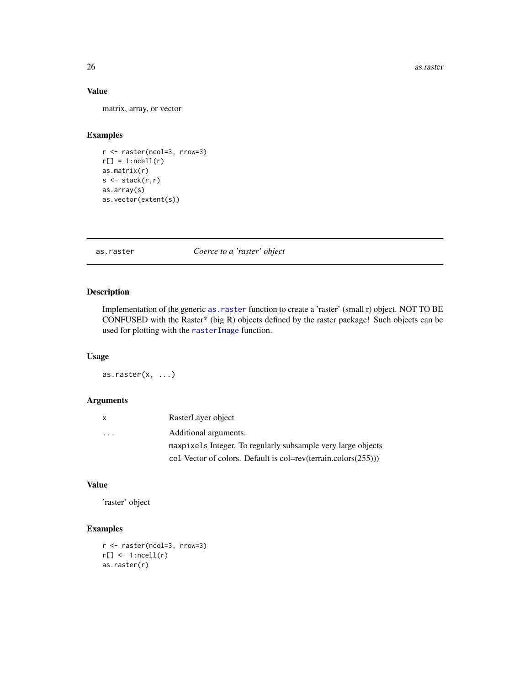# Value

matrix, array, or vector

### Examples

```
r <- raster(ncol=3, nrow=3)
r[] = 1:ncell(r)as.matrix(r)
s \leftarrow \text{stack}(r,r)as.array(s)
as.vector(extent(s))
```
<span id="page-25-1"></span>as.raster *Coerce to a 'raster' object*

#### Description

Implementation of the generic as. raster function to create a 'raster' (small r) object. NOT TO BE CONFUSED with the Raster\* (big R) objects defined by the raster package! Such objects can be used for plotting with the [rasterImage](#page-0-0) function.

### Usage

as.raster $(x, \ldots)$ 

#### Arguments

| $\mathsf{X}$            | RasterLayer object                                                 |
|-------------------------|--------------------------------------------------------------------|
| $\cdot$ $\cdot$ $\cdot$ | Additional arguments.                                              |
|                         | maxpixels Integer. To regularly subsample very large objects       |
|                         | col Vector of colors. Default is col=rev(terrain.colors $(255)$ )) |

# Value

'raster' object

```
r <- raster(ncol=3, nrow=3)
r[] \leftarrow 1:ncell(r)
as.raster(r)
```
<span id="page-25-0"></span>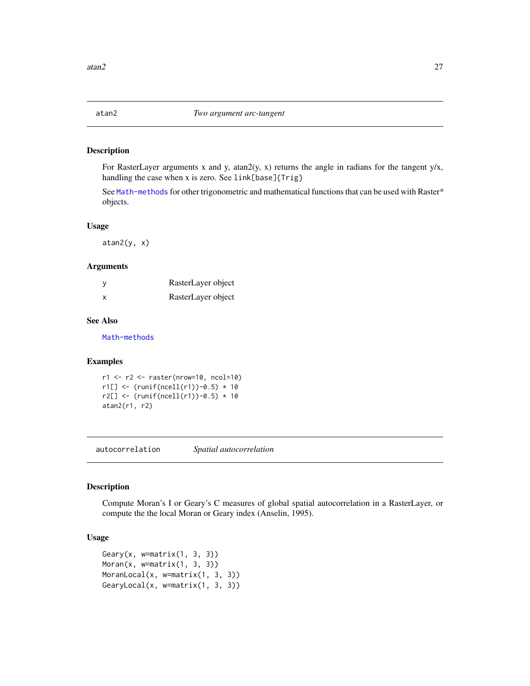<span id="page-26-0"></span>

For RasterLayer arguments x and y, atan $2(y, x)$  returns the angle in radians for the tangent  $y/x$ , handling the case when x is zero. See link[base]{Trig}

See [Math-methods](#page-120-1) for other trigonometric and mathematical functions that can be used with Raster\* objects.

#### Usage

 $atan2(y, x)$ 

# Arguments

|   | RasterLayer object |
|---|--------------------|
| x | RasterLayer object |

# See Also

[Math-methods](#page-120-1)

#### Examples

r1 <- r2 <- raster(nrow=10, ncol=10)  $r1[] < -$  (runif(ncell(r1))-0.5) \* 10  $r2[] < -$  (runif(ncell(r1))-0.5) \* 10 atan2(r1, r2)

autocorrelation *Spatial autocorrelation*

# <span id="page-26-1"></span>Description

Compute Moran's I or Geary's C measures of global spatial autocorrelation in a RasterLayer, or compute the the local Moran or Geary index (Anselin, 1995).

### Usage

```
Geary(x, w=matrix(1, 3, 3))
Moran(x, w=matrix(1, 3, 3))
MoranLocal(x, w=matrix(1, 3, 3))
GearyLocal(x, w=matrix(1, 3, 3))
```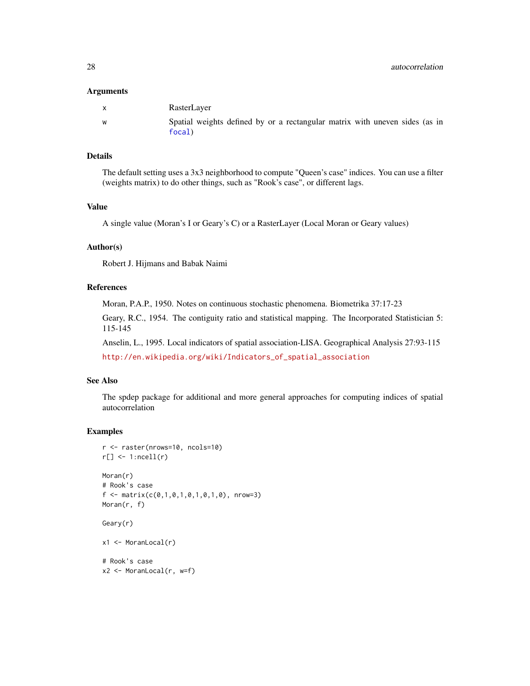#### Arguments

| X | RasterLayer                                                                           |
|---|---------------------------------------------------------------------------------------|
| W | Spatial weights defined by or a rectangular matrix with uneven sides (as in<br>focal) |

#### Details

The default setting uses a 3x3 neighborhood to compute "Queen's case" indices. You can use a filter (weights matrix) to do other things, such as "Rook's case", or different lags.

# Value

A single value (Moran's I or Geary's C) or a RasterLayer (Local Moran or Geary values)

# Author(s)

Robert J. Hijmans and Babak Naimi

#### References

Moran, P.A.P., 1950. Notes on continuous stochastic phenomena. Biometrika 37:17-23

Geary, R.C., 1954. The contiguity ratio and statistical mapping. The Incorporated Statistician 5: 115-145

Anselin, L., 1995. Local indicators of spatial association-LISA. Geographical Analysis 27:93-115 [http://en.wikipedia.org/wiki/Indicators\\_of\\_spatial\\_association](http://en.wikipedia.org/wiki/Indicators_of_spatial_association)

# See Also

The spdep package for additional and more general approaches for computing indices of spatial autocorrelation

```
r <- raster(nrows=10, ncols=10)
r[] \leftarrow 1:ncell(r)
Moran(r)
# Rook's case
f \leftarrow matrix(c(0,1,0,1,0,1,0,1,0), nrow=3)Moran(r, f)
Geary(r)
x1 <- MoranLocal(r)
# Rook's case
x2 <- MoranLocal(r, w=f)
```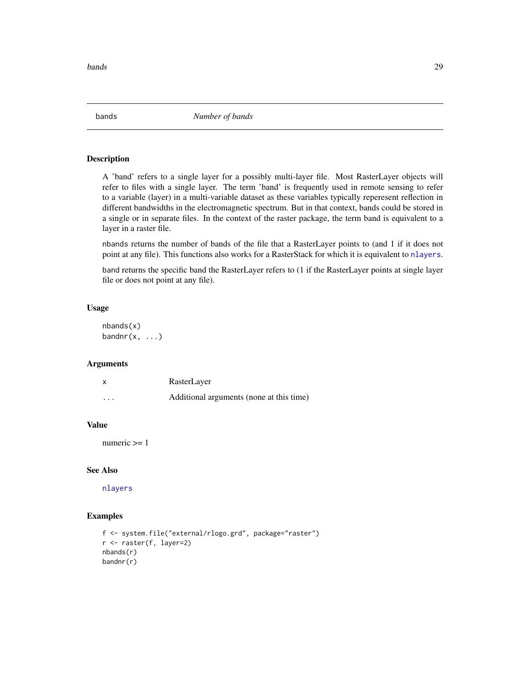<span id="page-28-0"></span>bands 29

bands *Number of bands*

#### <span id="page-28-1"></span>Description

A 'band' refers to a single layer for a possibly multi-layer file. Most RasterLayer objects will refer to files with a single layer. The term 'band' is frequently used in remote sensing to refer to a variable (layer) in a multi-variable dataset as these variables typically reperesent reflection in different bandwidths in the electromagnetic spectrum. But in that context, bands could be stored in a single or in separate files. In the context of the raster package, the term band is equivalent to a layer in a raster file.

nbands returns the number of bands of the file that a RasterLayer points to (and 1 if it does not point at any file). This functions also works for a RasterStack for which it is equivalent to [nlayers](#page-129-1).

band returns the specific band the RasterLayer refers to (1 if the RasterLayer points at single layer file or does not point at any file).

#### Usage

nbands(x)  $bandnr(x, ...)$ 

#### **Arguments**

| X        | RasterLayer                              |
|----------|------------------------------------------|
| $\cdots$ | Additional arguments (none at this time) |

# Value

numeric >= 1

#### See Also

[nlayers](#page-129-1)

```
f <- system.file("external/rlogo.grd", package="raster")
r <- raster(f, layer=2)
nbands(r)
bandnr(r)
```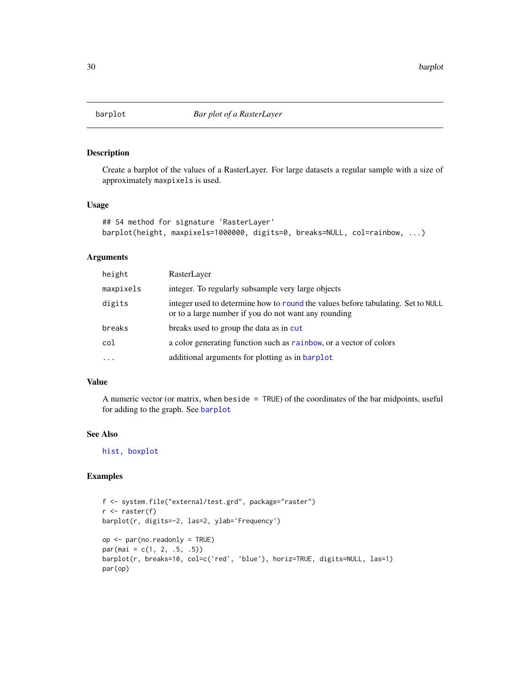<span id="page-29-1"></span><span id="page-29-0"></span>

Create a barplot of the values of a RasterLayer. For large datasets a regular sample with a size of approximately maxpixels is used.

# Usage

```
## S4 method for signature 'RasterLayer'
barplot(height, maxpixels=1000000, digits=0, breaks=NULL, col=rainbow, ...)
```
# Arguments

| height    | RasterLayer                                                                                                                              |
|-----------|------------------------------------------------------------------------------------------------------------------------------------------|
| maxpixels | integer. To regularly subsample very large objects                                                                                       |
| digits    | integer used to determine how to round the values before tabulating. Set to NULL<br>or to a large number if you do not want any rounding |
| breaks    | breaks used to group the data as in cut                                                                                                  |
| col       | a color generating function such as rainbow, or a vector of colors                                                                       |
| $\cdots$  | additional arguments for plotting as in barplot                                                                                          |

#### Value

A numeric vector (or matrix, when beside = TRUE) of the coordinates of the bar midpoints, useful for adding to the graph. See [barplot](#page-29-1)

# See Also

[hist,](#page-103-1) [boxplot](#page-33-1)

```
f <- system.file("external/test.grd", package="raster")
r <- raster(f)
barplot(r, digits=-2, las=2, ylab='Frequency')
op <- par(no.readonly = TRUE)
par(mai = c(1, 2, .5, .5))barplot(r, breaks=10, col=c('red', 'blue'), horiz=TRUE, digits=NULL, las=1)
par(op)
```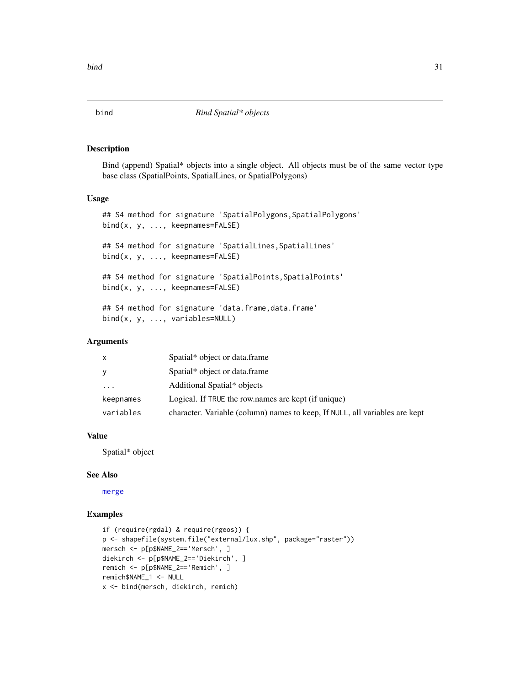<span id="page-30-1"></span><span id="page-30-0"></span>

Bind (append) Spatial\* objects into a single object. All objects must be of the same vector type base class (SpatialPoints, SpatialLines, or SpatialPolygons)

### Usage

```
## S4 method for signature 'SpatialPolygons, SpatialPolygons'
bind(x, y, ..., keepnames=FALSE)
## S4 method for signature 'SpatialLines, SpatialLines'
bind(x, y, ..., keepnames=FALSE)
## S4 method for signature 'SpatialPoints, SpatialPoints'
bind(x, y, ..., keepnames=FALSE)
## S4 method for signature 'data.frame, data.frame'
bind(x, y, ..., variables=NULL)
```
# Arguments

| X         | Spatial* object or data.frame                                               |
|-----------|-----------------------------------------------------------------------------|
| У         | Spatial* object or data.frame                                               |
| $\cdot$   | Additional Spatial* objects                                                 |
| keepnames | Logical. If TRUE the row.names are kept (if unique)                         |
| variables | character. Variable (column) names to keep, If NULL, all variables are kept |

# Value

Spatial\* object

#### See Also

[merge](#page-121-1)

```
if (require(rgdal) & require(rgeos)) {
p <- shapefile(system.file("external/lux.shp", package="raster"))
mersch <- p[p$NAME_2=='Mersch', ]
diekirch <- p[p$NAME_2=='Diekirch', ]
remich <- p[p$NAME_2=='Remich', ]
remich$NAME_1 <- NULL
x <- bind(mersch, diekirch, remich)
```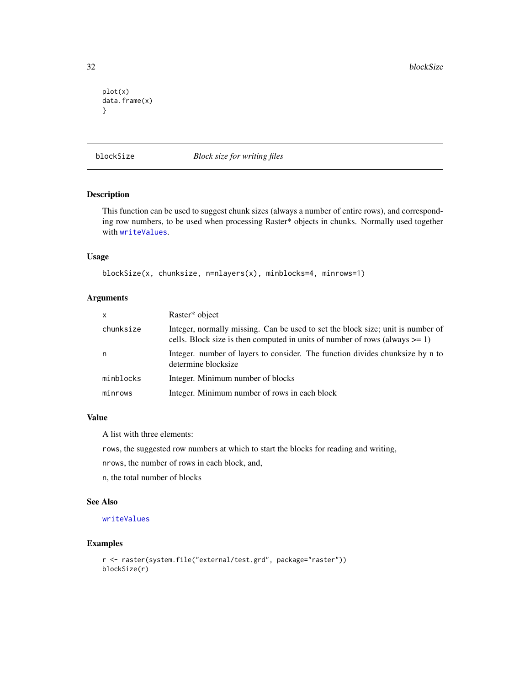<span id="page-31-0"></span>32 blockSize

```
plot(x)
data.frame(x)
}
```
<span id="page-31-1"></span>blockSize *Block size for writing files*

# Description

This function can be used to suggest chunk sizes (always a number of entire rows), and corresponding row numbers, to be used when processing Raster\* objects in chunks. Normally used together with [writeValues](#page-218-2).

# Usage

```
blockSize(x, chunksize, n=nlayers(x), minblocks=4, minrows=1)
```
# Arguments

| $\mathsf{x}$ | Raster* object                                                                                                                                                    |
|--------------|-------------------------------------------------------------------------------------------------------------------------------------------------------------------|
| chunksize    | Integer, normally missing. Can be used to set the block size; unit is number of<br>cells. Block size is then computed in units of number of rows (always $>= 1$ ) |
| n            | Integer, number of layers to consider. The function divides chunksize by n to<br>determine blocksize                                                              |
| minblocks    | Integer. Minimum number of blocks                                                                                                                                 |
| minrows      | Integer. Minimum number of rows in each block                                                                                                                     |

#### Value

A list with three elements:

rows, the suggested row numbers at which to start the blocks for reading and writing,

nrows, the number of rows in each block, and,

n, the total number of blocks

# See Also

# [writeValues](#page-218-2)

```
r <- raster(system.file("external/test.grd", package="raster"))
blockSize(r)
```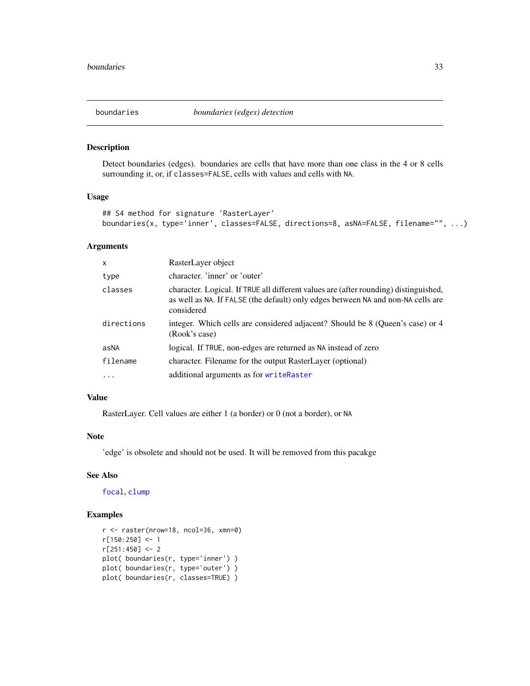<span id="page-32-1"></span><span id="page-32-0"></span>

Detect boundaries (edges). boundaries are cells that have more than one class in the 4 or 8 cells surrounding it, or, if classes=FALSE, cells with values and cells with NA.

#### Usage

```
## S4 method for signature 'RasterLayer'
boundaries(x, type='inner', classes=FALSE, directions=8, asNA=FALSE, filename="", ...)
```
#### Arguments

| $\times$   | RasterLayer object                                                                                                                                                                     |
|------------|----------------------------------------------------------------------------------------------------------------------------------------------------------------------------------------|
| type       | character. 'inner' or 'outer'                                                                                                                                                          |
| classes    | character. Logical. If TRUE all different values are (after rounding) distinguished,<br>as well as NA. If FALSE (the default) only edges between NA and non-NA cells are<br>considered |
| directions | integer. Which cells are considered adjacent? Should be 8 (Queen's case) or 4<br>(Rook's case)                                                                                         |
| asNA       | logical. If TRUE, non-edges are returned as NA instead of zero                                                                                                                         |
| filename   | character. Filename for the output RasterLayer (optional)                                                                                                                              |
| $\cdot$    | additional arguments as for writeRaster                                                                                                                                                |

#### Value

RasterLayer. Cell values are either 1 (a border) or 0 (not a border), or NA

#### Note

'edge' is obsolete and should not be used. It will be removed from this pacakge

#### See Also

[focal](#page-88-1), [clump](#page-47-1)

```
r <- raster(nrow=18, ncol=36, xmn=0)
r[150:250] <- 1
r[251:450] < -2plot( boundaries(r, type='inner') )
plot( boundaries(r, type='outer') )
plot( boundaries(r, classes=TRUE) )
```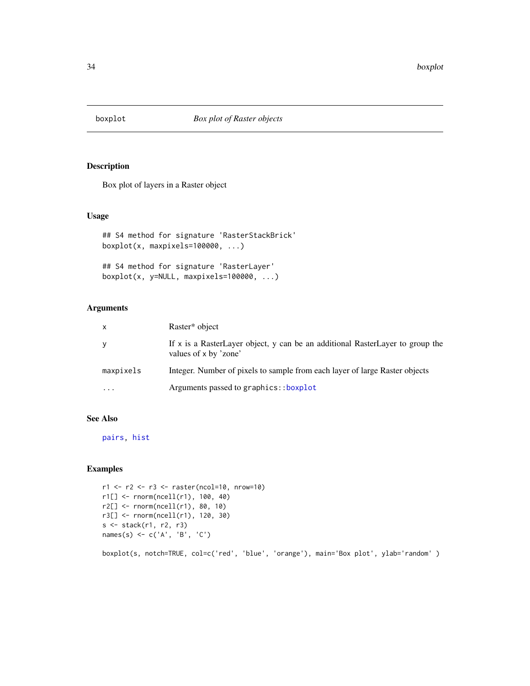<span id="page-33-1"></span><span id="page-33-0"></span>

Box plot of layers in a Raster object

# Usage

```
## S4 method for signature 'RasterStackBrick'
boxplot(x, maxpixels=100000, ...)
```

```
## S4 method for signature 'RasterLayer'
boxplot(x, y=NULL, maxpixels=100000, ...)
```
# Arguments

| X         | Raster* object                                                                                         |
|-----------|--------------------------------------------------------------------------------------------------------|
| У         | If x is a RasterLayer object, y can be an additional RasterLayer to group the<br>values of x by 'zone' |
| maxpixels | Integer. Number of pixels to sample from each layer of large Raster objects                            |
| $\cdots$  | Arguments passed to graphics::boxplot                                                                  |

# See Also

[pairs,](#page-134-1) [hist](#page-103-1)

# Examples

```
r1 <- r2 <- r3 <- raster(ncol=10, nrow=10)
r1[] <- rnorm(ncell(r1), 100, 40)
r2[] <- rnorm(ncell(r1), 80, 10)
r3[] <- rnorm(ncell(r1), 120, 30)
s <- stack(r1, r2, r3)
names(s) \leq c('A', 'B', 'C')
```
boxplot(s, notch=TRUE, col=c('red', 'blue', 'orange'), main='Box plot', ylab='random' )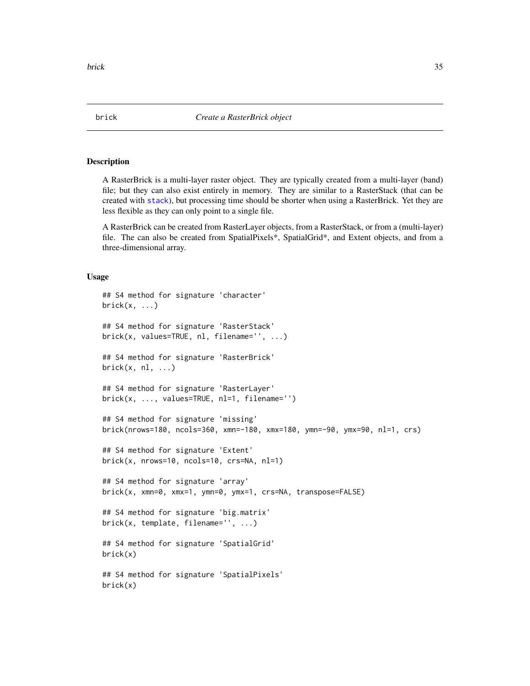A RasterBrick is a multi-layer raster object. They are typically created from a multi-layer (band) file; but they can also exist entirely in memory. They are similar to a RasterStack (that can be created with [stack](#page-192-1)), but processing time should be shorter when using a RasterBrick. Yet they are less flexible as they can only point to a single file.

A RasterBrick can be created from RasterLayer objects, from a RasterStack, or from a (multi-layer) file. The can also be created from SpatialPixels\*, SpatialGrid\*, and Extent objects, and from a three-dimensional array.

#### Usage

```
## S4 method for signature 'character'
brick(x, \ldots)## S4 method for signature 'RasterStack'
brick(x, values=TRUE, nl, filename='', ...)
## S4 method for signature 'RasterBrick'
brick(x, nl, ...)## S4 method for signature 'RasterLayer'
brick(x, ..., values=TRUE, nl=1, filename='')
## S4 method for signature 'missing'
brick(nrows=180, ncols=360, xmn=-180, xmx=180, ymn=-90, ymx=90, nl=1, crs)
## S4 method for signature 'Extent'
brick(x, nrows=10, ncols=10, crs=NA, nl=1)
## S4 method for signature 'array'
brick(x, xmn=0, xmx=1, ymn=0, ymx=1, crs=NA, transpose=FALSE)
## S4 method for signature 'big.matrix'
brick(x, template, filename='', ...)
## S4 method for signature 'SpatialGrid'
brick(x)
## S4 method for signature 'SpatialPixels'
brick(x)
```
<span id="page-34-1"></span><span id="page-34-0"></span>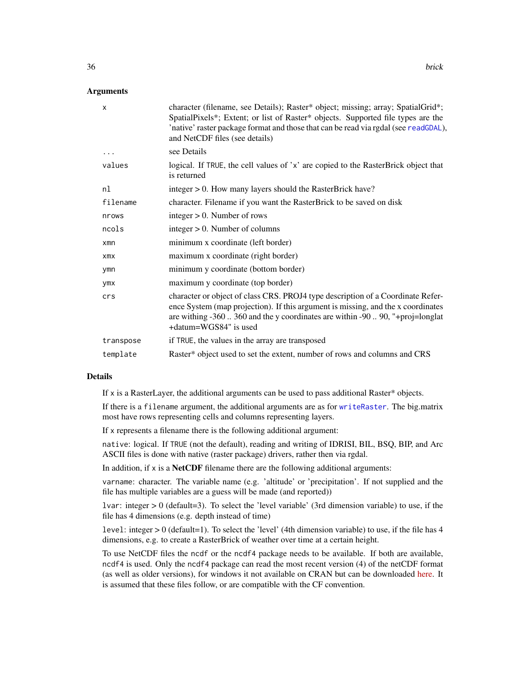# Arguments

| $\mathsf{x}$ | character (filename, see Details); Raster* object; missing; array; SpatialGrid*;<br>SpatialPixels*; Extent; or list of Raster* objects. Supported file types are the<br>'native' raster package format and those that can be read via rgdal (see readGDAL),<br>and NetCDF files (see details) |
|--------------|-----------------------------------------------------------------------------------------------------------------------------------------------------------------------------------------------------------------------------------------------------------------------------------------------|
|              | see Details                                                                                                                                                                                                                                                                                   |
| values       | logical. If TRUE, the cell values of 'x' are copied to the RasterBrick object that<br>is returned                                                                                                                                                                                             |
| nl           | integer > 0. How many layers should the RasterBrick have?                                                                                                                                                                                                                                     |
| filename     | character. Filename if you want the RasterBrick to be saved on disk                                                                                                                                                                                                                           |
| nrows        | integer $> 0$ . Number of rows                                                                                                                                                                                                                                                                |
| ncols        | integer $> 0$ . Number of columns                                                                                                                                                                                                                                                             |
| $x$ mn       | minimum x coordinate (left border)                                                                                                                                                                                                                                                            |
| xmx          | maximum x coordinate (right border)                                                                                                                                                                                                                                                           |
| ymn          | minimum y coordinate (bottom border)                                                                                                                                                                                                                                                          |
| ymx          | maximum y coordinate (top border)                                                                                                                                                                                                                                                             |
| crs          | character or object of class CRS. PROJ4 type description of a Coordinate Refer-<br>ence System (map projection). If this argument is missing, and the x coordinates<br>are withing $-360$ . 360 and the y coordinates are within $-90$ . 90, "+proj=longlat<br>+datum=WGS84" is used          |
| transpose    | if TRUE, the values in the array are transposed                                                                                                                                                                                                                                               |
| template     | Raster* object used to set the extent, number of rows and columns and CRS                                                                                                                                                                                                                     |

# Details

If x is a RasterLayer, the additional arguments can be used to pass additional Raster\* objects.

If there is a filename argument, the additional arguments are as for [writeRaster](#page-215-1). The big.matrix most have rows representing cells and columns representing layers.

If x represents a filename there is the following additional argument:

native: logical. If TRUE (not the default), reading and writing of IDRISI, BIL, BSQ, BIP, and Arc ASCII files is done with native (raster package) drivers, rather then via rgdal.

In addition, if  $x$  is a **NetCDF** filename there are the following additional arguments:

varname: character. The variable name (e.g. 'altitude' or 'precipitation'. If not supplied and the file has multiple variables are a guess will be made (and reported))

lvar: integer > 0 (default=3). To select the 'level variable' (3rd dimension variable) to use, if the file has 4 dimensions (e.g. depth instead of time)

level: integer > 0 (default=1). To select the 'level' (4th dimension variable) to use, if the file has 4 dimensions, e.g. to create a RasterBrick of weather over time at a certain height.

To use NetCDF files the ncdf or the ncdf4 package needs to be available. If both are available, ncdf4 is used. Only the ncdf4 package can read the most recent version (4) of the netCDF format (as well as older versions), for windows it not available on CRAN but can be downloaded [here.](http://cirrus.ucsd.edu/~pierce/ncdf/) It is assumed that these files follow, or are compatible with the CF convention.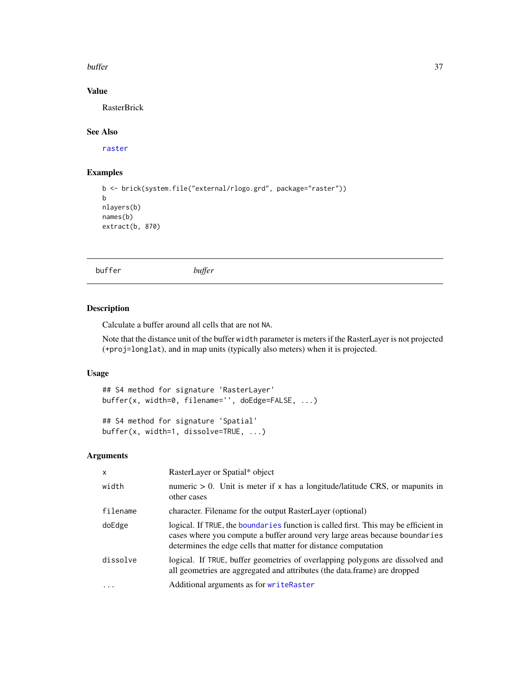#### buffer 37

# Value

RasterBrick

# See Also

[raster](#page-152-0)

# Examples

```
b <- brick(system.file("external/rlogo.grd", package="raster"))
b
nlayers(b)
names(b)
extract(b, 870)
```
buffer *buffer*

#### Description

Calculate a buffer around all cells that are not NA.

Note that the distance unit of the buffer width parameter is meters if the RasterLayer is not projected (+proj=longlat), and in map units (typically also meters) when it is projected.

## Usage

```
## S4 method for signature 'RasterLayer'
buffer(x, width=0, filename='', doEdge=FALSE, ...)
```

```
## S4 method for signature 'Spatial'
buffer(x, width=1, dissolve=TRUE, ...)
```
# Arguments

| $\mathsf{x}$      | RasterLayer or Spatial* object                                                                                                                                                                                                       |  |
|-------------------|--------------------------------------------------------------------------------------------------------------------------------------------------------------------------------------------------------------------------------------|--|
| width             | numeric $> 0$ . Unit is meter if x has a longitude/latitude CRS, or mapunits in<br>other cases                                                                                                                                       |  |
| filename          | character. Filename for the output RasterLayer (optional)                                                                                                                                                                            |  |
| doEdge            | logical. If TRUE, the boundaries function is called first. This may be efficient in<br>cases where you compute a buffer around very large areas because boundaries<br>determines the edge cells that matter for distance computation |  |
| dissolve          | logical. If TRUE, buffer geometries of overlapping polygons are dissolved and<br>all geometries are aggregated and attributes (the data.frame) are dropped                                                                           |  |
| $\cdot\cdot\cdot$ | Additional arguments as for writeRaster                                                                                                                                                                                              |  |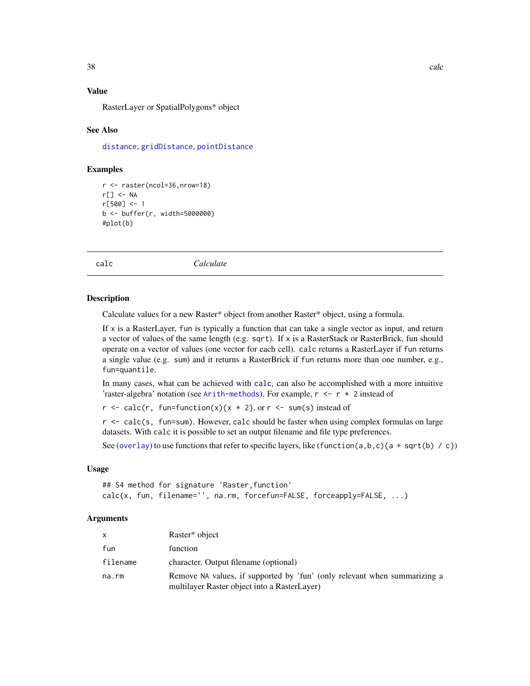# Value

RasterLayer or SpatialPolygons\* object

### See Also

[distance](#page-67-0), [gridDistance](#page-98-0), [pointDistance](#page-140-0)

## Examples

```
r <- raster(ncol=36,nrow=18)
r[] <- NA
r[500] <- 1
b <- buffer(r, width=5000000)
#plot(b)
```
<span id="page-37-0"></span>calc *Calculate*

#### Description

Calculate values for a new Raster\* object from another Raster\* object, using a formula.

If  $x$  is a RasterLayer, fun is typically a function that can take a single vector as input, and return a vector of values of the same length (e.g. sqrt). If x is a RasterStack or RasterBrick, fun should operate on a vector of values (one vector for each cell). calc returns a RasterLayer if fun returns a single value (e.g. sum) and it returns a RasterBrick if fun returns more than one number, e.g., fun=quantile.

In many cases, what can be achieved with calc, can also be accomplished with a more intuitive 'raster-algebra' notation (see [Arith-methods](#page-21-0)). For example,  $r \leq r \times 2$  instead of

 $r \leq - \text{calc}(r, \text{ fun-function}(x) \{x \times 2\}, \text{or } r \leq - \text{sum}(s) \text{ instead of }$ 

r <- calc(s, fun=sum). However, calc should be faster when using complex formulas on large datasets. With calc it is possible to set an output filename and file type preferences.

See ([overlay](#page-132-0)) to use functions that refer to specific layers, like (function(a, b, c){a + sqrt(b) / c})

## Usage

## S4 method for signature 'Raster,function' calc(x, fun, filename='', na.rm, forcefun=FALSE, forceapply=FALSE, ...)

## Arguments

| X        | Raster <sup>*</sup> object                                                                                                |
|----------|---------------------------------------------------------------------------------------------------------------------------|
| fun      | function                                                                                                                  |
| filename | character. Output filename (optional)                                                                                     |
| na.rm    | Remove NA values, if supported by 'fun' (only relevant when summarizing a<br>multilayer Raster object into a RasterLayer) |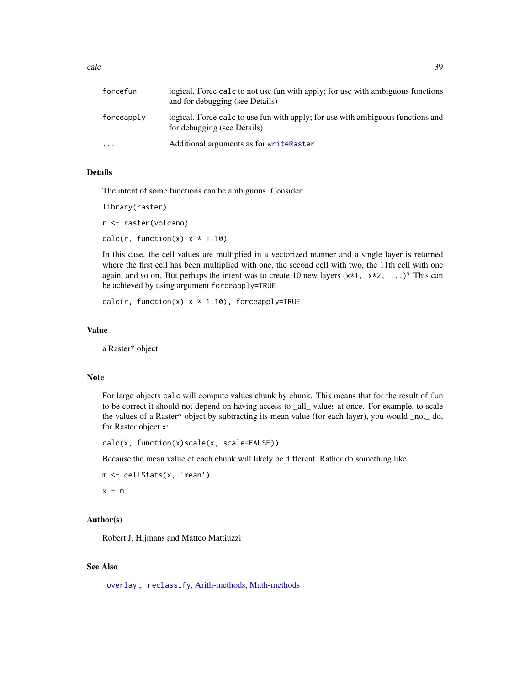calc and  $\sim$  39

| forcefun   | logical. Force calc to not use fun with apply; for use with ambiguous functions<br>and for debugging (see Details) |
|------------|--------------------------------------------------------------------------------------------------------------------|
| forceapply | logical. Force calc to use fun with apply; for use with ambiguous functions and<br>for debugging (see Details)     |
| $\cdots$   | Additional arguments as for writeRaster                                                                            |

## Details

The intent of some functions can be ambiguous. Consider:

library(raster) r <- raster(volcano) calc(r, function(x)  $x * 1:10$ )

In this case, the cell values are multiplied in a vectorized manner and a single layer is returned where the first cell has been multiplied with one, the second cell with two, the 11th cell with one again, and so on. But perhaps the intent was to create 10 new layers  $(x*1, x*2, ...)$ ? This can be achieved by using argument forceapply=TRUE

calc(r, function(x)  $x * 1:10$ ), forceapply=TRUE

## Value

a Raster\* object

#### Note

For large objects calc will compute values chunk by chunk. This means that for the result of fun to be correct it should not depend on having access to \_all\_ values at once. For example, to scale the values of a Raster\* object by subtracting its mean value (for each layer), you would \_not\_ do, for Raster object x:

calc(x, function(x)scale(x, scale=FALSE))

Because the mean value of each chunk will likely be different. Rather do something like

```
m <- cellStats(x, 'mean')
x - m
```
# Author(s)

Robert J. Hijmans and Matteo Mattiuzzi

#### See Also

[overlay](#page-132-0) , [reclassify](#page-168-0), [Arith-methods,](#page-21-0) [Math-methods](#page-120-0)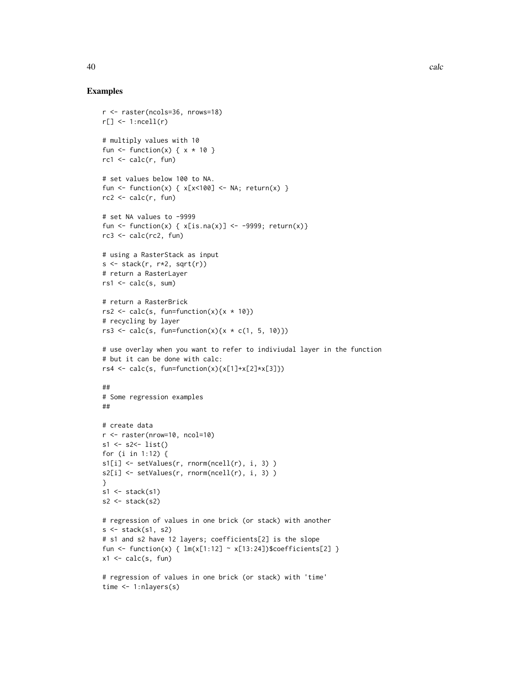```
r <- raster(ncols=36, nrows=18)
r[] \leftarrow 1:ncell(r)# multiply values with 10
fun \le function(x) { x * 10 }
rcl \leftarrow calc(r, fun)# set values below 100 to NA.
fun <- function(x) { x[x<100] <- NA; return(x) }
rc2 \leftarrow calc(r, fun)# set NA values to -9999
fun <- function(x) { x[i s, na(x)] <- -9999; return(x)}
rc3 <- calc(rc2, fun)
# using a RasterStack as input
s \leftarrow \text{stack}(r, r \star 2, \text{sqrt}(r))# return a RasterLayer
rs1 \leftarrow calc(s, sum)# return a RasterBrick
rs2 <- calc(s, fun=function(x)\{x * 10\})
# recycling by layer
rs3 \leq calc(s, fun-function(x)\{x \cdot c(1, 5, 10)\})# use overlay when you want to refer to indiviudal layer in the function
# but it can be done with calc:
rs4 <- calc(s, fun=function(x){x[1]+x[2]*x[3]})
##
# Some regression examples
##
# create data
r <- raster(nrow=10, ncol=10)
s1 <- s2<- list()
for (i in 1:12) {
s1[i] <- setValues(r, rnorm(ncell(r), i, 3) )
s2[i] <- setValues(r, rnorm(ncell(r), i, 3))
}
s1 \leftarrow \text{stack}(s1)s2 \leftarrow \text{stack}(s2)# regression of values in one brick (or stack) with another
s \leftarrow stack(s1, s2)
# s1 and s2 have 12 layers; coefficients[2] is the slope
fun <- function(x) { lm(x[1:12] ~ ~ x[13:24])$coefficients[2] }
x1 \leftarrow calc(s, fun)# regression of values in one brick (or stack) with 'time'
time <- 1:nlayers(s)
```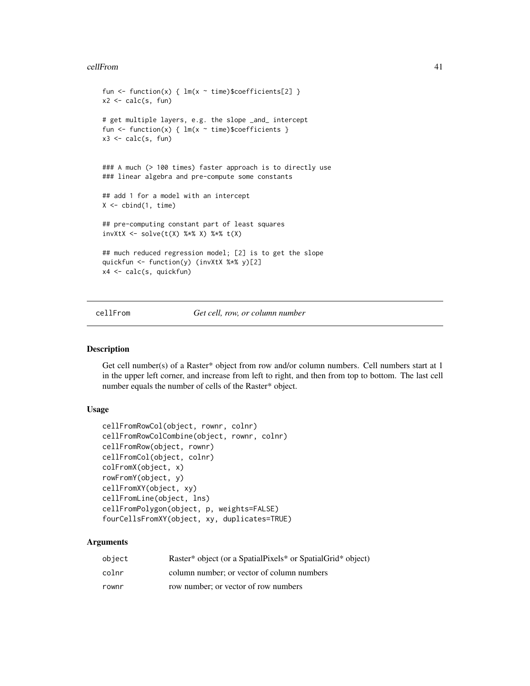#### cellFrom  $\sim$  41

```
fun <- function(x) { lm(x \sim time)$coefficients[2] }
x2 \leftarrow calc(s, fun)# get multiple layers, e.g. the slope _and_ intercept
fun <- function(x) { lm(x \sim time)$coefficients }
x3 \leftarrow calc(s, fun)### A much (> 100 times) faster approach is to directly use
### linear algebra and pre-compute some constants
## add 1 for a model with an intercept
X \leq - \text{cbind}(1, \text{ time})## pre-computing constant part of least squares
invXtX <- solve(t(X) %*% X) %*% t(X)
## much reduced regression model; [2] is to get the slope
quickfun <- function(y) (invXtX %*% y)[2]
x4 <- calc(s, quickfun)
```
## cellFrom *Get cell, row, or column number*

#### <span id="page-40-0"></span>Description

Get cell number(s) of a Raster\* object from row and/or column numbers. Cell numbers start at 1 in the upper left corner, and increase from left to right, and then from top to bottom. The last cell number equals the number of cells of the Raster\* object.

## Usage

```
cellFromRowCol(object, rownr, colnr)
cellFromRowColCombine(object, rownr, colnr)
cellFromRow(object, rownr)
cellFromCol(object, colnr)
colFromX(object, x)
rowFromY(object, y)
cellFromXY(object, xy)
cellFromLine(object, lns)
cellFromPolygon(object, p, weights=FALSE)
fourCellsFromXY(object, xy, duplicates=TRUE)
```
# Arguments

| object | Raster* object (or a SpatialPixels* or SpatialGrid* object) |
|--------|-------------------------------------------------------------|
| colnr  | column number; or vector of column numbers                  |
| rownr  | row number; or vector of row numbers                        |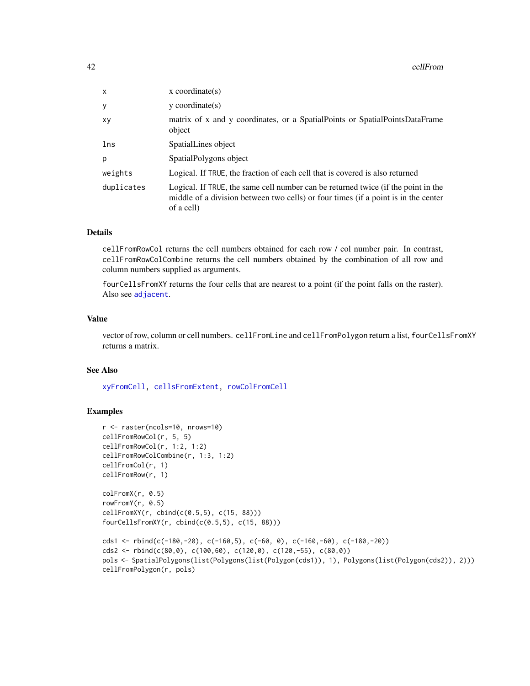#### 42 cellFrom

| x          | $x$ coordinate(s)                                                                                                                                                                     |  |
|------------|---------------------------------------------------------------------------------------------------------------------------------------------------------------------------------------|--|
| у          | $y$ coordinate $(s)$                                                                                                                                                                  |  |
| xy         | matrix of x and y coordinates, or a SpatialPoints or SpatialPointsDataFrame<br>object                                                                                                 |  |
| lns        | SpatialLines object                                                                                                                                                                   |  |
| р          | SpatialPolygons object                                                                                                                                                                |  |
| weights    | Logical. If TRUE, the fraction of each cell that is covered is also returned                                                                                                          |  |
| duplicates | Logical. If TRUE, the same cell number can be returned twice (if the point in the<br>middle of a division between two cells) or four times (if a point is in the center<br>of a cell) |  |

#### Details

cellFromRowCol returns the cell numbers obtained for each row / col number pair. In contrast, cellFromRowColCombine returns the cell numbers obtained by the combination of all row and column numbers supplied as arguments.

fourCellsFromXY returns the four cells that are nearest to a point (if the point falls on the raster). Also see [adjacent](#page-13-0).

## Value

vector of row, column or cell numbers. cellFromLine and cellFromPolygon return a list, fourCellsFromXY returns a matrix.

#### See Also

[xyFromCell,](#page-219-0) [cellsFromExtent,](#page-42-0) [rowColFromCell](#page-176-0)

```
r <- raster(ncols=10, nrows=10)
cellFromRowCol(r, 5, 5)
cellFromRowCol(r, 1:2, 1:2)
cellFromRowColCombine(r, 1:3, 1:2)
cellFromCol(r, 1)
cellFromRow(r, 1)
colFromX(r, 0.5)
rowFromY(r, 0.5)
cellFromXY(r, cbind(c(0.5,5), c(15, 88)))
fourCellsFromXY(r, cbind(c(0.5,5), c(15, 88)))
cds1 <- rbind(c(-180,-20), c(-160,5), c(-60, 0), c(-160,-60), c(-180,-20))
cds2 \leq r \cdot \text{bind}(c(80, 0), c(100, 60), c(120, 0), c(120, -55), c(80, 0))pols <- SpatialPolygons(list(Polygons(list(Polygon(cds1)), 1), Polygons(list(Polygon(cds2)), 2)))
cellFromPolygon(r, pols)
```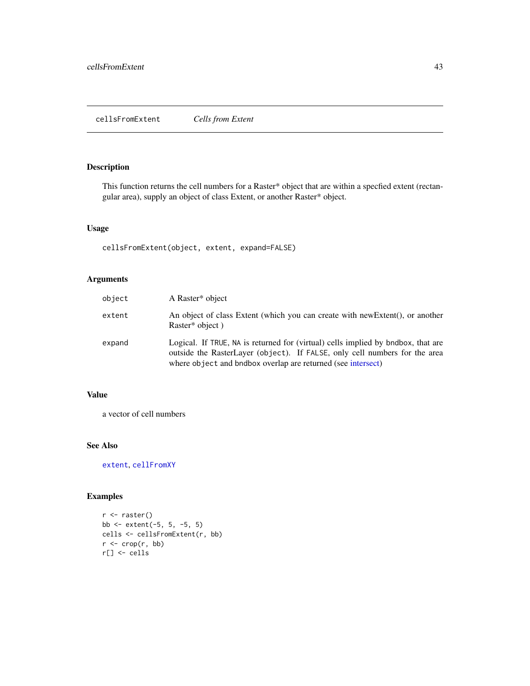# <span id="page-42-0"></span>Description

This function returns the cell numbers for a Raster\* object that are within a specfied extent (rectangular area), supply an object of class Extent, or another Raster\* object.

# Usage

cellsFromExtent(object, extent, expand=FALSE)

# Arguments

| object | A Raster* object                                                                                                                                                                                                               |
|--------|--------------------------------------------------------------------------------------------------------------------------------------------------------------------------------------------------------------------------------|
| extent | An object of class Extent (which you can create with new Extent), or another<br>Raster* object)                                                                                                                                |
| expand | Logical. If TRUE, NA is returned for (virtual) cells implied by bndbox, that are<br>outside the RasterLayer (object). If FALSE, only cell numbers for the area<br>where object and bndbox overlap are returned (see intersect) |

# Value

a vector of cell numbers

# See Also

[extent](#page-73-0), [cellFromXY](#page-40-0)

```
r <- raster()
bb <- extent(-5, 5, -5, 5)
cells <- cellsFromExtent(r, bb)
r <- crop(r, bb)
r[] <- cells
```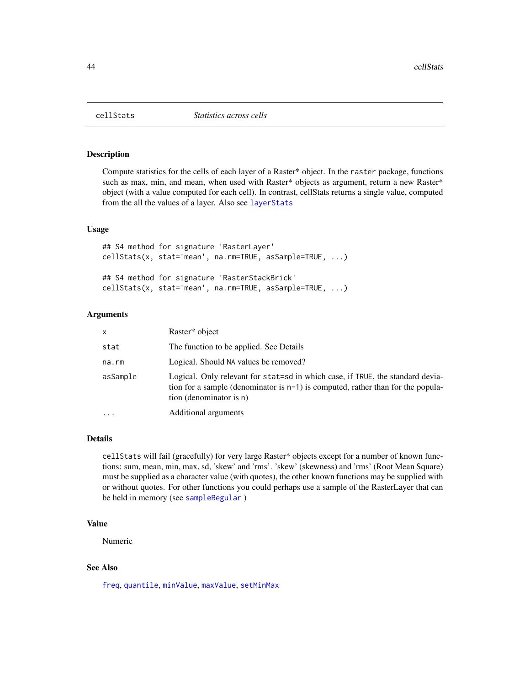#### Description

Compute statistics for the cells of each layer of a Raster\* object. In the raster package, functions such as max, min, and mean, when used with Raster\* objects as argument, return a new Raster\* object (with a value computed for each cell). In contrast, cellStats returns a single value, computed from the all the values of a layer. Also see [layerStats](#page-114-0)

## Usage

```
## S4 method for signature 'RasterLayer'
cellStats(x, stat='mean', na.rm=TRUE, asSample=TRUE, ...)
## S4 method for signature 'RasterStackBrick'
cellStats(x, stat='mean', na.rm=TRUE, asSample=TRUE, ...)
```
# Arguments

| x         | Raster* object                                                                                                                                                                                  |  |
|-----------|-------------------------------------------------------------------------------------------------------------------------------------------------------------------------------------------------|--|
| stat      | The function to be applied. See Details                                                                                                                                                         |  |
| na.rm     | Logical. Should NA values be removed?                                                                                                                                                           |  |
| asSample  | Logical. Only relevant for stat=sd in which case, if TRUE, the standard devia-<br>tion for a sample (denominator is $n-1$ ) is computed, rather than for the popula-<br>tion (denominator is n) |  |
| $\ddotsc$ | Additional arguments                                                                                                                                                                            |  |

#### Details

cellStats will fail (gracefully) for very large Raster\* objects except for a number of known functions: sum, mean, min, max, sd, 'skew' and 'rms'. 'skew' (skewness) and 'rms' (Root Mean Square) must be supplied as a character value (with quotes), the other known functions may be supplied with or without quotes. For other functions you could perhaps use a sample of the RasterLayer that can be held in memory (see [sampleRegular](#page-179-0) )

## Value

Numeric

## See Also

[freq](#page-91-0), [quantile](#page-151-0), [minValue](#page-82-0), [maxValue](#page-82-0), [setMinMax](#page-185-0)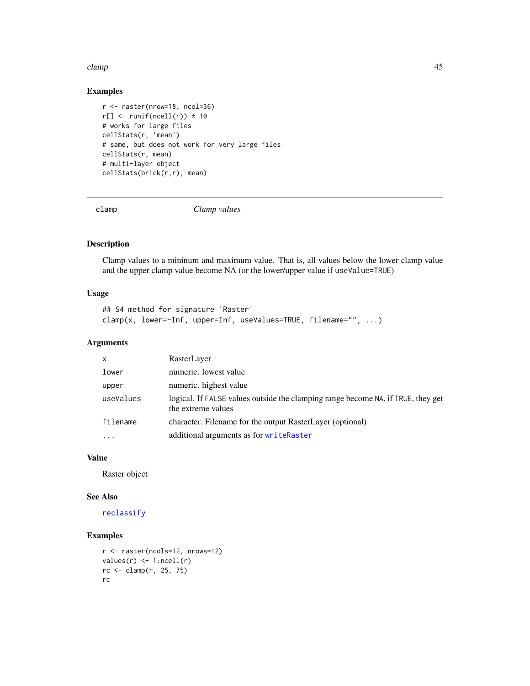#### clamp **45**

# Examples

```
r <- raster(nrow=18, ncol=36)
r[] \leftarrow runif(ncell(r)) * 10# works for large files
cellStats(r, 'mean')
# same, but does not work for very large files
cellStats(r, mean)
# multi-layer object
cellStats(brick(r,r), mean)
```
clamp *Clamp values*

# Description

Clamp values to a mininum and maximum value. That is, all values below the lower clamp value and the upper clamp value become NA (or the lower/upper value if useValue=TRUE)

#### Usage

```
## S4 method for signature 'Raster'
clamp(x, lower=-Inf, upper=Inf, useValues=TRUE, filename="", ...)
```
# Arguments

| $\mathsf{x}$ | RasterLayer                                                                                            |  |
|--------------|--------------------------------------------------------------------------------------------------------|--|
| lower        | numeric. lowest value                                                                                  |  |
| upper        | numeric. highest value                                                                                 |  |
| useValues    | logical. If FALSE values outside the clamping range become NA, if TRUE, they get<br>the extreme values |  |
| filename     | character. Filename for the output RasterLayer (optional)                                              |  |
| $\cdots$     | additional arguments as for writeRaster                                                                |  |

## Value

Raster object

#### See Also

[reclassify](#page-168-0)

```
r <- raster(ncols=12, nrows=12)
values(r) \leq 1:ncell(r)rc <- clamp(r, 25, 75)
rc
```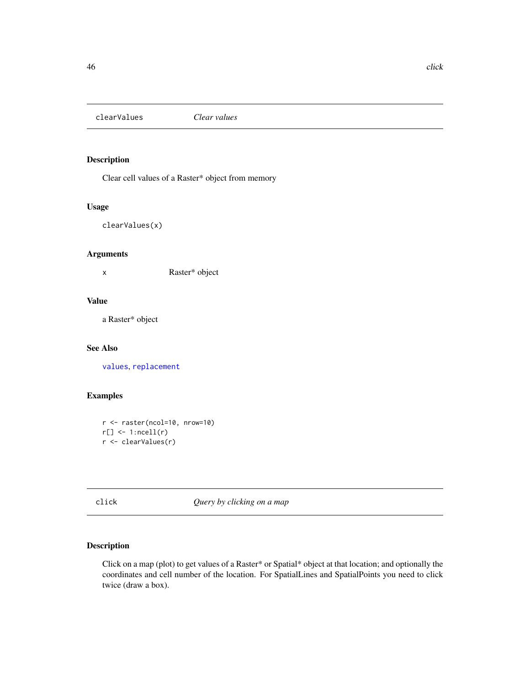clearValues *Clear values*

# Description

Clear cell values of a Raster\* object from memory

## Usage

clearValues(x)

## Arguments

x Raster\* object

# Value

a Raster\* object

## See Also

[values](#page-95-0), [replacement](#page-170-0)

## Examples

```
r <- raster(ncol=10, nrow=10)
r[] \leftarrow 1:ncell(r)r <- clearValues(r)
```
click *Query by clicking on a map*

# Description

Click on a map (plot) to get values of a Raster\* or Spatial\* object at that location; and optionally the coordinates and cell number of the location. For SpatialLines and SpatialPoints you need to click twice (draw a box).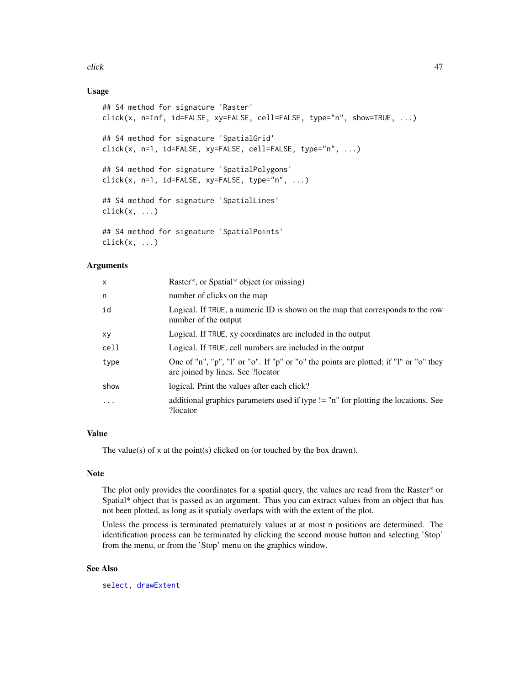click **47** 

# Usage

```
## S4 method for signature 'Raster'
click(x, n=Inf, id=FALSE, xy=FALSE, cell=FALSE, type="n", show=TRUE, ...)
## S4 method for signature 'SpatialGrid'
click(x, n=1, id=FALSE, xy=FALSE, cell=FALSE, type="n", ...)
## S4 method for signature 'SpatialPolygons'
click(x, n=1, id=FALSE, xy=FALSE, type="n", ...)## S4 method for signature 'SpatialLines'
click(x, \ldots)## S4 method for signature 'SpatialPoints'
click(x, \ldots)
```
## Arguments

| $\mathsf{x}$ | Raster*, or Spatial* object (or missing)                                                                                   |  |
|--------------|----------------------------------------------------------------------------------------------------------------------------|--|
| n            | number of clicks on the map                                                                                                |  |
| id           | Logical. If TRUE, a numeric ID is shown on the map that corresponds to the row<br>number of the output                     |  |
| xy           | Logical. If TRUE, xy coordinates are included in the output                                                                |  |
| cell         | Logical. If TRUE, cell numbers are included in the output                                                                  |  |
| type         | One of "n", "p", "l" or "o". If "p" or "o" the points are plotted; if "l" or "o" they<br>are joined by lines. See ?locator |  |
| show         | logical. Print the values after each click?                                                                                |  |
| $\cdot$      | additional graphics parameters used if type != "n" for plotting the locations. See<br>?locator                             |  |

## Value

The value(s) of x at the point(s) clicked on (or touched by the box drawn).

#### Note

The plot only provides the coordinates for a spatial query, the values are read from the Raster\* or Spatial\* object that is passed as an argument. Thus you can extract values from an object that has not been plotted, as long as it spatialy overlaps with with the extent of the plot.

Unless the process is terminated prematurely values at at most n positions are determined. The identification process can be terminated by clicking the second mouse button and selecting 'Stop' from the menu, or from the 'Stop' menu on the graphics window.

## See Also

[select,](#page-183-0) [drawExtent](#page-70-0)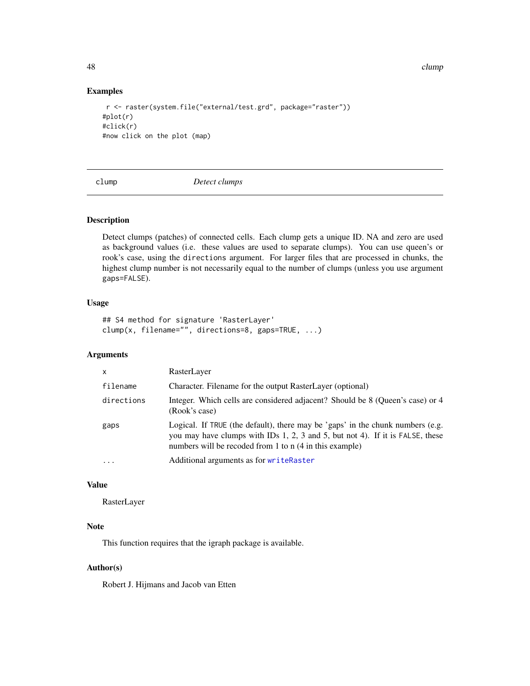48 clump and the contract of the contract of the contract of the contract of the contract of the contract of the contract of the contract of the contract of the contract of the contract of the contract of the contract of t

#### Examples

```
r <- raster(system.file("external/test.grd", package="raster"))
#plot(r)
#click(r)
#now click on the plot (map)
```
clump *Detect clumps*

# Description

Detect clumps (patches) of connected cells. Each clump gets a unique ID. NA and zero are used as background values (i.e. these values are used to separate clumps). You can use queen's or rook's case, using the directions argument. For larger files that are processed in chunks, the highest clump number is not necessarily equal to the number of clumps (unless you use argument gaps=FALSE).

## Usage

## S4 method for signature 'RasterLayer' clump(x, filename="", directions=8, gaps=TRUE, ...)

#### Arguments

| $\mathsf{x}$ | RasterLayer                                                                                                                                                                                                                |  |
|--------------|----------------------------------------------------------------------------------------------------------------------------------------------------------------------------------------------------------------------------|--|
| filename     | Character. Filename for the output RasterLayer (optional)                                                                                                                                                                  |  |
| directions   | Integer. Which cells are considered adjacent? Should be 8 (Queen's case) or 4<br>(Rook's case)                                                                                                                             |  |
| gaps         | Logical. If TRUE (the default), there may be 'gaps' in the chunk numbers (e.g.<br>you may have clumps with IDs 1, 2, 3 and 5, but not 4). If it is FALSE, these<br>numbers will be recoded from 1 to n (4 in this example) |  |
| $\ddotsc$    | Additional arguments as for writeRaster                                                                                                                                                                                    |  |

## Value

RasterLayer

## Note

This function requires that the igraph package is available.

## Author(s)

Robert J. Hijmans and Jacob van Etten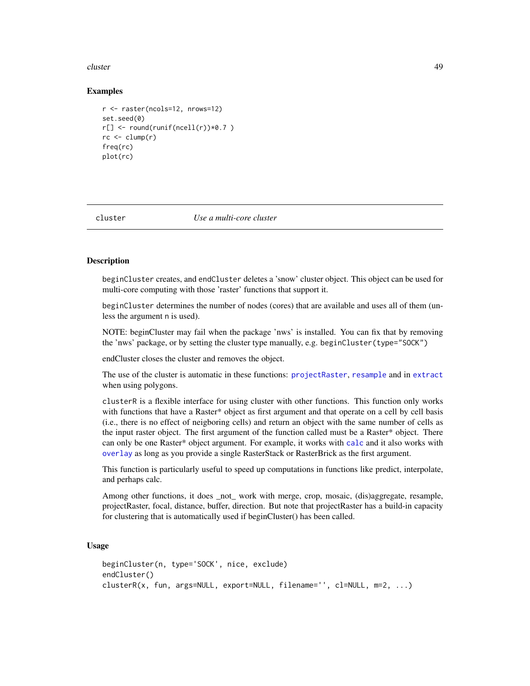#### cluster **49**

## Examples

```
r <- raster(ncols=12, nrows=12)
set.seed(0)
r[] \leftarrow \text{round}(\text{runif}(\text{ncell}(r)) \times 0.7)rc \leftarrow clump(r)freq(rc)
plot(rc)
```
cluster *Use a multi-core cluster*

## **Description**

beginCluster creates, and endCluster deletes a 'snow' cluster object. This object can be used for multi-core computing with those 'raster' functions that support it.

beginCluster determines the number of nodes (cores) that are available and uses all of them (unless the argument n is used).

NOTE: beginCluster may fail when the package 'nws' is installed. You can fix that by removing the 'nws' package, or by setting the cluster type manually, e.g. beginCluster(type="SOCK")

endCluster closes the cluster and removes the object.

The use of the cluster is automatic in these functions: [projectRaster](#page-148-0), [resample](#page-170-1) and in [extract](#page-76-0) when using polygons.

clusterR is a flexible interface for using cluster with other functions. This function only works with functions that have a Raster\* object as first argument and that operate on a cell by cell basis (i.e., there is no effect of neigboring cells) and return an object with the same number of cells as the input raster object. The first argument of the function called must be a Raster\* object. There can only be one Raster\* object argument. For example, it works with [calc](#page-37-0) and it also works with [overlay](#page-132-0) as long as you provide a single RasterStack or RasterBrick as the first argument.

This function is particularly useful to speed up computations in functions like predict, interpolate, and perhaps calc.

Among other functions, it does \_not\_ work with merge, crop, mosaic, (dis)aggregate, resample, projectRaster, focal, distance, buffer, direction. But note that projectRaster has a build-in capacity for clustering that is automatically used if beginCluster() has been called.

```
beginCluster(n, type='SOCK', nice, exclude)
endCluster()
clusterR(x, fun, args=NULL, export=NULL, filename='', cl=NULL, m=2, ...)
```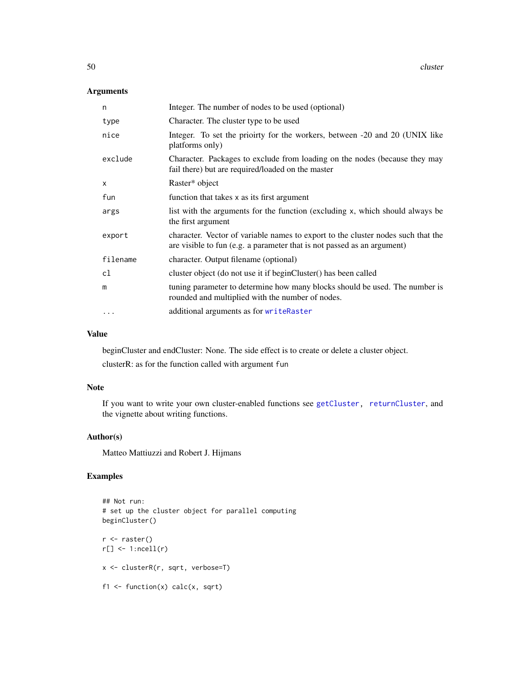# Arguments

| n            | Integer. The number of nodes to be used (optional)                                                                                                          |  |
|--------------|-------------------------------------------------------------------------------------------------------------------------------------------------------------|--|
| type         | Character. The cluster type to be used                                                                                                                      |  |
| nice         | Integer. To set the priority for the workers, between -20 and 20 (UNIX like<br>platforms only)                                                              |  |
| exclude      | Character. Packages to exclude from loading on the nodes (because they may<br>fail there) but are required/loaded on the master                             |  |
| $\mathsf{x}$ | Raster* object                                                                                                                                              |  |
| fun          | function that takes x as its first argument                                                                                                                 |  |
| args         | list with the arguments for the function (excluding x, which should always be<br>the first argument                                                         |  |
| export       | character. Vector of variable names to export to the cluster nodes such that the<br>are visible to fun (e.g. a parameter that is not passed as an argument) |  |
| filename     | character. Output filename (optional)                                                                                                                       |  |
| cl           | cluster object (do not use it if beginCluster() has been called                                                                                             |  |
| m            | tuning parameter to determine how many blocks should be used. The number is<br>rounded and multiplied with the number of nodes.                             |  |
| $\cdots$     | additional arguments as for writeRaster                                                                                                                     |  |

## Value

beginCluster and endCluster: None. The side effect is to create or delete a cluster object.

clusterR: as for the function called with argument fun

## Note

If you want to write your own cluster-enabled functions see [getCluster,](#page-146-0) [returnCluster](#page-146-0), and the vignette about writing functions.

## Author(s)

Matteo Mattiuzzi and Robert J. Hijmans

```
## Not run:
# set up the cluster object for parallel computing
beginCluster()
r <- raster()
r[] \leftarrow 1:ncell(r)x <- clusterR(r, sqrt, verbose=T)
f1 \leftarrow function(x) calc(x, sqrt)
```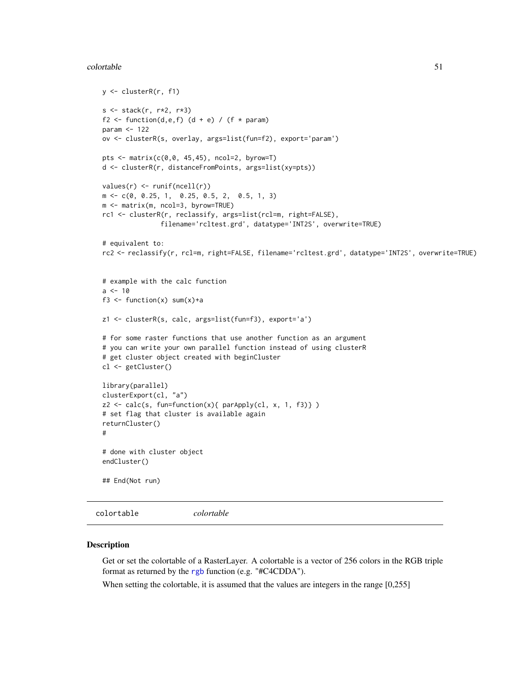#### colortable 51

```
y <- clusterR(r, f1)
s <- stack(r, r*2, r*3)
f2 <- function(d,e,f) (d + e) / (f * param)
param <- 122
ov <- clusterR(s, overlay, args=list(fun=f2), export='param')
pts <- matrix(c(0,0, 45,45), ncol=2, byrow=T)
d <- clusterR(r, distanceFromPoints, args=list(xy=pts))
values(r) <- runif(ncell(r))
m <- c(0, 0.25, 1, 0.25, 0.5, 2, 0.5, 1, 3)
m <- matrix(m, ncol=3, byrow=TRUE)
rc1 <- clusterR(r, reclassify, args=list(rcl=m, right=FALSE),
               filename='rcltest.grd', datatype='INT2S', overwrite=TRUE)
# equivalent to:
rc2 <- reclassify(r, rcl=m, right=FALSE, filename='rcltest.grd', datatype='INT2S', overwrite=TRUE)
# example with the calc function
a < -10f3 <- function(x) sum(x) + az1 <- clusterR(s, calc, args=list(fun=f3), export='a')
# for some raster functions that use another function as an argument
# you can write your own parallel function instead of using clusterR
# get cluster object created with beginCluster
cl <- getCluster()
library(parallel)
clusterExport(cl, "a")
z2 \leq calc(s, fun=function(x){ parApply(cl, x, 1, f3)} )
# set flag that cluster is available again
returnCluster()
#
# done with cluster object
endCluster()
## End(Not run)
```
colortable *colortable*

#### Description

Get or set the colortable of a RasterLayer. A colortable is a vector of 256 colors in the RGB triple format as returned by the [rgb](#page-0-0) function (e.g. "#C4CDDA").

When setting the colortable, it is assumed that the values are integers in the range [0,255]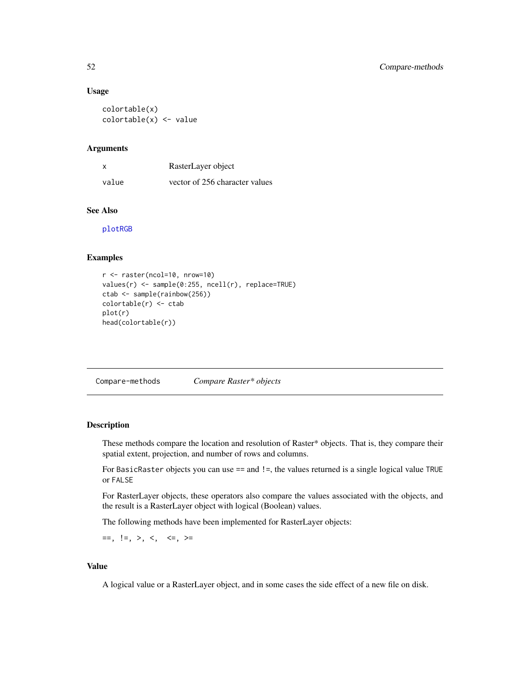#### Usage

```
colortable(x)
colortable(x) <- value
```
## **Arguments**

| X     | RasterLayer object             |
|-------|--------------------------------|
| value | vector of 256 character values |

# See Also

[plotRGB](#page-139-0)

#### Examples

```
r <- raster(ncol=10, nrow=10)
values(r) <- sample(0:255, ncell(r), replace=TRUE)
ctab <- sample(rainbow(256))
colortable(r) <- ctab
plot(r)
head(colortable(r))
```
Compare-methods *Compare Raster\* objects*

# Description

These methods compare the location and resolution of Raster\* objects. That is, they compare their spatial extent, projection, and number of rows and columns.

For BasicRaster objects you can use == and !=, the values returned is a single logical value TRUE or FALSE

For RasterLayer objects, these operators also compare the values associated with the objects, and the result is a RasterLayer object with logical (Boolean) values.

The following methods have been implemented for RasterLayer objects:

 $==, !=, >, <, <, ==, >=$ 

## Value

A logical value or a RasterLayer object, and in some cases the side effect of a new file on disk.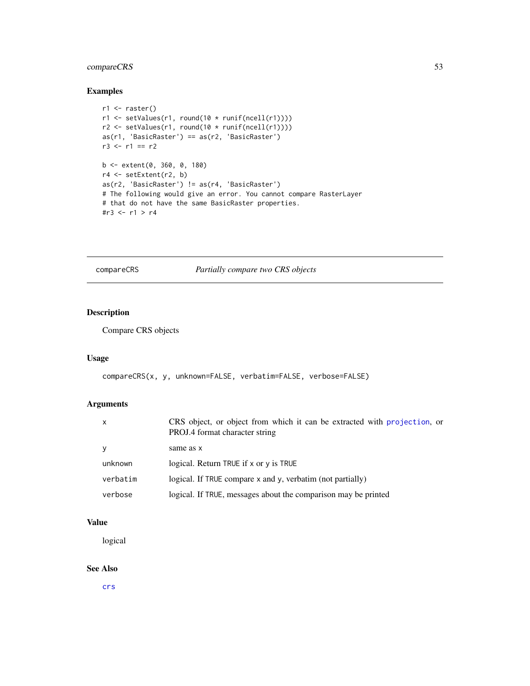# compareCRS 53

## Examples

```
r1 <- raster()
r1 \leftarrow \text{setValues}(r1, \text{round}(10 * \text{runif}(\text{ncell}(r1))))r2 \le setValues(r1, round(10 * runif(ncell(r1))))
as(r1, 'BasicRaster') == as(r2, 'BasicRaster')
r3 <- r1 == r2b <- extent(0, 360, 0, 180)
r4 <- setExtent(r2, b)
as(r2, 'BasicRaster') != as(r4, 'BasicRaster')
# The following would give an error. You cannot compare RasterLayer
# that do not have the same BasicRaster properties.
#r3 <- r1 > r4
```
compareCRS *Partially compare two CRS objects*

# Description

Compare CRS objects

# Usage

```
compareCRS(x, y, unknown=FALSE, verbatim=FALSE, verbose=FALSE)
```
# Arguments

| $\mathsf{x}$ | CRS object, or object from which it can be extracted with projection, or<br>PROJ.4 format character string |
|--------------|------------------------------------------------------------------------------------------------------------|
| <b>V</b>     | same as x                                                                                                  |
| unknown      | logical. Return TRUE if x or y is TRUE                                                                     |
| verbatim     | logical. If TRUE compare x and y, verbatim (not partially)                                                 |
| verbose      | logical. If TRUE, messages about the comparison may be printed                                             |

## Value

logical

## See Also

[crs](#page-147-1)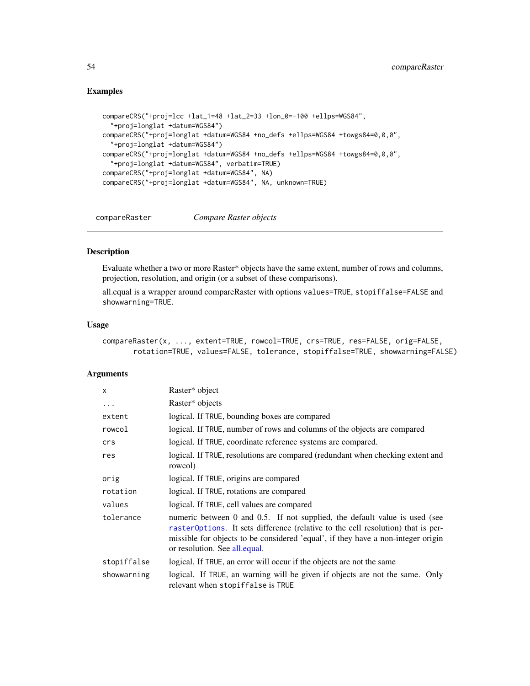## Examples

```
compareCRS("+proj=lcc +lat_1=48 +lat_2=33 +lon_0=-100 +ellps=WGS84",
  "+proj=longlat +datum=WGS84")
compareCRS("+proj=longlat +datum=WGS84 +no_defs +ellps=WGS84 +towgs84=0,0,0",
  "+proj=longlat +datum=WGS84")
compareCRS("+proj=longlat +datum=WGS84 +no_defs +ellps=WGS84 +towgs84=0,0,0",
  "+proj=longlat +datum=WGS84", verbatim=TRUE)
compareCRS("+proj=longlat +datum=WGS84", NA)
compareCRS("+proj=longlat +datum=WGS84", NA, unknown=TRUE)
```
compareRaster *Compare Raster objects*

# Description

Evaluate whether a two or more Raster\* objects have the same extent, number of rows and columns, projection, resolution, and origin (or a subset of these comparisons).

all.equal is a wrapper around compareRaster with options values=TRUE, stopiffalse=FALSE and showwarning=TRUE.

#### Usage

```
compareRaster(x, ..., extent=TRUE, rowcol=TRUE, crs=TRUE, res=FALSE, orig=FALSE,
       rotation=TRUE, values=FALSE, tolerance, stopiffalse=TRUE, showwarning=FALSE)
```
#### Arguments

| $\mathsf{x}$ | Raster* object                                                                                                                                                                                                                                                                       |
|--------------|--------------------------------------------------------------------------------------------------------------------------------------------------------------------------------------------------------------------------------------------------------------------------------------|
| $\ddots$     | Raster* objects                                                                                                                                                                                                                                                                      |
| extent       | logical. If TRUE, bounding boxes are compared                                                                                                                                                                                                                                        |
| rowcol       | logical. If TRUE, number of rows and columns of the objects are compared                                                                                                                                                                                                             |
| crs          | logical. If TRUE, coordinate reference systems are compared.                                                                                                                                                                                                                         |
| res          | logical. If TRUE, resolutions are compared (redundant when checking extent and<br>rowcol)                                                                                                                                                                                            |
| orig         | logical. If TRUE, origins are compared                                                                                                                                                                                                                                               |
| rotation     | logical. If TRUE, rotations are compared                                                                                                                                                                                                                                             |
| values       | logical. If TRUE, cell values are compared                                                                                                                                                                                                                                           |
| tolerance    | numeric between 0 and 0.5. If not supplied, the default value is used (see<br>raster Options. It sets difference (relative to the cell resolution) that is per-<br>missible for objects to be considered 'equal', if they have a non-integer origin<br>or resolution. See all equal. |
| stopiffalse  | logical. If TRUE, an error will occur if the objects are not the same                                                                                                                                                                                                                |
| showwarning  | logical. If TRUE, an warning will be given if objects are not the same. Only<br>relevant when stopiffalse is TRUE                                                                                                                                                                    |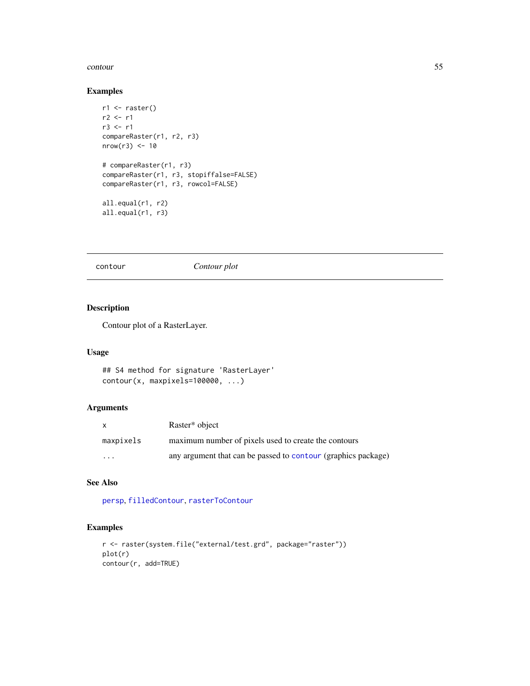#### contour 55

## Examples

```
r1 <- raster()
r2 < r1r3 <- r1
compareRaster(r1, r2, r3)
nrow(r3) < -10# compareRaster(r1, r3)
compareRaster(r1, r3, stopiffalse=FALSE)
compareRaster(r1, r3, rowcol=FALSE)
all.equal(r1, r2)
all.equal(r1, r3)
```
<span id="page-54-0"></span>contour *Contour plot*

# Description

Contour plot of a RasterLayer.

## Usage

```
## S4 method for signature 'RasterLayer'
contour(x, maxpixels=100000, ...)
```
# Arguments

| $\mathsf{x}$            | Raster* object                                                |
|-------------------------|---------------------------------------------------------------|
| maxpixels               | maximum number of pixels used to create the contours          |
| $\cdot$ $\cdot$ $\cdot$ | any argument that can be passed to contour (graphics package) |

# See Also

[persp](#page-135-0), [filledContour](#page-85-0), [rasterToContour](#page-164-0)

```
r <- raster(system.file("external/test.grd", package="raster"))
plot(r)
contour(r, add=TRUE)
```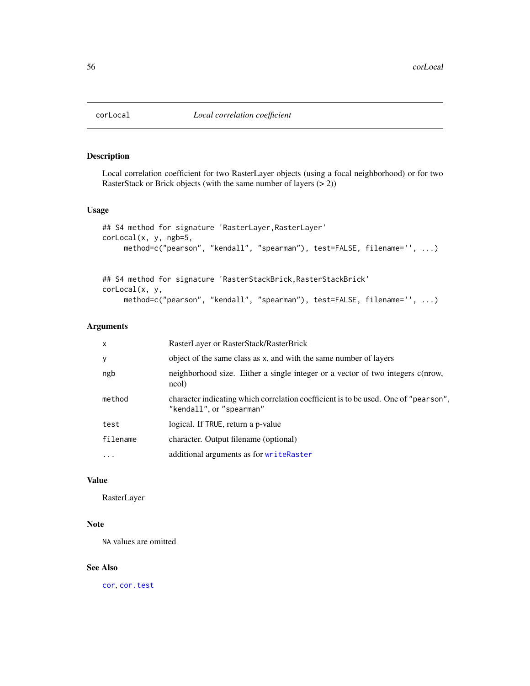# Description

Local correlation coefficient for two RasterLayer objects (using a focal neighborhood) or for two RasterStack or Brick objects (with the same number of layers (> 2))

## Usage

```
## S4 method for signature 'RasterLayer,RasterLayer'
corLocal(x, y, ngb=5,
     method=c("pearson", "kendall", "spearman"), test=FALSE, filename='', ...)
```

```
## S4 method for signature 'RasterStackBrick,RasterStackBrick'
corLocal(x, y,
     method=c("pearson", "kendall", "spearman"), test=FALSE, filename='', ...)
```
# Arguments

| X         | RasterLayer or RasterStack/RasterBrick                                                                          |
|-----------|-----------------------------------------------------------------------------------------------------------------|
| У         | object of the same class as x, and with the same number of layers                                               |
| ngb       | neighborhood size. Either a single integer or a vector of two integers c(nrow,<br>ncol)                         |
| method    | character indicating which correlation coefficient is to be used. One of "pearson",<br>"kendall", or "spearman" |
| test      | logical. If TRUE, return a p-value                                                                              |
| filename  | character. Output filename (optional)                                                                           |
| $\ddotsc$ | additional arguments as for writeRaster                                                                         |

## Value

RasterLayer

# Note

NA values are omitted

## See Also

[cor](#page-0-0), [cor.test](#page-0-0)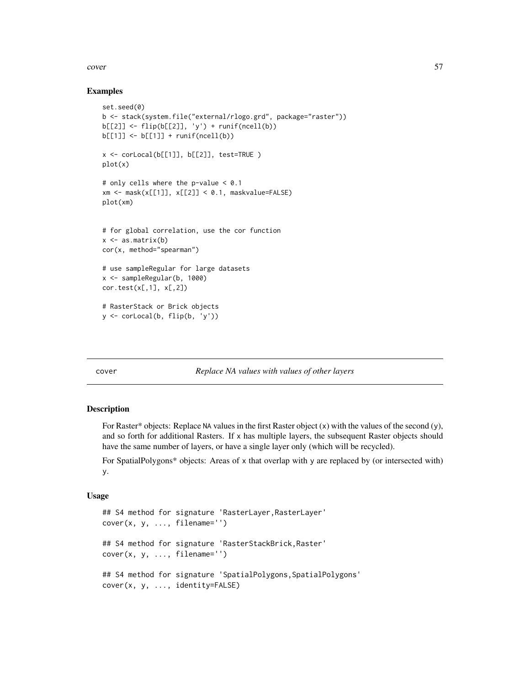#### cover 57

## Examples

```
set.seed(0)
b <- stack(system.file("external/rlogo.grd", package="raster"))
b[[2]] <- flip(b[[2]], 'y') + runif(ncell(b))
b[[1]] \leftarrow b[[1]] + runif(ncell(b))x \le corLocal(b[[1]], b[[2]], test=TRUE )
plot(x)
# only cells where the p-value < 0.1
xm \leftarrow mask(x[[1]], x[[2]] \leftarrow 0.1, maskvalue = FALSE)plot(xm)
# for global correlation, use the cor function
x \leq -as.matrix(b)cor(x, method="spearman")
# use sampleRegular for large datasets
x <- sampleRegular(b, 1000)
cor.test(x[,1], x[,2])
# RasterStack or Brick objects
y <- corLocal(b, flip(b, 'y'))
```
cover *Replace NA values with values of other layers*

## Description

For Raster\* objects: Replace NA values in the first Raster object  $(x)$  with the values of the second  $(y)$ , and so forth for additional Rasters. If  $x$  has multiple layers, the subsequent Raster objects should have the same number of layers, or have a single layer only (which will be recycled).

For SpatialPolygons\* objects: Areas of x that overlap with y are replaced by (or intersected with) y.

```
## S4 method for signature 'RasterLayer,RasterLayer'
cover(x, y, ..., filename='')## S4 method for signature 'RasterStackBrick,Raster'
cover(x, y, ..., filename='')## S4 method for signature 'SpatialPolygons, SpatialPolygons'
cover(x, y, ..., identity=FALSE)
```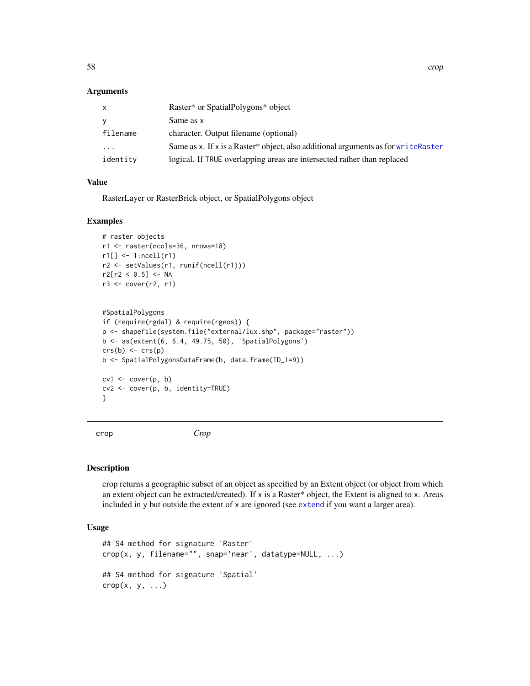## **Arguments**

| x        | Raster* or SpatialPolygons* object                                                 |
|----------|------------------------------------------------------------------------------------|
| V        | Same as x                                                                          |
| filename | character. Output filename (optional)                                              |
| $\cdots$ | Same as x. If x is a Raster* object, also additional arguments as for write Raster |
| identity | logical. If TRUE overlapping areas are intersected rather than replaced            |

#### Value

RasterLayer or RasterBrick object, or SpatialPolygons object

#### Examples

```
# raster objects
r1 <- raster(ncols=36, nrows=18)
r1[] \leftarrow 1:ncell(r1)
r2 <- setValues(r1, runif(ncell(r1)))
r2[r2 < 0.5] <- NA
r3 \leq cover(r2, r1)
```

```
#SpatialPolygons
if (require(rgdal) & require(rgeos)) {
p <- shapefile(system.file("external/lux.shp", package="raster"))
b <- as(extent(6, 6.4, 49.75, 50), 'SpatialPolygons')
crs(b) < -crs(p)b <- SpatialPolygonsDataFrame(b, data.frame(ID_1=9))
cv1 \leftarrow cover(p, b)cv2 <- cover(p, b, identity=TRUE)
}
```
<span id="page-57-0"></span>

```
crop Crop
```
## Description

crop returns a geographic subset of an object as specified by an Extent object (or object from which an extent object can be extracted/created). If x is a Raster\* object, the Extent is aligned to x. Areas included in y but outside the extent of x are ignored (see [extend](#page-71-0) if you want a larger area).

```
## S4 method for signature 'Raster'
crop(x, y, filename="", snap='near', datatype=NULL, ...)
## S4 method for signature 'Spatial'
\text{crop}(x, y, \ldots)
```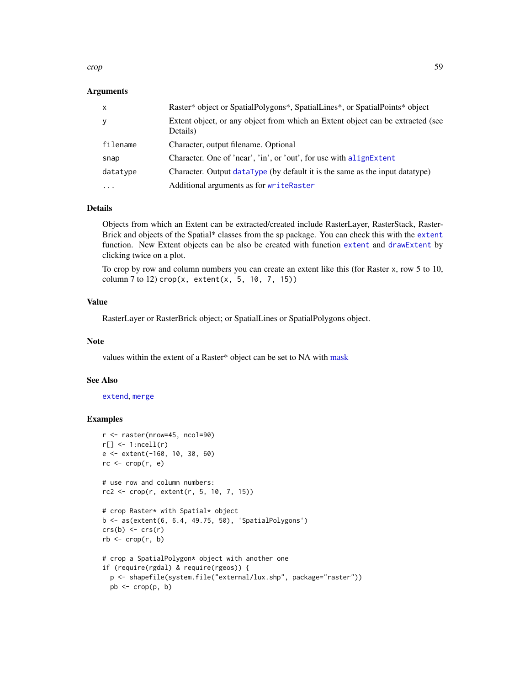crop 59

## Arguments

| $\mathsf{x}$ | Raster* object or SpatialPolygons*, SpatialLines*, or SpatialPoints* object                |
|--------------|--------------------------------------------------------------------------------------------|
| У            | Extent object, or any object from which an Extent object can be extracted (see<br>Details) |
| filename     | Character, output filename. Optional                                                       |
| snap         | Character. One of 'near', 'in', or 'out', for use with alignExtent                         |
| datatype     | Character. Output dataType (by default it is the same as the input datatype)               |
| $\cdots$     | Additional arguments as for writeRaster                                                    |

### Details

Objects from which an Extent can be extracted/created include RasterLayer, RasterStack, Raster-Brick and objects of the Spatial\* classes from the sp package. You can check this with the [extent](#page-73-0) function. New Extent objects can be also be created with function [extent](#page-73-0) and [drawExtent](#page-70-0) by clicking twice on a plot.

To crop by row and column numbers you can create an extent like this (for Raster x, row 5 to 10, column 7 to 12)  $\text{crop}(x, \text{ extent}(x, 5, 10, 7, 15))$ 

## Value

RasterLayer or RasterBrick object; or SpatialLines or SpatialPolygons object.

#### Note

values within the extent of a Raster\* object can be set to NA with [mask](#page-118-0)

## See Also

[extend](#page-71-0), [merge](#page-121-0)

```
r <- raster(nrow=45, ncol=90)
r[] \leftarrow 1:ncell(r)
e <- extent(-160, 10, 30, 60)
rc \leftarrow crop(r, e)# use row and column numbers:
rc2 \leq rc2 \leq crop(r, extent(r, 5, 10, 7, 15))# crop Raster* with Spatial* object
b <- as(extent(6, 6.4, 49.75, 50), 'SpatialPolygons')
crs(b) \leftarrow crs(r)rb \leq crop(r, b)# crop a SpatialPolygon* object with another one
if (require(rgdal) & require(rgeos)) {
  p <- shapefile(system.file("external/lux.shp", package="raster"))
  pb \leq -\text{crop}(p, b)
```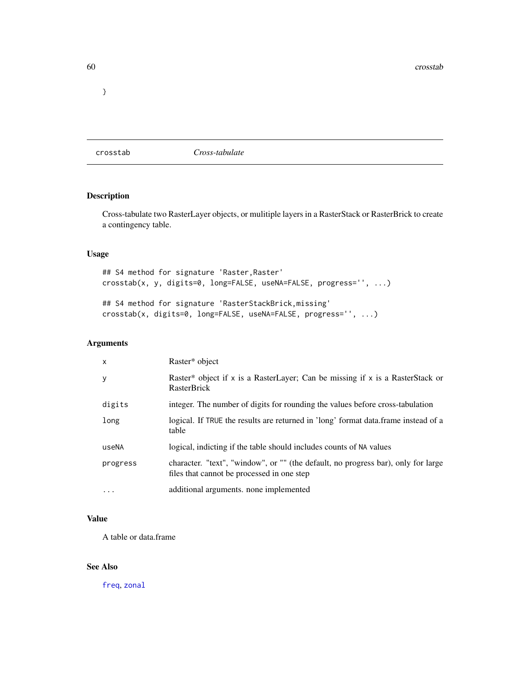# crosstab *Cross-tabulate*

# Description

Cross-tabulate two RasterLayer objects, or mulitiple layers in a RasterStack or RasterBrick to create a contingency table.

# Usage

```
## S4 method for signature 'Raster, Raster'
crosstab(x, y, digits=0, long=FALSE, useNA=FALSE, progress='', ...)
## S4 method for signature 'RasterStackBrick,missing'
```

```
crosstab(x, digits=0, long=FALSE, useNA=FALSE, progress='', ...)
```
## Arguments

| $\mathsf{x}$ | Raster* object                                                                                                                  |
|--------------|---------------------------------------------------------------------------------------------------------------------------------|
| У            | Raster* object if x is a RasterLayer; Can be missing if x is a RasterStack or<br><b>RasterBrick</b>                             |
| digits       | integer. The number of digits for rounding the values before cross-tabulation                                                   |
| long         | logical. If TRUE the results are returned in 'long' format data.frame instead of a<br>table                                     |
| useNA        | logical, indicting if the table should includes counts of NA values                                                             |
| progress     | character. "text", "window", or "" (the default, no progress bar), only for large<br>files that cannot be processed in one step |
| $\cdots$     | additional arguments, none implemented                                                                                          |

# Value

A table or data.frame

## See Also

[freq](#page-91-0), [zonal](#page-222-0)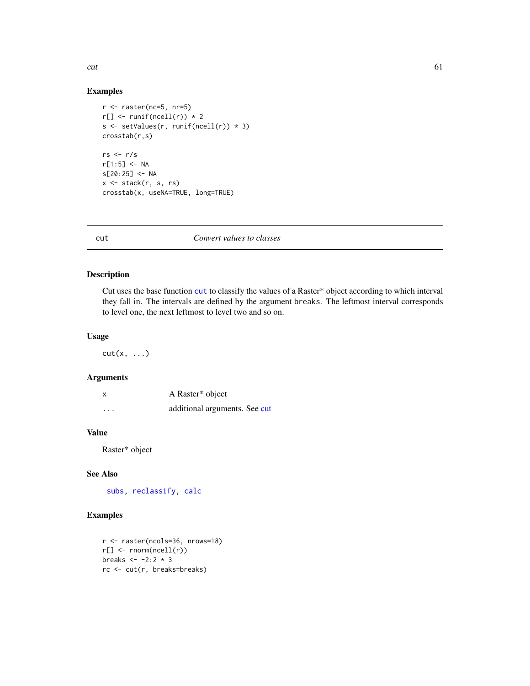# Examples

```
r <- raster(nc=5, nr=5)
r[] \leftarrow runif(ncell(r)) * 2s <- setValues(r, runif(ncell(r)) * 3)
crosstab(r,s)
rs <- r/s
r[1:5] < -NAs[20:25] <- NA
x <- stack(r, s, rs)
crosstab(x, useNA=TRUE, long=TRUE)
```
<span id="page-60-0"></span>

## cut *Convert values to classes*

# Description

Cut uses the base function [cut](#page-60-0) to classify the values of a Raster\* object according to which interval they fall in. The intervals are defined by the argument breaks. The leftmost interval corresponds to level one, the next leftmost to level two and so on.

## Usage

 $cut(x, \ldots)$ 

## Arguments

| x                       | A Raster* object              |
|-------------------------|-------------------------------|
| $\cdot$ $\cdot$ $\cdot$ | additional arguments. See cut |

# Value

Raster\* object

## See Also

[subs,](#page-198-0) [reclassify,](#page-168-0) [calc](#page-37-0)

```
r <- raster(ncols=36, nrows=18)
r[] \leftarrow \text{norm}( \text{ncell}(r) )breaks <- -2:2 * 3
rc <- cut(r, breaks=breaks)
```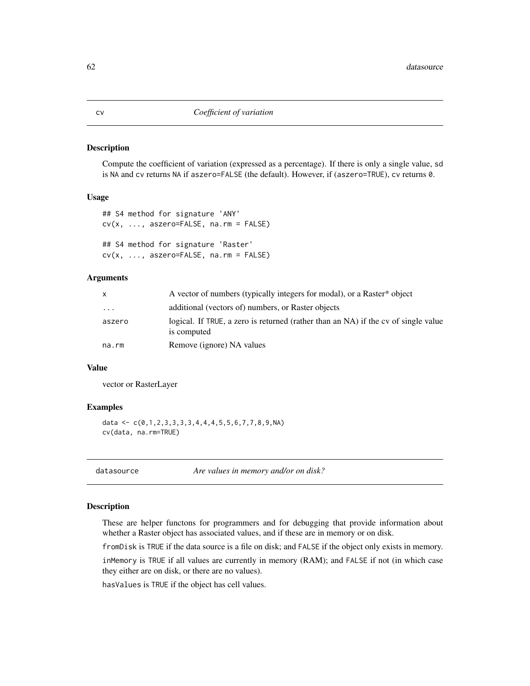#### Description

Compute the coefficient of variation (expressed as a percentage). If there is only a single value, sd is NA and cv returns NA if aszero=FALSE (the default). However, if (aszero=TRUE), cv returns 0.

#### Usage

```
## S4 method for signature 'ANY'
cv(x, ..., aszero=FALSE, na.rm = FALSE)
## S4 method for signature 'Raster'
cv(x, ..., aszero=FALSE, na.rm = FALSE)
```
#### Arguments

| A vector of numbers (typically integers for modal), or a Raster* object                                     |  |
|-------------------------------------------------------------------------------------------------------------|--|
| additional (vectors of) numbers, or Raster objects<br>$\cdots$                                              |  |
| logical. If TRUE, a zero is returned (rather than an NA) if the cv of single value<br>aszero<br>is computed |  |
| Remove (ignore) NA values<br>na.rm                                                                          |  |

#### Value

vector or RasterLayer

#### Examples

```
data <- c(0,1,2,3,3,3,3,4,4,4,5,5,6,7,7,8,9,NA)cv(data, na.rm=TRUE)
```
datasource *Are values in memory and/or on disk?*

#### Description

These are helper functons for programmers and for debugging that provide information about whether a Raster object has associated values, and if these are in memory or on disk.

fromDisk is TRUE if the data source is a file on disk; and FALSE if the object only exists in memory.

inMemory is TRUE if all values are currently in memory (RAM); and FALSE if not (in which case they either are on disk, or there are no values).

hasValues is TRUE if the object has cell values.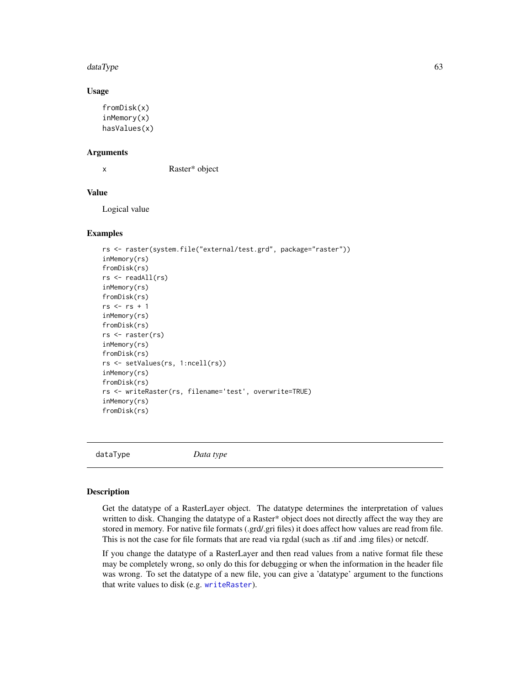#### dataType 63

#### Usage

```
fromDisk(x)
inMemory(x)
hasValues(x)
```
#### Arguments

x Raster\* object

## Value

Logical value

## Examples

```
rs <- raster(system.file("external/test.grd", package="raster"))
inMemory(rs)
fromDisk(rs)
rs <- readAll(rs)
inMemory(rs)
fromDisk(rs)
rs <- rs + 1
inMemory(rs)
fromDisk(rs)
rs <- raster(rs)
inMemory(rs)
fromDisk(rs)
rs <- setValues(rs, 1:ncell(rs))
inMemory(rs)
fromDisk(rs)
rs <- writeRaster(rs, filename='test', overwrite=TRUE)
inMemory(rs)
fromDisk(rs)
```
<span id="page-62-0"></span>dataType *Data type*

#### Description

Get the datatype of a RasterLayer object. The datatype determines the interpretation of values written to disk. Changing the datatype of a Raster\* object does not directly affect the way they are stored in memory. For native file formats (.grd/.gri files) it does affect how values are read from file. This is not the case for file formats that are read via rgdal (such as .tif and .img files) or netcdf.

If you change the datatype of a RasterLayer and then read values from a native format file these may be completely wrong, so only do this for debugging or when the information in the header file was wrong. To set the datatype of a new file, you can give a 'datatype' argument to the functions that write values to disk (e.g. [writeRaster](#page-215-0)).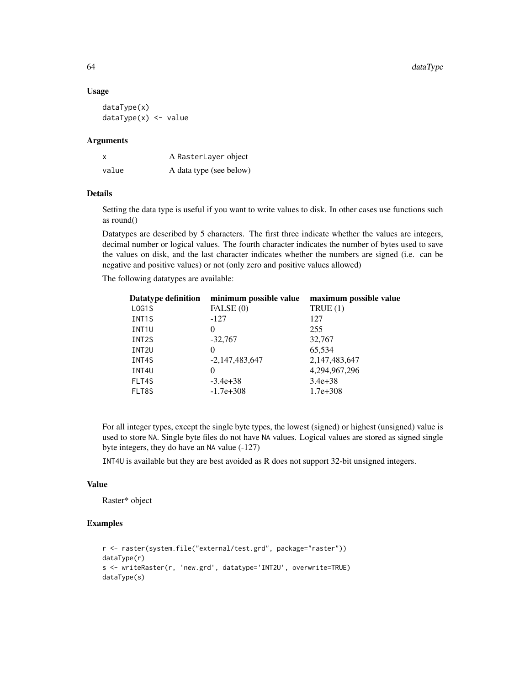#### Usage

dataType(x) dataType(x) <- value

#### Arguments

| x     | A RasterLayer object    |
|-------|-------------------------|
| value | A data type (see below) |

## Details

Setting the data type is useful if you want to write values to disk. In other cases use functions such as round()

Datatypes are described by 5 characters. The first three indicate whether the values are integers, decimal number or logical values. The fourth character indicates the number of bytes used to save the values on disk, and the last character indicates whether the numbers are signed (i.e. can be negative and positive values) or not (only zero and positive values allowed)

The following datatypes are available:

| <b>Datatype definition</b> | minimum possible value | maximum possible value |
|----------------------------|------------------------|------------------------|
| LOG1S                      | FALSE (0)              | TRUE(1)                |
| INT <sub>1</sub> S         | $-127$                 | 127                    |
| INT <sub>1U</sub>          | 0                      | 255                    |
| INT <sub>2</sub> S         | $-32,767$              | 32,767                 |
| INT <sub>2U</sub>          | 0                      | 65,534                 |
| INT4S                      | $-2,147,483,647$       | 2,147,483,647          |
| INT4U                      | 0                      | 4,294,967,296          |
| FLT4S                      | $-3.4e+38$             | $3.4e + 38$            |
| FLT8S                      | $-1.7e + 308$          | $1.7e+308$             |

For all integer types, except the single byte types, the lowest (signed) or highest (unsigned) value is used to store NA. Single byte files do not have NA values. Logical values are stored as signed single byte integers, they do have an NA value (-127)

INT4U is available but they are best avoided as R does not support 32-bit unsigned integers.

#### Value

Raster\* object

```
r <- raster(system.file("external/test.grd", package="raster"))
dataType(r)
s <- writeRaster(r, 'new.grd', datatype='INT2U', overwrite=TRUE)
dataType(s)
```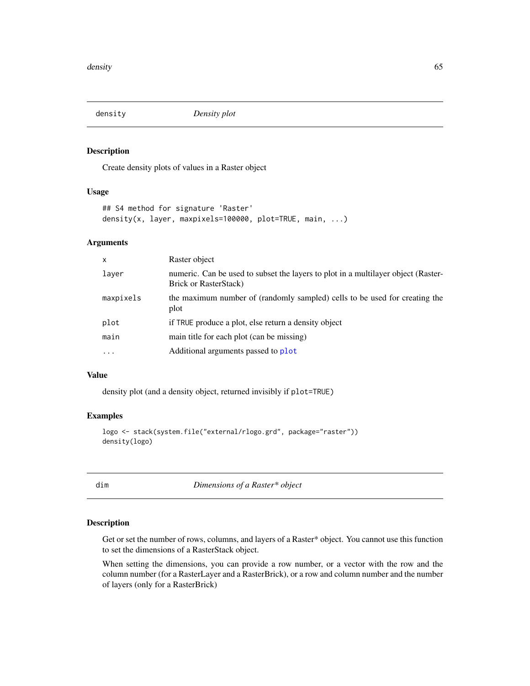## Description

Create density plots of values in a Raster object

#### Usage

```
## S4 method for signature 'Raster'
density(x, layer, maxpixels=100000, plot=TRUE, main, ...)
```
# Arguments

| $\mathsf{x}$ | Raster object                                                                                                      |
|--------------|--------------------------------------------------------------------------------------------------------------------|
| layer        | numeric. Can be used to subset the layers to plot in a multilayer object (Raster-<br><b>Brick or RasterStack</b> ) |
| maxpixels    | the maximum number of (randomly sampled) cells to be used for creating the<br>plot                                 |
| plot         | if TRUE produce a plot, else return a density object                                                               |
| main         | main title for each plot (can be missing)                                                                          |
| $\cdots$     | Additional arguments passed to plot                                                                                |
|              |                                                                                                                    |

#### Value

density plot (and a density object, returned invisibly if plot=TRUE)

#### Examples

```
logo <- stack(system.file("external/rlogo.grd", package="raster"))
density(logo)
```
dim *Dimensions of a Raster\* object*

#### Description

Get or set the number of rows, columns, and layers of a Raster\* object. You cannot use this function to set the dimensions of a RasterStack object.

When setting the dimensions, you can provide a row number, or a vector with the row and the column number (for a RasterLayer and a RasterBrick), or a row and column number and the number of layers (only for a RasterBrick)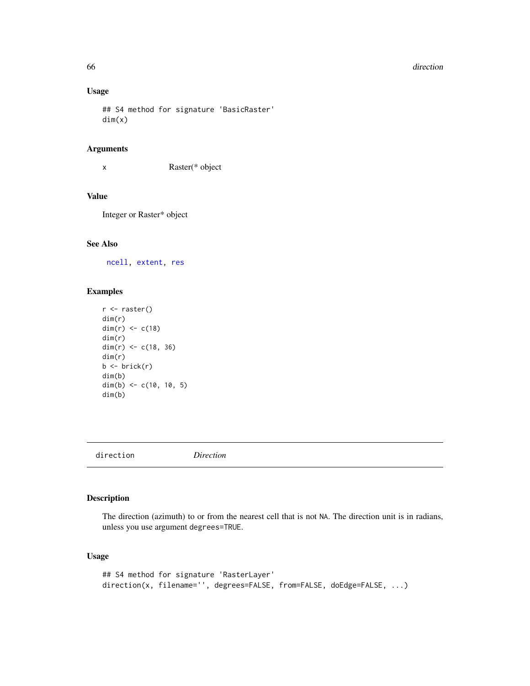#### 66 direction and the contract of the contract of the contract of the contract of the contract of the contract of the contract of the contract of the contract of the contract of the contract of the contract of the contract

## Usage

```
## S4 method for signature 'BasicRaster'
dim(x)
```
## Arguments

x Raster(\* object

# Value

Integer or Raster\* object

# See Also

[ncell,](#page-128-0) [extent,](#page-73-0) [res](#page-171-0)

# Examples

```
r <- raster()
dim(r)
dim(r) <-c(18)dim(r)
dim(r) <- c(18, 36)dim(r)
b \leftarrow \text{brick}(r)dim(b)
dim(b) <- c(10, 10, 5)
dim(b)
```
direction *Direction*

# Description

The direction (azimuth) to or from the nearest cell that is not NA. The direction unit is in radians, unless you use argument degrees=TRUE.

```
## S4 method for signature 'RasterLayer'
direction(x, filename='', degrees=FALSE, from=FALSE, doEdge=FALSE, ...)
```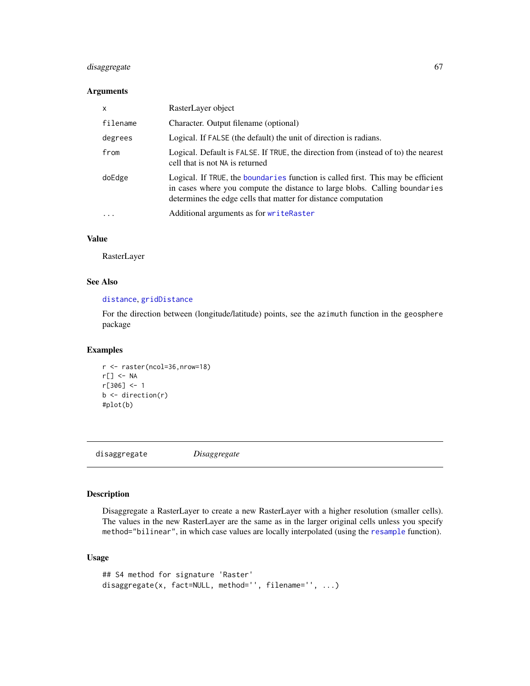# disaggregate 67

## Arguments

| $\times$                | RasterLayer object                                                                                                                                                                                                               |
|-------------------------|----------------------------------------------------------------------------------------------------------------------------------------------------------------------------------------------------------------------------------|
| filename                | Character. Output filename (optional)                                                                                                                                                                                            |
| degrees                 | Logical. If FALSE (the default) the unit of direction is radians.                                                                                                                                                                |
| from                    | Logical. Default is FALSE. If TRUE, the direction from (instead of to) the nearest<br>cell that is not NA is returned                                                                                                            |
| doEdge                  | Logical. If TRUE, the boundaries function is called first. This may be efficient<br>in cases where you compute the distance to large blobs. Calling boundaries<br>determines the edge cells that matter for distance computation |
| $\cdot$ $\cdot$ $\cdot$ | Additional arguments as for writeRaster                                                                                                                                                                                          |

# Value

RasterLayer

# See Also

# [distance](#page-67-0), [gridDistance](#page-98-0)

For the direction between (longitude/latitude) points, see the azimuth function in the geosphere package

## Examples

```
r <- raster(ncol=36,nrow=18)
r[] <- NA
r[306] <- 1
b \leftarrow direction(r)
#plot(b)
```
disaggregate *Disaggregate*

## Description

Disaggregate a RasterLayer to create a new RasterLayer with a higher resolution (smaller cells). The values in the new RasterLayer are the same as in the larger original cells unless you specify method="bilinear", in which case values are locally interpolated (using the [resample](#page-170-1) function).

```
## S4 method for signature 'Raster'
disaggregate(x, fact=NULL, method='', filename='', ...)
```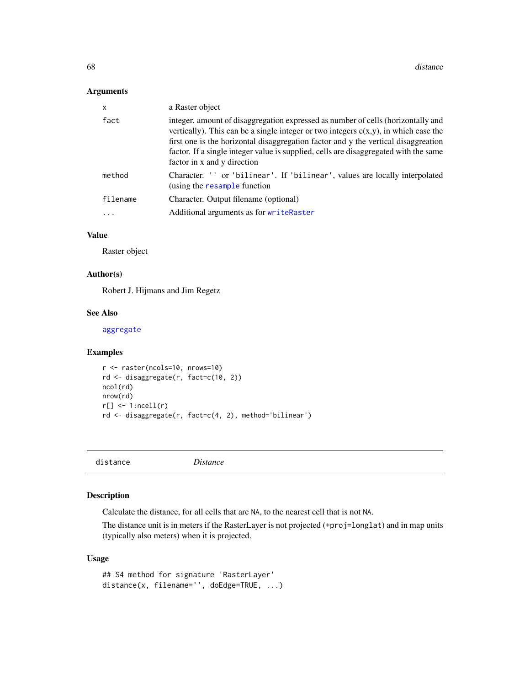## Arguments

| $\mathsf{x}$ | a Raster object                                                                                                                                                                                                                                                                                                                                                                         |
|--------------|-----------------------------------------------------------------------------------------------------------------------------------------------------------------------------------------------------------------------------------------------------------------------------------------------------------------------------------------------------------------------------------------|
| fact         | integer, amount of disaggregation expressed as number of cells (horizontally and<br>vertically). This can be a single integer or two integers $c(x,y)$ , in which case the<br>first one is the horizontal disaggregation factor and y the vertical disaggreation<br>factor. If a single integer value is supplied, cells are disaggregated with the same<br>factor in x and y direction |
| method       | Character. '' or 'bilinear'. If 'bilinear', values are locally interpolated<br>(using the resample function                                                                                                                                                                                                                                                                             |
| filename     | Character. Output filename (optional)                                                                                                                                                                                                                                                                                                                                                   |
|              | Additional arguments as for writeRaster                                                                                                                                                                                                                                                                                                                                                 |

## Value

Raster object

## Author(s)

Robert J. Hijmans and Jim Regetz

#### See Also

[aggregate](#page-15-0)

## Examples

```
r <- raster(ncols=10, nrows=10)
rd <- disaggregate(r, fact=c(10, 2))
ncol(rd)
nrow(rd)
r[] \leftarrow 1:ncell(r)
rd <- disaggregate(r, fact=c(4, 2), method='bilinear')
```
<span id="page-67-0"></span>distance *Distance*

# Description

Calculate the distance, for all cells that are NA, to the nearest cell that is not NA.

The distance unit is in meters if the RasterLayer is not projected (+proj=longlat) and in map units (typically also meters) when it is projected.

```
## S4 method for signature 'RasterLayer'
distance(x, filename='', doEdge=TRUE, ...)
```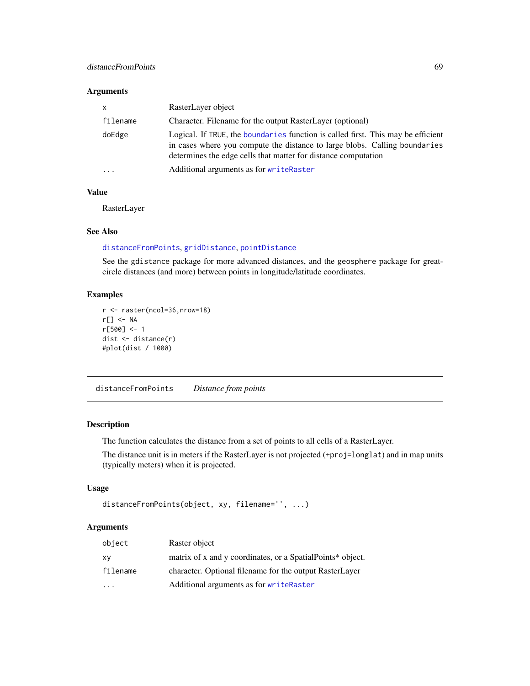## distanceFromPoints 69

## Arguments

| $\mathsf{x}$ | RasterLayer object                                                                                                                                                                                                               |  |
|--------------|----------------------------------------------------------------------------------------------------------------------------------------------------------------------------------------------------------------------------------|--|
| filename     | Character. Filename for the output RasterLayer (optional)                                                                                                                                                                        |  |
| doEdge       | Logical. If TRUE, the boundaries function is called first. This may be efficient<br>in cases where you compute the distance to large blobs. Calling boundaries<br>determines the edge cells that matter for distance computation |  |
| $\cdot$      | Additional arguments as for writeRaster                                                                                                                                                                                          |  |

# Value

RasterLayer

#### See Also

# [distanceFromPoints](#page-68-0), [gridDistance](#page-98-0), [pointDistance](#page-140-0)

See the gdistance package for more advanced distances, and the geosphere package for greatcircle distances (and more) between points in longitude/latitude coordinates.

# Examples

```
r <- raster(ncol=36,nrow=18)
r[] <- NA
r[500] <- 1
dist <- distance(r)
#plot(dist / 1000)
```
<span id="page-68-0"></span>distanceFromPoints *Distance from points*

# Description

The function calculates the distance from a set of points to all cells of a RasterLayer.

The distance unit is in meters if the RasterLayer is not projected (+proj=longlat) and in map units (typically meters) when it is projected.

## Usage

```
distanceFromPoints(object, xy, filename='', ...)
```
#### Arguments

| object                  | Raster object                                              |
|-------------------------|------------------------------------------------------------|
| XV                      | matrix of x and y coordinates, or a SpatialPoints* object. |
| filename                | character. Optional filename for the output RasterLayer    |
| $\cdot$ $\cdot$ $\cdot$ | Additional arguments as for writeRaster                    |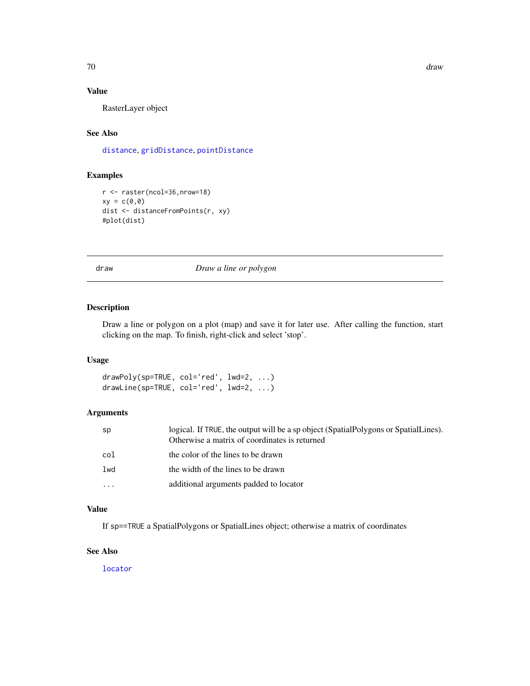70 draw

## Value

RasterLayer object

# See Also

[distance](#page-67-0), [gridDistance](#page-98-0), [pointDistance](#page-140-0)

# Examples

```
r <- raster(ncol=36,nrow=18)
xy = c(0,0)dist <- distanceFromPoints(r, xy)
#plot(dist)
```
# draw *Draw a line or polygon*

# Description

Draw a line or polygon on a plot (map) and save it for later use. After calling the function, start clicking on the map. To finish, right-click and select 'stop'.

#### Usage

drawPoly(sp=TRUE, col='red', lwd=2, ...) drawLine(sp=TRUE, col='red', lwd=2, ...)

# Arguments

| sp       | logical. If TRUE, the output will be a sp object (SpatialPolygons or SpatialLines).<br>Otherwise a matrix of coordinates is returned |
|----------|--------------------------------------------------------------------------------------------------------------------------------------|
| col      | the color of the lines to be drawn                                                                                                   |
| lwd      | the width of the lines to be drawn                                                                                                   |
| $\cdots$ | additional arguments padded to locator                                                                                               |

## Value

If sp==TRUE a SpatialPolygons or SpatialLines object; otherwise a matrix of coordinates

#### See Also

[locator](#page-0-0)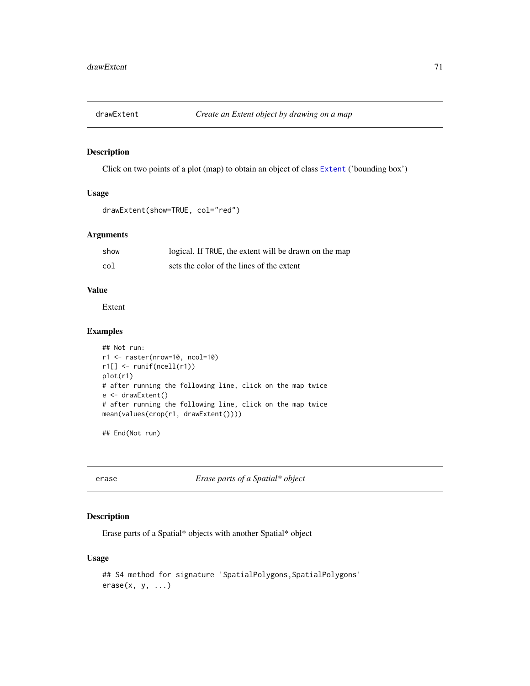<span id="page-70-0"></span>

# Description

Click on two points of a plot (map) to obtain an object of class [Extent](#page-75-0) ('bounding box')

## Usage

```
drawExtent(show=TRUE, col="red")
```
# Arguments

| show | logical. If TRUE, the extent will be drawn on the map |
|------|-------------------------------------------------------|
| col  | sets the color of the lines of the extent             |

## Value

Extent

## Examples

```
## Not run:
r1 <- raster(nrow=10, ncol=10)
r1[] <- runif(ncell(r1))
plot(r1)
# after running the following line, click on the map twice
e <- drawExtent()
# after running the following line, click on the map twice
mean(values(crop(r1, drawExtent())))
```
## End(Not run)

erase *Erase parts of a Spatial\* object*

## Description

Erase parts of a Spatial\* objects with another Spatial\* object

```
## S4 method for signature 'SpatialPolygons, SpatialPolygons'
erase(x, y, ...)
```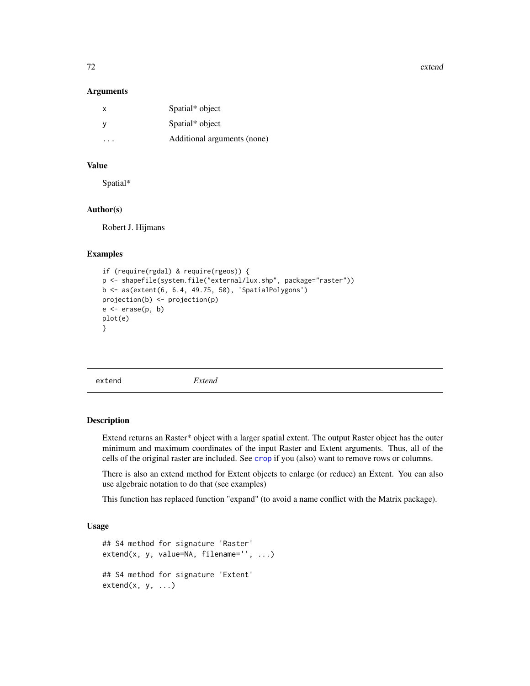72 extend

#### **Arguments**

| X                       | Spatial* object             |
|-------------------------|-----------------------------|
| - y                     | Spatial* object             |
| $\cdot$ $\cdot$ $\cdot$ | Additional arguments (none) |

# Value

Spatial\*

# Author(s)

Robert J. Hijmans

## Examples

```
if (require(rgdal) & require(rgeos)) {
p <- shapefile(system.file("external/lux.shp", package="raster"))
b <- as(extent(6, 6.4, 49.75, 50), 'SpatialPolygons')
projection(b) <- projection(p)
e \leftarrow erase(p, b)plot(e)
}
```
<span id="page-71-0"></span>extend *Extend*

#### Description

Extend returns an Raster\* object with a larger spatial extent. The output Raster object has the outer minimum and maximum coordinates of the input Raster and Extent arguments. Thus, all of the cells of the original raster are included. See [crop](#page-57-0) if you (also) want to remove rows or columns.

There is also an extend method for Extent objects to enlarge (or reduce) an Extent. You can also use algebraic notation to do that (see examples)

This function has replaced function "expand" (to avoid a name conflict with the Matrix package).

```
## S4 method for signature 'Raster'
extend(x, y, value=NA, filename='', ...)
## S4 method for signature 'Extent'
extend(x, y, ...)
```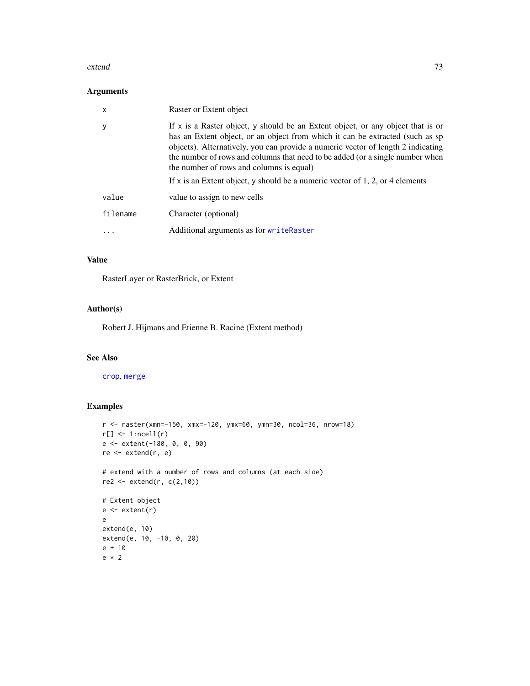#### extend 73

# Arguments

| X        | Raster or Extent object                                                                                                                                                                                                                                                                                                                                                                                                                                            |
|----------|--------------------------------------------------------------------------------------------------------------------------------------------------------------------------------------------------------------------------------------------------------------------------------------------------------------------------------------------------------------------------------------------------------------------------------------------------------------------|
|          | If x is a Raster object, y should be an Extent object, or any object that is or<br>has an Extent object, or an object from which it can be extracted (such as sp<br>objects). Alternatively, you can provide a numeric vector of length 2 indicating<br>the number of rows and columns that need to be added (or a single number when<br>the number of rows and columns is equal)<br>If x is an Extent object, y should be a numeric vector of 1, 2, or 4 elements |
| value    | value to assign to new cells                                                                                                                                                                                                                                                                                                                                                                                                                                       |
| filename | Character (optional)                                                                                                                                                                                                                                                                                                                                                                                                                                               |
| $\cdot$  | Additional arguments as for writeRaster                                                                                                                                                                                                                                                                                                                                                                                                                            |

# Value

RasterLayer or RasterBrick, or Extent

# Author(s)

Robert J. Hijmans and Etienne B. Racine (Extent method)

# See Also

#### [crop](#page-57-0), [merge](#page-121-0)

```
r <- raster(xmn=-150, xmx=-120, ymx=60, ymn=30, ncol=36, nrow=18)
r[] \leftarrow 1:ncell(r)
e <- extent(-180, 0, 0, 90)
re <- extend(r, e)
# extend with a number of rows and columns (at each side)
re2 <- extend(r, c(2,10))
# Extent object
e <- extent(r)
e
extend(e, 10)
extend(e, 10, -10, 0, 20)
e + 10
e * 2
```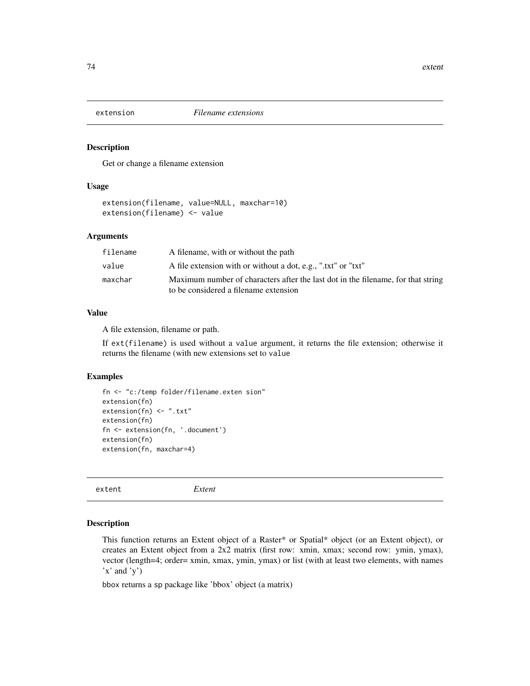Get or change a filename extension

#### Usage

```
extension(filename, value=NULL, maxchar=10)
extension(filename) <- value
```
## Arguments

| filename | A filename, with or without the path                                                                                      |
|----------|---------------------------------------------------------------------------------------------------------------------------|
| value    | A file extension with or without a dot, e.g., ".txt" or "txt"                                                             |
| maxchar  | Maximum number of characters after the last dot in the filename, for that string<br>to be considered a filename extension |

## Value

A file extension, filename or path.

If ext(filename) is used without a value argument, it returns the file extension; otherwise it returns the filename (with new extensions set to value

# Examples

```
fn <- "c:/temp folder/filename.exten sion"
extension(fn)
extension(fn) <- ".txt"
extension(fn)
fn <- extension(fn, '.document')
extension(fn)
extension(fn, maxchar=4)
```
<span id="page-73-0"></span>extent *Extent*

# Description

This function returns an Extent object of a Raster\* or Spatial\* object (or an Extent object), or creates an Extent object from a 2x2 matrix (first row: xmin, xmax; second row: ymin, ymax), vector (length=4; order= xmin, xmax, ymin, ymax) or list (with at least two elements, with names  $'x'$  and  $'y'$ )

bbox returns a sp package like 'bbox' object (a matrix)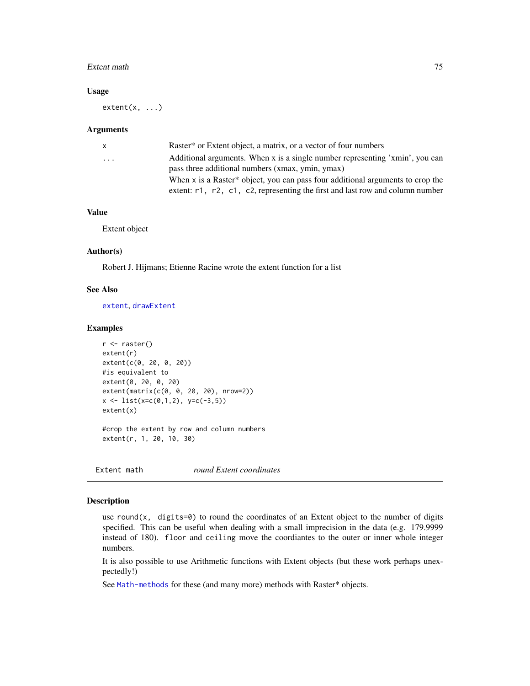#### Extent math 75

#### Usage

 $extent(x, \ldots)$ 

#### Arguments

| X.       | Raster <sup>*</sup> or Extent object, a matrix, or a vector of four numbers               |
|----------|-------------------------------------------------------------------------------------------|
| $\cdots$ | Additional arguments. When x is a single number representing 'xmin', you can              |
|          | pass three additional numbers (xmax, ymin, ymax)                                          |
|          | When $x$ is a Raster* object, you can pass four additional arguments to crop the          |
|          | extent: $r1$ , $r2$ , $c1$ , $c2$ , representing the first and last row and column number |
|          |                                                                                           |

## Value

Extent object

## Author(s)

Robert J. Hijmans; Etienne Racine wrote the extent function for a list

### See Also

[extent](#page-73-0), [drawExtent](#page-70-0)

## Examples

```
r <- raster()
extent(r)
extent(c(0, 20, 0, 20))
#is equivalent to
extent(0, 20, 0, 20)
extent(matrix(c(0, 0, 20, 20), nrow=2))
x \leftarrow \text{list}(x=c(0,1,2), y=c(-3,5))extent(x)
#crop the extent by row and column numbers
```
extent(r, 1, 20, 10, 30)

Extent math *round Extent coordinates*

# Description

use round(x, digits=0) to round the coordinates of an Extent object to the number of digits specified. This can be useful when dealing with a small imprecision in the data (e.g. 179.9999 instead of 180). floor and ceiling move the coordiantes to the outer or inner whole integer numbers.

It is also possible to use Arithmetic functions with Extent objects (but these work perhaps unexpectedly!)

See [Math-methods](#page-120-0) for these (and many more) methods with Raster\* objects.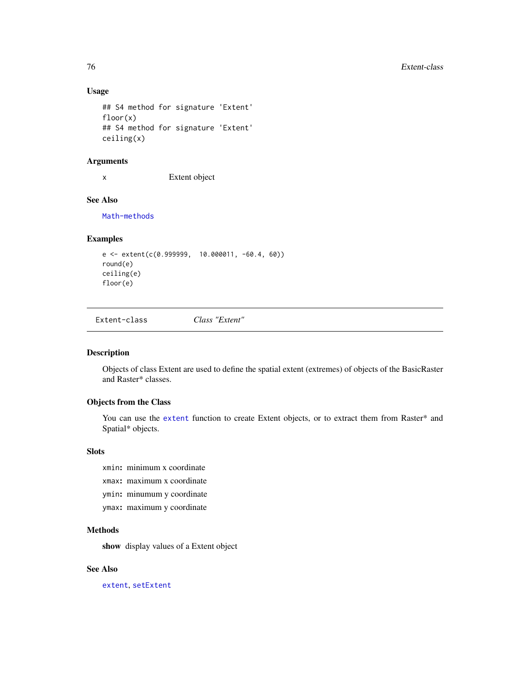# Usage

```
## S4 method for signature 'Extent'
floor(x)
## S4 method for signature 'Extent'
ceiling(x)
```
#### Arguments

x Extent object

# See Also

[Math-methods](#page-120-0)

# Examples

```
e <- extent(c(0.999999, 10.000011, -60.4, 60))
round(e)
ceiling(e)
floor(e)
```
Extent-class *Class "Extent"*

# <span id="page-75-0"></span>Description

Objects of class Extent are used to define the spatial extent (extremes) of objects of the BasicRaster and Raster\* classes.

### Objects from the Class

You can use the [extent](#page-73-0) function to create Extent objects, or to extract them from Raster\* and Spatial\* objects.

## **Slots**

- xmin: minimum x coordinate
- xmax: maximum x coordinate
- ymin: minumum y coordinate
- ymax: maximum y coordinate

# Methods

show display values of a Extent object

#### See Also

[extent](#page-73-0), [setExtent](#page-184-0)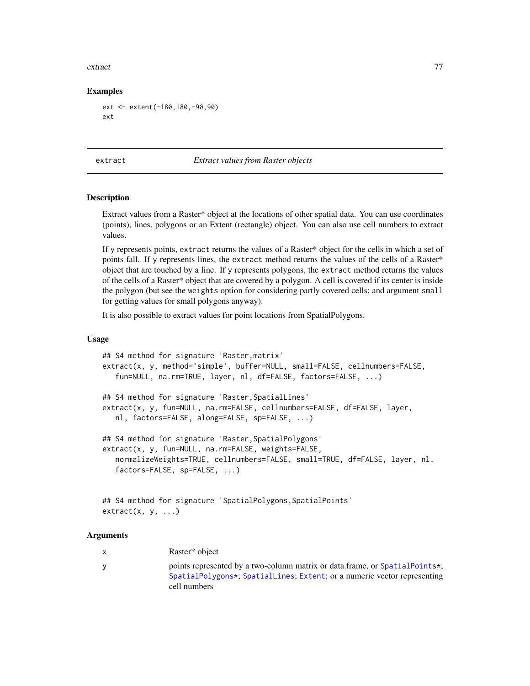#### extract 77

## Examples

```
ext <- extent(-180,180,-90,90)
ext
```
<span id="page-76-0"></span>extract *Extract values from Raster objects*

# Description

Extract values from a Raster\* object at the locations of other spatial data. You can use coordinates (points), lines, polygons or an Extent (rectangle) object. You can also use cell numbers to extract values.

If y represents points, extract returns the values of a Raster\* object for the cells in which a set of points fall. If y represents lines, the extract method returns the values of the cells of a Raster\* object that are touched by a line. If y represents polygons, the extract method returns the values of the cells of a Raster\* object that are covered by a polygon. A cell is covered if its center is inside the polygon (but see the weights option for considering partly covered cells; and argument small for getting values for small polygons anyway).

It is also possible to extract values for point locations from SpatialPolygons.

#### Usage

```
## S4 method for signature 'Raster,matrix'
extract(x, y, method='simple', buffer=NULL, small=FALSE, cellnumbers=FALSE,
   fun=NULL, na.rm=TRUE, layer, nl, df=FALSE, factors=FALSE, ...)
## S4 method for signature 'Raster,SpatialLines'
extract(x, y, fun=NULL, na.rm=FALSE, cellnumbers=FALSE, df=FALSE, layer,
   nl, factors=FALSE, along=FALSE, sp=FALSE, ...)
## S4 method for signature 'Raster,SpatialPolygons'
extract(x, y, fun=NULL, na.rm=FALSE, weights=FALSE,
   normalizeWeights=TRUE, cellnumbers=FALSE, small=TRUE, df=FALSE, layer, nl,
   factors=FALSE, sp=FALSE, ...)
```

```
## S4 method for signature 'SpatialPolygons,SpatialPoints'
extract(x, y, ...)
```
## Arguments

| Raster* object |
|----------------|

y points represented by a two-column matrix or data.frame, or [SpatialPoints\\*](#page-0-0); [SpatialPolygons\\*](#page-0-0); [SpatialLines](#page-0-0); [Extent](#page-75-0); or a numeric vector representing cell numbers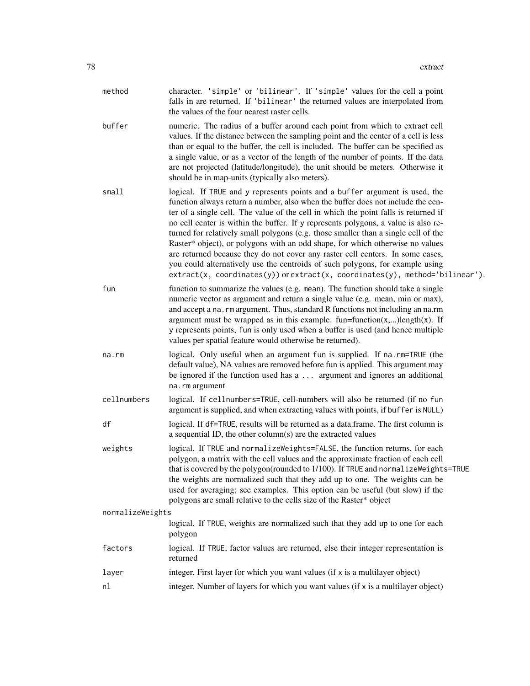| method           | character. 'simple' or 'bilinear'. If 'simple' values for the cell a point<br>falls in are returned. If 'bilinear' the returned values are interpolated from<br>the values of the four nearest raster cells.                                                                                                                                                                                                                                                                                                                                                                                                                                                                                                                                                              |
|------------------|---------------------------------------------------------------------------------------------------------------------------------------------------------------------------------------------------------------------------------------------------------------------------------------------------------------------------------------------------------------------------------------------------------------------------------------------------------------------------------------------------------------------------------------------------------------------------------------------------------------------------------------------------------------------------------------------------------------------------------------------------------------------------|
| buffer           | numeric. The radius of a buffer around each point from which to extract cell<br>values. If the distance between the sampling point and the center of a cell is less<br>than or equal to the buffer, the cell is included. The buffer can be specified as<br>a single value, or as a vector of the length of the number of points. If the data<br>are not projected (latitude/longitude), the unit should be meters. Otherwise it<br>should be in map-units (typically also meters).                                                                                                                                                                                                                                                                                       |
| small            | logical. If TRUE and y represents points and a buffer argument is used, the<br>function always return a number, also when the buffer does not include the cen-<br>ter of a single cell. The value of the cell in which the point falls is returned if<br>no cell center is within the buffer. If y represents polygons, a value is also re-<br>turned for relatively small polygons (e.g. those smaller than a single cell of the<br>Raster* object), or polygons with an odd shape, for which otherwise no values<br>are returned because they do not cover any raster cell centers. In some cases,<br>you could alternatively use the centroids of such polygons, for example using<br>$extract(x, coordinates(y))$ or $extract(x, coordinates(y), method='bilinear').$ |
| fun              | function to summarize the values (e.g. mean). The function should take a single<br>numeric vector as argument and return a single value (e.g. mean, min or max),<br>and accept a na. rm argument. Thus, standard R functions not including an na.rm<br>argument must be wrapped as in this example: $fun = function(x,)length(x)$ . If<br>y represents points, fun is only used when a buffer is used (and hence multiple<br>values per spatial feature would otherwise be returned).                                                                                                                                                                                                                                                                                     |
| na.rm            | logical. Only useful when an argument fun is supplied. If na.rm=TRUE (the<br>default value), NA values are removed before fun is applied. This argument may<br>be ignored if the function used has a  argument and ignores an additional<br>na.rm argument                                                                                                                                                                                                                                                                                                                                                                                                                                                                                                                |
| cellnumbers      | logical. If cellnumbers=TRUE, cell-numbers will also be returned (if no fun<br>argument is supplied, and when extracting values with points, if buffer is NULL)                                                                                                                                                                                                                                                                                                                                                                                                                                                                                                                                                                                                           |
| df               | logical. If df=TRUE, results will be returned as a data.frame. The first column is<br>a sequential ID, the other column(s) are the extracted values                                                                                                                                                                                                                                                                                                                                                                                                                                                                                                                                                                                                                       |
| weights          | logical. If TRUE and normalizeWeights=FALSE, the function returns, for each<br>polygon, a matrix with the cell values and the approximate fraction of each cell<br>that is covered by the polygon(rounded to 1/100). If TRUE and normalizeWeights=TRUE<br>the weights are normalized such that they add up to one. The weights can be<br>used for averaging; see examples. This option can be useful (but slow) if the<br>polygons are small relative to the cells size of the Raster* object                                                                                                                                                                                                                                                                             |
| normalizeWeights |                                                                                                                                                                                                                                                                                                                                                                                                                                                                                                                                                                                                                                                                                                                                                                           |
|                  | logical. If TRUE, weights are normalized such that they add up to one for each<br>polygon                                                                                                                                                                                                                                                                                                                                                                                                                                                                                                                                                                                                                                                                                 |
| factors          | logical. If TRUE, factor values are returned, else their integer representation is<br>returned                                                                                                                                                                                                                                                                                                                                                                                                                                                                                                                                                                                                                                                                            |
| layer            | integer. First layer for which you want values (if x is a multilayer object)                                                                                                                                                                                                                                                                                                                                                                                                                                                                                                                                                                                                                                                                                              |
| nl               | integer. Number of layers for which you want values (if x is a multilayer object)                                                                                                                                                                                                                                                                                                                                                                                                                                                                                                                                                                                                                                                                                         |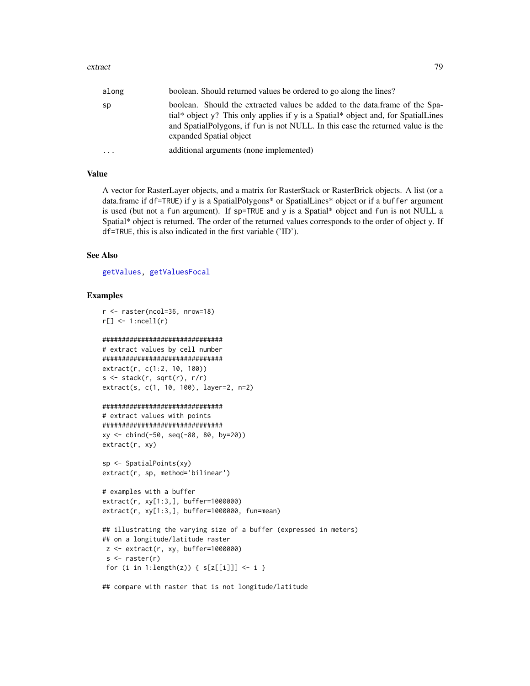#### extract 79

| along | boolean. Should returned values be ordered to go along the lines?                                                                                                                                                                                                              |
|-------|--------------------------------------------------------------------------------------------------------------------------------------------------------------------------------------------------------------------------------------------------------------------------------|
| sp    | boolean. Should the extracted values be added to the data.frame of the Spa-<br>tial* object y? This only applies if y is a Spatial* object and, for SpatialLines<br>and SpatialPolygons, if fun is not NULL. In this case the returned value is the<br>expanded Spatial object |
| .     | additional arguments (none implemented)                                                                                                                                                                                                                                        |

## Value

A vector for RasterLayer objects, and a matrix for RasterStack or RasterBrick objects. A list (or a data.frame if df=TRUE) if y is a SpatialPolygons\* or SpatialLines\* object or if a buffer argument is used (but not a fun argument). If sp=TRUE and y is a Spatial\* object and fun is not NULL a Spatial\* object is returned. The order of the returned values corresponds to the order of object y. If df=TRUE, this is also indicated in the first variable ('ID').

#### See Also

[getValues,](#page-95-0) [getValuesFocal](#page-97-0)

#### Examples

```
r <- raster(ncol=36, nrow=18)
r[] \leftarrow 1:ncell(r)
```
#### ###############################

```
# extract values by cell number
###############################
extract(r, c(1:2, 10, 100))
s \leftarrow stack(r, sqrt(r), r/r)
extract(s, c(1, 10, 100), layer=2, n=2)
```

```
###############################
```

```
# extract values with points
###############################
xy <- cbind(-50, seq(-80, 80, by=20))
extract(r, xy)
```

```
sp <- SpatialPoints(xy)
extract(r, sp, method='bilinear')
```

```
# examples with a buffer
extract(r, xy[1:3,], buffer=1000000)
extract(r, xy[1:3,], buffer=1000000, fun=mean)
```

```
## illustrating the varying size of a buffer (expressed in meters)
## on a longitude/latitude raster
z <- extract(r, xy, buffer=1000000)
s \leftarrow raster(r)
for (i in 1:length(z)) { s[z[[i]]] <- i }
```
## compare with raster that is not longitude/latitude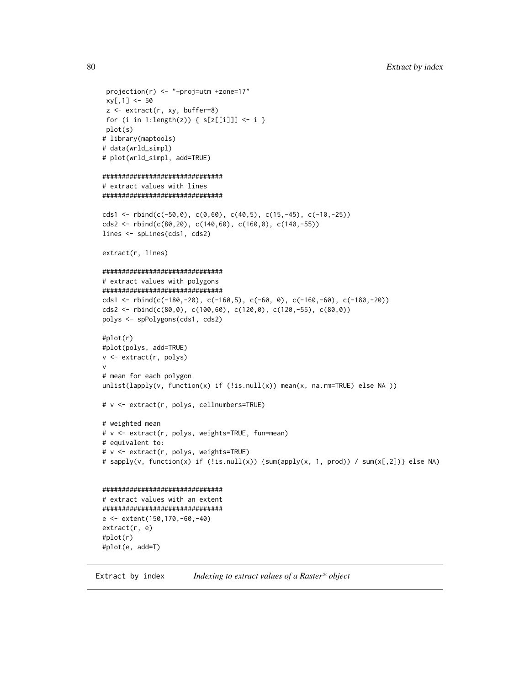```
projection(r) <- "+proj=utm +zone=17"
 xy[, 1] < -50z <- extract(r, xy, buffer=8)
for (i in 1:length(z)) { s[z[[i]]] <- i }
plot(s)
# library(maptools)
# data(wrld_simpl)
# plot(wrld_simpl, add=TRUE)
###############################
# extract values with lines
###############################
cds1 <- rbind(c(-50,0), c(0,60), c(40,5), c(15,-45), c(-10,-25))
cds2 <- rbind(c(80,20), c(140,60), c(160,0), c(140,-55))
lines <- spLines(cds1, cds2)
extract(r, lines)
###############################
# extract values with polygons
###############################
cds1 <- rbind(c(-180,-20), c(-160,5), c(-60, 0), c(-160,-60), c(-180,-20))
cds2 <- rbind(c(80,0), c(100,60), c(120,0), c(120,-55), c(80,0))
polys <- spPolygons(cds1, cds2)
#plot(r)
#plot(polys, add=TRUE)
v <- extract(r, polys)
v
# mean for each polygon
unlist(lapply(v, function(x) if (!is.null(x)) mean(x, na.rm=TRUE) else NA ))
# v <- extract(r, polys, cellnumbers=TRUE)
# weighted mean
# v <- extract(r, polys, weights=TRUE, fun=mean)
# equivalent to:
# v <- extract(r, polys, weights=TRUE)
# sapply(v, function(x) if (!is.null(x)) {sum(apply(x, 1, prod)) / sum(x[,2])} else NA)
###############################
# extract values with an extent
###############################
e <- extent(150,170,-60,-40)
extract(r, e)
#plot(r)
#plot(e, add=T)
```
Extract by index *Indexing to extract values of a Raster\* object*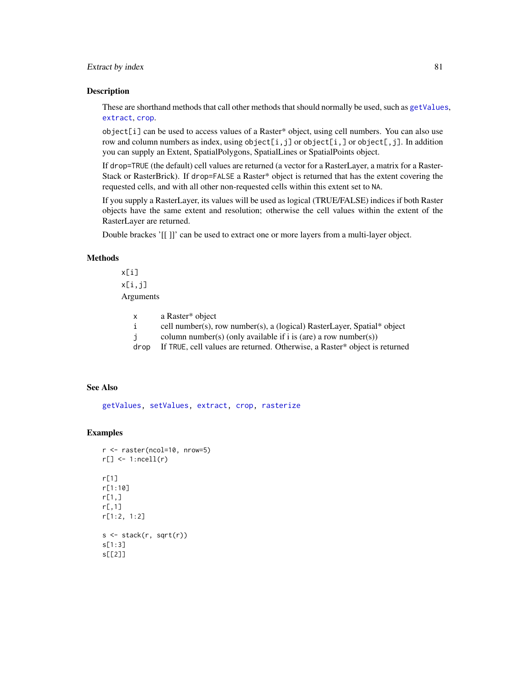## Extract by index 81

#### Description

These are shorthand methods that call other methods that should normally be used, such as [getValues](#page-95-0), [extract](#page-76-0), [crop](#page-57-0).

object[i] can be used to access values of a Raster\* object, using cell numbers. You can also use row and column numbers as index, using  $object[i,j]$  or  $object[i,j]$  or  $object[j,j]$ . In addition you can supply an Extent, SpatialPolygons, SpatialLines or SpatialPoints object.

If drop=TRUE (the default) cell values are returned (a vector for a RasterLayer, a matrix for a Raster-Stack or RasterBrick). If drop=FALSE a Raster\* object is returned that has the extent covering the requested cells, and with all other non-requested cells within this extent set to NA.

If you supply a RasterLayer, its values will be used as logical (TRUE/FALSE) indices if both Raster objects have the same extent and resolution; otherwise the cell values within the extent of the RasterLayer are returned.

Double brackes '[[ ]]' can be used to extract one or more layers from a multi-layer object.

# **Methods**

x[i] x[i,j] Arguments

| a Raster* object<br>X |  |
|-----------------------|--|
|-----------------------|--|

- i cell number(s), row number(s), a (logical) RasterLayer, Spatial\* object
- j column number(s) (only available if i is (are) a row number(s))
- drop If TRUE, cell values are returned. Otherwise, a Raster\* object is returned

## See Also

[getValues,](#page-95-0) [setValues,](#page-186-0) [extract,](#page-76-0) [crop,](#page-57-0) [rasterize](#page-159-0)

```
r <- raster(ncol=10, nrow=5)
r[] \leftarrow 1:ncell(r)
r[1]
r[1:10]
r[1,]
r[,1]
r[1:2, 1:2]
s \leftarrow \text{stack}(r, \text{sqrt}(r))s[1:3]
s[[2]]
```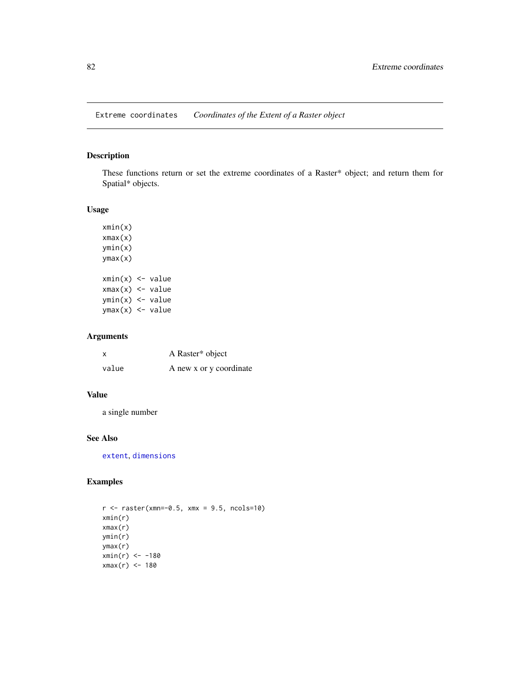Extreme coordinates *Coordinates of the Extent of a Raster object*

# Description

These functions return or set the extreme coordinates of a Raster\* object; and return them for Spatial\* objects.

# Usage

xmin(x) xmax(x) ymin(x) ymax(x)  $xmin(x)$  <- value  $xmax(x)$  <- value  $ymin(x)$  <- value  $ymax(x)$  <- value

# Arguments

| X     | A Raster* object        |
|-------|-------------------------|
| value | A new x or y coordinate |

## Value

a single number

# See Also

[extent](#page-73-0), [dimensions](#page-0-0)

# Examples

 $r$  <- raster(xmn=-0.5, xmx = 9.5, ncols=10) xmin(r) xmax(r) ymin(r) ymax(r)  $xmin(r) < -180$ xmax(r) <- 180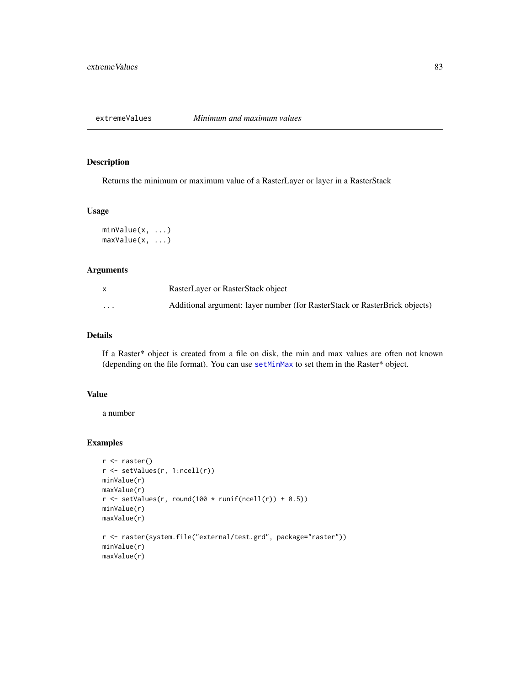Returns the minimum or maximum value of a RasterLayer or layer in a RasterStack

## Usage

```
minValue(x, ...)
maxValue(x, ...)
```
#### Arguments

|          | RasterLayer or RasterStack object                                          |
|----------|----------------------------------------------------------------------------|
| $\cdots$ | Additional argument: layer number (for RasterStack or RasterBrick objects) |

# Details

If a Raster\* object is created from a file on disk, the min and max values are often not known (depending on the file format). You can use [setMinMax](#page-185-0) to set them in the Raster\* object.

## Value

a number

```
r <- raster()
r <- setValues(r, 1:ncell(r))
minValue(r)
maxValue(r)
r \le setValues(r, round(100 * runif(ncell(r)) + 0.5))
minValue(r)
maxValue(r)
r <- raster(system.file("external/test.grd", package="raster"))
minValue(r)
maxValue(r)
```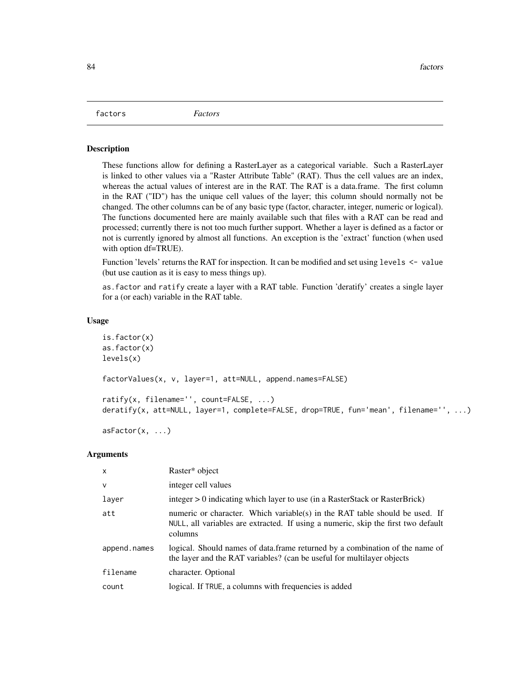factors *Factors*

#### Description

These functions allow for defining a RasterLayer as a categorical variable. Such a RasterLayer is linked to other values via a "Raster Attribute Table" (RAT). Thus the cell values are an index, whereas the actual values of interest are in the RAT. The RAT is a data.frame. The first column in the RAT ("ID") has the unique cell values of the layer; this column should normally not be changed. The other columns can be of any basic type (factor, character, integer, numeric or logical). The functions documented here are mainly available such that files with a RAT can be read and processed; currently there is not too much further support. Whether a layer is defined as a factor or not is currently ignored by almost all functions. An exception is the 'extract' function (when used with option df=TRUE).

Function 'levels' returns the RAT for inspection. It can be modified and set using levels  $\leq$ -value (but use caution as it is easy to mess things up).

as.factor and ratify create a layer with a RAT table. Function 'deratify' creates a single layer for a (or each) variable in the RAT table.

#### Usage

```
is.factor(x)
as.factor(x)
levels(x)
factorValues(x, v, layer=1, att=NULL, append.names=FALSE)
ratify(x, filename='', count=FALSE, ...)
deratify(x, att=NULL, layer=1, complete=FALSE, drop=TRUE, fun='mean', filename='', ...)
```

```
asFactor(x, \ldots)
```
#### Arguments

| $\mathsf{x}$ | Raster* object                                                                                                                                                              |
|--------------|-----------------------------------------------------------------------------------------------------------------------------------------------------------------------------|
| $\vee$       | integer cell values                                                                                                                                                         |
| layer        | $integer > 0$ indicating which layer to use (in a RasterStack or RasterBrick)                                                                                               |
| att          | numeric or character. Which variable(s) in the RAT table should be used. If<br>NULL, all variables are extracted. If using a numeric, skip the first two default<br>columns |
| append.names | logical. Should names of data frame returned by a combination of the name of<br>the layer and the RAT variables? (can be useful for multilayer objects                      |
| filename     | character. Optional                                                                                                                                                         |
| count        | logical. If TRUE, a columns with frequencies is added                                                                                                                       |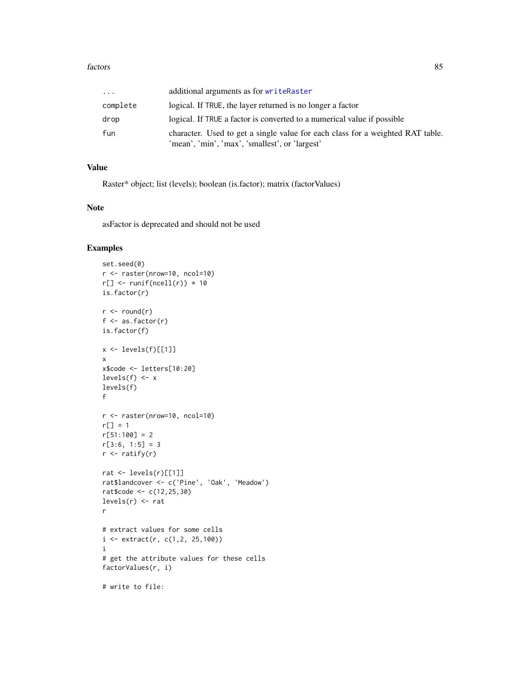| .        | additional arguments as for writeRaster                                                                                          |
|----------|----------------------------------------------------------------------------------------------------------------------------------|
| complete | logical. If TRUE, the layer returned is no longer a factor                                                                       |
| drop     | logical. If TRUE a factor is converted to a numerical value if possible                                                          |
| fun      | character. Used to get a single value for each class for a weighted RAT table.<br>'mean', 'min', 'max', 'smallest', or 'largest' |

# Value

Raster\* object; list (levels); boolean (is.factor); matrix (factorValues)

#### Note

asFactor is deprecated and should not be used

```
set.seed(0)
r <- raster(nrow=10, ncol=10)
r[] \leftarrow runif(ncell(r)) * 10is.factor(r)
r <- round(r)
f \leftarrow as.factor(r)is.factor(f)
x \leftarrow \text{levels}(f)[[1]]x
x$code <- letters[10:20]
levels(f) \leftarrow x
levels(f)
f
r <- raster(nrow=10, ncol=10)
r[] = 1r[51:100] = 2r[3:6, 1:5] = 3r \leftarrow ratify(r)
rat <- levels(r)[[1]]
rat$landcover <- c('Pine', 'Oak', 'Meadow')
rat$code <- c(12,25,30)
levels(r) <- rat
r
# extract values for some cells
i \leftarrow \text{extract}(r, c(1, 2, 25, 100))i
# get the attribute values for these cells
factorValues(r, i)
# write to file:
```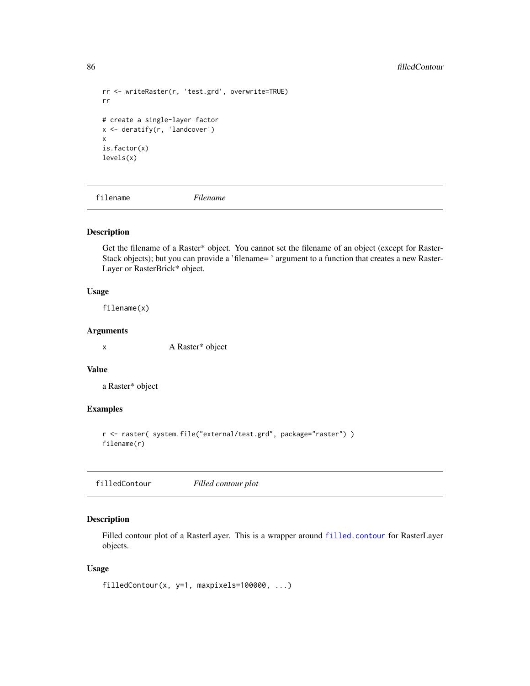```
rr <- writeRaster(r, 'test.grd', overwrite=TRUE)
rr
# create a single-layer factor
x <- deratify(r, 'landcover')
x
is.factor(x)
levels(x)
```
filename *Filename*

# Description

Get the filename of a Raster\* object. You cannot set the filename of an object (except for Raster-Stack objects); but you can provide a 'filename= ' argument to a function that creates a new Raster-Layer or RasterBrick\* object.

## Usage

filename(x)

#### Arguments

x A Raster\* object

#### Value

a Raster\* object

# Examples

```
r <- raster( system.file("external/test.grd", package="raster") )
filename(r)
```
filledContour *Filled contour plot*

# Description

Filled contour plot of a RasterLayer. This is a wrapper around [filled.contour](#page-0-0) for RasterLayer objects.

```
filledContour(x, y=1, maxpixels=100000, ...)
```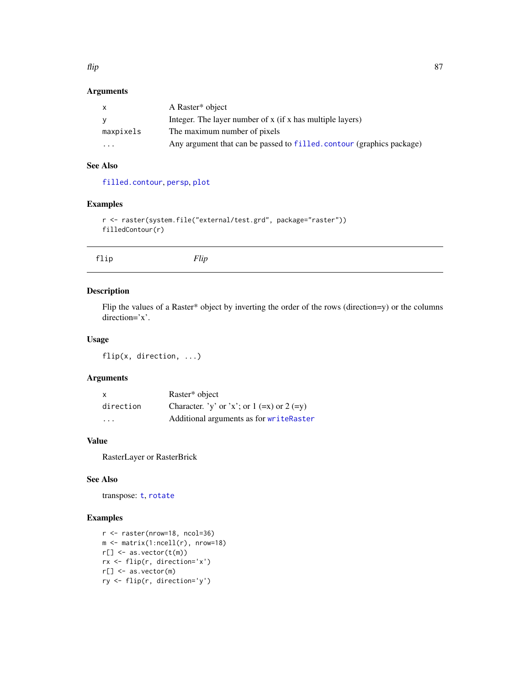flip 87

# Arguments

| $\mathsf{x}$ | A Raster <sup>*</sup> object                                          |
|--------------|-----------------------------------------------------------------------|
| <b>V</b>     | Integer. The layer number of x (if x has multiple layers)             |
| maxpixels    | The maximum number of pixels                                          |
| $\cdots$     | Any argument that can be passed to filled. contour (graphics package) |

# See Also

[filled.contour](#page-0-0), [persp](#page-135-0), [plot](#page-136-0)

# Examples

```
r <- raster(system.file("external/test.grd", package="raster"))
filledContour(r)
```
# Description

Flip the values of a Raster\* object by inverting the order of the rows (direction=y) or the columns direction='x'.

## Usage

flip(x, direction, ...)

# Arguments

| X         | Raster* object                                 |
|-----------|------------------------------------------------|
| direction | Character. 'y' or 'x'; or $1 (=x)$ or $2 (=y)$ |
| .         | Additional arguments as for writeRaster        |

## Value

RasterLayer or RasterBrick

# See Also

transpose: [t](#page-205-0), [rotate](#page-173-0)

```
r <- raster(nrow=18, ncol=36)
m <- matrix(1:ncell(r), nrow=18)
r[] \leftarrow as.vector(t(m))rx <- flip(r, direction='x')
r[] <- as.vector(m)
ry <- flip(r, direction='y')
```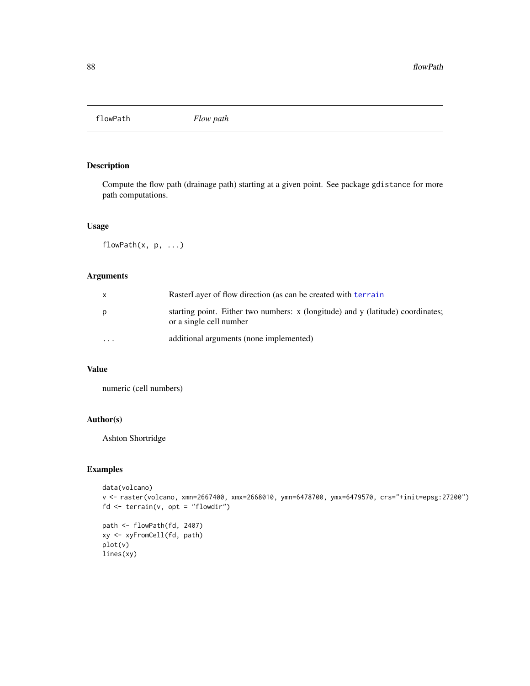flowPath *Flow path*

# Description

Compute the flow path (drainage path) starting at a given point. See package gdistance for more path computations.

## Usage

flowPath(x, p, ...)

# Arguments

| X        | RasterLayer of flow direction (as can be created with terrain                                              |
|----------|------------------------------------------------------------------------------------------------------------|
| p        | starting point. Either two numbers: x (longitude) and y (latitude) coordinates;<br>or a single cell number |
| $\cdots$ | additional arguments (none implemented)                                                                    |

# Value

numeric (cell numbers)

# Author(s)

Ashton Shortridge

```
data(volcano)
v <- raster(volcano, xmn=2667400, xmx=2668010, ymn=6478700, ymx=6479570, crs="+init=epsg:27200")
fd <- terrain(v, opt = "flowdir")
path <- flowPath(fd, 2407)
```

```
xy <- xyFromCell(fd, path)
plot(v)
lines(xy)
```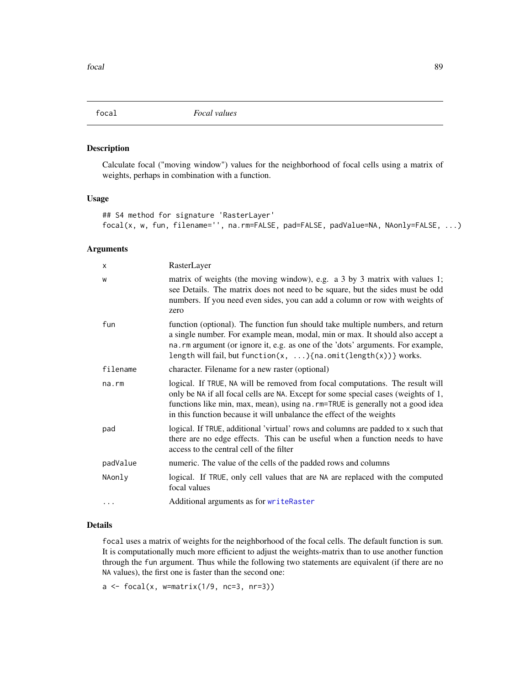<span id="page-88-0"></span>

Calculate focal ("moving window") values for the neighborhood of focal cells using a matrix of weights, perhaps in combination with a function.

#### Usage

```
## S4 method for signature 'RasterLayer'
focal(x, w, fun, filename='', na.rm=FALSE, pad=FALSE, padValue=NA, NAonly=FALSE, ...)
```
## Arguments

| х        | RasterLayer                                                                                                                                                                                                                                                                                                                         |
|----------|-------------------------------------------------------------------------------------------------------------------------------------------------------------------------------------------------------------------------------------------------------------------------------------------------------------------------------------|
| W        | matrix of weights (the moving window), e.g. a 3 by 3 matrix with values 1;<br>see Details. The matrix does not need to be square, but the sides must be odd<br>numbers. If you need even sides, you can add a column or row with weights of<br>zero                                                                                 |
| fun      | function (optional). The function fun should take multiple numbers, and return<br>a single number. For example mean, modal, min or max. It should also accept a<br>na. rm argument (or ignore it, e.g. as one of the 'dots' arguments. For example,<br>length will fail, but function( $x, \ldots$ ){na.omit(length( $x$ ))} works. |
| filename | character. Filename for a new raster (optional)                                                                                                                                                                                                                                                                                     |
| na.rm    | logical. If TRUE, NA will be removed from focal computations. The result will<br>only be NA if all focal cells are NA. Except for some special cases (weights of 1,<br>functions like min, max, mean), using na. rm=TRUE is generally not a good idea<br>in this function because it will unbalance the effect of the weights       |
| pad      | logical. If TRUE, additional 'virtual' rows and columns are padded to x such that<br>there are no edge effects. This can be useful when a function needs to have<br>access to the central cell of the filter                                                                                                                        |
| padValue | numeric. The value of the cells of the padded rows and columns                                                                                                                                                                                                                                                                      |
| NAonly   | logical. If TRUE, only cell values that are NA are replaced with the computed<br>focal values                                                                                                                                                                                                                                       |
| $\cdots$ | Additional arguments as for writeRaster                                                                                                                                                                                                                                                                                             |

## Details

focal uses a matrix of weights for the neighborhood of the focal cells. The default function is sum. It is computationally much more efficient to adjust the weights-matrix than to use another function through the fun argument. Thus while the following two statements are equivalent (if there are no NA values), the first one is faster than the second one:

 $a \leftarrow focal(x, w=matrix(1/9, nc=3, nr=3))$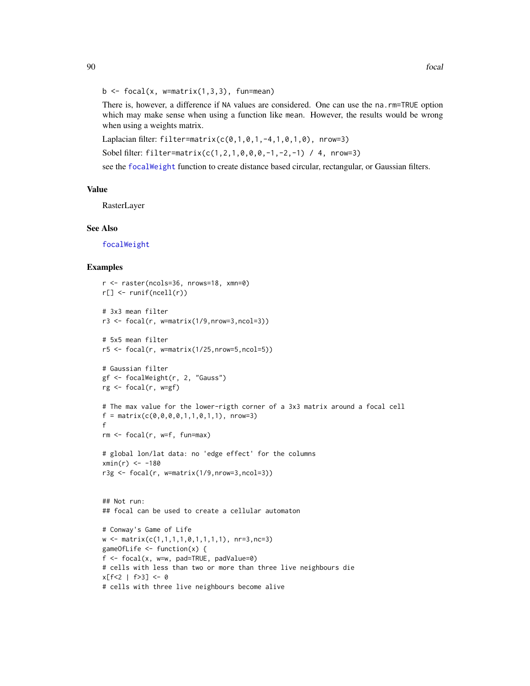#### $b \le$  focal(x, w=matrix(1,3,3), fun=mean)

There is, however, a difference if NA values are considered. One can use the na.rm=TRUE option which may make sense when using a function like mean. However, the results would be wrong when using a weights matrix.

Laplacian filter: filter=matrix( $c(0,1,0,1,-4,1,0,1,0)$ , nrow=3)

Sobel filter: filter=matrix(c(1,2,1,0,0,0,-1,-2,-1) / 4, nrow=3)

see the [focalWeight](#page-90-0) function to create distance based circular, rectangular, or Gaussian filters.

## Value

RasterLayer

#### See Also

[focalWeight](#page-90-0)

```
r <- raster(ncols=36, nrows=18, xmn=0)
r[] <- runif(ncell(r))
# 3x3 mean filter
r3 <- focal(r, w=matrix(1/9,nrow=3,ncol=3))
# 5x5 mean filter
r5 \le focal(r, w=matrix(1/25,nrow=5,ncol=5))
# Gaussian filter
gf <- focalWeight(r, 2, "Gauss")
rg <- focal(r, w=gf)
# The max value for the lower-rigth corner of a 3x3 matrix around a focal cell
f = matrix(c(0, 0, 0, 0, 1, 1, 0, 1, 1), nrow=3)f
rm < - focal(r, w=f, fun=max)
# global lon/lat data: no 'edge effect' for the columns
xmin(r) < -180r3g <- focal(r, w=matrix(1/9,nrow=3,ncol=3))
## Not run:
## focal can be used to create a cellular automaton
# Conway's Game of Life
w \leftarrow matrix(c(1,1,1,1,0,1,1,1,1), nr=3,nc=3)gameOfLife <- function(x) {
f \leftarrow focal(x, w=w, pad=True, padValue=0)# cells with less than two or more than three live neighbours die
x[f<2 | f>3] <- 0
# cells with three live neighbours become alive
```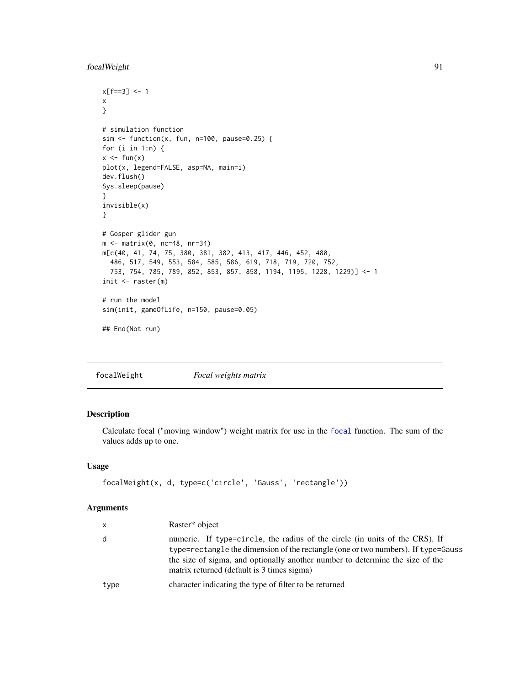# focalWeight 91

```
x[ f == 3 ] < - 1x
}
# simulation function
sim \le function(x, fun, n=100, pause=0.25) {
for (i in 1:n) {
x \leftarrow \text{fun}(x)plot(x, legend=FALSE, asp=NA, main=i)
dev.flush()
Sys.sleep(pause)
}
invisible(x)
}
# Gosper glider gun
m <- matrix(0, nc=48, nr=34)
m[c(40, 41, 74, 75, 380, 381, 382, 413, 417, 446, 452, 480,
  486, 517, 549, 553, 584, 585, 586, 619, 718, 719, 720, 752,
  753, 754, 785, 789, 852, 853, 857, 858, 1194, 1195, 1228, 1229)] <- 1
init \leftarrow \text{raster(m)}# run the model
sim(init, gameOfLife, n=150, pause=0.05)
## End(Not run)
```
<span id="page-90-0"></span>focalWeight *Focal weights matrix*

# Description

Calculate focal ("moving window") weight matrix for use in the [focal](#page-88-0) function. The sum of the values adds up to one.

# Usage

```
focalWeight(x, d, type=c('circle', 'Gauss', 'rectangle'))
```
#### Arguments

| $\mathsf{X}$ | Raster <sup>*</sup> object                                                                                                                                                                                                                                                                      |
|--------------|-------------------------------------------------------------------------------------------------------------------------------------------------------------------------------------------------------------------------------------------------------------------------------------------------|
| d            | numeric. If type=circle, the radius of the circle (in units of the CRS). If<br>type=rectangle the dimension of the rectangle (one or two numbers). If type=Gauss<br>the size of sigma, and optionally another number to determine the size of the<br>matrix returned (default is 3 times sigma) |
| type         | character indicating the type of filter to be returned                                                                                                                                                                                                                                          |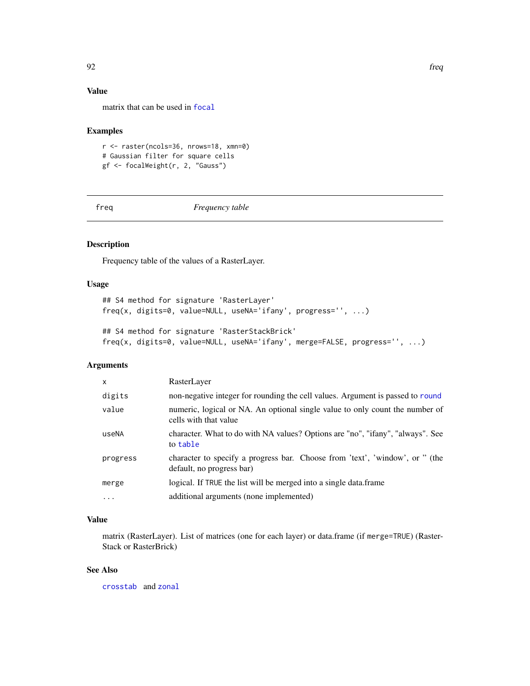# Value

matrix that can be used in [focal](#page-88-0)

# Examples

```
r <- raster(ncols=36, nrows=18, xmn=0)
# Gaussian filter for square cells
gf <- focalWeight(r, 2, "Gauss")
```
freq *Frequency table*

# Description

Frequency table of the values of a RasterLayer.

#### Usage

```
## S4 method for signature 'RasterLayer'
freq(x, digits=0, value=NULL, useNA='ifany', progress='', ...)
```

```
## S4 method for signature 'RasterStackBrick'
freq(x, digits=0, value=NULL, useNA='ifany', merge=FALSE, progress='', ...)
```
#### Arguments

| $\mathsf{x}$ | RasterLayer                                                                                               |
|--------------|-----------------------------------------------------------------------------------------------------------|
| digits       | non-negative integer for rounding the cell values. Argument is passed to round                            |
| value        | numeric, logical or NA. An optional single value to only count the number of<br>cells with that value     |
| useNA        | character. What to do with NA values? Options are "no", "ifany", "always". See<br>to table                |
| progress     | character to specify a progress bar. Choose from 'text', 'window', or " (the<br>default, no progress bar) |
| merge        | logical. If TRUE the list will be merged into a single data.frame                                         |
| $\ddots$ .   | additional arguments (none implemented)                                                                   |

# Value

matrix (RasterLayer). List of matrices (one for each layer) or data.frame (if merge=TRUE) (Raster-Stack or RasterBrick)

# See Also

[crosstab](#page-59-0) and [zonal](#page-222-0)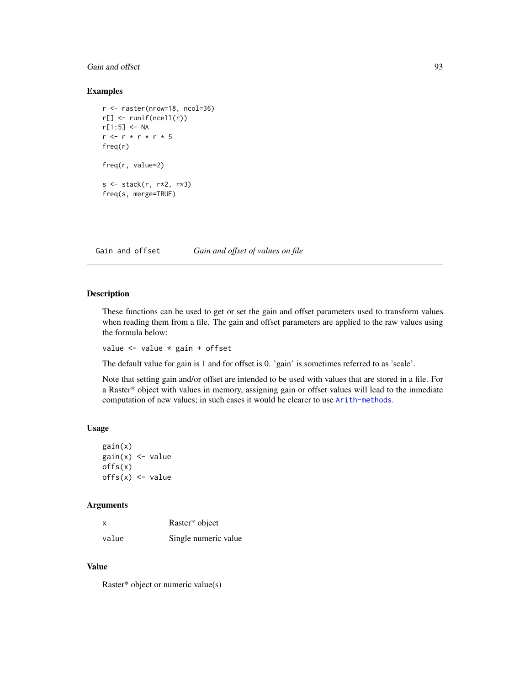# Gain and offset 93

## Examples

```
r <- raster(nrow=18, ncol=36)
r[] <- runif(ncell(r))
r[1:5] <- NA
r <- r * r * r * 5
freq(r)
freq(r, value=2)
s <- stack(r, r*2, r*3)
freq(s, merge=TRUE)
```
Gain and offset *Gain and offset of values on file*

#### Description

These functions can be used to get or set the gain and offset parameters used to transform values when reading them from a file. The gain and offset parameters are applied to the raw values using the formula below:

value <- value \* gain + offset

The default value for gain is 1 and for offset is 0. 'gain' is sometimes referred to as 'scale'.

Note that setting gain and/or offset are intended to be used with values that are stored in a file. For a Raster\* object with values in memory, assigning gain or offset values will lead to the inmediate computation of new values; in such cases it would be clearer to use [Arith-methods](#page-21-0).

## Usage

```
gain(x)
gain(x) <- value
offs(x)
offs(x) \leftarrow value
```
#### Arguments

| x     | Raster* object       |
|-------|----------------------|
| value | Single numeric value |

# Value

Raster\* object or numeric value(s)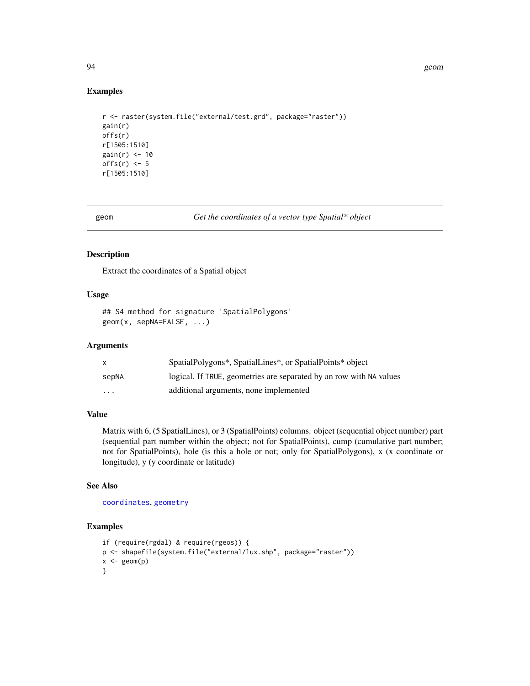## Examples

```
r <- raster(system.file("external/test.grd", package="raster"))
gain(r)
offs(r)
r[1505:1510]
gain(r) <- 10
offs(r) <- 5
r[1505:1510]
```
geom *Get the coordinates of a vector type Spatial\* object*

#### Description

Extract the coordinates of a Spatial object

### Usage

```
## S4 method for signature 'SpatialPolygons'
geom(x, sepNA=FALSE, ...)
```
#### Arguments

|          | SpatialPolygons*, SpatialLines*, or SpatialPoints* object           |
|----------|---------------------------------------------------------------------|
| sepNA    | logical. If TRUE, geometries are separated by an row with NA values |
| $\cdots$ | additional arguments, none implemented                              |

# Value

Matrix with 6, (5 SpatialLines), or 3 (SpatialPoints) columns. object (sequential object number) part (sequential part number within the object; not for SpatialPoints), cump (cumulative part number; not for SpatialPoints), hole (is this a hole or not; only for SpatialPolygons), x (x coordinate or longitude), y (y coordinate or latitude)

## See Also

[coordinates](#page-0-0), [geometry](#page-0-0)

```
if (require(rgdal) & require(rgeos)) {
p <- shapefile(system.file("external/lux.shp", package="raster"))
x \leftarrow \text{geom}(p)}
```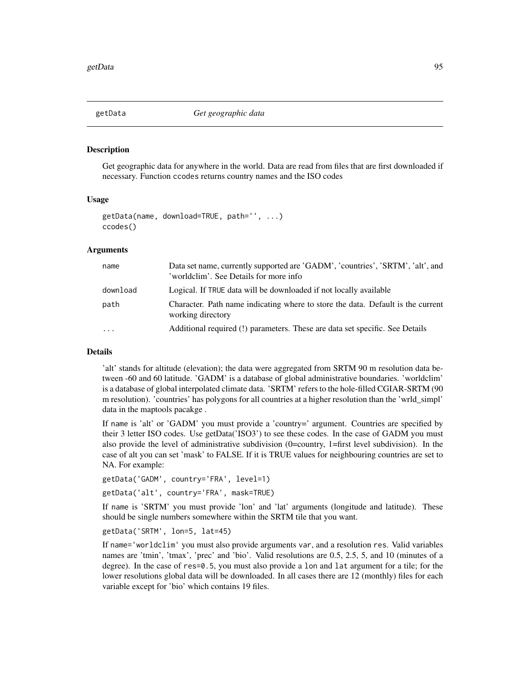Get geographic data for anywhere in the world. Data are read from files that are first downloaded if necessary. Function ccodes returns country names and the ISO codes

## Usage

```
getData(name, download=TRUE, path='', ...)
ccodes()
```
## Arguments

| name     | Data set name, currently supported are 'GADM', 'countries', 'SRTM', 'alt', and<br>'worldclim'. See Details for more info |
|----------|--------------------------------------------------------------------------------------------------------------------------|
| download | Logical. If TRUE data will be downloaded if not locally available                                                        |
| path     | Character. Path name indicating where to store the data. Default is the current<br>working directory                     |
| $\cdots$ | Additional required (!) parameters. These are data set specific. See Details                                             |

#### Details

'alt' stands for altitude (elevation); the data were aggregated from SRTM 90 m resolution data between -60 and 60 latitude. 'GADM' is a database of global administrative boundaries. 'worldclim' is a database of global interpolated climate data. 'SRTM' refers to the hole-filled CGIAR-SRTM (90 m resolution). 'countries' has polygons for all countries at a higher resolution than the 'wrld\_simpl' data in the maptools pacakge .

If name is 'alt' or 'GADM' you must provide a 'country=' argument. Countries are specified by their 3 letter ISO codes. Use getData('ISO3') to see these codes. In the case of GADM you must also provide the level of administrative subdivision (0=country, 1=first level subdivision). In the case of alt you can set 'mask' to FALSE. If it is TRUE values for neighbouring countries are set to NA. For example:

getData('GADM', country='FRA', level=1)

getData('alt', country='FRA', mask=TRUE)

If name is 'SRTM' you must provide 'lon' and 'lat' arguments (longitude and latitude). These should be single numbers somewhere within the SRTM tile that you want.

getData('SRTM', lon=5, lat=45)

If name='worldclim' you must also provide arguments var, and a resolution res. Valid variables names are 'tmin', 'tmax', 'prec' and 'bio'. Valid resolutions are 0.5, 2.5, 5, and 10 (minutes of a degree). In the case of res=0.5, you must also provide a lon and lat argument for a tile; for the lower resolutions global data will be downloaded. In all cases there are 12 (monthly) files for each variable except for 'bio' which contains 19 files.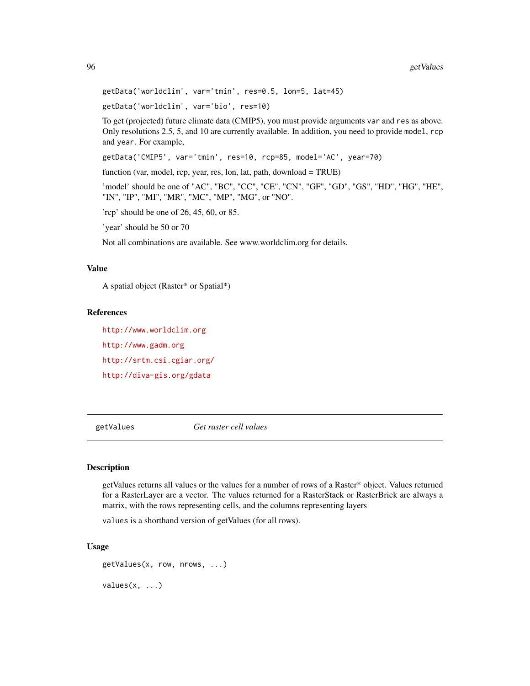getData('worldclim', var='tmin', res=0.5, lon=5, lat=45)

getData('worldclim', var='bio', res=10)

To get (projected) future climate data (CMIP5), you must provide arguments var and res as above. Only resolutions 2.5, 5, and 10 are currently available. In addition, you need to provide model, rcp and year. For example,

getData('CMIP5', var='tmin', res=10, rcp=85, model='AC', year=70)

function (var, model, rcp, year, res, lon, lat, path, download = TRUE)

'model' should be one of "AC", "BC", "CC", "CE", "CN", "GF", "GD", "GS", "HD", "HG", "HE", "IN", "IP", "MI", "MR", "MC", "MP", "MG", or "NO".

'rcp' should be one of 26, 45, 60, or 85.

'year' should be 50 or 70

Not all combinations are available. See www.worldclim.org for details.

#### Value

A spatial object (Raster\* or Spatial\*)

#### References

<http://www.worldclim.org> <http://www.gadm.org> <http://srtm.csi.cgiar.org/> <http://diva-gis.org/gdata>

<span id="page-95-0"></span>getValues *Get raster cell values*

#### Description

getValues returns all values or the values for a number of rows of a Raster\* object. Values returned for a RasterLayer are a vector. The values returned for a RasterStack or RasterBrick are always a matrix, with the rows representing cells, and the columns representing layers

values is a shorthand version of getValues (for all rows).

```
getValues(x, row, nrows, ...)
values(x, \ldots)
```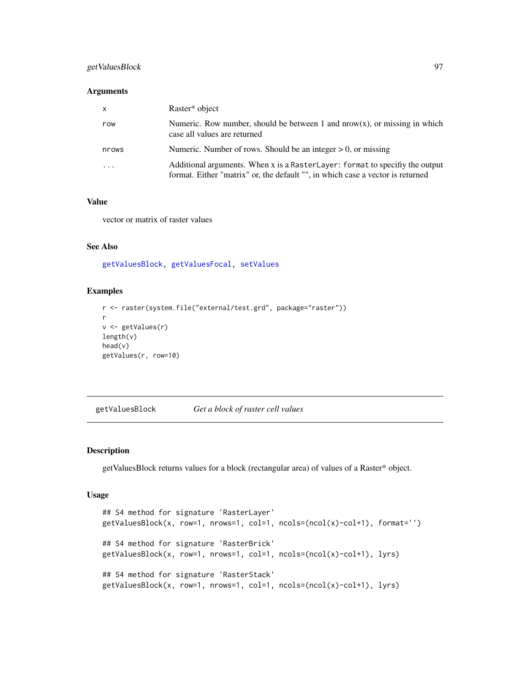# getValuesBlock 97

## Arguments

| $\mathsf{x}$            | Raster <sup>*</sup> object                                                                                                                                    |
|-------------------------|---------------------------------------------------------------------------------------------------------------------------------------------------------------|
| row                     | Numeric. Row number, should be between 1 and $nrow(x)$ , or missing in which<br>case all values are returned                                                  |
| nrows                   | Numeric. Number of rows. Should be an integer $> 0$ , or missing                                                                                              |
| $\cdot$ $\cdot$ $\cdot$ | Additional arguments. When x is a RasterLayer: format to specify the output<br>format. Either "matrix" or, the default "", in which case a vector is returned |

## Value

vector or matrix of raster values

### See Also

[getValuesBlock,](#page-96-0) [getValuesFocal,](#page-97-0) [setValues](#page-186-0)

# Examples

```
r <- raster(system.file("external/test.grd", package="raster"))
r
v <- getValues(r)
length(v)
head(v)
getValues(r, row=10)
```
<span id="page-96-0"></span>getValuesBlock *Get a block of raster cell values*

## Description

getValuesBlock returns values for a block (rectangular area) of values of a Raster\* object.

```
## S4 method for signature 'RasterLayer'
getValuesBlock(x, row=1, rows=1, col=1, ncols=(ncol(x)-col+1), format='')## S4 method for signature 'RasterBrick'
getValuesBlock(x, row=1, nrows=1, col=1, ncols=(ncol(x)-col+1), lyrs)
## S4 method for signature 'RasterStack'
getValuesBlock(x, row=1, nrows=1, col=1, ncols=(ncol(x)-col+1), lyrs)
```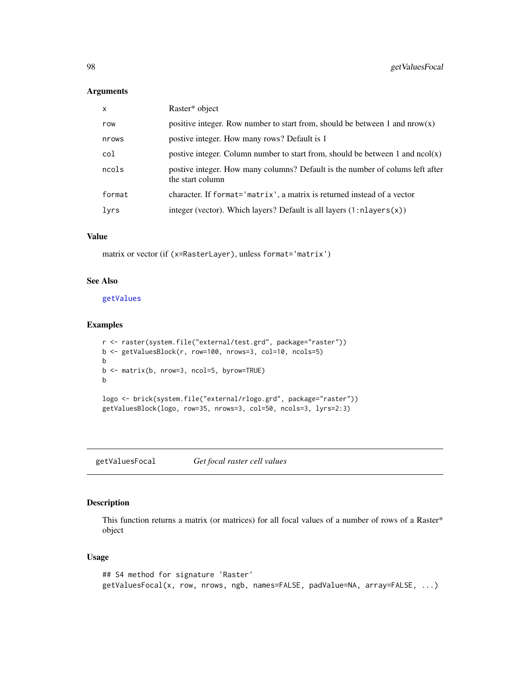#### Arguments

| $\mathsf{x}$ | Raster* object                                                                                    |
|--------------|---------------------------------------------------------------------------------------------------|
| row          | positive integer. Row number to start from, should be between 1 and $now(x)$                      |
| nrows        | postive integer. How many rows? Default is 1                                                      |
| col          | postive integer. Column number to start from, should be between 1 and $ncol(x)$                   |
| ncols        | postive integer. How many columns? Default is the number of colums left after<br>the start column |
| format       | character. If format='matrix', a matrix is returned instead of a vector                           |
| lyrs         | integer (vector). Which layers? Default is all layers $(1:nlayers(x))$                            |

## Value

matrix or vector (if (x=RasterLayer), unless format='matrix')

# See Also

## [getValues](#page-95-0)

## Examples

```
r <- raster(system.file("external/test.grd", package="raster"))
b <- getValuesBlock(r, row=100, nrows=3, col=10, ncols=5)
b
b <- matrix(b, nrow=3, ncol=5, byrow=TRUE)
b
logo <- brick(system.file("external/rlogo.grd", package="raster"))
getValuesBlock(logo, row=35, nrows=3, col=50, ncols=3, lyrs=2:3)
```
<span id="page-97-0"></span>getValuesFocal *Get focal raster cell values*

#### Description

This function returns a matrix (or matrices) for all focal values of a number of rows of a Raster\* object

```
## S4 method for signature 'Raster'
getValuesFocal(x, row, nrows, ngb, names=FALSE, padValue=NA, array=FALSE, ...)
```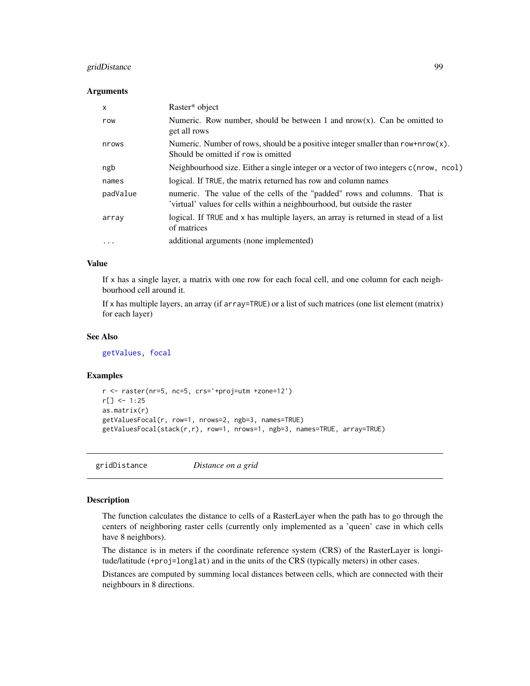# gridDistance 99

#### Arguments

| x         | Raster* object                                                                                                                                         |
|-----------|--------------------------------------------------------------------------------------------------------------------------------------------------------|
| row       | Numeric. Row number, should be between 1 and $nrow(x)$ . Can be omitted to<br>get all rows                                                             |
| nrows     | Numeric. Number of rows, should be a positive integer smaller than row+nrow(x).<br>Should be omitted if row is omitted                                 |
| ngb       | Neighbourhood size. Either a single integer or a vector of two integers c(nrow, ncol)                                                                  |
| names     | logical. If TRUE, the matrix returned has row and column names                                                                                         |
| padValue  | numeric. The value of the cells of the "padded" rows and columns. That is<br>'virtual' values for cells within a neighbourhood, but outside the raster |
| array     | logical. If TRUE and x has multiple layers, an array is returned in stead of a list<br>of matrices                                                     |
| $\ddotsc$ | additional arguments (none implemented)                                                                                                                |

## Value

If x has a single layer, a matrix with one row for each focal cell, and one column for each neighbourhood cell around it.

If x has multiple layers, an array (if array=TRUE) or a list of such matrices (one list element (matrix) for each layer)

## See Also

[getValues,](#page-95-0) [focal](#page-88-0)

#### Examples

```
r <- raster(nr=5, nc=5, crs='+proj=utm +zone=12')
r[] <- 1:25
as.matrix(r)
getValuesFocal(r, row=1, nrows=2, ngb=3, names=TRUE)
getValuesFocal(stack(r,r), row=1, nrows=1, ngb=3, names=TRUE, array=TRUE)
```
gridDistance *Distance on a grid*

# Description

The function calculates the distance to cells of a RasterLayer when the path has to go through the centers of neighboring raster cells (currently only implemented as a 'queen' case in which cells have 8 neighbors).

The distance is in meters if the coordinate reference system (CRS) of the RasterLayer is longitude/latitude (+proj=longlat) and in the units of the CRS (typically meters) in other cases.

Distances are computed by summing local distances between cells, which are connected with their neighbours in 8 directions.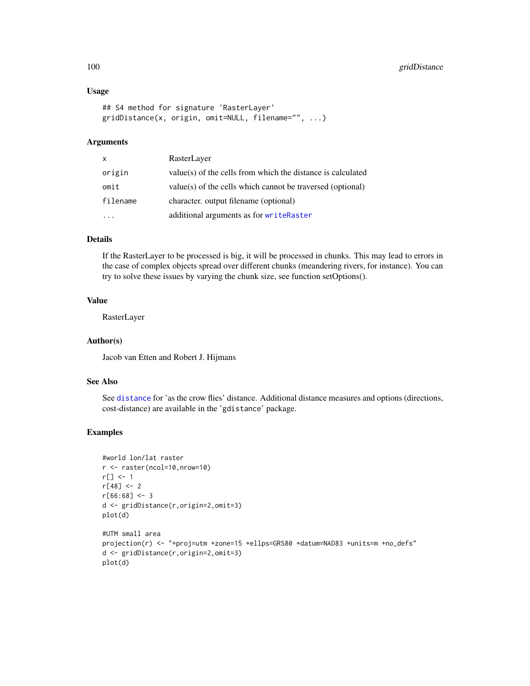#### Usage

```
## S4 method for signature 'RasterLayer'
gridDistance(x, origin, omit=NULL, filename="", ...)
```
# Arguments

| RasterLayer                                                  |
|--------------------------------------------------------------|
| value(s) of the cells from which the distance is calculated  |
| $value(s)$ of the cells which cannot be traversed (optional) |
| character, output filename (optional)                        |
| additional arguments as for writeRaster                      |
|                                                              |

#### Details

If the RasterLayer to be processed is big, it will be processed in chunks. This may lead to errors in the case of complex objects spread over different chunks (meandering rivers, for instance). You can try to solve these issues by varying the chunk size, see function setOptions().

# Value

RasterLayer

## Author(s)

Jacob van Etten and Robert J. Hijmans

## See Also

See [distance](#page-67-0) for 'as the crow flies' distance. Additional distance measures and options (directions, cost-distance) are available in the 'gdistance' package.

```
#world lon/lat raster
r <- raster(ncol=10,nrow=10)
r[] <- 1
r[48] < - 2r[66:68] < -3d <- gridDistance(r,origin=2,omit=3)
plot(d)
#UTM small area
projection(r) <- "+proj=utm +zone=15 +ellps=GRS80 +datum=NAD83 +units=m +no_defs"
d <- gridDistance(r,origin=2,omit=3)
plot(d)
```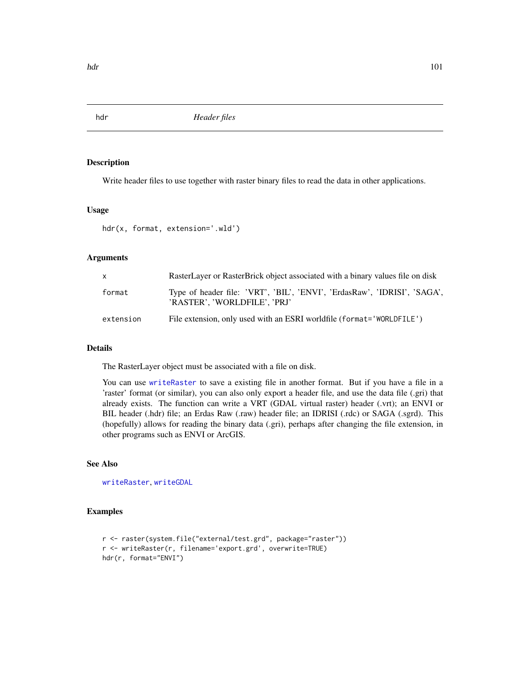Write header files to use together with raster binary files to read the data in other applications.

# Usage

hdr(x, format, extension='.wld')

## Arguments

| X         | RasterLayer or RasterBrick object associated with a binary values file on disk                           |
|-----------|----------------------------------------------------------------------------------------------------------|
| format    | Type of header file: 'VRT', 'BIL', 'ENVI', 'ErdasRaw', 'IDRISI', 'SAGA',<br>'RASTER'. 'WORLDFILE'. 'PRJ' |
| extension | File extension, only used with an ESRI worldfile (format='WORLDFILE')                                    |

# Details

The RasterLayer object must be associated with a file on disk.

You can use [writeRaster](#page-215-0) to save a existing file in another format. But if you have a file in a 'raster' format (or similar), you can also only export a header file, and use the data file (.gri) that already exists. The function can write a VRT (GDAL virtual raster) header (.vrt); an ENVI or BIL header (.hdr) file; an Erdas Raw (.raw) header file; an IDRISI (.rdc) or SAGA (.sgrd). This (hopefully) allows for reading the binary data (.gri), perhaps after changing the file extension, in other programs such as ENVI or ArcGIS.

# See Also

[writeRaster](#page-215-0), [writeGDAL](#page-0-0)

```
r <- raster(system.file("external/test.grd", package="raster"))
r <- writeRaster(r, filename='export.grd', overwrite=TRUE)
hdr(r, format="ENVI")
```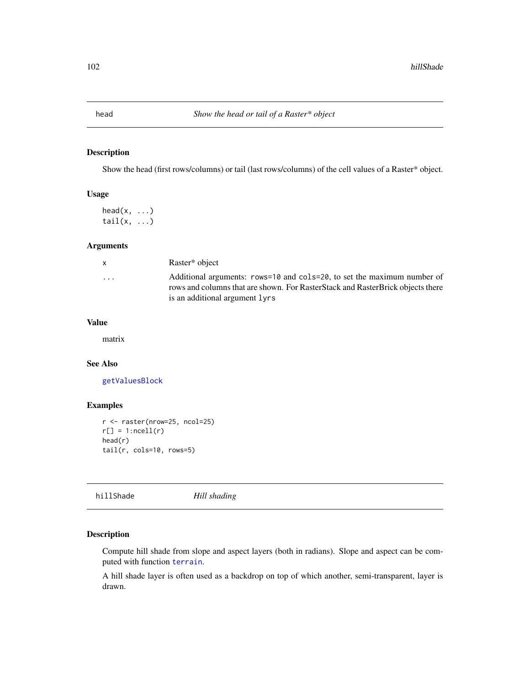Show the head (first rows/columns) or tail (last rows/columns) of the cell values of a Raster\* object.

#### Usage

 $head(x, \ldots)$ tail $(x, \ldots)$ 

## Arguments

| x                       | Raster* object                                                                                                                                                                                   |
|-------------------------|--------------------------------------------------------------------------------------------------------------------------------------------------------------------------------------------------|
| $\cdot$ $\cdot$ $\cdot$ | Additional arguments: $rows=10$ and $cols=20$ , to set the maximum number of<br>rows and columns that are shown. For RasterStack and RasterBrick objects there<br>is an additional argument lyrs |
|                         |                                                                                                                                                                                                  |

#### Value

matrix

## See Also

[getValuesBlock](#page-96-0)

## Examples

```
r <- raster(nrow=25, ncol=25)
r[] = 1:ncell(r)head(r)
tail(r, \text{cols}=10, \text{rows}=5)
```
hillShade *Hill shading*

## Description

Compute hill shade from slope and aspect layers (both in radians). Slope and aspect can be computed with function [terrain](#page-202-0).

A hill shade layer is often used as a backdrop on top of which another, semi-transparent, layer is drawn.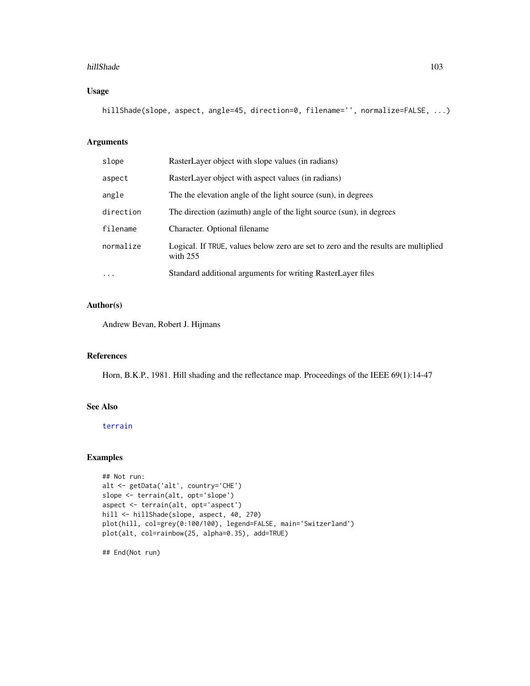#### hillShade 103

# Usage

hillShade(slope, aspect, angle=45, direction=0, filename='', normalize=FALSE, ...)

# Arguments

| slope     | RasterLayer object with slope values (in radians)                                                |
|-----------|--------------------------------------------------------------------------------------------------|
| aspect    | RasterLayer object with aspect values (in radians)                                               |
| angle     | The the elevation angle of the light source (sun), in degrees                                    |
| direction | The direction (azimuth) angle of the light source (sun), in degrees                              |
| filename  | Character. Optional filename                                                                     |
| normalize | Logical. If TRUE, values below zero are set to zero and the results are multiplied<br>with $255$ |
| $\cdot$   | Standard additional arguments for writing RasterLayer files                                      |

# Author(s)

Andrew Bevan, Robert J. Hijmans

## References

Horn, B.K.P., 1981. Hill shading and the reflectance map. Proceedings of the IEEE 69(1):14-47

## See Also

## [terrain](#page-202-0)

## Examples

```
## Not run:
alt <- getData('alt', country='CHE')
slope <- terrain(alt, opt='slope')
aspect <- terrain(alt, opt='aspect')
hill <- hillShade(slope, aspect, 40, 270)
plot(hill, col=grey(0:100/100), legend=FALSE, main='Switzerland')
plot(alt, col=rainbow(25, alpha=0.35), add=TRUE)
```
## End(Not run)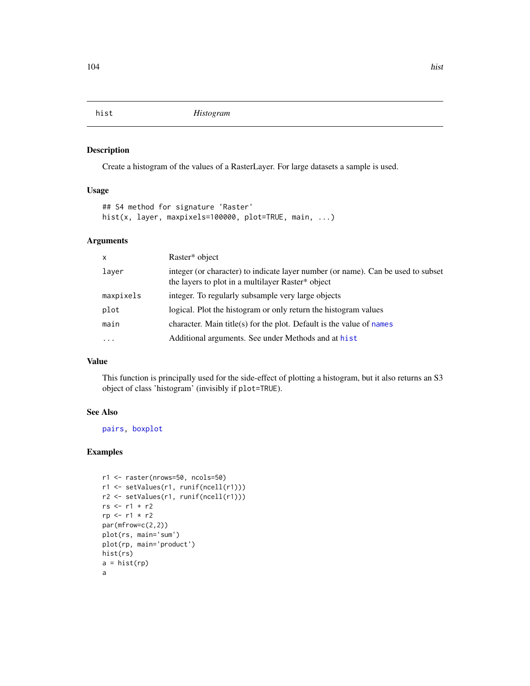<span id="page-103-0"></span>

Create a histogram of the values of a RasterLayer. For large datasets a sample is used.

# Usage

```
## S4 method for signature 'Raster'
hist(x, layer, maxpixels=100000, plot=TRUE, main, ...)
```
# Arguments

| $\mathsf{x}$ | Raster* object                                                                                                                        |
|--------------|---------------------------------------------------------------------------------------------------------------------------------------|
| laver        | integer (or character) to indicate layer number (or name). Can be used to subset<br>the layers to plot in a multilayer Raster* object |
| maxpixels    | integer. To regularly subsample very large objects                                                                                    |
| plot         | logical. Plot the histogram or only return the histogram values                                                                       |
| main         | character. Main title(s) for the plot. Default is the value of names                                                                  |
| $\ddotsc$    | Additional arguments. See under Methods and at hist                                                                                   |
|              |                                                                                                                                       |

# Value

This function is principally used for the side-effect of plotting a histogram, but it also returns an S3 object of class 'histogram' (invisibly if plot=TRUE).

# See Also

[pairs,](#page-134-0) [boxplot](#page-33-0)

```
r1 <- raster(nrows=50, ncols=50)
r1 <- setValues(r1, runif(ncell(r1)))
r2 <- setValues(r1, runif(ncell(r1)))
rs <- r1 + r2
rp <- r1 * r2
par(mfrow=c(2,2))
plot(rs, main='sum')
plot(rp, main='product')
hist(rs)
a = hist(rp)a
```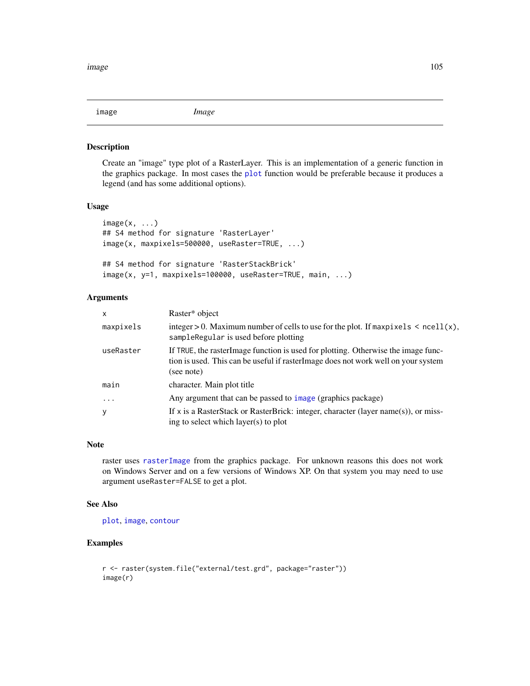<span id="page-104-0"></span>

Create an "image" type plot of a RasterLayer. This is an implementation of a generic function in the graphics package. In most cases the [plot](#page-136-0) function would be preferable because it produces a legend (and has some additional options).

## Usage

```
image(x, \ldots)## S4 method for signature 'RasterLayer'
image(x, maxpixels=500000, useRaster=TRUE, ...)
## S4 method for signature 'RasterStackBrick'
image(x, y=1, maxpixels=100000, useRaster=TRUE, main, ...)
```
## Arguments

| $\mathsf{x}$ | Raster* object                                                                                                                                                                        |
|--------------|---------------------------------------------------------------------------------------------------------------------------------------------------------------------------------------|
| maxpixels    | integer > 0. Maximum number of cells to use for the plot. If $maxpixels < \text{ne}$ $l(x)$ ,<br>sampleRegular is used before plotting                                                |
| useRaster    | If TRUE, the rasterImage function is used for plotting. Otherwise the image func-<br>tion is used. This can be useful if raster Image does not work well on your system<br>(see note) |
| main         | character. Main plot title                                                                                                                                                            |
| $\cdot$      | Any argument that can be passed to image (graphics package)                                                                                                                           |
| y            | If x is a RasterStack or RasterBrick: integer, character (layer name(s)), or miss-<br>ing to select which layer(s) to plot                                                            |

# Note

raster uses [rasterImage](#page-0-0) from the graphics package. For unknown reasons this does not work on Windows Server and on a few versions of Windows XP. On that system you may need to use argument useRaster=FALSE to get a plot.

## See Also

[plot](#page-136-0), [image](#page-104-0), [contour](#page-54-0)

```
r <- raster(system.file("external/test.grd", package="raster"))
image(r)
```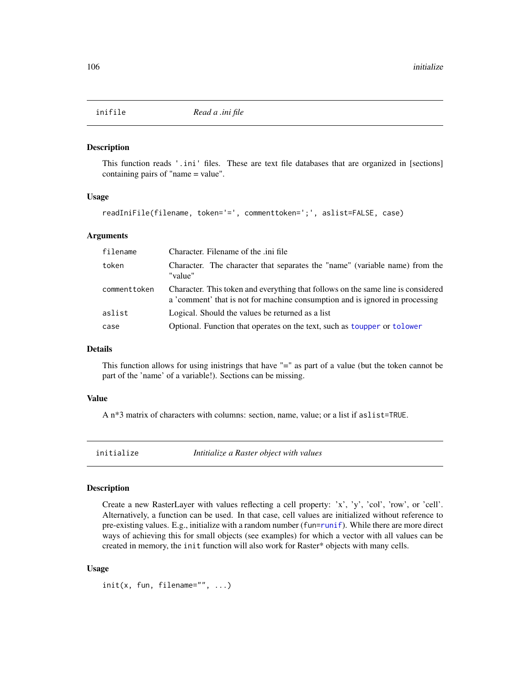This function reads '.ini' files. These are text file databases that are organized in [sections] containing pairs of "name = value".

#### Usage

```
readIniFile(filename, token='=', commenttoken=';', aslist=FALSE, case)
```
## Arguments

| filename     | Character. Filename of the .ini file                                                                                                                             |
|--------------|------------------------------------------------------------------------------------------------------------------------------------------------------------------|
| token        | Character. The character that separates the "name" (variable name) from the<br>"value"                                                                           |
| commenttoken | Character. This token and everything that follows on the same line is considered<br>a 'comment' that is not for machine consumption and is ignored in processing |
| aslist       | Logical. Should the values be returned as a list                                                                                                                 |
| case         | Optional. Function that operates on the text, such as toupper or tolower                                                                                         |

#### Details

This function allows for using inistrings that have "=" as part of a value (but the token cannot be part of the 'name' of a variable!). Sections can be missing.

#### Value

A n\*3 matrix of characters with columns: section, name, value; or a list if aslist=TRUE.

initialize *Intitialize a Raster object with values*

#### Description

Create a new RasterLayer with values reflecting a cell property: 'x', 'y', 'col', 'row', or 'cell'. Alternatively, a function can be used. In that case, cell values are initialized without reference to pre-existing values. E.g., initialize with a random number ( $fun=runif$  $fun=runif$ ). While there are more direct ways of achieving this for small objects (see examples) for which a vector with all values can be created in memory, the init function will also work for Raster\* objects with many cells.

#### Usage

 $init(x, fun, filename="", ...)$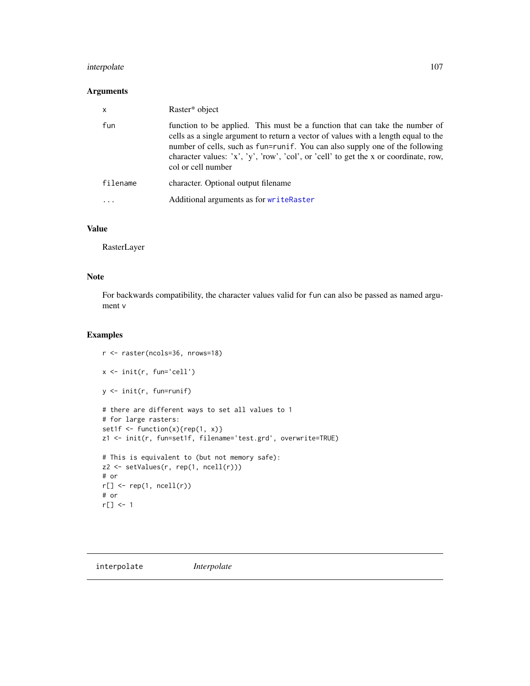# interpolate 107

# Arguments

| $\mathsf{x}$ | Raster* object                                                                                                                                                                                                                                                                                                                                                  |
|--------------|-----------------------------------------------------------------------------------------------------------------------------------------------------------------------------------------------------------------------------------------------------------------------------------------------------------------------------------------------------------------|
| fun          | function to be applied. This must be a function that can take the number of<br>cells as a single argument to return a vector of values with a length equal to the<br>number of cells, such as fun=runif. You can also supply one of the following<br>character values: 'x', 'y', 'row', 'col', or 'cell' to get the x or coordinate, row,<br>col or cell number |
| filename     | character. Optional output filename                                                                                                                                                                                                                                                                                                                             |
| .            | Additional arguments as for writeRaster                                                                                                                                                                                                                                                                                                                         |

# Value

RasterLayer

# Note

For backwards compatibility, the character values valid for fun can also be passed as named argument v

# Examples

```
r <- raster(ncols=36, nrows=18)
x <- init(r, fun='cell')
y <- init(r, fun=runif)
# there are different ways to set all values to 1
# for large rasters:
set1f \leftarrow function(x){rep(1, x)}
z1 <- init(r, fun=set1f, filename='test.grd', overwrite=TRUE)
# This is equivalent to (but not memory safe):
z2 <- setValues(r, rep(1, ncell(r)))
# or
r[] \leftarrow rep(1, \, ncell(r))# or
r[] <- 1
```
interpolate *Interpolate*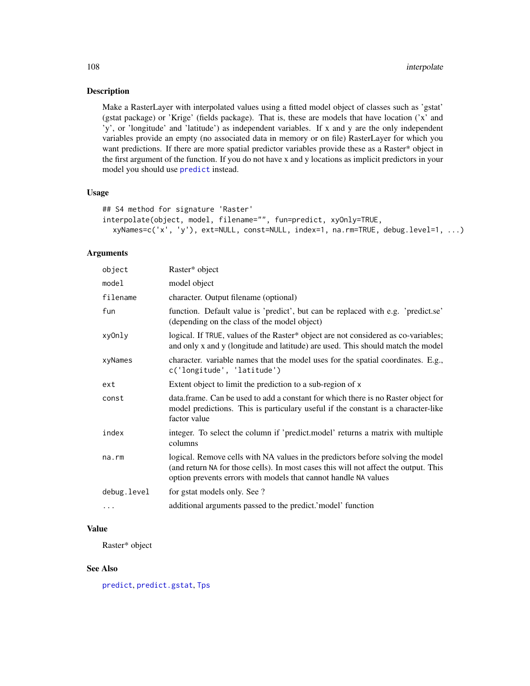Make a RasterLayer with interpolated values using a fitted model object of classes such as 'gstat' (gstat package) or 'Krige' (fields package). That is, these are models that have location ('x' and 'y', or 'longitude' and 'latitude') as independent variables. If x and y are the only independent variables provide an empty (no associated data in memory or on file) RasterLayer for which you want predictions. If there are more spatial predictor variables provide these as a Raster\* object in the first argument of the function. If you do not have x and y locations as implicit predictors in your model you should use [predict](#page-142-0) instead.

#### Usage

```
## S4 method for signature 'Raster'
interpolate(object, model, filename="", fun=predict, xyOnly=TRUE,
  xyNames=c('x', 'y'), ext=NULL, const=NULL, index=1, na.rm=TRUE, debug.level=1, ...)
```
# Arguments

| object      | Raster* object                                                                                                                                                                                                                             |
|-------------|--------------------------------------------------------------------------------------------------------------------------------------------------------------------------------------------------------------------------------------------|
| model       | model object                                                                                                                                                                                                                               |
| filename    | character. Output filename (optional)                                                                                                                                                                                                      |
| fun         | function. Default value is 'predict', but can be replaced with e.g. 'predict.se'<br>(depending on the class of the model object)                                                                                                           |
| xyOnly      | logical. If TRUE, values of the Raster* object are not considered as co-variables;<br>and only x and y (longitude and latitude) are used. This should match the model                                                                      |
| xyNames     | character. variable names that the model uses for the spatial coordinates. E.g.,<br>c('longitude', 'latitude')                                                                                                                             |
| ext         | Extent object to limit the prediction to a sub-region of x                                                                                                                                                                                 |
| const       | data.frame. Can be used to add a constant for which there is no Raster object for<br>model predictions. This is particulary useful if the constant is a character-like<br>factor value                                                     |
| index       | integer. To select the column if 'predict.model' returns a matrix with multiple<br>columns                                                                                                                                                 |
| na.rm       | logical. Remove cells with NA values in the predictors before solving the model<br>(and return NA for those cells). In most cases this will not affect the output. This<br>option prevents errors with models that cannot handle NA values |
| debug.level | for gstat models only. See ?                                                                                                                                                                                                               |
| .           | additional arguments passed to the predict.' model' function                                                                                                                                                                               |
|             |                                                                                                                                                                                                                                            |

# Value

Raster\* object

#### See Also

[predict](#page-142-0), [predict.gstat](#page-0-0), [Tps](#page-0-0)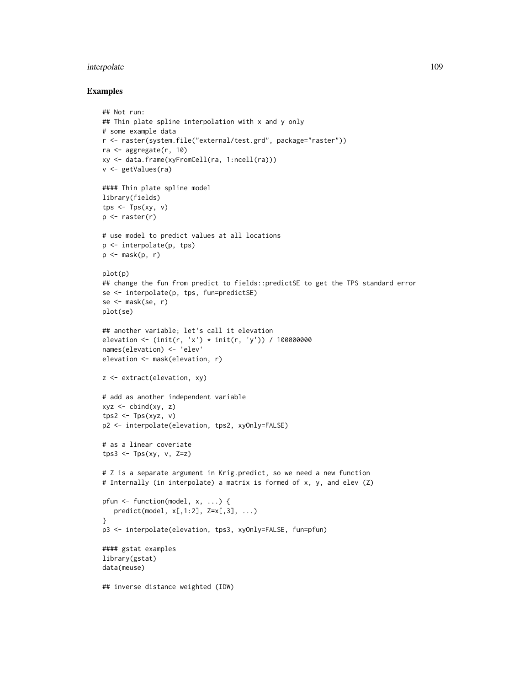#### interpolate the contract of the contract of the contract of the contract of the contract of the contract of the contract of the contract of the contract of the contract of the contract of the contract of the contract of th

#### Examples

```
## Not run:
## Thin plate spline interpolation with x and y only
# some example data
r <- raster(system.file("external/test.grd", package="raster"))
ra <- aggregate(r, 10)
xy <- data.frame(xyFromCell(ra, 1:ncell(ra)))
v <- getValues(ra)
#### Thin plate spline model
library(fields)
tps \leftarrow Tps(xy, v)
p \leftarrow raster(r)
# use model to predict values at all locations
p <- interpolate(p, tps)
p \leftarrow mask(p, r)plot(p)
## change the fun from predict to fields::predictSE to get the TPS standard error
se <- interpolate(p, tps, fun=predictSE)
se <- mask(se, r)
plot(se)
## another variable; let's call it elevation
elevation <- (init(r, 'x') * init(r, 'y')) / 100000000
names(elevation) <- 'elev'
elevation <- mask(elevation, r)
z <- extract(elevation, xy)
# add as another independent variable
xyz \leftarrow \text{cbind}(xy, z)tps2 \leftarrow Tps(xyz, v)
p2 <- interpolate(elevation, tps2, xyOnly=FALSE)
# as a linear coveriate
tps3 \leq Tps(xy, v, Z=z)# Z is a separate argument in Krig.predict, so we need a new function
# Internally (in interpolate) a matrix is formed of x, y, and elev (Z)
pfun <- function(model, x, ...) {
  predict(model, x[,1:2], Z=x[,3], ...)
}
p3 <- interpolate(elevation, tps3, xyOnly=FALSE, fun=pfun)
#### gstat examples
library(gstat)
data(meuse)
## inverse distance weighted (IDW)
```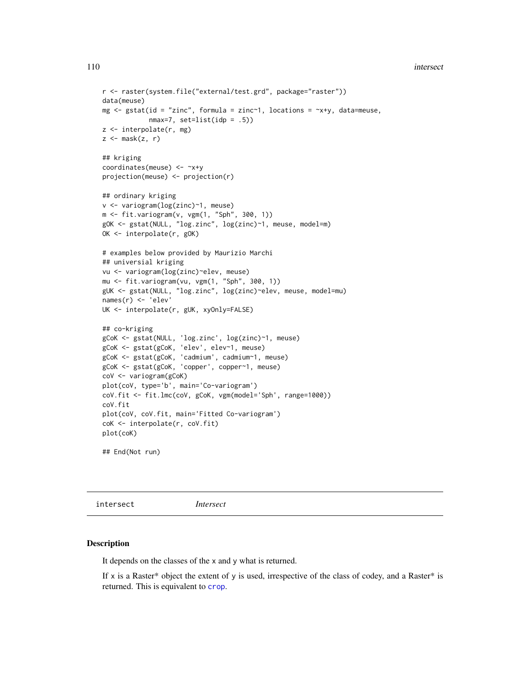```
r <- raster(system.file("external/test.grd", package="raster"))
data(meuse)
mg \le gstat(id = "zinc", formula = zinc\le1, locations = \lex+y, data=meuse,
            nmax=7, set=list(idp = .5)z <- interpolate(r, mg)
z \le mask(z, r)
## kriging
coordinates(meuse) <- ~x+y
projection(meuse) <- projection(r)
## ordinary kriging
v <- variogram(log(zinc)~1, meuse)
m <- fit.variogram(v, vgm(1, "Sph", 300, 1))
gOK <- gstat(NULL, "log.zinc", log(zinc)~1, meuse, model=m)
OK <- interpolate(r, gOK)
# examples below provided by Maurizio Marchi
## universial kriging
vu <- variogram(log(zinc)~elev, meuse)
mu <- fit.variogram(vu, vgm(1, "Sph", 300, 1))
gUK <- gstat(NULL, "log.zinc", log(zinc)~elev, meuse, model=mu)
names(r) <- 'elev'
UK <- interpolate(r, gUK, xyOnly=FALSE)
## co-kriging
gCoK <- gstat(NULL, 'log.zinc', log(zinc)~1, meuse)
gCoK <- gstat(gCoK, 'elev', elev~1, meuse)
gCoK <- gstat(gCoK, 'cadmium', cadmium~1, meuse)
gCoK <- gstat(gCoK, 'copper', copper~1, meuse)
coV <- variogram(gCoK)
plot(coV, type='b', main='Co-variogram')
coV.fit <- fit.lmc(coV, gCoK, vgm(model='Sph', range=1000))
coV.fit
plot(coV, coV.fit, main='Fitted Co-variogram')
coK <- interpolate(r, coV.fit)
plot(coK)
## End(Not run)
```
intersect *Intersect*

## Description

It depends on the classes of the x and y what is returned.

If x is a Raster\* object the extent of y is used, irrespective of the class of codey, and a Raster\* is returned. This is equivalent to [crop](#page-57-0).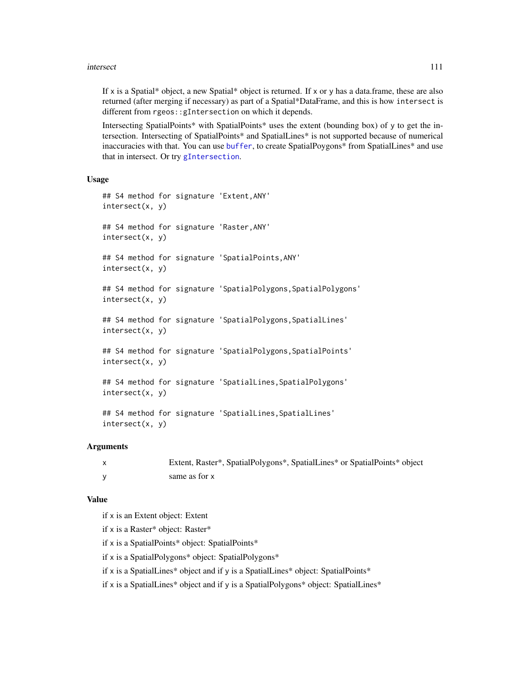#### intersect 111

If x is a Spatial\* object, a new Spatial\* object is returned. If x or y has a data.frame, these are also returned (after merging if necessary) as part of a Spatial\*DataFrame, and this is how intersect is different from rgeos::gIntersection on which it depends.

Intersecting SpatialPoints\* with SpatialPoints\* uses the extent (bounding box) of y to get the intersection. Intersecting of SpatialPoints\* and SpatialLines\* is not supported because of numerical inaccuracies with that. You can use [buffer](#page-36-0), to create SpatialPoygons\* from SpatialLines\* and use that in intersect. Or try [gIntersection](#page-0-0).

#### Usage

```
## S4 method for signature 'Extent,ANY'
intersect(x, y)
## S4 method for signature 'Raster,ANY'
intersect(x, y)
## S4 method for signature 'SpatialPoints,ANY'
intersect(x, y)
## S4 method for signature 'SpatialPolygons, SpatialPolygons'
intersect(x, y)
## S4 method for signature 'SpatialPolygons,SpatialLines'
intersect(x, y)
## S4 method for signature 'SpatialPolygons,SpatialPoints'
intersect(x, y)
## S4 method for signature 'SpatialLines, SpatialPolygons'
intersect(x, y)
## S4 method for signature 'SpatialLines, SpatialLines'
intersect(x, y)
```
#### Arguments

| Extent, Raster*, SpatialPolygons*, SpatialLines* or SpatialPoints* object |
|---------------------------------------------------------------------------|
| same as for x                                                             |

### Value

if x is an Extent object: Extent

if x is a Raster\* object: Raster\*

if x is a SpatialPoints\* object: SpatialPoints\*

if x is a SpatialPolygons\* object: SpatialPolygons\*

if x is a SpatialLines\* object and if y is a SpatialLines\* object: SpatialPoints\*

if x is a SpatialLines\* object and if y is a SpatialPolygons\* object: SpatialLines\*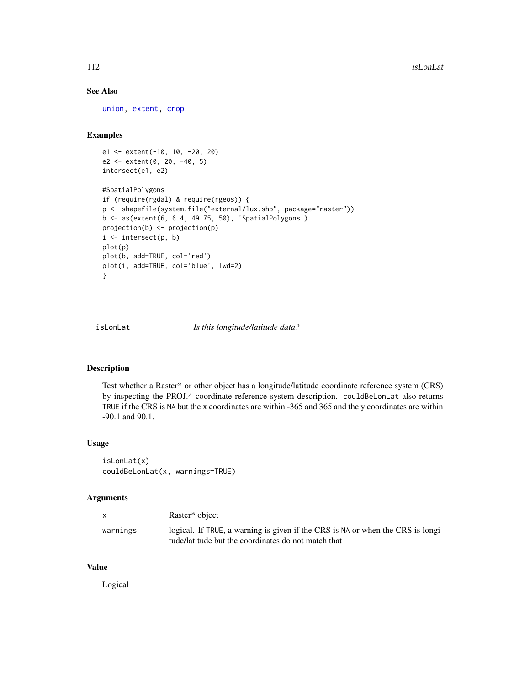# See Also

[union,](#page-207-0) [extent,](#page-73-0) [crop](#page-57-0)

## Examples

```
e1 <- extent(-10, 10, -20, 20)
e2 <- extent(0, 20, -40, 5)
intersect(e1, e2)
#SpatialPolygons
if (require(rgdal) & require(rgeos)) {
p <- shapefile(system.file("external/lux.shp", package="raster"))
b <- as(extent(6, 6.4, 49.75, 50), 'SpatialPolygons')
projection(b) <- projection(p)
i \le intersect(p, b)
plot(p)
plot(b, add=TRUE, col='red')
plot(i, add=TRUE, col='blue', lwd=2)
}
```
isLonLat *Is this longitude/latitude data?*

#### Description

Test whether a Raster\* or other object has a longitude/latitude coordinate reference system (CRS) by inspecting the PROJ.4 coordinate reference system description. couldBeLonLat also returns TRUE if the CRS is NA but the x coordinates are within -365 and 365 and the y coordinates are within -90.1 and 90.1.

# Usage

isLonLat(x) couldBeLonLat(x, warnings=TRUE)

#### Arguments

|          | Raster <sup>*</sup> object                                                                                                             |
|----------|----------------------------------------------------------------------------------------------------------------------------------------|
| warnings | logical. If TRUE, a warning is given if the CRS is NA or when the CRS is longi-<br>tude/latitude but the coordinates do not match that |

# Value

Logical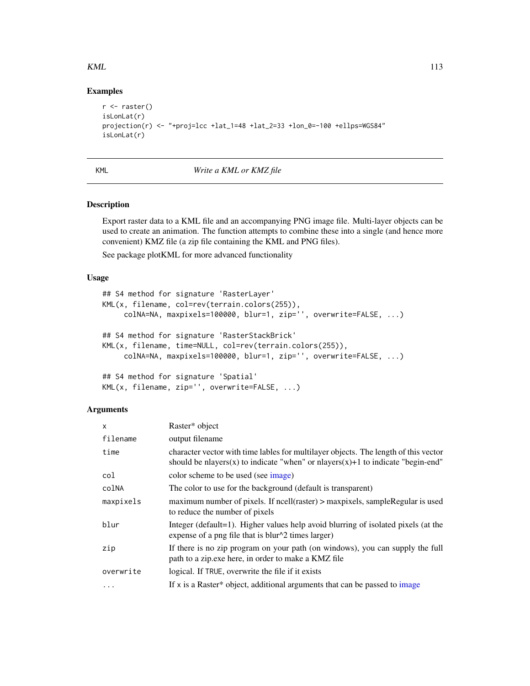$KML$  113

## Examples

```
r \leftarrow raster()
isLonLat(r)
projection(r) <- "+proj=lcc +lat_1=48 +lat_2=33 +lon_0=-100 +ellps=WGS84"
isLonLat(r)
```
# KML *Write a KML or KMZ file*

# Description

Export raster data to a KML file and an accompanying PNG image file. Multi-layer objects can be used to create an animation. The function attempts to combine these into a single (and hence more convenient) KMZ file (a zip file containing the KML and PNG files).

See package plotKML for more advanced functionality

#### Usage

```
## S4 method for signature 'RasterLayer'
KML(x, filename, col=rev(terrain.colors(255)),
     colNA=NA, maxpixels=100000, blur=1, zip='', overwrite=FALSE, ...)
## S4 method for signature 'RasterStackBrick'
KML(x, filename, time=NULL, col=rev(terrain.colors(255)),
     colNA=NA, maxpixels=100000, blur=1, zip='', overwrite=FALSE, ...)
```

```
## S4 method for signature 'Spatial'
KML(x, filename, zip='', overwrite=FALSE, ...)
```

| $\boldsymbol{\mathsf{x}}$ | Raster* object                                                                                                                                                         |
|---------------------------|------------------------------------------------------------------------------------------------------------------------------------------------------------------------|
| filename                  | output filename                                                                                                                                                        |
| time                      | character vector with time lables for multilayer objects. The length of this vector<br>should be nlayers(x) to indicate "when" or nlayers(x)+1 to indicate "begin-end" |
| col                       | color scheme to be used (see image)                                                                                                                                    |
| colNA                     | The color to use for the background (default is transparent)                                                                                                           |
| maxpixels                 | maximum number of pixels. If ncell(raster) > maxpixels, sampleRegular is used<br>to reduce the number of pixels                                                        |
| blur                      | Integer (default=1). Higher values help avoid blurring of isolated pixels (at the<br>expense of a png file that is blur $\sqrt{2}$ times larger)                       |
| zip                       | If there is no zip program on your path (on windows), you can supply the full<br>path to a zip.exe here, in order to make a KMZ file                                   |
| overwrite                 | logical. If TRUE, overwrite the file if it exists                                                                                                                      |
| $\cdot$                   | If x is a Raster* object, additional arguments that can be passed to image                                                                                             |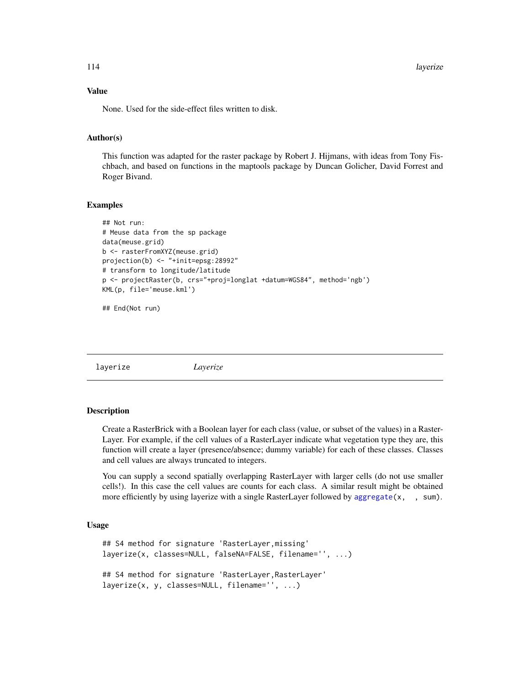114 layerize

## Value

None. Used for the side-effect files written to disk.

# Author(s)

This function was adapted for the raster package by Robert J. Hijmans, with ideas from Tony Fischbach, and based on functions in the maptools package by Duncan Golicher, David Forrest and Roger Bivand.

## Examples

```
## Not run:
# Meuse data from the sp package
data(meuse.grid)
b <- rasterFromXYZ(meuse.grid)
projection(b) <- "+init=epsg:28992"
# transform to longitude/latitude
p <- projectRaster(b, crs="+proj=longlat +datum=WGS84", method='ngb')
KML(p, file='meuse.kml')
```
## End(Not run)

layerize *Layerize*

#### **Description**

Create a RasterBrick with a Boolean layer for each class (value, or subset of the values) in a Raster-Layer. For example, if the cell values of a RasterLayer indicate what vegetation type they are, this function will create a layer (presence/absence; dummy variable) for each of these classes. Classes and cell values are always truncated to integers.

You can supply a second spatially overlapping RasterLayer with larger cells (do not use smaller cells!). In this case the cell values are counts for each class. A similar result might be obtained more efficiently by using layerize with a single RasterLayer followed by [aggregate\(](#page-15-0)x, , sum).

#### Usage

```
## S4 method for signature 'RasterLayer,missing'
layerize(x, classes=NULL, falseNA=FALSE, filename='', ...)
## S4 method for signature 'RasterLayer,RasterLayer'
layerize(x, y, classes=NULL, filename='', ...)
```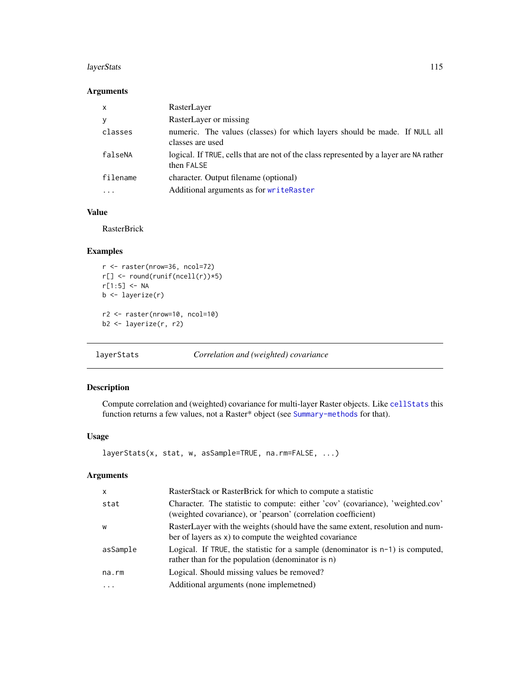#### layerStats 115

## Arguments

| $\mathsf{x}$ | RasterLayer                                                                                          |
|--------------|------------------------------------------------------------------------------------------------------|
| У            | RasterLayer or missing                                                                               |
| classes      | numeric. The values (classes) for which layers should be made. If NULL all<br>classes are used       |
| falseNA      | logical. If TRUE, cells that are not of the class represented by a layer are NA rather<br>then FALSE |
| filename     | character. Output filename (optional)                                                                |
| .            | Additional arguments as for writeRaster                                                              |

## Value

RasterBrick

#### Examples

```
r <- raster(nrow=36, ncol=72)
r[] <- round(runif(ncell(r))*5)
r[1:5] <- NA
b <- layerize(r)
r2 <- raster(nrow=10, ncol=10)
b2 <- layerize(r, r2)
```
layerStats *Correlation and (weighted) covariance*

# Description

Compute correlation and (weighted) covariance for multi-layer Raster objects. Like [cellStats](#page-43-0) this function returns a few values, not a Raster\* object (see [Summary-methods](#page-200-0) for that).

#### Usage

```
layerStats(x, stat, w, asSample=TRUE, na.rm=FALSE, ...)
```

| $\mathsf{x}$ | RasterStack or RasterBrick for which to compute a statistic                                                                                     |
|--------------|-------------------------------------------------------------------------------------------------------------------------------------------------|
| stat         | Character. The statistic to compute: either 'cov' (covariance), 'weighted.cov'<br>(weighted covariance), or 'pearson' (correlation coefficient) |
| W            | RasterLayer with the weights (should have the same extent, resolution and num-<br>ber of layers as x) to compute the weighted covariance        |
| asSample     | Logical. If TRUE, the statistic for a sample (denominator is $n-1$ ) is computed,<br>rather than for the population (denominator is n)          |
| na.rm        | Logical. Should missing values be removed?                                                                                                      |
| .            | Additional arguments (none implemethed)                                                                                                         |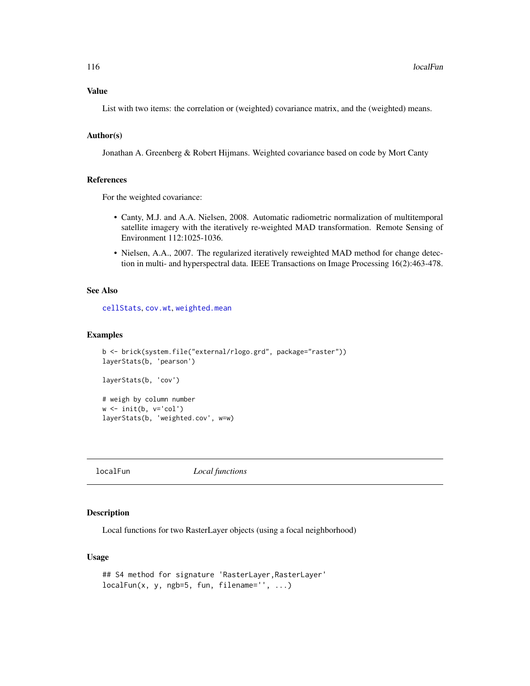#### Value

List with two items: the correlation or (weighted) covariance matrix, and the (weighted) means.

#### Author(s)

Jonathan A. Greenberg & Robert Hijmans. Weighted covariance based on code by Mort Canty

#### References

For the weighted covariance:

- Canty, M.J. and A.A. Nielsen, 2008. Automatic radiometric normalization of multitemporal satellite imagery with the iteratively re-weighted MAD transformation. Remote Sensing of Environment 112:1025-1036.
- Nielsen, A.A., 2007. The regularized iteratively reweighted MAD method for change detection in multi- and hyperspectral data. IEEE Transactions on Image Processing 16(2):463-478.

# See Also

[cellStats](#page-43-0), [cov.wt](#page-0-0), [weighted.mean](#page-212-0)

## Examples

```
b <- brick(system.file("external/rlogo.grd", package="raster"))
layerStats(b, 'pearson')
layerStats(b, 'cov')
# weigh by column number
w <- init(b, v='col')
layerStats(b, 'weighted.cov', w=w)
```
<span id="page-115-0"></span>localFun *Local functions*

## Description

Local functions for two RasterLayer objects (using a focal neighborhood)

## Usage

```
## S4 method for signature 'RasterLayer,RasterLayer'
localFun(x, y, ngb=5, fun, filename='', ...)
```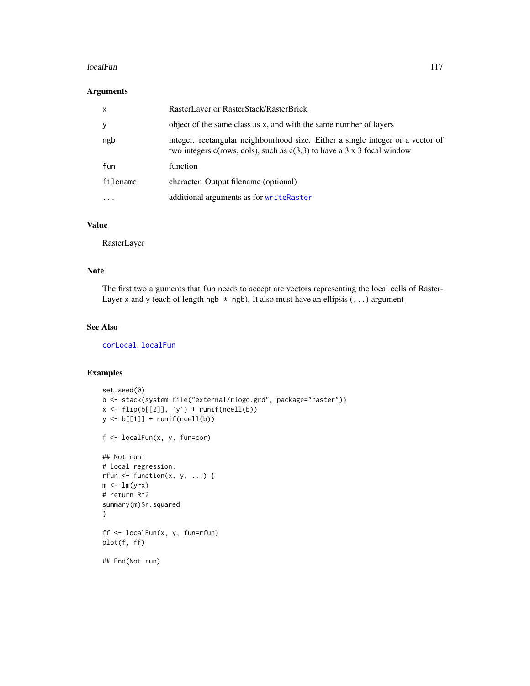#### localFun 117

## Arguments

| $\mathsf{x}$ | RasterLayer or RasterStack/RasterBrick                                                                                                                       |
|--------------|--------------------------------------------------------------------------------------------------------------------------------------------------------------|
| y            | object of the same class as x, and with the same number of layers                                                                                            |
| ngb          | integer, rectangular neighbourhood size. Either a single integer or a vector of<br>two integers c(rows, cols), such as $c(3,3)$ to have a 3 x 3 focal window |
| fun          | function                                                                                                                                                     |
| filename     | character. Output filename (optional)                                                                                                                        |
| $\ddotsc$    | additional arguments as for writeRaster                                                                                                                      |

# Value

RasterLayer

# Note

The first two arguments that fun needs to accept are vectors representing the local cells of Raster-Layer x and y (each of length ngb  $*$  ngb). It also must have an ellipsis  $(\ldots)$  argument

# See Also

[corLocal](#page-55-0), [localFun](#page-115-0)

## Examples

```
set.seed(0)
b <- stack(system.file("external/rlogo.grd", package="raster"))
x \leftarrow flip(b[[2]], 'y') + runif(ncell(b))y \leftarrow b[[1]] + runif(ncell(b))f <- localFun(x, y, fun=cor)
## Not run:
# local regression:
rfun \leq function(x, y, ...) {
m \leftarrow \text{lm}(y \sim x)# return R^2
summary(m)$r.squared
}
ff <- localFun(x, y, fun=rfun)
plot(f, ff)
## End(Not run)
```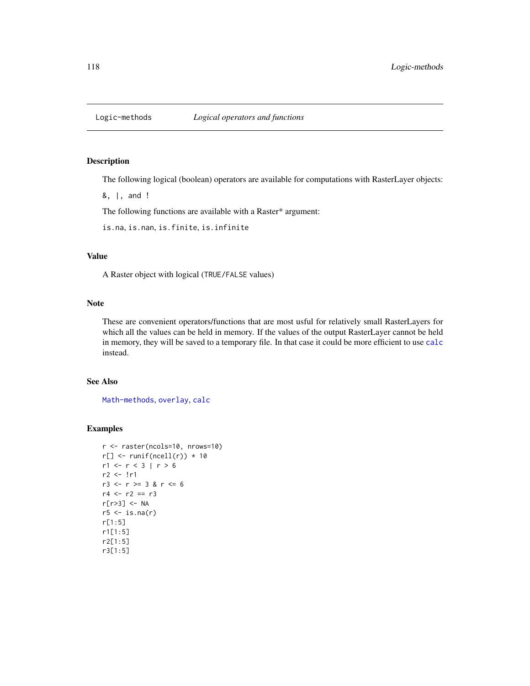# Description

The following logical (boolean) operators are available for computations with RasterLayer objects:

&, |, and !

The following functions are available with a Raster\* argument:

is.na, is.nan, is.finite, is.infinite

## Value

A Raster object with logical (TRUE/FALSE values)

#### Note

These are convenient operators/functions that are most usful for relatively small RasterLayers for which all the values can be held in memory. If the values of the output RasterLayer cannot be held in memory, they will be saved to a temporary file. In that case it could be more efficient to use [calc](#page-37-0) instead.

# See Also

[Math-methods](#page-120-0), [overlay](#page-132-0), [calc](#page-37-0)

## Examples

```
r <- raster(ncols=10, nrows=10)
r[] \leftarrow runif(ncell(r)) * 10r1 < -r < 3 | r > 6r2 <- !r1
r3 \le r \ge 3 & r \le 6r4 < -r2 == r3r[r>3] <- NA
r5 \leftarrow is .na(r)r[1:5]
r1[1:5]
r2[1:5]
r3[1:5]
```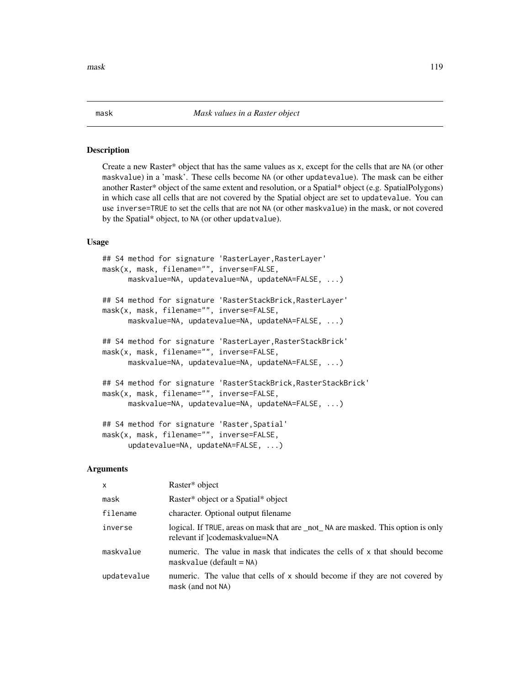#### Description

Create a new Raster\* object that has the same values as x, except for the cells that are NA (or other maskvalue) in a 'mask'. These cells become NA (or other updatevalue). The mask can be either another Raster\* object of the same extent and resolution, or a Spatial\* object (e.g. SpatialPolygons) in which case all cells that are not covered by the Spatial object are set to updatevalue. You can use inverse=TRUE to set the cells that are not NA (or other maskvalue) in the mask, or not covered by the Spatial\* object, to NA (or other updatvalue).

## Usage

```
## S4 method for signature 'RasterLayer, RasterLayer'
mask(x, mask, filename="", inverse=FALSE,
     maskvalue=NA, updatevalue=NA, updateNA=FALSE, ...)
## S4 method for signature 'RasterStackBrick,RasterLayer'
mask(x, mask, filename="", inverse=FALSE,
     maskvalue=NA, updatevalue=NA, updateNA=FALSE, ...)
## S4 method for signature 'RasterLayer,RasterStackBrick'
mask(x, mask, filename="", inverse=FALSE,
     maskvalue=NA, updatevalue=NA, updateNA=FALSE, ...)
## S4 method for signature 'RasterStackBrick, RasterStackBrick'
mask(x, mask, filename="", inverse=FALSE,
     maskvalue=NA, updatevalue=NA, updateNA=FALSE, ...)
## S4 method for signature 'Raster,Spatial'
mask(x, mask, filename="", inverse=FALSE,
     updatevalue=NA, updateNA=FALSE, ...)
```
#### Arguments

| x           | Raster* object                                                                                                    |
|-------------|-------------------------------------------------------------------------------------------------------------------|
| mask        | Raster* object or a Spatial* object                                                                               |
| filename    | character. Optional output filename                                                                               |
| inverse     | logical. If TRUE, areas on mask that are _not_NA are masked. This option is only<br>relevant if ]codemaskvalue=NA |
| maskvalue   | numeric. The value in mask that indicates the cells of x that should become<br>$maskvalue$ (default = NA)         |
| updatevalue | numeric. The value that cells of x should become if they are not covered by<br>mask (and not NA)                  |

mask the contract of the contract of the contract of the contract of the contract of the contract of the contract of the contract of the contract of the contract of the contract of the contract of the contract of the contr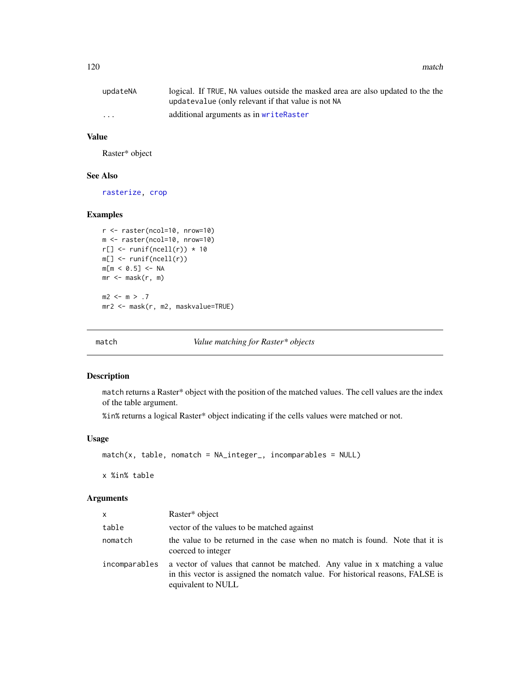| updateNA                | logical. If TRUE, NA values outside the masked area are also updated to the the |
|-------------------------|---------------------------------------------------------------------------------|
|                         | updatevalue (only relevant if that value is not NA                              |
| $\cdot$ $\cdot$ $\cdot$ | additional arguments as in writeRaster                                          |

#### Value

Raster\* object

## See Also

[rasterize,](#page-159-0) [crop](#page-57-0)

## Examples

```
r <- raster(ncol=10, nrow=10)
m <- raster(ncol=10, nrow=10)
r[] \leftarrow runif(ncell(r)) * 10m[] <- runif(ncell(r))
m[m < 0.5] <- NA
mr \leftarrow mask(r, m)m2 < - m > .7mr2 <- mask(r, m2, maskvalue=TRUE)
```
<span id="page-119-0"></span>

match *Value matching for Raster\* objects*

# Description

match returns a Raster\* object with the position of the matched values. The cell values are the index of the table argument.

%in% returns a logical Raster\* object indicating if the cells values were matched or not.

## Usage

 $match(x, table, nomatch = NA_interest_p, incomparables = NULL)$ 

x %in% table

| <b>X</b>      | Raster* object                                                                                                                                                                     |
|---------------|------------------------------------------------------------------------------------------------------------------------------------------------------------------------------------|
| table         | vector of the values to be matched against                                                                                                                                         |
| nomatch       | the value to be returned in the case when no match is found. Note that it is<br>coerced to integer                                                                                 |
| incomparables | a vector of values that cannot be matched. Any value in x matching a value<br>in this vector is assigned the nomatch value. For historical reasons, FALSE is<br>equivalent to NULL |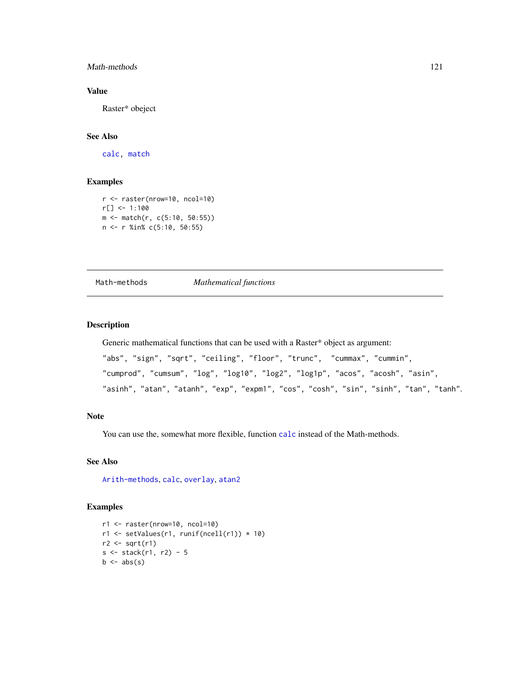## Math-methods 121

# Value

Raster\* obeject

# See Also

[calc,](#page-37-0) [match](#page-119-0)

# Examples

```
r <- raster(nrow=10, ncol=10)
r[] <- 1:100
m <- match(r, c(5:10, 50:55))
n <- r %in% c(5:10, 50:55)
```
<span id="page-120-0"></span>Math-methods *Mathematical functions*

# Description

Generic mathematical functions that can be used with a Raster\* object as argument:

```
"abs", "sign", "sqrt", "ceiling", "floor", "trunc", "cummax", "cummin",
"cumprod", "cumsum", "log", "log10", "log2", "log1p", "acos", "acosh", "asin",
"asinh", "atan", "atanh", "exp", "expm1", "cos", "cosh", "sin", "sinh", "tan", "tanh".
```
#### Note

You can use the, somewhat more flexible, function [calc](#page-37-0) instead of the Math-methods.

## See Also

[Arith-methods](#page-21-0), [calc](#page-37-0), [overlay](#page-132-0), [atan2](#page-26-0)

#### Examples

```
r1 <- raster(nrow=10, ncol=10)
r1 <- setValues(r1, runif(ncell(r1)) * 10)
r2 \leftarrow sqrt(r1)s <- stack(r1, r2) - 5
b \leftarrow abs(s)
```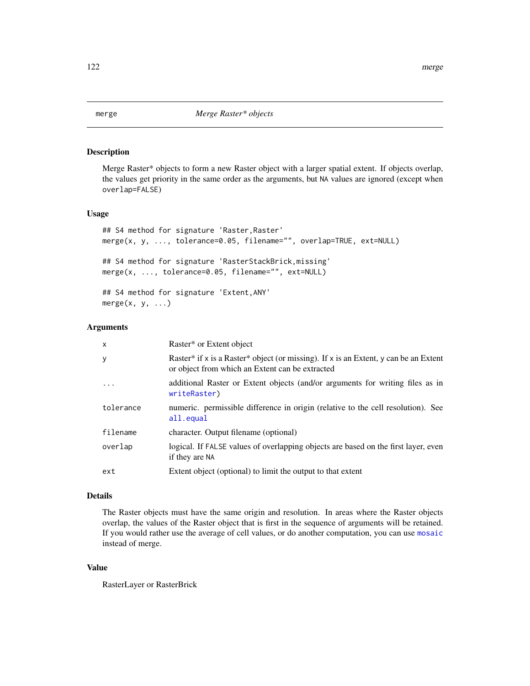# <span id="page-121-0"></span>Description

Merge Raster\* objects to form a new Raster object with a larger spatial extent. If objects overlap, the values get priority in the same order as the arguments, but NA values are ignored (except when overlap=FALSE)

## Usage

```
## S4 method for signature 'Raster, Raster'
merge(x, y, ..., tolerance=0.05, filename="", overlap=TRUE, ext=NULL)
## S4 method for signature 'RasterStackBrick,missing'
merge(x, ..., tolerance=0.05, filename="", ext=NULL)
## S4 method for signature 'Extent,ANY'
merge(x, y, \ldots)
```
## Arguments

| X         | Raster* or Extent object                                                                                                                |
|-----------|-----------------------------------------------------------------------------------------------------------------------------------------|
| У         | Raster* if x is a Raster* object (or missing). If x is an Extent, y can be an Extent<br>or object from which an Extent can be extracted |
| .         | additional Raster or Extent objects (and/or arguments for writing files as in<br>writeRaster)                                           |
| tolerance | numeric. permissible difference in origin (relative to the cell resolution). See<br>all.equal                                           |
| filename  | character. Output filename (optional)                                                                                                   |
| overlap   | logical. If FALSE values of overlapping objects are based on the first layer, even<br>if they are NA                                    |
| ext       | Extent object (optional) to limit the output to that extent                                                                             |

#### Details

The Raster objects must have the same origin and resolution. In areas where the Raster objects overlap, the values of the Raster object that is first in the sequence of arguments will be retained. If you would rather use the average of cell values, or do another computation, you can use [mosaic](#page-124-0) instead of merge.

## Value

RasterLayer or RasterBrick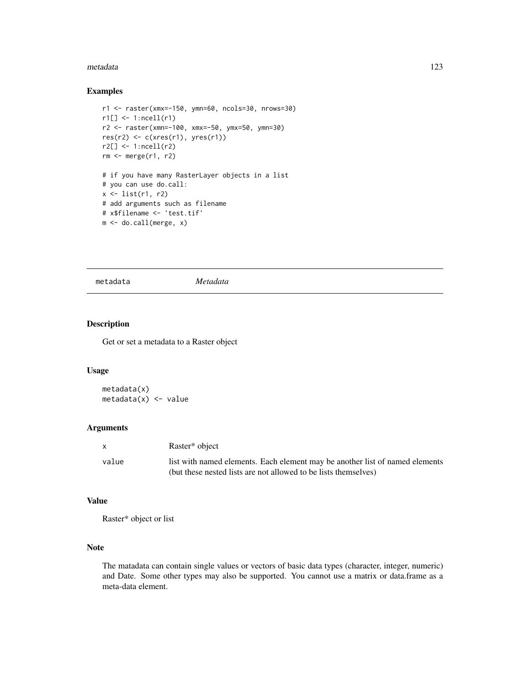#### metadata 123

## Examples

```
r1 <- raster(xmx=-150, ymn=60, ncols=30, nrows=30)
r1[] \leftarrow 1:ncell(r1)
r2 <- raster(xmn=-100, xmx=-50, ymx=50, ymn=30)
res(r2) \leftarrow c(xres(r1), yres(r1))r2[] <- 1:ncell(r2)
rm <- merge(r1, r2)
# if you have many RasterLayer objects in a list
# you can use do.call:
x \leftarrow \text{list}(r1, r2)# add arguments such as filename
# x$filename <- 'test.tif'
m <- do.call(merge, x)
```
metadata *Metadata*

# Description

Get or set a metadata to a Raster object

# Usage

```
metadata(x)
metadata(x) < - value
```
# Arguments

| $\mathsf{x}$ | Raster <sup>*</sup> object                                                   |
|--------------|------------------------------------------------------------------------------|
| value        | list with named elements. Each element may be another list of named elements |
|              | (but these nested lists are not allowed to be lists themselves)              |

## Value

Raster\* object or list

## Note

The matadata can contain single values or vectors of basic data types (character, integer, numeric) and Date. Some other types may also be supported. You cannot use a matrix or data.frame as a meta-data element.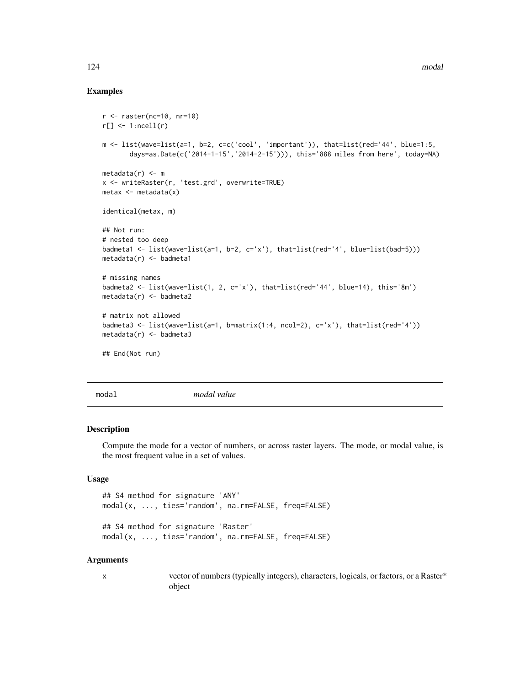## Examples

```
r <- raster(nc=10, nr=10)
r[] \leq 1:ncell(r)
m <- list(wave=list(a=1, b=2, c=c('cool', 'important')), that=list(red='44', blue=1:5,
       days=as.Date(c('2014-1-15','2014-2-15'))), this='888 miles from here', today=NA)
metadata(r) < - mx <- writeRaster(r, 'test.grd', overwrite=TRUE)
metax \leftarrow metadata(x)identical(metax, m)
## Not run:
# nested too deep
badmeta1 <- list(wave=list(a=1, b=2, c='x'), that=list(red='4', blue=list(bad=5)))
metadata(r) <- badmeta1
# missing names
badmeta2 <- list(wave=list(1, 2, c='x'), that=list(red='44', blue=14), this='8m')
metadata(r) <- badmeta2
# matrix not allowed
badmeta3 <- list(wave=list(a=1, b=matrix(1:4, ncol=2), c='x'), that=list(red='4'))
metadata(r) <- badmeta3
## End(Not run)
```
modal *modal value*

#### Description

Compute the mode for a vector of numbers, or across raster layers. The mode, or modal value, is the most frequent value in a set of values.

## Usage

```
## S4 method for signature 'ANY'
modal(x, ..., ties='random', na.rm=FALSE, freq=FALSE)
## S4 method for signature 'Raster'
```
modal(x, ..., ties='random', na.rm=FALSE, freq=FALSE)

#### Arguments

x vector of numbers (typically integers), characters, logicals, or factors, or a Raster\* object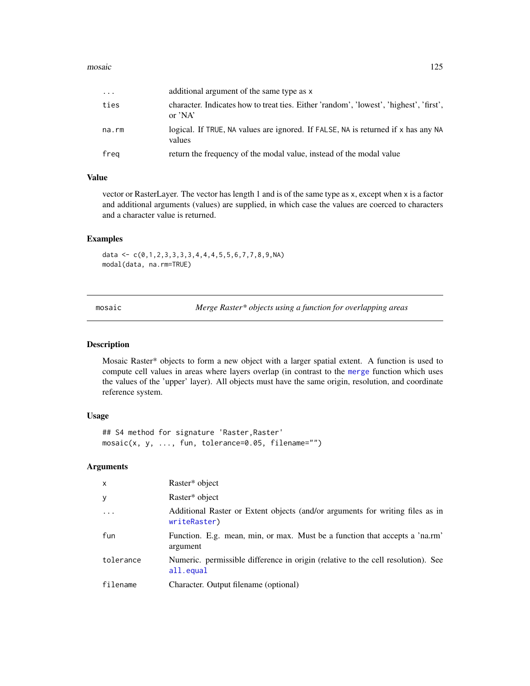#### mosaic and the contract of the contract of the contract of the contract of the contract of the contract of the contract of the contract of the contract of the contract of the contract of the contract of the contract of the

| $\cdots$ | additional argument of the same type as x                                                         |
|----------|---------------------------------------------------------------------------------------------------|
| ties     | character. Indicates how to treat ties. Either 'random', 'lowest', 'highest', 'first',<br>or 'NA' |
| na.rm    | logical. If TRUE, NA values are ignored. If FALSE, NA is returned if x has any NA<br>values       |
| freg     | return the frequency of the modal value, instead of the modal value                               |

# Value

vector or RasterLayer. The vector has length 1 and is of the same type as x, except when x is a factor and additional arguments (values) are supplied, in which case the values are coerced to characters and a character value is returned.

## Examples

data <-  $c(\emptyset, 1, 2, 3, 3, 3, 3, 4, 4, 4, 5, 5, 6, 7, 7, 8, 9, NA)$ modal(data, na.rm=TRUE)

<span id="page-124-0"></span>mosaic *Merge Raster\* objects using a function for overlapping areas*

#### Description

Mosaic Raster\* objects to form a new object with a larger spatial extent. A function is used to compute cell values in areas where layers overlap (in contrast to the [merge](#page-121-0) function which uses the values of the 'upper' layer). All objects must have the same origin, resolution, and coordinate reference system.

#### Usage

```
## S4 method for signature 'Raster,Raster'
mosaic(x, y, ..., fun, tolerance=0.05, filename="")
```

| $\mathsf{x}$ | Raster* object                                                                                |
|--------------|-----------------------------------------------------------------------------------------------|
| У            | Raster* object                                                                                |
| $\ddots$ .   | Additional Raster or Extent objects (and/or arguments for writing files as in<br>writeRaster) |
| fun          | Function. E.g. mean, min, or max. Must be a function that accepts a 'na.rm'<br>argument       |
| tolerance    | Numeric. permissible difference in origin (relative to the cell resolution). See<br>all.equal |
| filename     | Character. Output filename (optional)                                                         |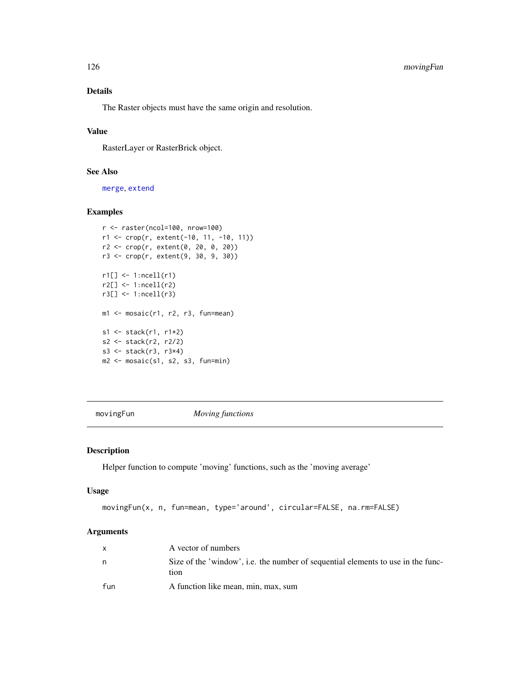# 126 movingFun

# Details

The Raster objects must have the same origin and resolution.

# Value

RasterLayer or RasterBrick object.

# See Also

[merge](#page-121-0), [extend](#page-71-0)

## Examples

```
r <- raster(ncol=100, nrow=100)
r1 <- crop(r, extent(-10, 11, -10, 11))
r2 <- crop(r, extent(0, 20, 0, 20))
r3 <- crop(r, extent(9, 30, 9, 30))
r1[] <- 1:ncell(r1)
r2[] <- 1:ncell(r2)
r3[] \leftarrow 1:ncell(r3)ml \leftarrow mosaic(r1, r2, r3, fun=mean)s1 <- stack(r1, r1*2)
s2 <- stack(r2, r2/2)
s3 <- stack(r3, r3*4)
m2 <- mosaic(s1, s2, s3, fun=min)
```
movingFun *Moving functions*

#### Description

Helper function to compute 'moving' functions, such as the 'moving average'

#### Usage

```
movingFun(x, n, fun=mean, type='around', circular=FALSE, na.rm=FALSE)
```

|     | A vector of numbers                                                                      |
|-----|------------------------------------------------------------------------------------------|
| n   | Size of the 'window', i.e. the number of sequential elements to use in the func-<br>tion |
| fun | A function like mean, min, max, sum                                                      |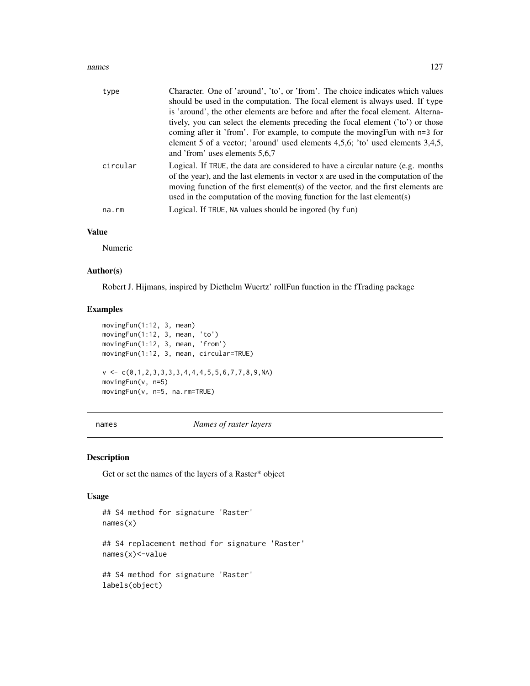#### names and the contract of the contract of the contract of the contract of the contract of the contract of the contract of the contract of the contract of the contract of the contract of the contract of the contract of the

| type     | Character. One of 'around', 'to', or 'from'. The choice indicates which values                                                                                                                                                                                                                                                        |
|----------|---------------------------------------------------------------------------------------------------------------------------------------------------------------------------------------------------------------------------------------------------------------------------------------------------------------------------------------|
|          | should be used in the computation. The focal element is always used. If type                                                                                                                                                                                                                                                          |
|          | is 'around', the other elements are before and after the focal element. Alterna-                                                                                                                                                                                                                                                      |
|          | tively, you can select the elements preceding the focal element ('to') or those                                                                                                                                                                                                                                                       |
|          | coming after it 'from'. For example, to compute the moving Fun with n=3 for                                                                                                                                                                                                                                                           |
|          | element 5 of a vector; 'around' used elements 4,5,6; 'to' used elements 3,4,5,<br>and 'from' uses elements 5,6,7                                                                                                                                                                                                                      |
| circular | Logical. If TRUE, the data are considered to have a circular nature (e.g. months<br>of the year), and the last elements in vector x are used in the computation of the<br>moving function of the first element(s) of the vector, and the first elements are<br>used in the computation of the moving function for the last element(s) |
| na.rm    | Logical. If TRUE, NA values should be ingored (by fun)                                                                                                                                                                                                                                                                                |

## Value

Numeric

## Author(s)

Robert J. Hijmans, inspired by Diethelm Wuertz' rollFun function in the fTrading package

## Examples

```
movingFun(1:12, 3, mean)
movingFun(1:12, 3, mean, 'to')
movingFun(1:12, 3, mean, 'from')
movingFun(1:12, 3, mean, circular=TRUE)
v \leq C(0,1,2,3,3,3,3,4,4,4,5,5,6,7,7,8,9,NA)movingFun(v, n=5)
movingFun(v, n=5, na.rm=TRUE)
```
<span id="page-126-0"></span>names *Names of raster layers*

# Description

Get or set the names of the layers of a Raster\* object

## Usage

```
## S4 method for signature 'Raster'
names(x)
## S4 replacement method for signature 'Raster'
names(x)<-value
## S4 method for signature 'Raster'
labels(object)
```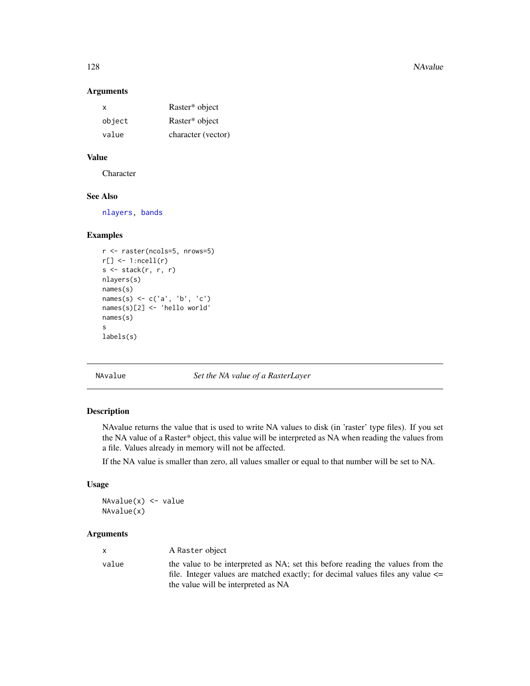128 NAvalue

## Arguments

| х      | Raster* object     |
|--------|--------------------|
| object | Raster* object     |
| value  | character (vector) |

# Value

**Character** 

# See Also

[nlayers,](#page-129-0) [bands](#page-28-0)

## Examples

```
r <- raster(ncols=5, nrows=5)
r[] \leftarrow 1:ncell(r)
s <- stack(r, r, r)
nlayers(s)
names(s)
names(s) <- c('a', 'b', 'c')
names(s)[2] <- 'hello world'
names(s)
s
labels(s)
```
NAvalue *Set the NA value of a RasterLayer*

## Description

NAvalue returns the value that is used to write NA values to disk (in 'raster' type files). If you set the NA value of a Raster\* object, this value will be interpreted as NA when reading the values from a file. Values already in memory will not be affected.

If the NA value is smaller than zero, all values smaller or equal to that number will be set to NA.

#### Usage

NAvalue $(x)$  <- value NAvalue(x)

| x.    | A Raster object                                                                     |
|-------|-------------------------------------------------------------------------------------|
| value | the value to be interpreted as NA; set this before reading the values from the      |
|       | file. Integer values are matched exactly; for decimal values files any value $\leq$ |
|       | the value will be interpreted as NA                                                 |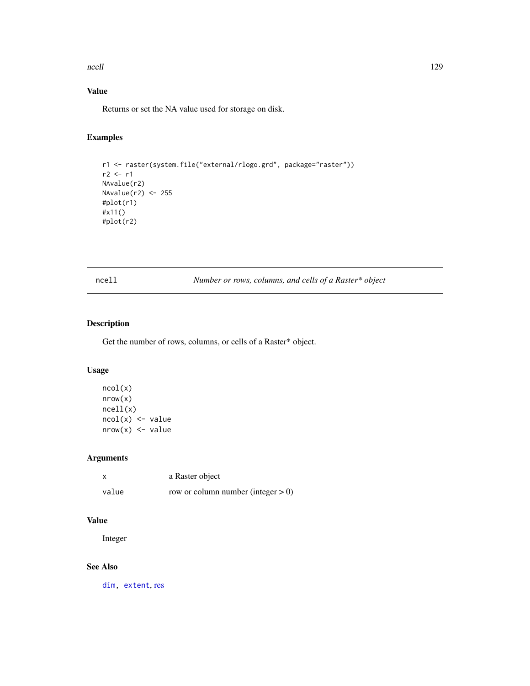#### ncell and the contract of the contract of the contract of the contract of the contract of the contract of the contract of the contract of the contract of the contract of the contract of the contract of the contract of the

# Value

Returns or set the NA value used for storage on disk.

# Examples

```
r1 <- raster(system.file("external/rlogo.grd", package="raster"))
r2 < r1NAvalue(r2)
NAvalue(r2) <- 255
#plot(r1)
#x11()
#plot(r2)
```
ncell *Number or rows, columns, and cells of a Raster\* object*

# Description

Get the number of rows, columns, or cells of a Raster\* object.

# Usage

```
ncol(x)
nrow(x)
ncell(x)
ncol(x) <- value
nrow(x) <- value
```
## Arguments

| X     | a Raster object                       |
|-------|---------------------------------------|
| value | row or column number (integer $> 0$ ) |

# Value

Integer

# See Also

[dim,](#page-64-0) [extent](#page-73-0), [res](#page-171-0)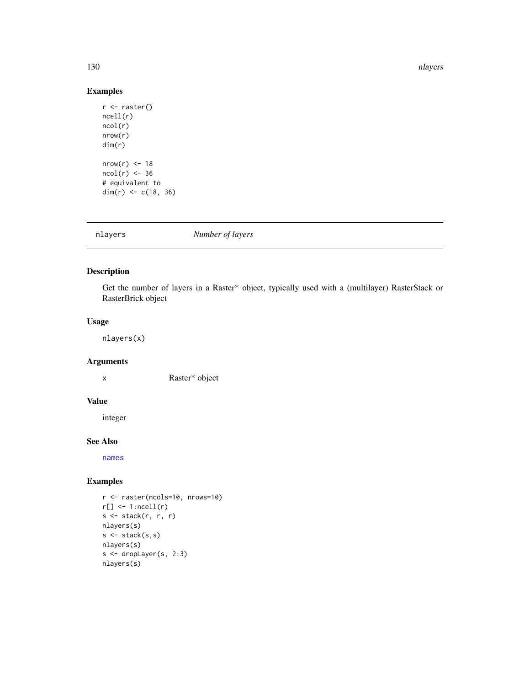#### 130 nlayers and the contract of the contract of the contract of the contract of the contract of the contract of the contract of the contract of the contract of the contract of the contract of the contract of the contract o

# Examples

```
r <- raster()
ncell(r)
ncol(r)
nrow(r)
dim(r)
nrow(r) < -18ncol(r) < -36# equivalent to
dim(r) <- c(18, 36)
```
<span id="page-129-0"></span>nlayers *Number of layers*

# Description

Get the number of layers in a Raster\* object, typically used with a (multilayer) RasterStack or RasterBrick object

## Usage

nlayers(x)

# Arguments

x Raster\* object

# Value

integer

#### See Also

[names](#page-126-0)

# Examples

```
r <- raster(ncols=10, nrows=10)
r[] \leftarrow 1:ncell(r)s <- stack(r, r, r)
nlayers(s)
s \leftarrow \text{stack}(s, s)nlayers(s)
s <- dropLayer(s, 2:3)
nlayers(s)
```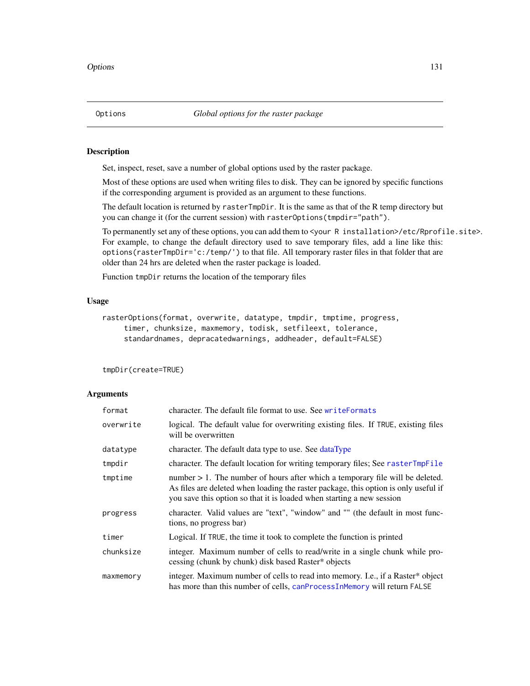## Description

Set, inspect, reset, save a number of global options used by the raster package.

Most of these options are used when writing files to disk. They can be ignored by specific functions if the corresponding argument is provided as an argument to these functions.

The default location is returned by rasterTmpDir. It is the same as that of the R temp directory but you can change it (for the current session) with rasterOptions(tmpdir="path").

To permanently set any of these options, you can add them to <your R installation>/etc/Rprofile.site>. For example, to change the default directory used to save temporary files, add a line like this: options(rasterTmpDir='c:/temp/') to that file. All temporary raster files in that folder that are older than 24 hrs are deleted when the raster package is loaded.

Function tmpDir returns the location of the temporary files

# Usage

```
rasterOptions(format, overwrite, datatype, tmpdir, tmptime, progress,
    timer, chunksize, maxmemory, todisk, setfileext, tolerance,
    standardnames, depracatedwarnings, addheader, default=FALSE)
```
tmpDir(create=TRUE)

| format    | character. The default file format to use. See writeFormats                                                                                                                                                                                      |
|-----------|--------------------------------------------------------------------------------------------------------------------------------------------------------------------------------------------------------------------------------------------------|
| overwrite | logical. The default value for overwriting existing files. If TRUE, existing files<br>will be overwritten                                                                                                                                        |
| datatype  | character. The default data type to use. See dataType                                                                                                                                                                                            |
| tmpdir    | character. The default location for writing temporary files; See rasterTmpFile                                                                                                                                                                   |
| tmptime   | number $> 1$ . The number of hours after which a temporary file will be deleted.<br>As files are deleted when loading the raster package, this option is only useful if<br>you save this option so that it is loaded when starting a new session |
| progress  | character. Valid values are "text", "window" and "" (the default in most func-<br>tions, no progress bar)                                                                                                                                        |
| timer     | Logical. If TRUE, the time it took to complete the function is printed                                                                                                                                                                           |
| chunksize | integer. Maximum number of cells to read/write in a single chunk while pro-<br>cessing (chunk by chunk) disk based Raster* objects                                                                                                               |
| maxmemory | integer. Maximum number of cells to read into memory. I.e., if a Raster* object<br>has more than this number of cells, canProcessInMemory will return FALSE                                                                                      |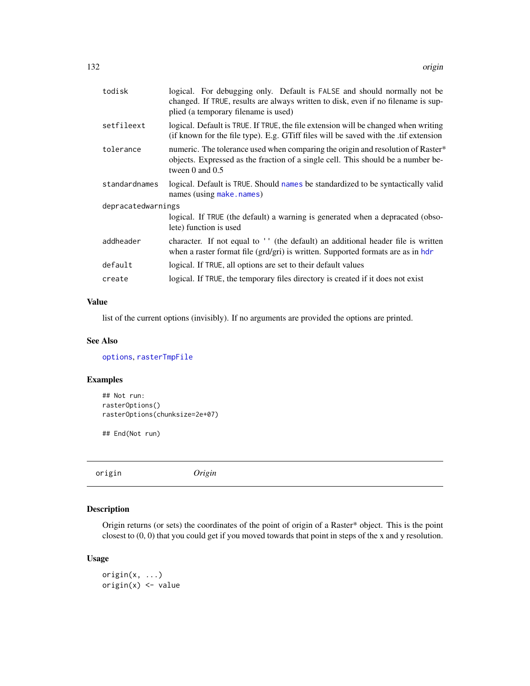| todisk             | logical. For debugging only. Default is FALSE and should normally not be<br>changed. If TRUE, results are always written to disk, even if no filename is sup-<br>plied (a temporary filename is used) |  |
|--------------------|-------------------------------------------------------------------------------------------------------------------------------------------------------------------------------------------------------|--|
| setfileext         | logical. Default is TRUE. If TRUE, the file extension will be changed when writing<br>(if known for the file type). E.g. GTiff files will be saved with the .tif extension                            |  |
| tolerance          | numeric. The tolerance used when comparing the origin and resolution of Raster*<br>objects. Expressed as the fraction of a single cell. This should be a number be-<br>tween $0$ and $0.5$            |  |
| standardnames      | logical. Default is TRUE. Should names be standardized to be syntactically valid<br>names (using make.names)                                                                                          |  |
| depracatedwarnings |                                                                                                                                                                                                       |  |
|                    | logical. If TRUE (the default) a warning is generated when a depracated (obso-<br>lete) function is used                                                                                              |  |
| addheader          | character. If not equal to '' (the default) an additional header file is written<br>when a raster format file (grd/gri) is written. Supported formats are as in hdr                                   |  |
| default            | logical. If TRUE, all options are set to their default values                                                                                                                                         |  |
| create             | logical. If TRUE, the temporary files directory is created if it does not exist                                                                                                                       |  |

## Value

list of the current options (invisibly). If no arguments are provided the options are printed.

#### See Also

[options](#page-0-0), [rasterTmpFile](#page-163-0)

# Examples

```
## Not run:
rasterOptions()
rasterOptions(chunksize=2e+07)
```
## End(Not run)

origin *Origin*

# Description

Origin returns (or sets) the coordinates of the point of origin of a Raster\* object. This is the point closest to (0, 0) that you could get if you moved towards that point in steps of the x and y resolution.

## Usage

origin(x, ...) origin(x) <- value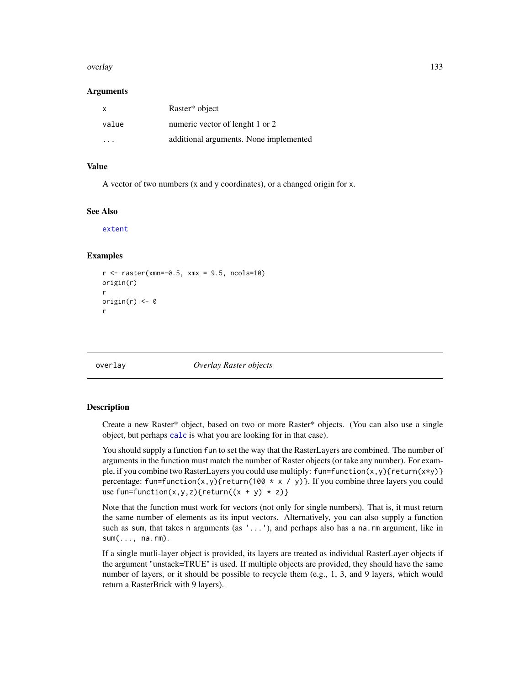#### overlay and the state of the state of the state of the state of the state of the state of the state of the state of the state of the state of the state of the state of the state of the state of the state of the state of th

#### Arguments

| $\mathsf{X}$ | Raster <sup>*</sup> object             |
|--------------|----------------------------------------|
| value        | numeric vector of lenght 1 or 2        |
| .            | additional arguments. None implemented |

## Value

A vector of two numbers (x and y coordinates), or a changed origin for x.

#### See Also

[extent](#page-73-0)

#### Examples

```
r <- raster(xmn=-0.5, xmx = 9.5, ncols=10)
origin(r)
r
origin(r) <-0r
```
<span id="page-132-0"></span>overlay *Overlay Raster objects*

#### **Description**

Create a new Raster\* object, based on two or more Raster\* objects. (You can also use a single object, but perhaps [calc](#page-37-0) is what you are looking for in that case).

You should supply a function fun to set the way that the RasterLayers are combined. The number of arguments in the function must match the number of Raster objects (or take any number). For example, if you combine two RasterLayers you could use multiply: fun=function(x,y){return(x\*y)} percentage: fun=function(x,y){return(100  $*$  x / y)}. If you combine three layers you could use fun=function(x,y,z){return((x + y)  $*$  z)}

Note that the function must work for vectors (not only for single numbers). That is, it must return the same number of elements as its input vectors. Alternatively, you can also supply a function such as sum, that takes n arguments (as  $' \ldots'$ ), and perhaps also has a na.rm argument, like in  $sum(..., na.rm)$ .

If a single mutli-layer object is provided, its layers are treated as individual RasterLayer objects if the argument "unstack=TRUE" is used. If multiple objects are provided, they should have the same number of layers, or it should be possible to recycle them (e.g., 1, 3, and 9 layers, which would return a RasterBrick with 9 layers).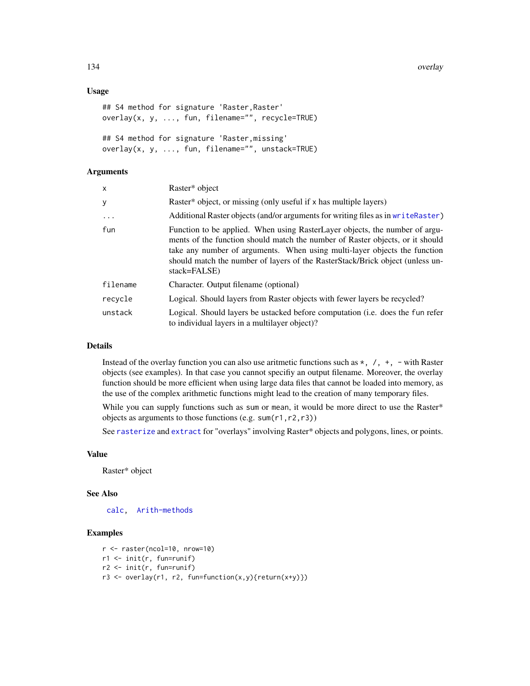134 overlay and the contract of the contract of the contract of the contract of the contract of the contract of the contract of the contract of the contract of the contract of the contract of the contract of the contract o

## Usage

```
## S4 method for signature 'Raster, Raster'
overlay(x, y, ..., fun, filename="", recycle=TRUE)
## S4 method for signature 'Raster,missing'
overlay(x, y, ..., fun, filename="", unstack=TRUE)
```
# Arguments

| x        | Raster* object                                                                                                                                                                                                                                                                                                                             |
|----------|--------------------------------------------------------------------------------------------------------------------------------------------------------------------------------------------------------------------------------------------------------------------------------------------------------------------------------------------|
| у        | Raster* object, or missing (only useful if x has multiple layers)                                                                                                                                                                                                                                                                          |
| $\ddots$ | Additional Raster objects (and/or arguments for writing files as in write Raster)                                                                                                                                                                                                                                                          |
| fun      | Function to be applied. When using RasterLayer objects, the number of argu-<br>ments of the function should match the number of Raster objects, or it should<br>take any number of arguments. When using multi-layer objects the function<br>should match the number of layers of the RasterStack/Brick object (unless un-<br>stack=FALSE) |
| filename | Character. Output filename (optional)                                                                                                                                                                                                                                                                                                      |
| recvcle  | Logical. Should layers from Raster objects with fewer layers be recycled?                                                                                                                                                                                                                                                                  |
| unstack  | Logical. Should layers be ustacked before computation ( <i>i.e.</i> does the fun refer<br>to individual layers in a multilayer object)?                                                                                                                                                                                                    |

# Details

Instead of the overlay function you can also use aritmetic functions such as  $\star$ ,  $\prime$ ,  $\star$ ,  $\sim$  with Raster objects (see examples). In that case you cannot specifiy an output filename. Moreover, the overlay function should be more efficient when using large data files that cannot be loaded into memory, as the use of the complex arithmetic functions might lead to the creation of many temporary files.

While you can supply functions such as sum or mean, it would be more direct to use the Raster\* objects as arguments to those functions (e.g. sum(r1,r2,r3))

See [rasterize](#page-159-0) and [extract](#page-76-0) for "overlays" involving Raster\* objects and polygons, lines, or points.

#### Value

Raster\* object

## See Also

[calc,](#page-37-0) [Arith-methods](#page-21-0)

# Examples

```
r <- raster(ncol=10, nrow=10)
r1 <- init(r, fun=runif)
r2 <- init(r, fun=runif)
r3 \leq overlay(r1, r2, fun=function(x,y){return(x+y)})
```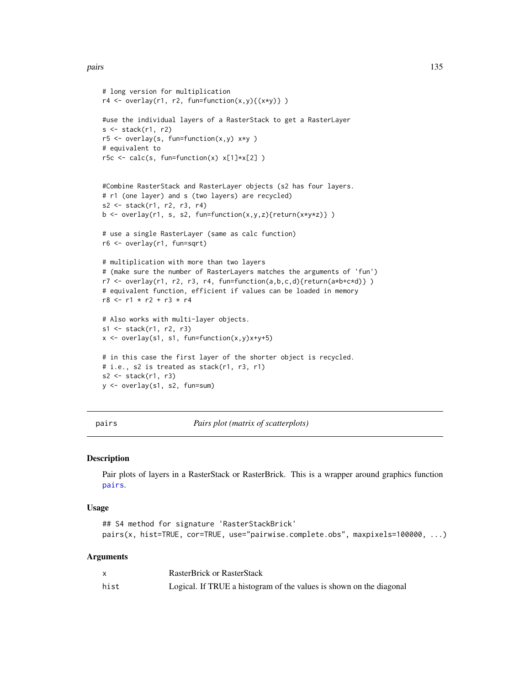```
# long version for multiplication
r4 \leftarrow \text{overlap}(r1, r2, \text{function}(x, y)\{(x*y)\})#use the individual layers of a RasterStack to get a RasterLayer
s \leftarrow stack(r1, r2)
r5 \le overlay(s, fun=function(x,y) x*y)
# equivalent to
r5c \le calc(s, fun=function(x) x[1]*x[2] )
#Combine RasterStack and RasterLayer objects (s2 has four layers.
# r1 (one layer) and s (two layers) are recycled)
s2 <- stack(r1, r2, r3, r4)
b \leq overlay(r1, s, s2, fun=function(x,y,z){return(x*y*z)})
# use a single RasterLayer (same as calc function)
r6 <- overlay(r1, fun=sqrt)
# multiplication with more than two layers
# (make sure the number of RasterLayers matches the arguments of 'fun')
r7 <- overlay(r1, r2, r3, r4, fun=function(a,b,c,d){return(a*b+c*d)} )
# equivalent function, efficient if values can be loaded in memory
r8 <- r1 * r2 + r3 * r4# Also works with multi-layer objects.
s1 <- stack(r1, r2, r3)
x \le -\overline{\text{overlap}}(s1, s1, \text{function}(x, y)x+y+5)# in this case the first layer of the shorter object is recycled.
# i.e., s2 is treated as stack(r1, r3, r1)
s2 \leq -stack(r1, r3)y <- overlay(s1, s2, fun=sum)
```
<span id="page-134-0"></span>pairs *Pairs plot (matrix of scatterplots)*

#### Description

Pair plots of layers in a RasterStack or RasterBrick. This is a wrapper around graphics function [pairs](#page-134-0).

#### Usage

```
## S4 method for signature 'RasterStackBrick'
pairs(x, hist=TRUE, cor=TRUE, use="pairwise.complete.obs", maxpixels=100000, ...)
```

|      | <b>RasterBrick or RasterStack</b>                                   |
|------|---------------------------------------------------------------------|
| hist | Logical. If TRUE a histogram of the values is shown on the diagonal |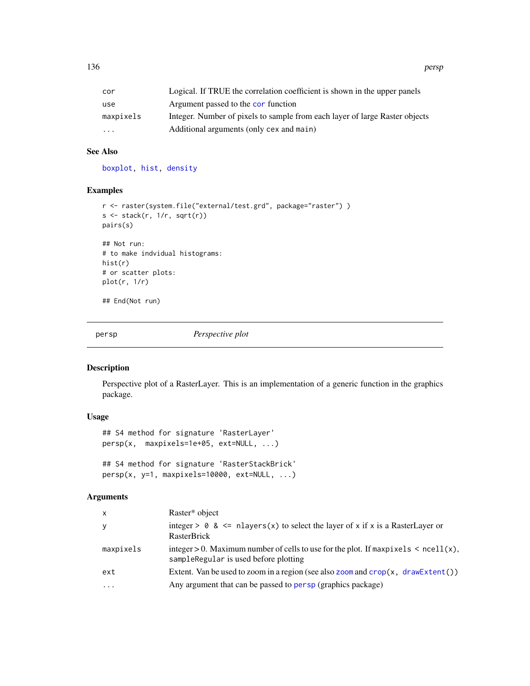| Logical. If TRUE the correlation coefficient is shown in the upper panels   |
|-----------------------------------------------------------------------------|
| Argument passed to the cor function                                         |
| Integer. Number of pixels to sample from each layer of large Raster objects |
| Additional arguments (only cex and main)                                    |
|                                                                             |

# See Also

[boxplot,](#page-33-0) [hist,](#page-103-0) [density](#page-64-1)

# Examples

```
r <- raster(system.file("external/test.grd", package="raster") )
s \leftarrow \text{stack}(r, 1/r, \text{sqrt}(r))pairs(s)
## Not run:
# to make indvidual histograms:
hist(r)
# or scatter plots:
plot(r, 1/r)
```
## End(Not run)

<span id="page-135-0"></span>persp *Perspective plot*

# Description

Perspective plot of a RasterLayer. This is an implementation of a generic function in the graphics package.

# Usage

```
## S4 method for signature 'RasterLayer'
persp(x, maxpixels=1e+05, ext=NULL, ...)
## S4 method for signature 'RasterStackBrick'
persp(x, y=1, maxpixels=10000, ext=NULL, ...)
```

| X         | Raster* object                                                                                                                  |
|-----------|---------------------------------------------------------------------------------------------------------------------------------|
| У         | integer > $\theta$ & <= nlayers(x) to select the layer of x if x is a RasterLayer or<br>RasterBrick                             |
| maxpixels | integer > 0. Maximum number of cells to use for the plot. If maxpixels $\le$ ncell(x),<br>sampleRegular is used before plotting |
| ext       | Extent. Van be used to zoom in a region (see also zoom and $\text{crop}(x, \text{ drawEvent}())$ )                              |
| $\ddots$  | Any argument that can be passed to persp (graphics package)                                                                     |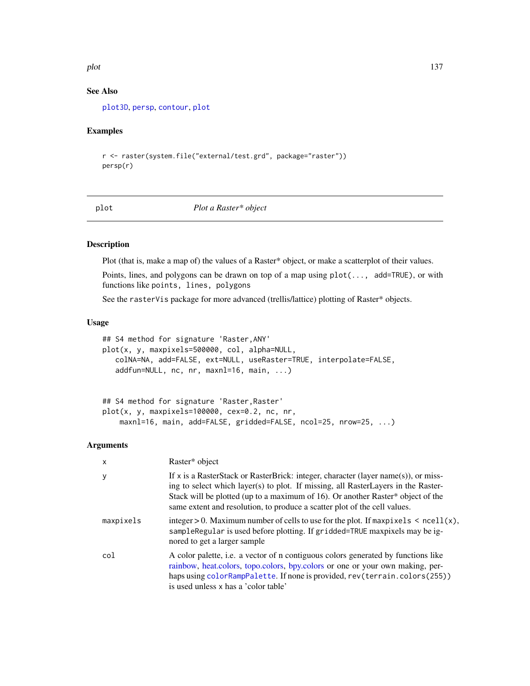#### plot the contract of the contract of the contract of the contract of the contract of the contract of the contract of the contract of the contract of the contract of the contract of the contract of the contract of the contr

## See Also

[plot3D](#page-0-0), [persp](#page-135-0), [contour](#page-54-0), [plot](#page-136-0)

## Examples

```
r <- raster(system.file("external/test.grd", package="raster"))
persp(r)
```
<span id="page-136-0"></span>

plot *Plot a Raster\* object*

## Description

Plot (that is, make a map of) the values of a Raster\* object, or make a scatterplot of their values.

Points, lines, and polygons can be drawn on top of a map using plot(..., add=TRUE), or with functions like points, lines, polygons

See the rasterVis package for more advanced (trellis/lattice) plotting of Raster\* objects.

#### Usage

```
## S4 method for signature 'Raster,ANY'
plot(x, y, maxpixels=500000, col, alpha=NULL,
   colNA=NA, add=FALSE, ext=NULL, useRaster=TRUE, interpolate=FALSE,
   addfun=NULL, nc, nr, maxnl=16, main, ...)
```

```
## S4 method for signature 'Raster, Raster'
plot(x, y, maxpixels=100000, cex=0.2, nc, nr,
   maxnl=16, main, add=FALSE, gridded=FALSE, ncol=25, nrow=25, ...)
```

| X         | Raster* object                                                                                                                                                                                                                                                                                                                          |
|-----------|-----------------------------------------------------------------------------------------------------------------------------------------------------------------------------------------------------------------------------------------------------------------------------------------------------------------------------------------|
| У         | If x is a RasterStack or RasterBrick: integer, character (layer name(s)), or miss-<br>ing to select which layer(s) to plot. If missing, all RasterLayers in the Raster-<br>Stack will be plotted (up to a maximum of 16). Or another Raster* object of the<br>same extent and resolution, to produce a scatter plot of the cell values. |
| maxpixels | integer > 0. Maximum number of cells to use for the plot. If $maxpixels < \text{ncell}(x)$ ,<br>sampleRegular is used before plotting. If gridded=TRUE maxpixels may be ig-<br>nored to get a larger sample                                                                                                                             |
| col       | A color palette, i.e. a vector of n contiguous colors generated by functions like<br>rainbow, heat.colors, topo.colors, bpy.colors or one or your own making, per-<br>haps using colorRampPalette. If none is provided, rev(terrain.colors(255))<br>is used unless x has a 'color table'                                                |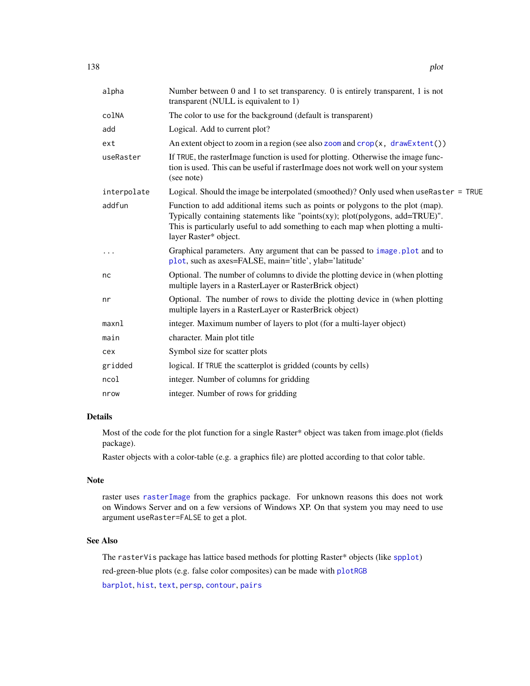| alpha       | Number between 0 and 1 to set transparency. 0 is entirely transparent, 1 is not<br>transparent (NULL is equivalent to 1)                                                                                                                                                   |
|-------------|----------------------------------------------------------------------------------------------------------------------------------------------------------------------------------------------------------------------------------------------------------------------------|
| colNA       | The color to use for the background (default is transparent)                                                                                                                                                                                                               |
| add         | Logical. Add to current plot?                                                                                                                                                                                                                                              |
| ext         | An extent object to zoom in a region (see also zoom and $\text{crop}(x, \text{ drawEvent}())$ )                                                                                                                                                                            |
| useRaster   | If TRUE, the rasterImage function is used for plotting. Otherwise the image func-<br>tion is used. This can be useful if rasterImage does not work well on your system<br>(see note)                                                                                       |
| interpolate | Logical. Should the image be interpolated (smoothed)? Only used when useRaster = TRUE                                                                                                                                                                                      |
| addfun      | Function to add additional items such as points or polygons to the plot (map).<br>Typically containing statements like "points(xy); plot(polygons, add=TRUE)".<br>This is particularly useful to add something to each map when plotting a multi-<br>layer Raster* object. |
| $\cdots$    | Graphical parameters. Any argument that can be passed to image.plot and to<br>plot, such as axes=FALSE, main='title', ylab='latitude'                                                                                                                                      |
| nc          | Optional. The number of columns to divide the plotting device in (when plotting<br>multiple layers in a RasterLayer or RasterBrick object)                                                                                                                                 |
| nr          | Optional. The number of rows to divide the plotting device in (when plotting<br>multiple layers in a RasterLayer or RasterBrick object)                                                                                                                                    |
| maxnl       | integer. Maximum number of layers to plot (for a multi-layer object)                                                                                                                                                                                                       |
| main        | character. Main plot title                                                                                                                                                                                                                                                 |
| cex         | Symbol size for scatter plots                                                                                                                                                                                                                                              |
| gridded     | logical. If TRUE the scatterplot is gridded (counts by cells)                                                                                                                                                                                                              |
| ncol        | integer. Number of columns for gridding                                                                                                                                                                                                                                    |
| nrow        | integer. Number of rows for gridding                                                                                                                                                                                                                                       |

## Details

Most of the code for the plot function for a single Raster\* object was taken from image.plot (fields package).

Raster objects with a color-table (e.g. a graphics file) are plotted according to that color table.

## Note

raster uses [rasterImage](#page-0-0) from the graphics package. For unknown reasons this does not work on Windows Server and on a few versions of Windows XP. On that system you may need to use argument useRaster=FALSE to get a plot.

# See Also

The rasterVis package has lattice based methods for plotting Raster\* objects (like [spplot](#page-191-0)) red-green-blue plots (e.g. false color composites) can be made with [plotRGB](#page-139-0)

[barplot](#page-29-0), [hist](#page-103-0), [text](#page-204-0), [persp](#page-135-0), [contour](#page-54-0), [pairs](#page-134-0)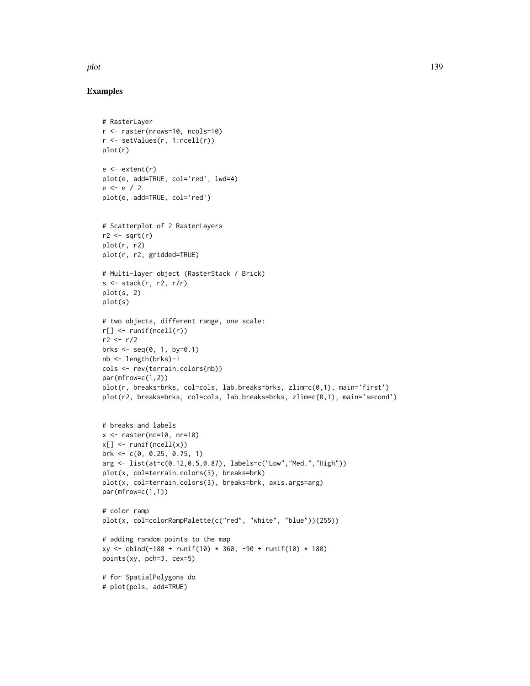#### plot the contract of the contract of the contract of the contract of the contract of the contract of the contract of the contract of the contract of the contract of the contract of the contract of the contract of the contr

## Examples

# RasterLayer

```
r <- raster(nrows=10, ncols=10)
r <- setValues(r, 1:ncell(r))
plot(r)
e \leftarrow extent(r)
plot(e, add=TRUE, col='red', lwd=4)
e <- e / 2
plot(e, add=TRUE, col='red')
# Scatterplot of 2 RasterLayers
r2 \leftarrow sqrt(r)plot(r, r2)
plot(r, r2, gridded=TRUE)
# Multi-layer object (RasterStack / Brick)
s \leq -stack(r, r2, r/r)plot(s, 2)
plot(s)
# two objects, different range, one scale:
r[] <- runif(ncell(r))
r2 < -r/2brks \leq seq(0, 1, by=0.1)
nb <- length(brks)-1
cols <- rev(terrain.colors(nb))
par(mfrow=c(1,2))
plot(r, breaks=brks, col=cols, lab.breaks=brks, zlim=c(0,1), main='first')
plot(r2, breaks=brks, col=cols, lab.breaks=brks, zlim=c(0,1), main='second')
# breaks and labels
x \le - raster(nc=10, nr=10)
x[] <- runif(ncell(x))
brk <- c(0, 0.25, 0.75, 1)
arg <- list(at=c(0.12,0.5,0.87), labels=c("Low","Med.","High"))
plot(x, col=terrain.colors(3), breaks=brk)
plot(x, col=terrain.colors(3), breaks=brk, axis.args=arg)
par(mfrow=c(1,1))
# color ramp
plot(x, col=colorRampPalette(c("red", "white", "blue"))(255))
# adding random points to the map
xy <- cbind(-180 + runif(10) * 360, -90 + runif(10) * 180)
points(xy, pch=3, cex=5)
# for SpatialPolygons do
# plot(pols, add=TRUE)
```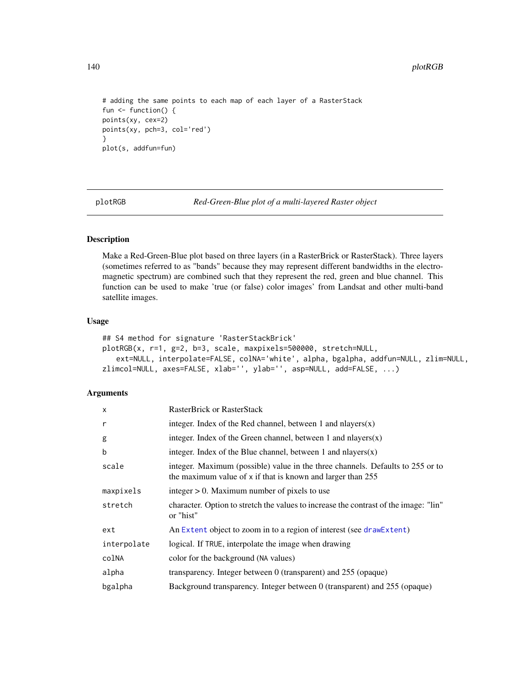```
# adding the same points to each map of each layer of a RasterStack
fun <- function() {
points(xy, cex=2)
points(xy, pch=3, col='red')
}
plot(s, addfun=fun)
```
<span id="page-139-0"></span>plotRGB *Red-Green-Blue plot of a multi-layered Raster object*

## Description

Make a Red-Green-Blue plot based on three layers (in a RasterBrick or RasterStack). Three layers (sometimes referred to as "bands" because they may represent different bandwidths in the electromagnetic spectrum) are combined such that they represent the red, green and blue channel. This function can be used to make 'true (or false) color images' from Landsat and other multi-band satellite images.

#### Usage

```
## S4 method for signature 'RasterStackBrick'
plotRGB(x, r=1, g=2, b=3, scale, maxpixels=500000, stretch=NULL,
   ext=NULL, interpolate=FALSE, colNA='white', alpha, bgalpha, addfun=NULL, zlim=NULL,
zlimcol=NULL, axes=FALSE, xlab='', ylab='', asp=NULL, add=FALSE, ...)
```

| $\mathsf{x}$ | <b>RasterBrick or RasterStack</b>                                                                                                               |
|--------------|-------------------------------------------------------------------------------------------------------------------------------------------------|
| r            | integer. Index of the Red channel, between 1 and nlayers $(x)$                                                                                  |
| g            | integer. Index of the Green channel, between 1 and nlayers $(x)$                                                                                |
| b            | integer. Index of the Blue channel, between 1 and nlayers $(x)$                                                                                 |
| scale        | integer. Maximum (possible) value in the three channels. Defaults to 255 or to<br>the maximum value of $x$ if that is known and larger than 255 |
| maxpixels    | integer $> 0$ . Maximum number of pixels to use                                                                                                 |
| stretch      | character. Option to stretch the values to increase the contrast of the image: "lin"<br>or "hist"                                               |
| ext          | An Extent object to zoom in to a region of interest (see drawExtent)                                                                            |
| interpolate  | logical. If TRUE, interpolate the image when drawing                                                                                            |
| colNA        | color for the background (NA values)                                                                                                            |
| alpha        | transparency. Integer between 0 (transparent) and 255 (opaque)                                                                                  |
| bgalpha      | Background transparency. Integer between 0 (transparent) and 255 (opaque)                                                                       |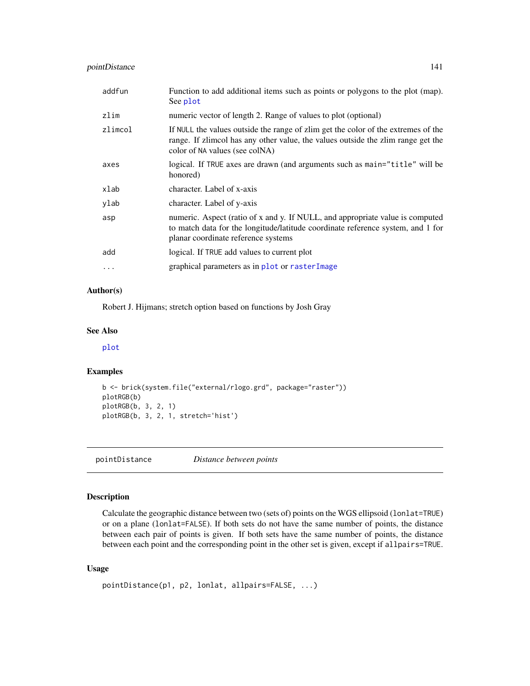# pointDistance 141

| addfun   | Function to add additional items such as points or polygons to the plot (map).<br>See plot                                                                                                              |
|----------|---------------------------------------------------------------------------------------------------------------------------------------------------------------------------------------------------------|
| zlim     | numeric vector of length 2. Range of values to plot (optional)                                                                                                                                          |
| zlimcol  | If NULL the values outside the range of zlim get the color of the extremes of the<br>range. If zlimcol has any other value, the values outside the zlim range get the<br>color of NA values (see colNA) |
| axes     | logical. If TRUE axes are drawn (and arguments such as main="title" will be<br>honored)                                                                                                                 |
| xlab     | character. Label of x-axis                                                                                                                                                                              |
| ylab     | character. Label of y-axis                                                                                                                                                                              |
| asp      | numeric. Aspect (ratio of x and y. If NULL, and appropriate value is computed<br>to match data for the longitude/latitude coordinate reference system, and 1 for<br>planar coordinate reference systems |
| add      | logical. If TRUE add values to current plot                                                                                                                                                             |
| $\cdots$ | graphical parameters as in plot or raster Image                                                                                                                                                         |

# Author(s)

Robert J. Hijmans; stretch option based on functions by Josh Gray

#### See Also

[plot](#page-136-0)

# Examples

```
b <- brick(system.file("external/rlogo.grd", package="raster"))
plotRGB(b)
plotRGB(b, 3, 2, 1)
plotRGB(b, 3, 2, 1, stretch='hist')
```
pointDistance *Distance between points*

## Description

Calculate the geographic distance between two (sets of) points on the WGS ellipsoid (lonlat=TRUE) or on a plane (lonlat=FALSE). If both sets do not have the same number of points, the distance between each pair of points is given. If both sets have the same number of points, the distance between each point and the corresponding point in the other set is given, except if allpairs=TRUE.

## Usage

```
pointDistance(p1, p2, lonlat, allpairs=FALSE, ...)
```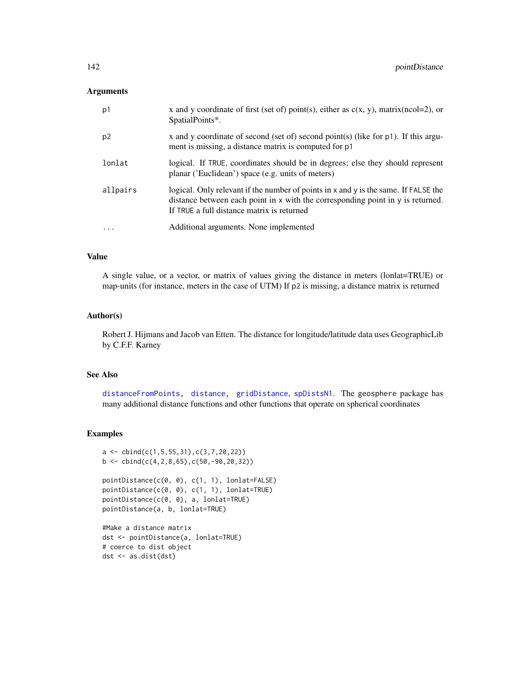#### **Arguments**

| p1             | x and y coordinate of first (set of) point(s), either as $c(x, y)$ , matrix(ncol=2), or<br>SpatialPoints*.                                                                                                           |
|----------------|----------------------------------------------------------------------------------------------------------------------------------------------------------------------------------------------------------------------|
| p <sub>2</sub> | x and y coordinate of second (set of) second point(s) (like for $p1$ ). If this argu-<br>ment is missing, a distance matrix is computed for p1                                                                       |
| lonlat         | logical. If TRUE, coordinates should be in degrees; else they should represent<br>planar ('Euclidean') space (e.g. units of meters)                                                                                  |
| allpairs       | logical. Only relevant if the number of points in x and y is the same. If FALSE the<br>distance between each point in x with the corresponding point in y is returned.<br>If TRUE a full distance matrix is returned |
| $\ddots$       | Additional arguments. None implemented                                                                                                                                                                               |

## Value

A single value, or a vector, or matrix of values giving the distance in meters (lonlat=TRUE) or map-units (for instance, meters in the case of UTM) If p2 is missing, a distance matrix is returned

## Author(s)

Robert J. Hijmans and Jacob van Etten. The distance for longitude/latitude data uses GeographicLib by C.F.F. Karney

#### See Also

[distanceFromPoints,](#page-68-0) [distance,](#page-67-0) [gridDistance](#page-98-0), [spDistsN1](#page-0-0). The geosphere package has many additional distance functions and other functions that operate on spherical coordinates

## Examples

```
a \leftarrow \text{cbind}(c(1, 5, 55, 31), c(3, 7, 20, 22))b \leftarrow \text{cbind}(c(4, 2, 8, 65), c(50, -90, 20, 32))
```

```
pointDistance(c(0, 0), c(1, 1), lonlat=FALSE)
pointDistance(c(0, 0), c(1, 1), lonlat=TRUE)
pointDistance(c(0, 0), a, lonlat=TRUE)
pointDistance(a, b, lonlat=TRUE)
```

```
#Make a distance matrix
dst <- pointDistance(a, lonlat=TRUE)
# coerce to dist object
dst <- as.dist(dst)
```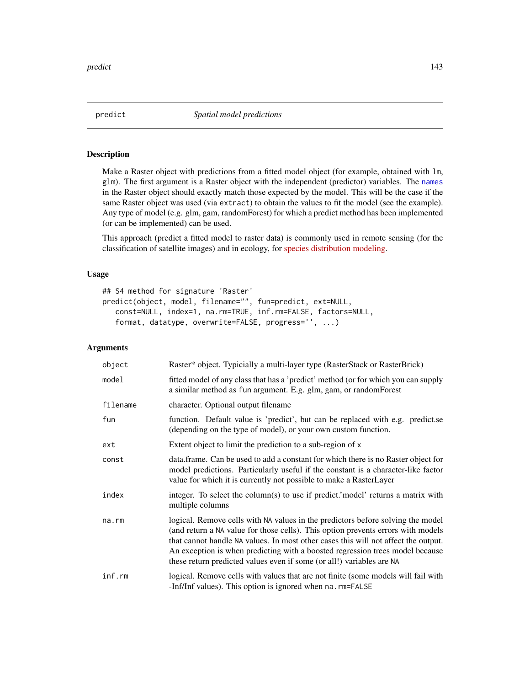#### Description

Make a Raster object with predictions from a fitted model object (for example, obtained with lm, glm). The first argument is a Raster object with the independent (predictor) variables. The [names](#page-126-0) in the Raster object should exactly match those expected by the model. This will be the case if the same Raster object was used (via extract) to obtain the values to fit the model (see the example). Any type of model (e.g. glm, gam, randomForest) for which a predict method has been implemented (or can be implemented) can be used.

This approach (predict a fitted model to raster data) is commonly used in remote sensing (for the classification of satellite images) and in ecology, for [species distribution modeling.](http://cran.r-project.org/web/packages/dismo/vignettes/sdm.pdf)

## Usage

```
## S4 method for signature 'Raster'
predict(object, model, filename="", fun=predict, ext=NULL,
   const=NULL, index=1, na.rm=TRUE, inf.rm=FALSE, factors=NULL,
   format, datatype, overwrite=FALSE, progress='', ...)
```

| object      | Raster* object. Typicially a multi-layer type (RasterStack or RasterBrick)                                                                                                                                                                                                                                                                                                                                          |
|-------------|---------------------------------------------------------------------------------------------------------------------------------------------------------------------------------------------------------------------------------------------------------------------------------------------------------------------------------------------------------------------------------------------------------------------|
| model       | fitted model of any class that has a 'predict' method (or for which you can supply<br>a similar method as fun argument. E.g. glm, gam, or randomForest                                                                                                                                                                                                                                                              |
| filename    | character. Optional output filename                                                                                                                                                                                                                                                                                                                                                                                 |
| fun         | function. Default value is 'predict', but can be replaced with e.g. predict.se<br>(depending on the type of model), or your own custom function.                                                                                                                                                                                                                                                                    |
| ext         | Extent object to limit the prediction to a sub-region of x                                                                                                                                                                                                                                                                                                                                                          |
| const       | data.frame. Can be used to add a constant for which there is no Raster object for<br>model predictions. Particularly useful if the constant is a character-like factor<br>value for which it is currently not possible to make a RasterLayer                                                                                                                                                                        |
| index       | integer. To select the column(s) to use if predict.' model' returns a matrix with<br>multiple columns                                                                                                                                                                                                                                                                                                               |
| $na$ . $rm$ | logical. Remove cells with NA values in the predictors before solving the model<br>(and return a NA value for those cells). This option prevents errors with models<br>that cannot handle NA values. In most other cases this will not affect the output.<br>An exception is when predicting with a boosted regression trees model because<br>these return predicted values even if some (or all!) variables are NA |
| inf.rm      | logical. Remove cells with values that are not finite (some models will fail with<br>-Inf/Inf values). This option is ignored when na.rm=FALSE                                                                                                                                                                                                                                                                      |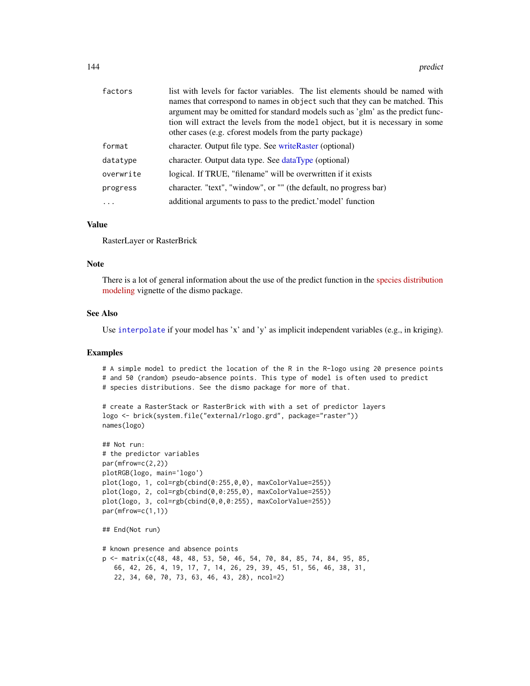| factors   | list with levels for factor variables. The list elements should be named with   |
|-----------|---------------------------------------------------------------------------------|
|           | names that correspond to names in object such that they can be matched. This    |
|           | argument may be omitted for standard models such as 'glm' as the predict func-  |
|           | tion will extract the levels from the model object, but it is necessary in some |
|           | other cases (e.g. cforest models from the party package)                        |
| format    | character. Output file type. See writeRaster (optional)                         |
| datatype  | character. Output data type. See dataType (optional)                            |
| overwrite | logical. If TRUE, "filename" will be overwritten if it exists                   |
| progress  | character. "text", "window", or "" (the default, no progress bar)               |
|           | additional arguments to pass to the predict.' model' function                   |

## Value

RasterLayer or RasterBrick

## Note

There is a lot of general information about the use of the predict function in the [species distribution](http://cran.r-project.org/web/packages/dismo/vignettes/sdm.pdf) [modeling](http://cran.r-project.org/web/packages/dismo/vignettes/sdm.pdf) vignette of the dismo package.

## See Also

Use [interpolate](#page-106-0) if your model has 'x' and 'y' as implicit independent variables (e.g., in kriging).

## Examples

# A simple model to predict the location of the R in the R-logo using 20 presence points # and 50 (random) pseudo-absence points. This type of model is often used to predict # species distributions. See the dismo package for more of that.

```
# create a RasterStack or RasterBrick with with a set of predictor layers
logo <- brick(system.file("external/rlogo.grd", package="raster"))
names(logo)
```

```
## Not run:
# the predictor variables
par(mfrow=c(2,2))
plotRGB(logo, main='logo')
plot(logo, 1, col=rgb(cbind(0:255,0,0), maxColorValue=255))
plot(logo, 2, col=rgb(cbind(0,0:255,0), maxColorValue=255))
plot(logo, 3, col=rgb(cbind(0,0,0:255), maxColorValue=255))
par(mfrow=c(1,1))
## End(Not run)
# known presence and absence points
p <- matrix(c(48, 48, 48, 53, 50, 46, 54, 70, 84, 85, 74, 84, 95, 85,
   66, 42, 26, 4, 19, 17, 7, 14, 26, 29, 39, 45, 51, 56, 46, 38, 31,
   22, 34, 60, 70, 73, 63, 46, 43, 28), ncol=2)
```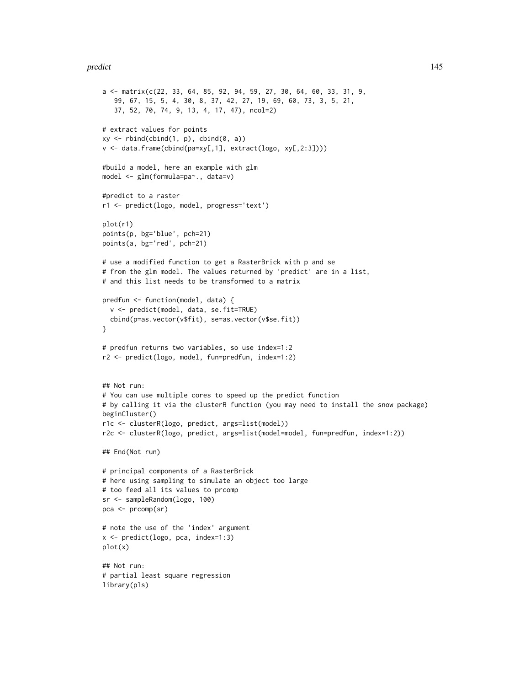#### predict the contract of the contract of the contract of the contract of the contract of the contract of the contract of the contract of the contract of the contract of the contract of the contract of the contract of the co

```
a <- matrix(c(22, 33, 64, 85, 92, 94, 59, 27, 30, 64, 60, 33, 31, 9,
   99, 67, 15, 5, 4, 30, 8, 37, 42, 27, 19, 69, 60, 73, 3, 5, 21,
   37, 52, 70, 74, 9, 13, 4, 17, 47), ncol=2)
# extract values for points
xy \leftarrow \text{rbind}(\text{cbind}(1, p), \text{cbind}(0, a))v <- data.frame(cbind(pa=xy[,1], extract(logo, xy[,2:3])))
#build a model, here an example with glm
model <- glm(formula=pa~., data=v)
#predict to a raster
r1 <- predict(logo, model, progress='text')
plot(r1)
points(p, bg='blue', pch=21)
points(a, bg='red', pch=21)
# use a modified function to get a RasterBrick with p and se
# from the glm model. The values returned by 'predict' are in a list,
# and this list needs to be transformed to a matrix
predfun <- function(model, data) {
  v <- predict(model, data, se.fit=TRUE)
  cbind(p=as.vector(v$fit), se=as.vector(v$se.fit))
}
# predfun returns two variables, so use index=1:2
r2 <- predict(logo, model, fun=predfun, index=1:2)
## Not run:
# You can use multiple cores to speed up the predict function
# by calling it via the clusterR function (you may need to install the snow package)
beginCluster()
r1c <- clusterR(logo, predict, args=list(model))
r2c <- clusterR(logo, predict, args=list(model=model, fun=predfun, index=1:2))
## End(Not run)
# principal components of a RasterBrick
# here using sampling to simulate an object too large
# too feed all its values to prcomp
sr <- sampleRandom(logo, 100)
pca <- prcomp(sr)
# note the use of the 'index' argument
x <- predict(logo, pca, index=1:3)
plot(x)
## Not run:
# partial least square regression
library(pls)
```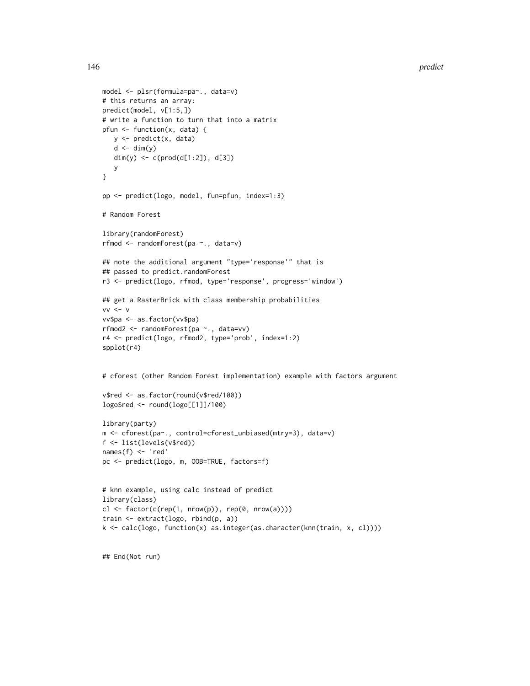```
model <- plsr(formula=pa~., data=v)
# this returns an array:
predict(model, v[1:5,])
# write a function to turn that into a matrix
pfun <- function(x, data) {
  y <- predict(x, data)
   d \leq -\dim(y)dim(y) <- c(prod(d[1:2]), d[3])
  y
}
pp <- predict(logo, model, fun=pfun, index=1:3)
# Random Forest
library(randomForest)
rfmod <- randomForest(pa ~., data=v)
## note the additional argument "type='response'" that is
## passed to predict.randomForest
r3 <- predict(logo, rfmod, type='response', progress='window')
## get a RasterBrick with class membership probabilities
vv \le vvv$pa <- as.factor(vv$pa)
rfmod2 <- randomForest(pa ~., data=vv)
r4 <- predict(logo, rfmod2, type='prob', index=1:2)
spplot(r4)
# cforest (other Random Forest implementation) example with factors argument
v$red <- as.factor(round(v$red/100))
logo$red <- round(logo[[1]]/100)
library(party)
m <- cforest(pa~., control=cforest_unbiased(mtry=3), data=v)
f <- list(levels(v$red))
names(f) <- 'red'
pc <- predict(logo, m, OOB=TRUE, factors=f)
# knn example, using calc instead of predict
library(class)
cl \leftarrow factor(c(rep(1, nrow(p)), rep(0, nrow(a))))train <- extract(logo, rbind(p, a))
k <- calc(logo, function(x) as.integer(as.character(knn(train, x, cl))))
```
## End(Not run)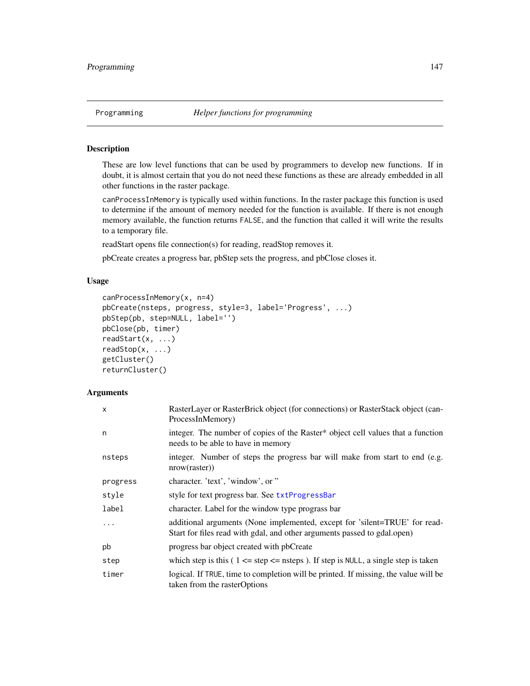These are low level functions that can be used by programmers to develop new functions. If in doubt, it is almost certain that you do not need these functions as these are already embedded in all other functions in the raster package.

canProcessInMemory is typically used within functions. In the raster package this function is used to determine if the amount of memory needed for the function is available. If there is not enough memory available, the function returns FALSE, and the function that called it will write the results to a temporary file.

readStart opens file connection(s) for reading, readStop removes it.

pbCreate creates a progress bar, pbStep sets the progress, and pbClose closes it.

# Usage

```
canProcessInMemory(x, n=4)
pbCreate(nsteps, progress, style=3, label='Progress', ...)
pbStep(pb, step=NULL, label='')
pbClose(pb, timer)
readStart(x, ...)
readStop(x, ...)
getCluster()
returnCluster()
```

| $\mathsf{x}$ | RasterLayer or RasterBrick object (for connections) or RasterStack object (can-<br>ProcessInMemory)                                                    |
|--------------|--------------------------------------------------------------------------------------------------------------------------------------------------------|
| n            | integer. The number of copies of the Raster* object cell values that a function<br>needs to be able to have in memory                                  |
| nsteps       | integer. Number of steps the progress bar will make from start to end (e.g.<br>nrow(raster)                                                            |
| progress     | character. 'text', 'window', or "                                                                                                                      |
| style        | style for text progress bar. See txtProgressBar                                                                                                        |
| label        | character. Label for the window type prograss bar                                                                                                      |
| $\ddots$ .   | additional arguments (None implemented, except for 'silent=TRUE' for read-<br>Start for files read with gdal, and other arguments passed to gdal.open) |
| pb           | progress bar object created with pbCreate                                                                                                              |
| step         | which step is this (1 $\leq$ = step $\leq$ nsteps). If step is NULL, a single step is taken                                                            |
| timer        | logical. If TRUE, time to completion will be printed. If missing, the value will be<br>taken from the rasterOptions                                    |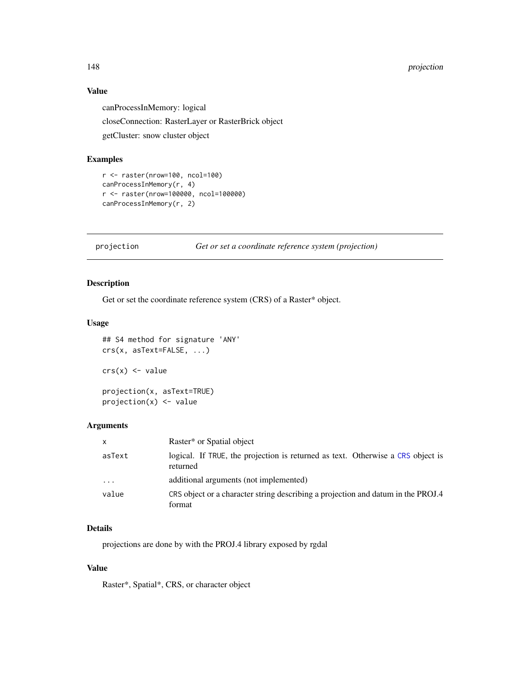# 148 *projection*

## Value

canProcessInMemory: logical closeConnection: RasterLayer or RasterBrick object getCluster: snow cluster object

# Examples

```
r <- raster(nrow=100, ncol=100)
canProcessInMemory(r, 4)
r <- raster(nrow=100000, ncol=100000)
canProcessInMemory(r, 2)
```
projection *Get or set a coordinate reference system (projection)*

## Description

Get or set the coordinate reference system (CRS) of a Raster\* object.

#### Usage

```
## S4 method for signature 'ANY'
crs(x, asText=FALSE, ...)
crs(x) \leftarrow valueprojection(x, asText=TRUE)
projection(x) <- value
```
#### Arguments

| $\mathsf{x}$            | Raster* or Spatial object                                                                   |
|-------------------------|---------------------------------------------------------------------------------------------|
| asText                  | logical. If TRUE, the projection is returned as text. Otherwise a CRS object is<br>returned |
| $\cdot$ $\cdot$ $\cdot$ | additional arguments (not implemented)                                                      |
| value                   | CRS object or a character string describing a projection and datum in the PROJ.4<br>format  |

# Details

projections are done by with the PROJ.4 library exposed by rgdal

# Value

Raster\*, Spatial\*, CRS, or character object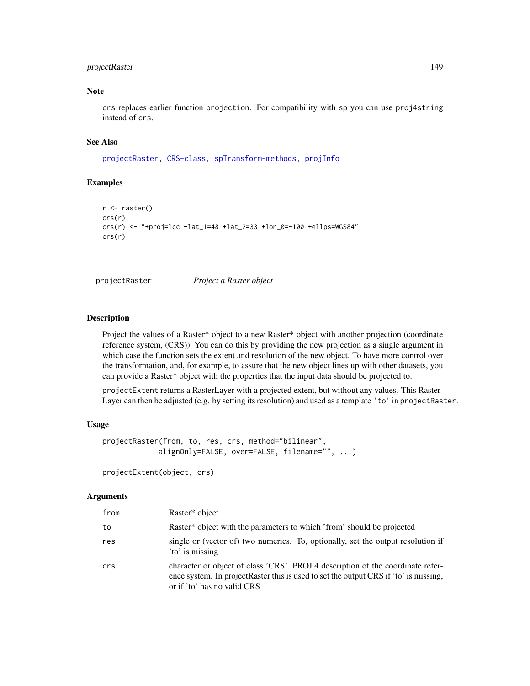# projectRaster 149

#### Note

crs replaces earlier function projection. For compatibility with sp you can use proj4string instead of crs.

#### See Also

[projectRaster,](#page-148-0) [CRS-class,](#page-0-0) [spTransform-methods,](#page-0-0) [projInfo](#page-0-0)

#### Examples

```
r <- raster()
crs(r)
crs(r) <- "+proj=lcc +lat_1=48 +lat_2=33 +lon_0=-100 +ellps=WGS84"
crs(r)
```
<span id="page-148-0"></span>

projectRaster *Project a Raster object*

#### Description

Project the values of a Raster\* object to a new Raster\* object with another projection (coordinate reference system, (CRS)). You can do this by providing the new projection as a single argument in which case the function sets the extent and resolution of the new object. To have more control over the transformation, and, for example, to assure that the new object lines up with other datasets, you can provide a Raster\* object with the properties that the input data should be projected to.

projectExtent returns a RasterLayer with a projected extent, but without any values. This Raster-Layer can then be adjusted (e.g. by setting its resolution) and used as a template 'to' in projectRaster.

#### Usage

```
projectRaster(from, to, res, crs, method="bilinear",
             alignOnly=FALSE, over=FALSE, filename="", ...)
```
projectExtent(object, crs)

| from | Raster* object                                                                                                                                                                                          |
|------|---------------------------------------------------------------------------------------------------------------------------------------------------------------------------------------------------------|
| to   | Raster* object with the parameters to which 'from' should be projected                                                                                                                                  |
| res  | single or (vector of) two numerics. To, optionally, set the output resolution if<br>'to' is missing                                                                                                     |
| crs  | character or object of class 'CRS'. PROJ.4 description of the coordinate refer-<br>ence system. In project Raster this is used to set the output CRS if 'to' is missing,<br>or if 'to' has no valid CRS |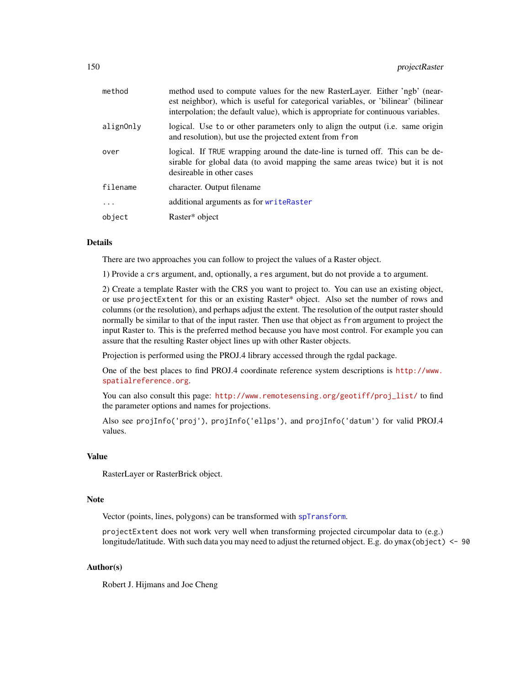| method    | method used to compute values for the new RasterLayer. Either 'ngb' (near-<br>est neighbor), which is useful for categorical variables, or 'bilinear' (bilinear<br>interpolation; the default value), which is appropriate for continuous variables. |
|-----------|------------------------------------------------------------------------------------------------------------------------------------------------------------------------------------------------------------------------------------------------------|
| alignOnly | logical. Use to or other parameters only to align the output (i.e. same origin<br>and resolution), but use the projected extent from from                                                                                                            |
| over      | logical. If TRUE wrapping around the date-line is turned off. This can be de-<br>sirable for global data (to avoid mapping the same areas twice) but it is not<br>desireable in other cases                                                          |
| filename  | character. Output filename                                                                                                                                                                                                                           |
| $\cdots$  | additional arguments as for writeRaster                                                                                                                                                                                                              |
| object    | Raster* object                                                                                                                                                                                                                                       |
|           |                                                                                                                                                                                                                                                      |

#### Details

There are two approaches you can follow to project the values of a Raster object.

1) Provide a crs argument, and, optionally, a res argument, but do not provide a to argument.

2) Create a template Raster with the CRS you want to project to. You can use an existing object, or use projectExtent for this or an existing Raster\* object. Also set the number of rows and columns (or the resolution), and perhaps adjust the extent. The resolution of the output raster should normally be similar to that of the input raster. Then use that object as from argument to project the input Raster to. This is the preferred method because you have most control. For example you can assure that the resulting Raster object lines up with other Raster objects.

Projection is performed using the PROJ.4 library accessed through the rgdal package.

One of the best places to find PROJ.4 coordinate reference system descriptions is [http://www.](http://www.spatialreference.org) [spatialreference.org](http://www.spatialreference.org).

You can also consult this page: [http://www.remotesensing.org/geotiff/proj\\_list/](http://www.remotesensing.org/geotiff/proj_list/) to find the parameter options and names for projections.

Also see projInfo('proj'), projInfo('ellps'), and projInfo('datum') for valid PROJ.4 values.

#### Value

RasterLayer or RasterBrick object.

# Note

Vector (points, lines, polygons) can be transformed with [spTransform](#page-0-0).

projectExtent does not work very well when transforming projected circumpolar data to (e.g.) longitude/latitude. With such data you may need to adjust the returned object. E.g. do ymax(object) <- 90

# Author(s)

Robert J. Hijmans and Joe Cheng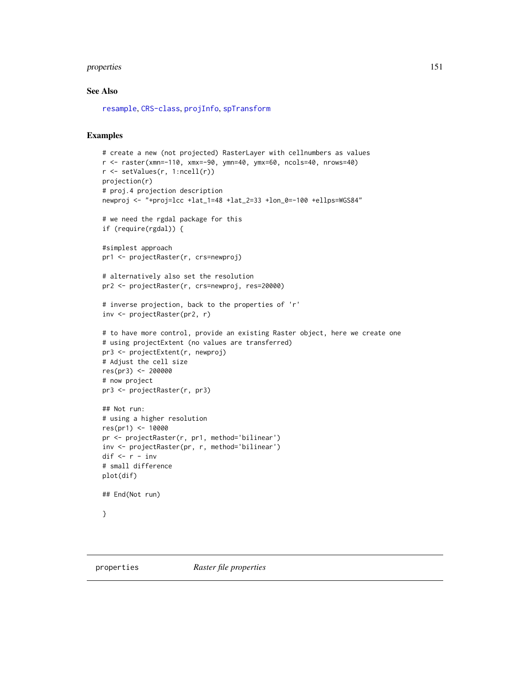#### properties 151

#### See Also

[resample](#page-170-0), [CRS-class](#page-0-0), [projInfo](#page-0-0), [spTransform](#page-0-0)

#### Examples

```
# create a new (not projected) RasterLayer with cellnumbers as values
r <- raster(xmn=-110, xmx=-90, ymn=40, ymx=60, ncols=40, nrows=40)
r <- setValues(r, 1:ncell(r))
projection(r)
# proj.4 projection description
newproj <- "+proj=lcc +lat_1=48 +lat_2=33 +lon_0=-100 +ellps=WGS84"
# we need the rgdal package for this
if (require(rgdal)) {
#simplest approach
pr1 <- projectRaster(r, crs=newproj)
# alternatively also set the resolution
pr2 <- projectRaster(r, crs=newproj, res=20000)
# inverse projection, back to the properties of 'r'
inv <- projectRaster(pr2, r)
# to have more control, provide an existing Raster object, here we create one
# using projectExtent (no values are transferred)
pr3 <- projectExtent(r, newproj)
# Adjust the cell size
res(pr3) <- 200000
# now project
pr3 <- projectRaster(r, pr3)
## Not run:
# using a higher resolution
res(pr1) <- 10000
pr <- projectRaster(r, pr1, method='bilinear')
inv <- projectRaster(pr, r, method='bilinear')
dif <- r - inv
# small difference
plot(dif)
```

```
## End(Not run)
```

```
}
```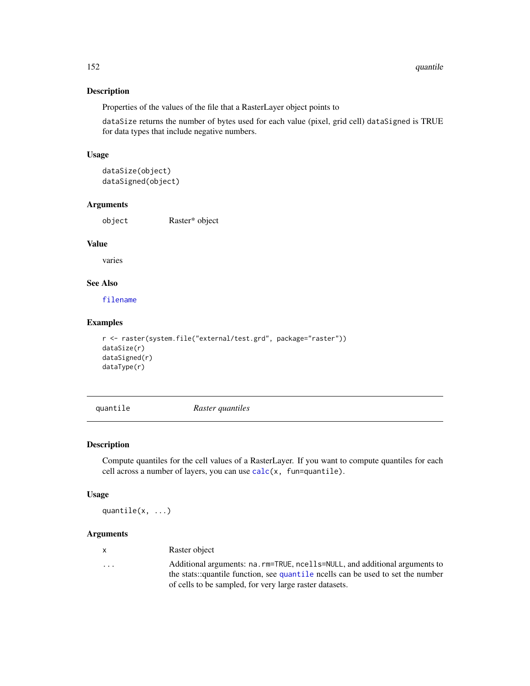Properties of the values of the file that a RasterLayer object points to

dataSize returns the number of bytes used for each value (pixel, grid cell) dataSigned is TRUE for data types that include negative numbers.

# Usage

```
dataSize(object)
dataSigned(object)
```
# Arguments

object Raster\* object

#### Value

varies

# See Also

[filename](#page-85-0)

#### Examples

```
r <- raster(system.file("external/test.grd", package="raster"))
dataSize(r)
dataSigned(r)
dataType(r)
```
<span id="page-151-0"></span>quantile *Raster quantiles*

#### Description

Compute quantiles for the cell values of a RasterLayer. If you want to compute quantiles for each cell across a number of layers, you can use [calc\(](#page-37-0)x, fun=quantile).

#### Usage

quantile(x, ...)

## Arguments

| х | Raster object |  |
|---|---------------|--|
|---|---------------|--|

... Additional arguments: na.rm=TRUE, ncells=NULL, and additional arguments to the stats::quantile function, see [quantile](#page-151-0) ncells can be used to set the number of cells to be sampled, for very large raster datasets.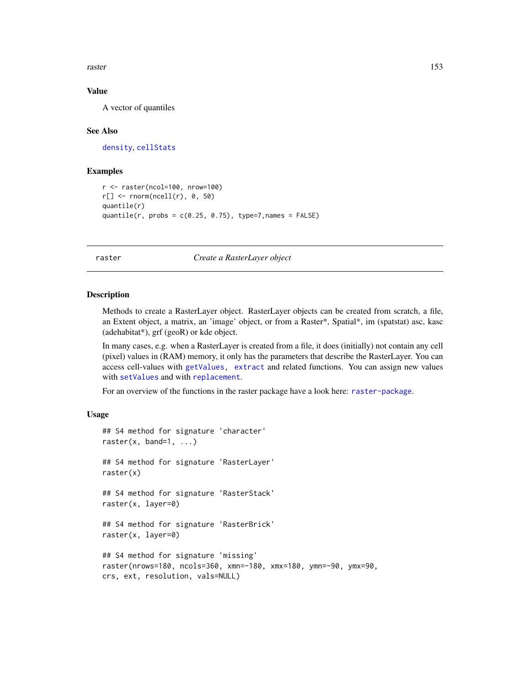raster and the state of the state of the state of the state of the state of the state of the state of the state of the state of the state of the state of the state of the state of the state of the state of the state of the

#### Value

A vector of quantiles

#### See Also

[density](#page-64-0), [cellStats](#page-43-0)

#### Examples

```
r <- raster(ncol=100, nrow=100)
r[] <- rnorm(ncell(r), 0, 50)
quantile(r)
quantile(r, probs = c(0.25, 0.75), type=7, names = FALSE)
```
#### <span id="page-152-0"></span>raster *Create a RasterLayer object*

#### Description

Methods to create a RasterLayer object. RasterLayer objects can be created from scratch, a file, an Extent object, a matrix, an 'image' object, or from a Raster\*, Spatial\*, im (spatstat) asc, kasc (adehabitat\*), grf (geoR) or kde object.

In many cases, e.g. when a RasterLayer is created from a file, it does (initially) not contain any cell (pixel) values in (RAM) memory, it only has the parameters that describe the RasterLayer. You can access cell-values with [getValues,](#page-95-0) [extract](#page-76-0) and related functions. You can assign new values with [setValues](#page-186-0) and with [replacement](#page-170-1).

For an overview of the functions in the raster package have a look here: [raster-package](#page-5-0).

#### Usage

```
## S4 method for signature 'character'
raster(x, band=1, ...)
## S4 method for signature 'RasterLayer'
raster(x)
## S4 method for signature 'RasterStack'
raster(x, layer=0)
## S4 method for signature 'RasterBrick'
raster(x, layer=0)
## S4 method for signature 'missing'
raster(nrows=180, ncols=360, xmn=-180, xmx=180, ymn=-90, ymx=90,
crs, ext, resolution, vals=NULL)
```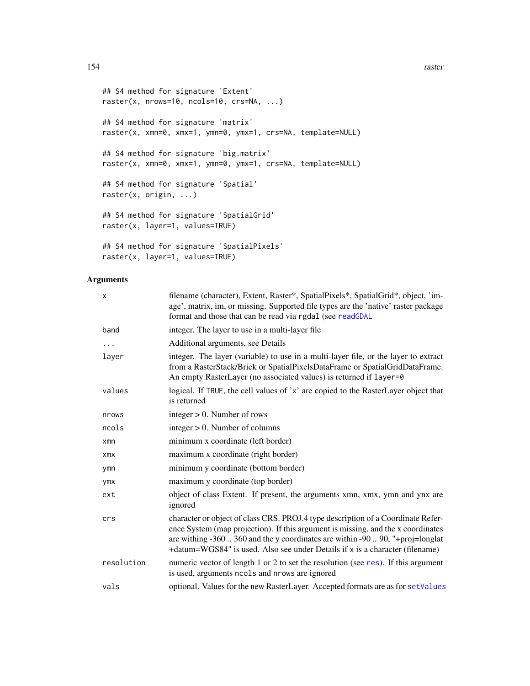#### 154 raster

```
## S4 method for signature 'Extent'
raster(x, nrows=10, ncols=10, crs=NA, ...)
## S4 method for signature 'matrix'
raster(x, xmn=0, xmx=1, ymn=0, ymx=1, crs=NA, template=NULL)
## S4 method for signature 'big.matrix'
raster(x, xmn=0, xmx=1, ymn=0, ymx=1, crs=NA, template=NULL)
## S4 method for signature 'Spatial'
raster(x, origin, ...)
## S4 method for signature 'SpatialGrid'
raster(x, layer=1, values=TRUE)
## S4 method for signature 'SpatialPixels'
raster(x, layer=1, values=TRUE)
```

| $\times$   | filename (character), Extent, Raster*, SpatialPixels*, SpatialGrid*, object, 'im-<br>age', matrix, im, or missing. Supported file types are the 'native' raster package<br>format and those that can be read via rgdal (see readGDAL                                                                                                   |
|------------|----------------------------------------------------------------------------------------------------------------------------------------------------------------------------------------------------------------------------------------------------------------------------------------------------------------------------------------|
| band       | integer. The layer to use in a multi-layer file                                                                                                                                                                                                                                                                                        |
| .          | Additional arguments, see Details                                                                                                                                                                                                                                                                                                      |
| layer      | integer. The layer (variable) to use in a multi-layer file, or the layer to extract<br>from a RasterStack/Brick or SpatialPixelsDataFrame or SpatialGridDataFrame.<br>An empty RasterLayer (no associated values) is returned if layer=0                                                                                               |
| values     | logical. If TRUE, the cell values of 'x' are copied to the RasterLayer object that<br>is returned                                                                                                                                                                                                                                      |
| nrows      | integer $> 0$ . Number of rows                                                                                                                                                                                                                                                                                                         |
| ncols      | $integer > 0$ . Number of columns                                                                                                                                                                                                                                                                                                      |
| $x$ mn     | minimum x coordinate (left border)                                                                                                                                                                                                                                                                                                     |
| <b>XMX</b> | maximum x coordinate (right border)                                                                                                                                                                                                                                                                                                    |
| ymn        | minimum y coordinate (bottom border)                                                                                                                                                                                                                                                                                                   |
| ymx        | maximum y coordinate (top border)                                                                                                                                                                                                                                                                                                      |
| ext        | object of class Extent. If present, the arguments xmn, xmx, ymn and ynx are<br>ignored                                                                                                                                                                                                                                                 |
| crs        | character or object of class CRS. PROJ.4 type description of a Coordinate Refer-<br>ence System (map projection). If this argument is missing, and the x coordinates<br>are withing -360  360 and the y coordinates are within -90  90, "+proj=longlat<br>+datum=WGS84" is used. Also see under Details if x is a character (filename) |
| resolution | numeric vector of length 1 or 2 to set the resolution (see res). If this argument<br>is used, arguments ncols and nrows are ignored                                                                                                                                                                                                    |
| vals       | optional. Values for the new RasterLayer. Accepted formats are as for setValues                                                                                                                                                                                                                                                        |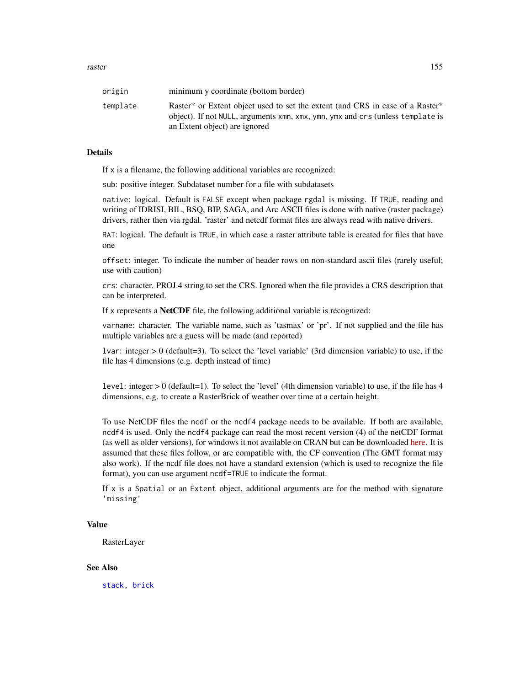| origin   | minimum y coordinate (bottom border)                                                                                                                                                                                     |
|----------|--------------------------------------------------------------------------------------------------------------------------------------------------------------------------------------------------------------------------|
| template | Raster <sup>*</sup> or Extent object used to set the extent (and CRS in case of a Raster <sup>*</sup><br>object). If not NULL, arguments xmn, xmx, ymn, ymx and crs (unless template is<br>an Extent object) are ignored |

#### Details

If x is a filename, the following additional variables are recognized:

sub: positive integer. Subdataset number for a file with subdatasets

native: logical. Default is FALSE except when package rgdal is missing. If TRUE, reading and writing of IDRISI, BIL, BSQ, BIP, SAGA, and Arc ASCII files is done with native (raster package) drivers, rather then via rgdal. 'raster' and netcdf format files are always read with native drivers.

RAT: logical. The default is TRUE, in which case a raster attribute table is created for files that have one

offset: integer. To indicate the number of header rows on non-standard ascii files (rarely useful; use with caution)

crs: character. PROJ.4 string to set the CRS. Ignored when the file provides a CRS description that can be interpreted.

If x represents a NetCDF file, the following additional variable is recognized:

varname: character. The variable name, such as 'tasmax' or 'pr'. If not supplied and the file has multiple variables are a guess will be made (and reported)

lvar: integer > 0 (default=3). To select the 'level variable' (3rd dimension variable) to use, if the file has 4 dimensions (e.g. depth instead of time)

level: integer > 0 (default=1). To select the 'level' (4th dimension variable) to use, if the file has 4 dimensions, e.g. to create a RasterBrick of weather over time at a certain height.

To use NetCDF files the ncdf or the ncdf4 package needs to be available. If both are available, ncdf4 is used. Only the ncdf4 package can read the most recent version (4) of the netCDF format (as well as older versions), for windows it not available on CRAN but can be downloaded [here.](http://cirrus.ucsd.edu/~pierce/ncdf/) It is assumed that these files follow, or are compatible with, the CF convention (The GMT format may also work). If the ncdf file does not have a standard extension (which is used to recognize the file format), you can use argument ncdf=TRUE to indicate the format.

If x is a Spatial or an Extent object, additional arguments are for the method with signature 'missing'

## Value

RasterLayer

#### See Also

[stack,](#page-192-0) [brick](#page-34-0)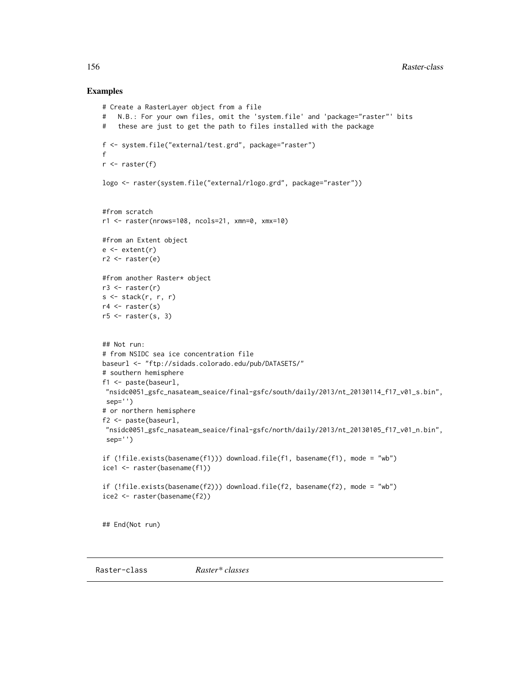#### Examples

```
# Create a RasterLayer object from a file
# N.B.: For your own files, omit the 'system.file' and 'package="raster"' bits
# these are just to get the path to files installed with the package
f <- system.file("external/test.grd", package="raster")
f
r \leftarrow raster(f)
logo <- raster(system.file("external/rlogo.grd", package="raster"))
#from scratch
r1 <- raster(nrows=108, ncols=21, xmn=0, xmx=10)
#from an Extent object
e \leftarrow extent(r)
r2 <- raster(e)
#from another Raster* object
r3 <- raster(r)
s \leftarrow stack(r, r, r)r4 \leftarrow \text{raster}(s)r5 \leq -raster(s, 3)## Not run:
# from NSIDC sea ice concentration file
baseurl <- "ftp://sidads.colorado.edu/pub/DATASETS/"
# southern hemisphere
f1 <- paste(baseurl,
"nsidc0051_gsfc_nasateam_seaice/final-gsfc/south/daily/2013/nt_20130114_f17_v01_s.bin",
sep='')
# or northern hemisphere
f2 <- paste(baseurl,
 "nsidc0051_gsfc_nasateam_seaice/final-gsfc/north/daily/2013/nt_20130105_f17_v01_n.bin",
 sep='')
if (!file.exists(basename(f1))) download.file(f1, basename(f1), mode = "wb")
ice1 <- raster(basename(f1))
if (!file.exists(basename(f2))) download.file(f2, basename(f2), mode = "wb")
ice2 <- raster(basename(f2))
## End(Not run)
```
Raster-class *Raster\* classes*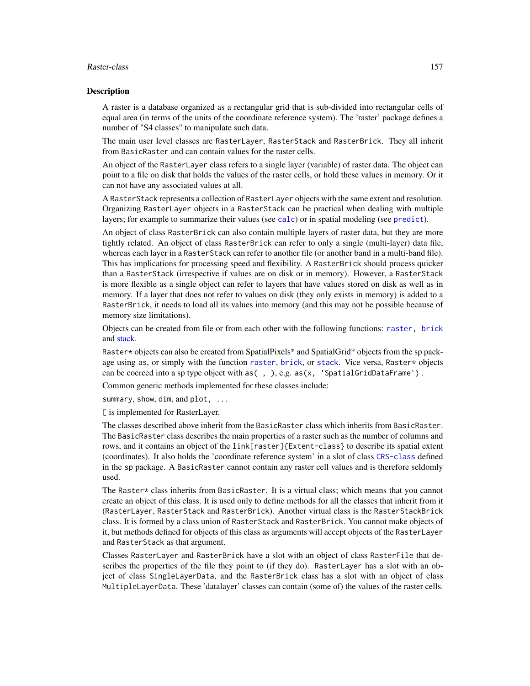#### Raster-class 157

#### **Description**

A raster is a database organized as a rectangular grid that is sub-divided into rectangular cells of equal area (in terms of the units of the coordinate reference system). The 'raster' package defines a number of "S4 classes" to manipulate such data.

The main user level classes are RasterLayer, RasterStack and RasterBrick. They all inherit from BasicRaster and can contain values for the raster cells.

An object of the RasterLayer class refers to a single layer (variable) of raster data. The object can point to a file on disk that holds the values of the raster cells, or hold these values in memory. Or it can not have any associated values at all.

A RasterStack represents a collection of RasterLayer objects with the same extent and resolution. Organizing RasterLayer objects in a RasterStack can be practical when dealing with multiple layers; for example to summarize their values (see [calc](#page-37-0)) or in spatial modeling (see [predict](#page-142-0)).

An object of class RasterBrick can also contain multiple layers of raster data, but they are more tightly related. An object of class RasterBrick can refer to only a single (multi-layer) data file, whereas each layer in a RasterStack can refer to another file (or another band in a multi-band file). This has implications for processing speed and flexibility. A RasterBrick should process quicker than a RasterStack (irrespective if values are on disk or in memory). However, a RasterStack is more flexible as a single object can refer to layers that have values stored on disk as well as in memory. If a layer that does not refer to values on disk (they only exists in memory) is added to a RasterBrick, it needs to load all its values into memory (and this may not be possible because of memory size limitations).

Objects can be created from file or from each other with the following functions: [raster,](#page-152-0) [brick](#page-34-0) and [stack.](#page-192-0)

Raster\* objects can also be created from SpatialPixels\* and SpatialGrid\* objects from the sp package using as, or simply with the function [raster](#page-152-0), [brick](#page-34-0), or [stack](#page-192-0). Vice versa, Raster\* objects can be coerced into a sp type object with as  $( , )$ , e.g. as  $(x, '$  SpatialGridDataFrame').

Common generic methods implemented for these classes include:

summary, show, dim, and plot, ...

[ is implemented for RasterLayer.

The classes described above inherit from the BasicRaster class which inherits from BasicRaster. The BasicRaster class describes the main properties of a raster such as the number of columns and rows, and it contains an object of the link[raster]{Extent-class} to describe its spatial extent (coordinates). It also holds the 'coordinate reference system' in a slot of class [CRS-class](#page-0-0) defined in the sp package. A BasicRaster cannot contain any raster cell values and is therefore seldomly used.

The Raster\* class inherits from BasicRaster. It is a virtual class; which means that you cannot create an object of this class. It is used only to define methods for all the classes that inherit from it (RasterLayer, RasterStack and RasterBrick). Another virtual class is the RasterStackBrick class. It is formed by a class union of RasterStack and RasterBrick. You cannot make objects of it, but methods defined for objects of this class as arguments will accept objects of the RasterLayer and RasterStack as that argument.

Classes RasterLayer and RasterBrick have a slot with an object of class RasterFile that describes the properties of the file they point to (if they do). RasterLayer has a slot with an object of class SingleLayerData, and the RasterBrick class has a slot with an object of class MultipleLayerData. These 'datalayer' classes can contain (some of) the values of the raster cells.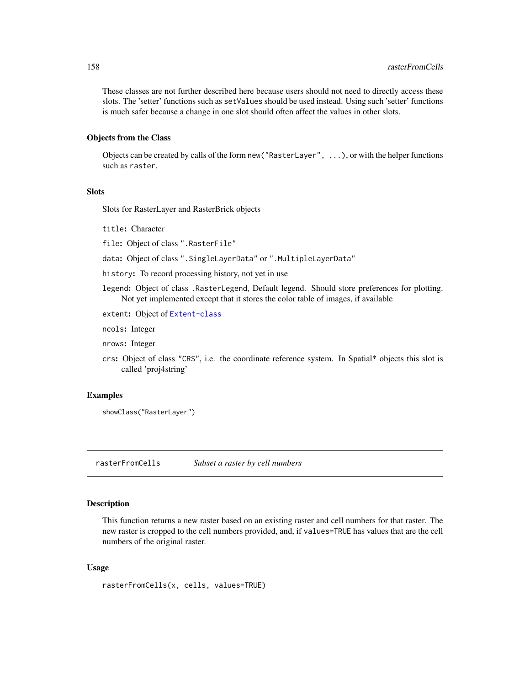These classes are not further described here because users should not need to directly access these slots. The 'setter' functions such as setValues should be used instead. Using such 'setter' functions is much safer because a change in one slot should often affect the values in other slots.

## Objects from the Class

Objects can be created by calls of the form new("RasterLayer", ...), or with the helper functions such as raster.

## **Slots**

Slots for RasterLayer and RasterBrick objects

title: Character

file: Object of class ".RasterFile"

data: Object of class ".SingleLayerData" or ".MultipleLayerData"

history: To record processing history, not yet in use

legend: Object of class .RasterLegend, Default legend. Should store preferences for plotting. Not yet implemented except that it stores the color table of images, if available

extent: Object of [Extent-class](#page-75-0)

ncols: Integer

nrows: Integer

crs: Object of class "CRS", i.e. the coordinate reference system. In Spatial\* objects this slot is called 'proj4string'

#### Examples

showClass("RasterLayer")

rasterFromCells *Subset a raster by cell numbers*

#### Description

This function returns a new raster based on an existing raster and cell numbers for that raster. The new raster is cropped to the cell numbers provided, and, if values=TRUE has values that are the cell numbers of the original raster.

#### Usage

rasterFromCells(x, cells, values=TRUE)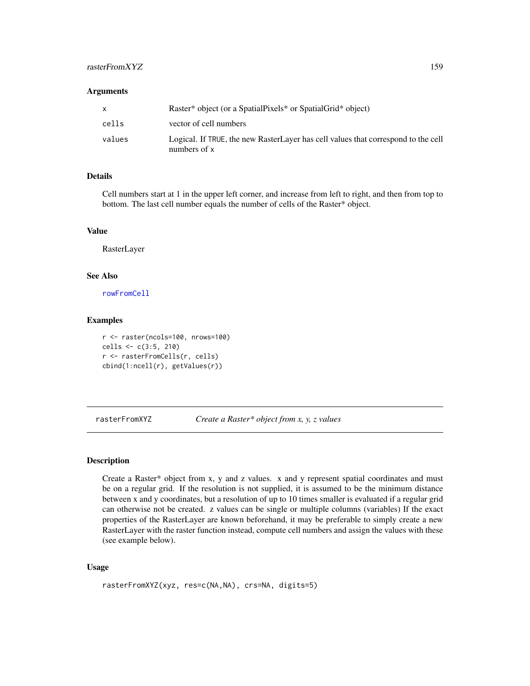# rasterFromXYZ 159

#### **Arguments**

|        | Raster* object (or a SpatialPixels* or SpatialGrid* object)                                       |
|--------|---------------------------------------------------------------------------------------------------|
| cells  | vector of cell numbers                                                                            |
| values | Logical. If TRUE, the new RasterLayer has cell values that correspond to the cell<br>numbers of x |

## Details

Cell numbers start at 1 in the upper left corner, and increase from left to right, and then from top to bottom. The last cell number equals the number of cells of the Raster\* object.

#### Value

RasterLayer

# See Also

[rowFromCell](#page-176-0)

#### Examples

```
r <- raster(ncols=100, nrows=100)
cells <- c(3:5, 210)
r <- rasterFromCells(r, cells)
cbind(1:ncell(r), getValues(r))
```
rasterFromXYZ *Create a Raster\* object from x, y, z values*

#### Description

Create a Raster\* object from x, y and z values. x and y represent spatial coordinates and must be on a regular grid. If the resolution is not supplied, it is assumed to be the minimum distance between x and y coordinates, but a resolution of up to 10 times smaller is evaluated if a regular grid can otherwise not be created. z values can be single or multiple columns (variables) If the exact properties of the RasterLayer are known beforehand, it may be preferable to simply create a new RasterLayer with the raster function instead, compute cell numbers and assign the values with these (see example below).

## Usage

```
rasterFromXYZ(xyz, res=c(NA,NA), crs=NA, digits=5)
```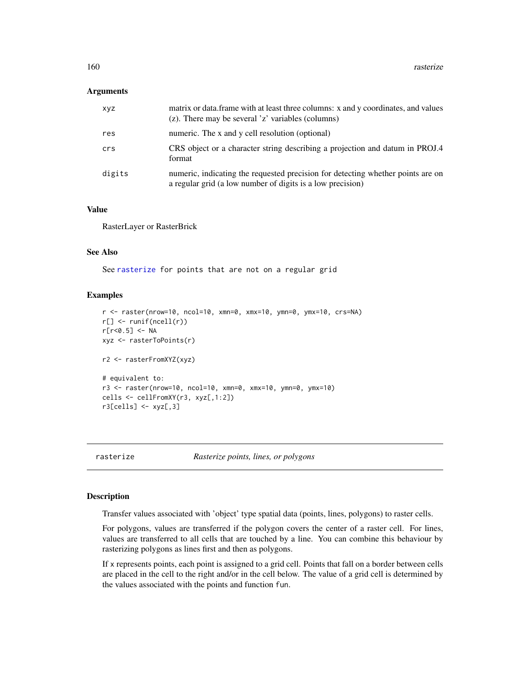#### **Arguments**

| <b>XYZ</b> | matrix or data. frame with at least three columns: x and y coordinates, and values<br>(z). There may be several 'z' variables (columns)       |
|------------|-----------------------------------------------------------------------------------------------------------------------------------------------|
| res        | numeric. The x and y cell resolution (optional)                                                                                               |
| crs        | CRS object or a character string describing a projection and datum in PROJ.4<br>format                                                        |
| digits     | numeric, indicating the requested precision for detecting whether points are on<br>a regular grid (a low number of digits is a low precision) |

#### Value

RasterLayer or RasterBrick

# See Also

See [rasterize](#page-159-0) for points that are not on a regular grid

# Examples

```
r <- raster(nrow=10, ncol=10, xmn=0, xmx=10, ymn=0, ymx=10, crs=NA)
r[] <- runif(ncell(r))
r[r<0.5] <- NA
xyz <- rasterToPoints(r)
r2 <- rasterFromXYZ(xyz)
# equivalent to:
r3 <- raster(nrow=10, ncol=10, xmn=0, xmx=10, ymn=0, ymx=10)
cells <- cellFromXY(r3, xyz[,1:2])
r3[cells] < -xyz[, 3]
```
<span id="page-159-0"></span>rasterize *Rasterize points, lines, or polygons*

#### Description

Transfer values associated with 'object' type spatial data (points, lines, polygons) to raster cells.

For polygons, values are transferred if the polygon covers the center of a raster cell. For lines, values are transferred to all cells that are touched by a line. You can combine this behaviour by rasterizing polygons as lines first and then as polygons.

If x represents points, each point is assigned to a grid cell. Points that fall on a border between cells are placed in the cell to the right and/or in the cell below. The value of a grid cell is determined by the values associated with the points and function fun.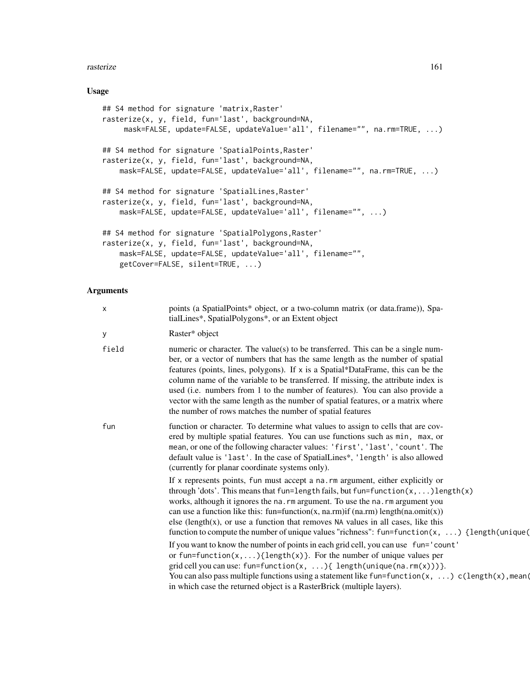#### **rasterize** 161

#### Usage

```
## S4 method for signature 'matrix,Raster'
rasterize(x, y, field, fun='last', background=NA,
     mask=FALSE, update=FALSE, updateValue='all', filename="", na.rm=TRUE, ...)
## S4 method for signature 'SpatialPoints,Raster'
rasterize(x, y, field, fun='last', background=NA,
    mask=FALSE, update=FALSE, updateValue='all', filename="", na.rm=TRUE, ...)
## S4 method for signature 'SpatialLines, Raster'
rasterize(x, y, field, fun='last', background=NA,
    mask=FALSE, update=FALSE, updateValue='all', filename="", ...)
## S4 method for signature 'SpatialPolygons,Raster'
rasterize(x, y, field, fun='last', background=NA,
   mask=FALSE, update=FALSE, updateValue='all', filename="",
   getCover=FALSE, silent=TRUE, ...)
```

| $\boldsymbol{\mathsf{x}}$ | points (a SpatialPoints* object, or a two-column matrix (or data.frame)), Spa-<br>tialLines*, SpatialPolygons*, or an Extent object                                                                                                                                                                                                                                                                                                                                                                                                                                        |
|---------------------------|----------------------------------------------------------------------------------------------------------------------------------------------------------------------------------------------------------------------------------------------------------------------------------------------------------------------------------------------------------------------------------------------------------------------------------------------------------------------------------------------------------------------------------------------------------------------------|
| y                         | Raster* object                                                                                                                                                                                                                                                                                                                                                                                                                                                                                                                                                             |
| field                     | numeric or character. The value(s) to be transferred. This can be a single num-<br>ber, or a vector of numbers that has the same length as the number of spatial<br>features (points, lines, polygons). If x is a Spatial*DataFrame, this can be the<br>column name of the variable to be transferred. If missing, the attribute index is<br>used (i.e. numbers from 1 to the number of features). You can also provide a<br>vector with the same length as the number of spatial features, or a matrix where<br>the number of rows matches the number of spatial features |
| fun                       | function or character. To determine what values to assign to cells that are cov-<br>ered by multiple spatial features. You can use functions such as min, max, or<br>mean, or one of the following character values: 'first', 'last', 'count'. The<br>default value is 'last'. In the case of SpatialLines*, 'length' is also allowed<br>(currently for planar coordinate systems only).                                                                                                                                                                                   |
|                           | If x represents points, fun must accept a na.rm argument, either explicitly or<br>through 'dots'. This means that fun=length fails, but fun=function $(x, \dots)$ length $(x)$<br>works, although it ignores the na. rm argument. To use the na. rm argument you<br>can use a function like this: fun=function(x, na.rm)if (na.rm) length(na.omit(x))<br>else (length $(x)$ , or use a function that removes NA values in all cases, like this<br>function to compute the number of unique values "richness": $fun = function(x, \ldots)$ {length(unique(                  |
|                           | If you want to know the number of points in each grid cell, you can use fun='count'<br>or fun=function( $x, \ldots$ ){length( $x$ )}. For the number of unique values per<br>grid cell you can use: fun=function(x, ){ length(unique(na.rm(x)))}.<br>You can also pass multiple functions using a statement like fun=function(x, ) c(length(x), mean(<br>in which case the returned object is a RasterBrick (multiple layers).                                                                                                                                             |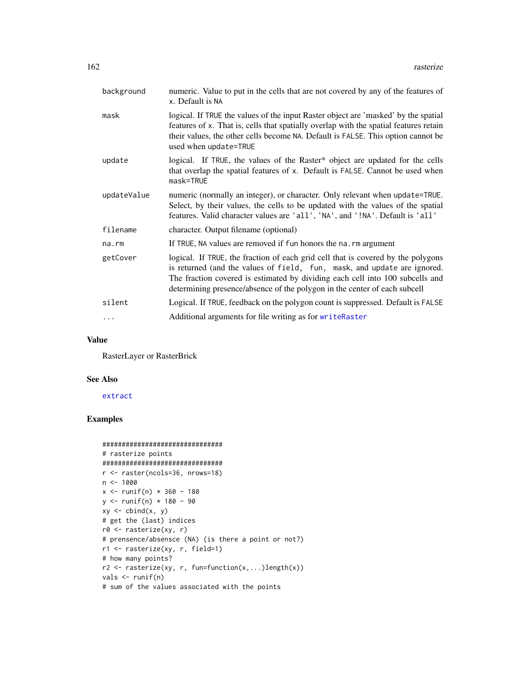| background  | numeric. Value to put in the cells that are not covered by any of the features of<br>x. Default is NA                                                                                                                                                                                                                      |
|-------------|----------------------------------------------------------------------------------------------------------------------------------------------------------------------------------------------------------------------------------------------------------------------------------------------------------------------------|
| mask        | logical. If TRUE the values of the input Raster object are 'masked' by the spatial<br>features of x. That is, cells that spatially overlap with the spatial features retain<br>their values, the other cells become NA. Default is FALSE. This option cannot be<br>used when update=TRUE                                   |
| update      | logical. If TRUE, the values of the Raster* object are updated for the cells<br>that overlap the spatial features of x. Default is FALSE. Cannot be used when<br>mask=TRUE                                                                                                                                                 |
| updateValue | numeric (normally an integer), or character. Only relevant when update=TRUE.<br>Select, by their values, the cells to be updated with the values of the spatial<br>features. Valid character values are 'all', 'NA', and '!NA'. Default is 'all'                                                                           |
| filename    | character. Output filename (optional)                                                                                                                                                                                                                                                                                      |
| na.rm       | If TRUE, NA values are removed if fun honors the na. rm argument                                                                                                                                                                                                                                                           |
| getCover    | logical. If TRUE, the fraction of each grid cell that is covered by the polygons<br>is returned (and the values of field, fun, mask, and update are ignored.<br>The fraction covered is estimated by dividing each cell into 100 subcells and<br>determining presence/absence of the polygon in the center of each subcell |
| silent      | Logical. If TRUE, feedback on the polygon count is suppressed. Default is FALSE                                                                                                                                                                                                                                            |
| $\cdots$    | Additional arguments for file writing as for writeRaster                                                                                                                                                                                                                                                                   |

# Value

RasterLayer or RasterBrick

#### See Also

[extract](#page-76-0)

# Examples

```
###############################
# rasterize points
###############################
r <- raster(ncols=36, nrows=18)
n <- 1000
x <- runif(n) * 360 - 180y <- runif(n) * 180 - 90
xy \leftarrow \text{cbind}(x, y)# get the (last) indices
r0 <- rasterize(xy, r)
# prensence/absensce (NA) (is there a point or not?)
r1 <- rasterize(xy, r, field=1)
# how many points?
r2 <- rasterize(xy, r, fun=function(x,...)length(x))
vals \leftarrow runif(n)# sum of the values associated with the points
```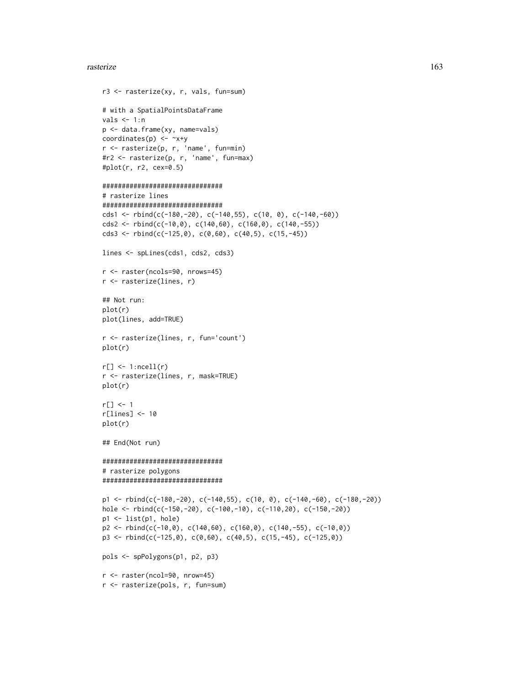#### **rasterize** 163

```
r3 <- rasterize(xy, r, vals, fun=sum)
# with a SpatialPointsDataFrame
vals < - 1:np <- data.frame(xy, name=vals)
coordinates(p) <- ~x+y
r <- rasterize(p, r, 'name', fun=min)
#r2 <- rasterize(p, r, 'name', fun=max)
#plot(r, r2, cex=0.5)
###############################
# rasterize lines
###############################
cds1 <- rbind(c(-180,-20), c(-140,55), c(10, 0), c(-140,-60))
cds2 <- rbind(c(-10,0), c(140,60), c(160,0), c(140,-55))
cds3 <- rbind(c(-125,0), c(0,60), c(40,5), c(15,-45))
lines <- spLines(cds1, cds2, cds3)
r <- raster(ncols=90, nrows=45)
r <- rasterize(lines, r)
## Not run:
plot(r)
plot(lines, add=TRUE)
r <- rasterize(lines, r, fun='count')
plot(r)
r[] \leftarrow 1:ncell(r)r <- rasterize(lines, r, mask=TRUE)
plot(r)
r[] <- 1
r[lines] <- 10
plot(r)
## End(Not run)
###############################
# rasterize polygons
###############################
p1 <- rbind(c(-180,-20), c(-140,55), c(10, 0), c(-140,-60), c(-180,-20))
hole <- rbind(c(-150,-20), c(-100,-10), c(-110,20), c(-150,-20))
p1 <- list(p1, hole)
p2 \le - \text{rbind}(c(-10,0), c(140,60), c(160,0), c(140,-55), c(-10,0))p3 \le rbind(c(-125,0), c(0,60), c(40,5), c(15,-45), c(-125,0))
pols <- spPolygons(p1, p2, p3)
r <- raster(ncol=90, nrow=45)
r <- rasterize(pols, r, fun=sum)
```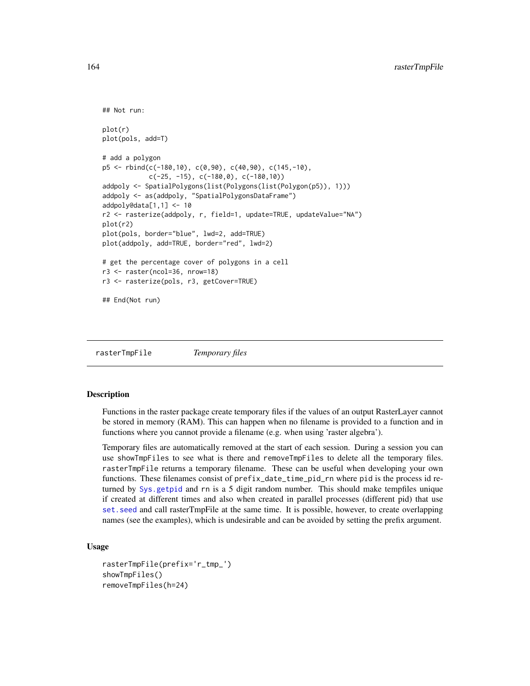```
## Not run:
plot(r)
plot(pols, add=T)
# add a polygon
p5 <- rbind(c(-180,10), c(0,90), c(40,90), c(145,-10),
            c(-25, -15), c(-180, 0), c(-180, 10)addpoly <- SpatialPolygons(list(Polygons(list(Polygon(p5)), 1)))
addpoly <- as(addpoly, "SpatialPolygonsDataFrame")
addpoly@data[1,1] <- 10
r2 <- rasterize(addpoly, r, field=1, update=TRUE, updateValue="NA")
plot(r2)
plot(pols, border="blue", lwd=2, add=TRUE)
plot(addpoly, add=TRUE, border="red", lwd=2)
# get the percentage cover of polygons in a cell
r3 <- raster(ncol=36, nrow=18)
r3 <- rasterize(pols, r3, getCover=TRUE)
## End(Not run)
```
rasterTmpFile *Temporary files*

#### Description

Functions in the raster package create temporary files if the values of an output RasterLayer cannot be stored in memory (RAM). This can happen when no filename is provided to a function and in functions where you cannot provide a filename (e.g. when using 'raster algebra').

Temporary files are automatically removed at the start of each session. During a session you can use showTmpFiles to see what is there and removeTmpFiles to delete all the temporary files. rasterTmpFile returns a temporary filename. These can be useful when developing your own functions. These filenames consist of prefix\_date\_time\_pid\_rn where pid is the process id returned by [Sys.getpid](#page-0-0) and rn is a 5 digit random number. This should make tempfiles unique if created at different times and also when created in parallel processes (different pid) that use [set.seed](#page-0-0) and call rasterTmpFile at the same time. It is possible, however, to create overlapping names (see the examples), which is undesirable and can be avoided by setting the prefix argument.

## Usage

```
rasterTmpFile(prefix='r_tmp_')
showTmpFiles()
removeTmpFiles(h=24)
```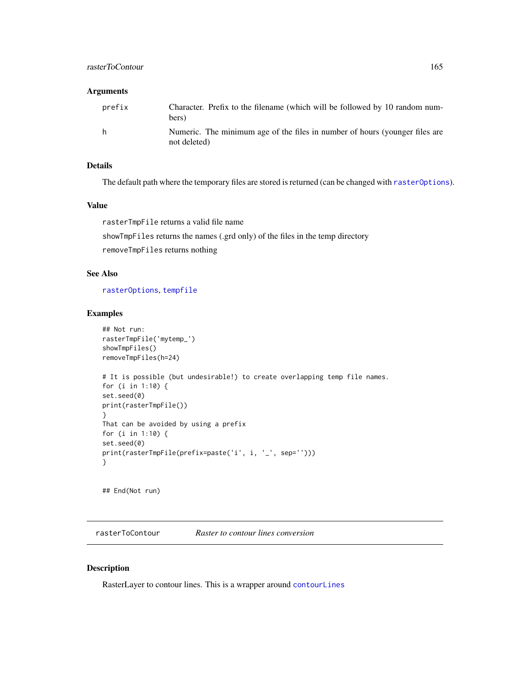#### Arguments

| prefix | Character. Prefix to the filename (which will be followed by 10 random num-<br>bers)        |
|--------|---------------------------------------------------------------------------------------------|
| h.     | Numeric. The minimum age of the files in number of hours (younger files are<br>not deleted) |

# Details

The default path where the temporary files are stored is returned (can be changed with [rasterOptions](#page-130-0)).

### Value

rasterTmpFile returns a valid file name showTmpFiles returns the names (.grd only) of the files in the temp directory

removeTmpFiles returns nothing

#### See Also

[rasterOptions](#page-130-0), [tempfile](#page-0-0)

# Examples

```
## Not run:
rasterTmpFile('mytemp_')
showTmpFiles()
removeTmpFiles(h=24)
# It is possible (but undesirable!) to create overlapping temp file names.
for (i in 1:10) {
set.seed(0)
print(rasterTmpFile())
}
That can be avoided by using a prefix
for (i in 1:10) {
set.seed(0)
print(rasterTmpFile(prefix=paste('i', i, '_', sep='')))
}
```
## End(Not run)

rasterToContour *Raster to contour lines conversion*

## Description

RasterLayer to contour lines. This is a wrapper around [contourLines](#page-0-0)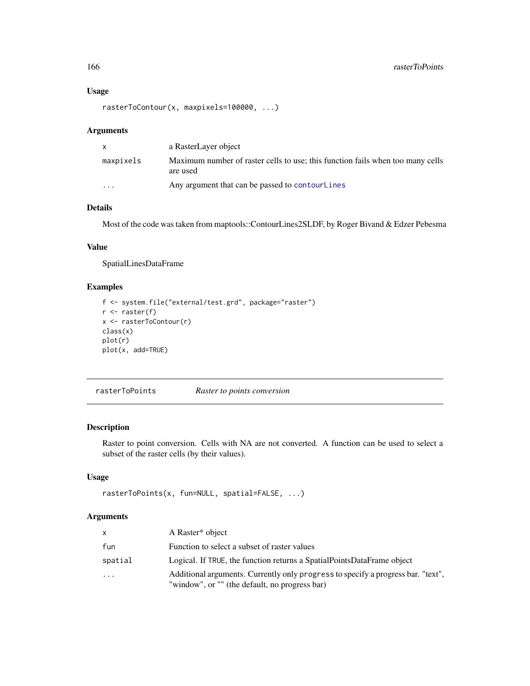# Usage

rasterToContour(x, maxpixels=100000, ...)

#### Arguments

| X         | a RasterLayer object                                                                       |
|-----------|--------------------------------------------------------------------------------------------|
| maxpixels | Maximum number of raster cells to use; this function fails when too many cells<br>are used |
| $\cdots$  | Any argument that can be passed to contourlines                                            |

# Details

Most of the code was taken from maptools::ContourLines2SLDF, by Roger Bivand & Edzer Pebesma

#### Value

SpatialLinesDataFrame

## Examples

```
f <- system.file("external/test.grd", package="raster")
r <- raster(f)
x <- rasterToContour(r)
class(x)
plot(r)
plot(x, add=TRUE)
```
rasterToPoints *Raster to points conversion*

# Description

Raster to point conversion. Cells with NA are not converted. A function can be used to select a subset of the raster cells (by their values).

# Usage

```
rasterToPoints(x, fun=NULL, spatial=FALSE, ...)
```

| x.      | A Raster <sup>*</sup> object                                                                                                       |
|---------|------------------------------------------------------------------------------------------------------------------------------------|
| fun     | Function to select a subset of raster values                                                                                       |
| spatial | Logical. If TRUE, the function returns a SpatialPointsDataFrame object                                                             |
| .       | Additional arguments. Currently only progress to specify a progress bar. "text",<br>"window", or "" (the default, no progress bar) |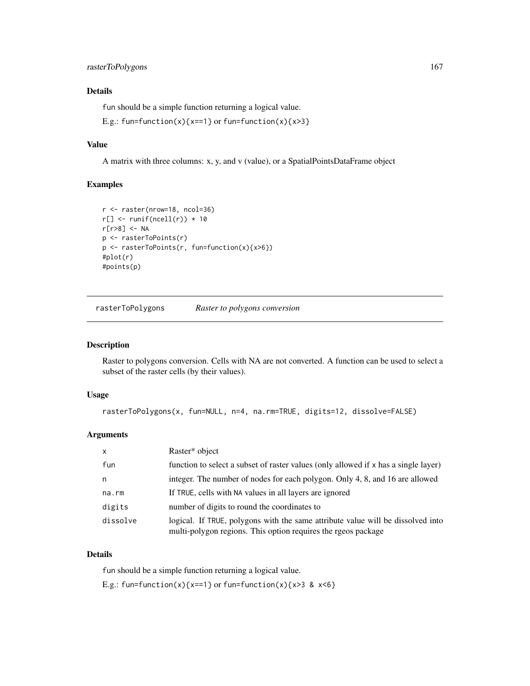# rasterToPolygons 167

## Details

fun should be a simple function returning a logical value.

E.g.: fun=function(x){x==1} or fun=function(x){x>3}

## Value

A matrix with three columns: x, y, and v (value), or a SpatialPointsDataFrame object

#### Examples

```
r <- raster(nrow=18, ncol=36)
r[] \leftarrow runif(ncell(r)) * 10r[r>8] <- NA
p <- rasterToPoints(r)
p <- rasterToPoints(r, fun=function(x){x>6})
#plot(r)
#points(p)
```
rasterToPolygons *Raster to polygons conversion*

#### Description

Raster to polygons conversion. Cells with NA are not converted. A function can be used to select a subset of the raster cells (by their values).

## Usage

```
rasterToPolygons(x, fun=NULL, n=4, na.rm=TRUE, digits=12, dissolve=FALSE)
```
#### Arguments

| $\boldsymbol{\mathsf{x}}$ | Raster* object                                                                                                                                   |
|---------------------------|--------------------------------------------------------------------------------------------------------------------------------------------------|
| fun                       | function to select a subset of raster values (only allowed if x has a single layer)                                                              |
| n                         | integer. The number of nodes for each polygon. Only 4, 8, and 16 are allowed                                                                     |
| $na$ . $rm$               | If TRUE, cells with NA values in all layers are ignored                                                                                          |
| digits                    | number of digits to round the coordinates to                                                                                                     |
| dissolve                  | logical. If TRUE, polygons with the same attribute value will be dissolved into<br>multi-polygon regions. This option requires the rgeos package |

## Details

fun should be a simple function returning a logical value.

E.g.: fun=function(x){x==1} or fun=function(x){x>3 & x<6}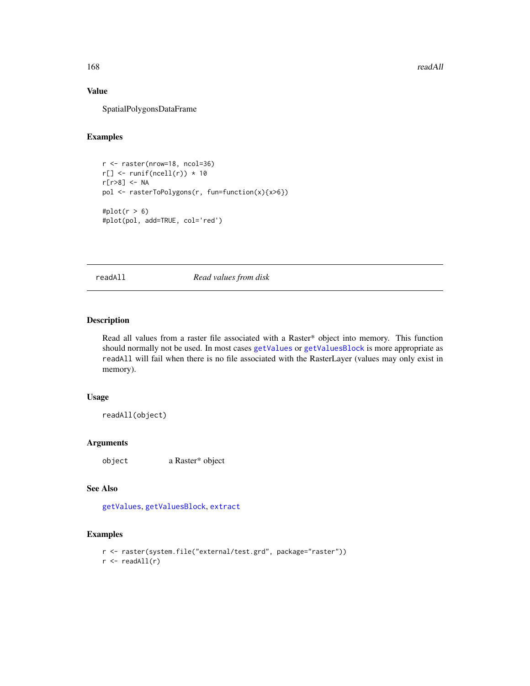# Value

SpatialPolygonsDataFrame

#### Examples

```
r <- raster(nrow=18, ncol=36)
r[] \leftarrow runif(ncell(r)) * 10r[r>8] <- NA
pol <- rasterToPolygons(r, fun=function(x){x>6})
#plot(r > 6)
#plot(pol, add=TRUE, col='red')
```
readAll *Read values from disk*

## Description

Read all values from a raster file associated with a Raster\* object into memory. This function should normally not be used. In most cases [getValues](#page-95-0) or [getValuesBlock](#page-96-0) is more appropriate as readAll will fail when there is no file associated with the RasterLayer (values may only exist in memory).

#### Usage

readAll(object)

# Arguments

object a Raster\* object

#### See Also

[getValues](#page-95-0), [getValuesBlock](#page-96-0), [extract](#page-76-0)

## Examples

```
r <- raster(system.file("external/test.grd", package="raster"))
r <- readAll(r)
```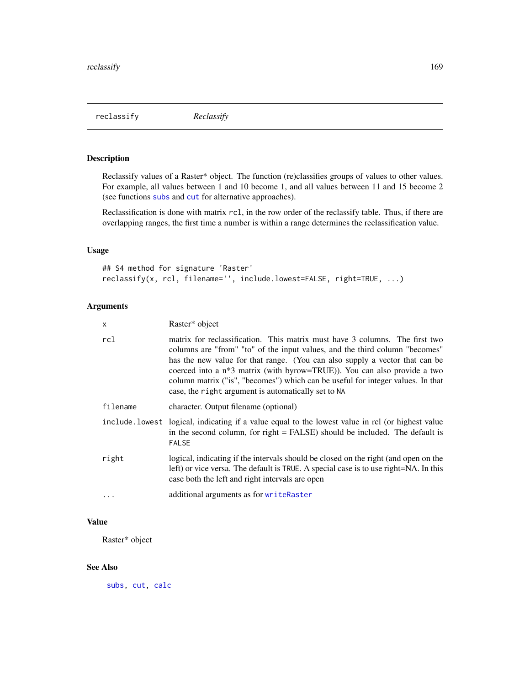reclassify *Reclassify*

# Description

Reclassify values of a Raster\* object. The function (re)classifies groups of values to other values. For example, all values between 1 and 10 become 1, and all values between 11 and 15 become 2 (see functions [subs](#page-198-0) and [cut](#page-60-0) for alternative approaches).

Reclassification is done with matrix rcl, in the row order of the reclassify table. Thus, if there are overlapping ranges, the first time a number is within a range determines the reclassification value.

#### Usage

## S4 method for signature 'Raster' reclassify(x, rcl, filename='', include.lowest=FALSE, right=TRUE, ...)

## Arguments

| X        | Raster* object                                                                                                                                                                                                                                                                                                                                                                                                                                                    |  |
|----------|-------------------------------------------------------------------------------------------------------------------------------------------------------------------------------------------------------------------------------------------------------------------------------------------------------------------------------------------------------------------------------------------------------------------------------------------------------------------|--|
| rcl      | matrix for reclassification. This matrix must have 3 columns. The first two<br>columns are "from" "to" of the input values, and the third column "becomes"<br>has the new value for that range. (You can also supply a vector that can be<br>coerced into a $n*3$ matrix (with byrow=TRUE)). You can also provide a two<br>column matrix ("is", "becomes") which can be useful for integer values. In that<br>case, the right argument is automatically set to NA |  |
| filename | character. Output filename (optional)                                                                                                                                                                                                                                                                                                                                                                                                                             |  |
|          | include lowest logical, indicating if a value equal to the lowest value in rcl (or highest value<br>in the second column, for right = FALSE) should be included. The default is<br><b>FALSE</b>                                                                                                                                                                                                                                                                   |  |
| right    | logical, indicating if the intervals should be closed on the right (and open on the<br>left) or vice versa. The default is TRUE. A special case is to use right=NA. In this<br>case both the left and right intervals are open                                                                                                                                                                                                                                    |  |
| $\cdots$ | additional arguments as for writeRaster                                                                                                                                                                                                                                                                                                                                                                                                                           |  |

### Value

Raster\* object

#### See Also

[subs,](#page-198-0) [cut,](#page-60-0) [calc](#page-37-0)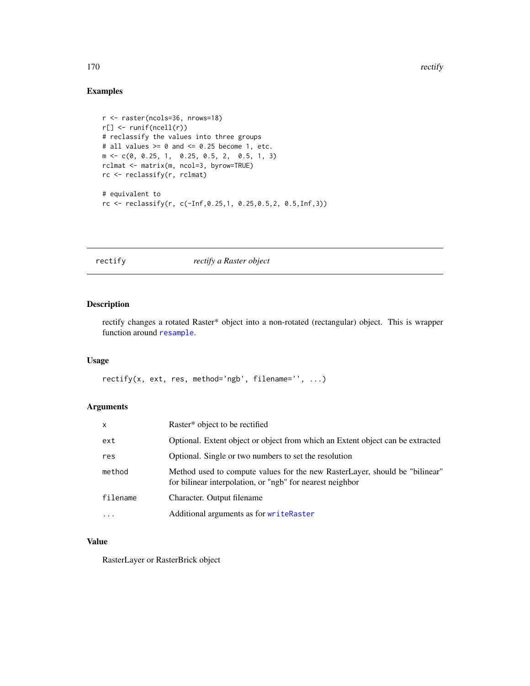170 rectify rectify a set of the set of the set of the set of the set of the set of the set of the set of the set of the set of the set of the set of the set of the set of the set of the set of the set of the set of the se

# Examples

```
r <- raster(ncols=36, nrows=18)
r[] <- runif(ncell(r))
# reclassify the values into three groups
# all values >= 0 and <= 0.25 become 1, etc.
m <- c(0, 0.25, 1, 0.25, 0.5, 2, 0.5, 1, 3)
rclmat <- matrix(m, ncol=3, byrow=TRUE)
rc <- reclassify(r, rclmat)
# equivalent to
rc <- reclassify(r, c(-Inf,0.25,1, 0.25,0.5,2, 0.5,Inf,3))
```
<span id="page-169-0"></span>rectify *rectify a Raster object*

## Description

rectify changes a rotated Raster\* object into a non-rotated (rectangular) object. This is wrapper function around [resample](#page-170-0).

#### Usage

rectify(x, ext, res, method='ngb', filename='', ...)

# Arguments

| $\mathsf{x}$ | Raster* object to be rectified                                                                                                           |  |
|--------------|------------------------------------------------------------------------------------------------------------------------------------------|--|
| ext          | Optional. Extent object or object from which an Extent object can be extracted                                                           |  |
| res          | Optional. Single or two numbers to set the resolution                                                                                    |  |
| method       | Method used to compute values for the new RasterLayer, should be "bilinear"<br>for bilinear interpolation, or "ngb" for nearest neighbor |  |
| filename     | Character. Output filename                                                                                                               |  |
| $\ddotsc$    | Additional arguments as for writeRaster                                                                                                  |  |

#### Value

RasterLayer or RasterBrick object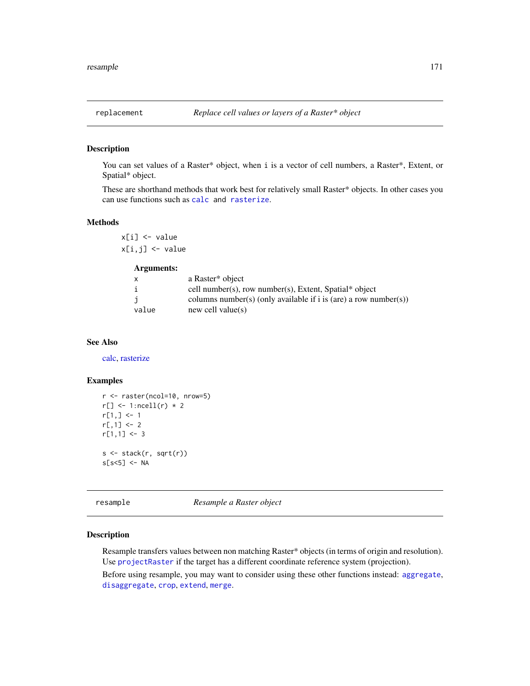You can set values of a Raster\* object, when i is a vector of cell numbers, a Raster\*, Extent, or Spatial\* object.

These are shorthand methods that work best for relatively small Raster\* objects. In other cases you can use functions such as [calc](#page-37-0) and [rasterize](#page-159-0).

#### Methods

x[i] <- value x[i,j] <- value

# Arguments:

|       | a Raster* object                                                 |
|-------|------------------------------------------------------------------|
| i     | cell number(s), row number(s), Extent, Spatial* object           |
|       | columns number(s) (only available if i is (are) a row number(s)) |
| value | new cell value $(s)$                                             |

## See Also

[calc,](#page-37-0) [rasterize](#page-159-0)

#### Examples

```
r <- raster(ncol=10, nrow=5)
r[] \leftarrow 1:ncell(r) * 2r[1,] < -1r[,1] < -2r[1,1] < -3s <- stack(r, sqrt(r))
s[s<5] <- NA
```
<span id="page-170-0"></span>resample *Resample a Raster object*

## Description

Resample transfers values between non matching Raster\* objects (in terms of origin and resolution). Use [projectRaster](#page-148-0) if the target has a different coordinate reference system (projection).

Before using resample, you may want to consider using these other functions instead: [aggregate](#page-15-0), [disaggregate](#page-66-0), [crop](#page-57-0), [extend](#page-71-0), [merge](#page-121-0).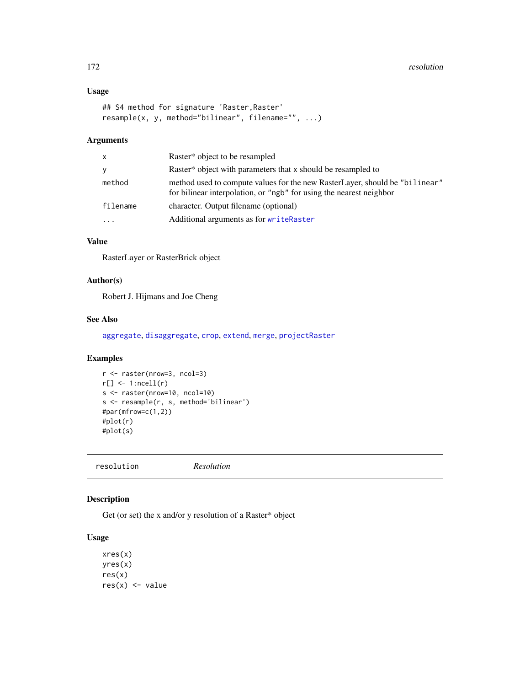# Usage

```
## S4 method for signature 'Raster, Raster'
resample(x, y, method="bilinear", filename="", ...)
```
## Arguments

| X         | Raster <sup>*</sup> object to be resampled                                                                                                         |
|-----------|----------------------------------------------------------------------------------------------------------------------------------------------------|
| y         | Raster* object with parameters that x should be resampled to                                                                                       |
| method    | method used to compute values for the new RasterLayer, should be "bilinear"<br>for bilinear interpolation, or "ngb" for using the nearest neighbor |
| filename  | character. Output filename (optional)                                                                                                              |
| $\ddotsc$ | Additional arguments as for writeRaster                                                                                                            |

# Value

RasterLayer or RasterBrick object

# Author(s)

Robert J. Hijmans and Joe Cheng

# See Also

[aggregate](#page-15-0), [disaggregate](#page-66-0), [crop](#page-57-0), [extend](#page-71-0), [merge](#page-121-0), [projectRaster](#page-148-0)

# Examples

```
r <- raster(nrow=3, ncol=3)
r[] \leftarrow 1:ncell(r)s <- raster(nrow=10, ncol=10)
s <- resample(r, s, method='bilinear')
#par(mfrow=c(1,2))
#plot(r)
#plot(s)
```
resolution *Resolution*

# <span id="page-171-0"></span>Description

Get (or set) the x and/or y resolution of a Raster\* object

# Usage

```
xres(x)
yres(x)
res(x)
res(x) <- value
```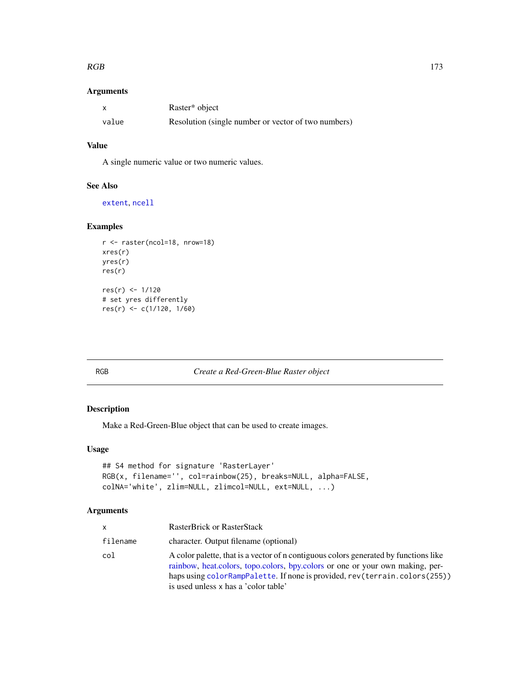#### $RGB$  173

## Arguments

|       | Raster <sup>*</sup> object                          |
|-------|-----------------------------------------------------|
| value | Resolution (single number or vector of two numbers) |

# Value

A single numeric value or two numeric values.

# See Also

[extent](#page-73-0), [ncell](#page-128-0)

# Examples

```
r <- raster(ncol=18, nrow=18)
xres(r)
yres(r)
res(r)
res(r) <- 1/120
# set yres differently
res(r) <- c(1/120, 1/60)
```
RGB *Create a Red-Green-Blue Raster object*

# Description

Make a Red-Green-Blue object that can be used to create images.

## Usage

```
## S4 method for signature 'RasterLayer'
RGB(x, filename='', col=rainbow(25), breaks=NULL, alpha=FALSE,
colNA='white', zlim=NULL, zlimcol=NULL, ext=NULL, ...)
```

| x        | RasterBrick or RasterStack                                                                                                                                                                                                                                                                     |
|----------|------------------------------------------------------------------------------------------------------------------------------------------------------------------------------------------------------------------------------------------------------------------------------------------------|
| filename | character. Output filename (optional)                                                                                                                                                                                                                                                          |
| col      | A color palette, that is a vector of n contiguous colors generated by functions like<br>rainbow, heat, colors, topo, colors, bpy, colors or one or your own making, per-<br>haps using colorRampPalette. If none is provided, rev(terrain.colors(255))<br>is used unless x has a 'color table' |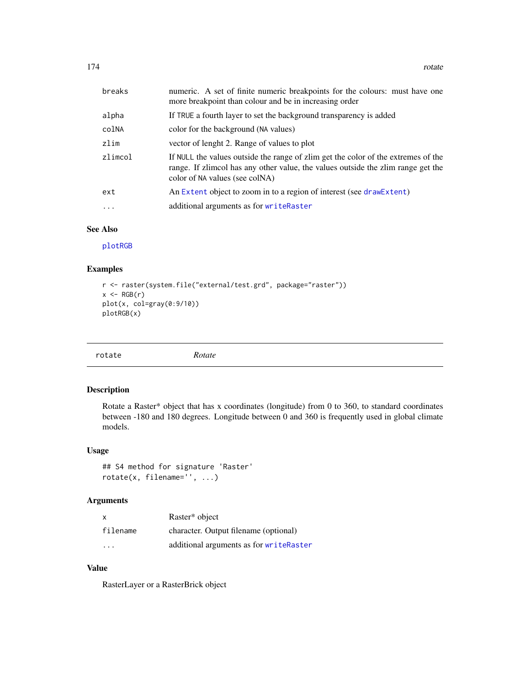| breaks    | numeric. A set of finite numeric breakpoints for the colours: must have one<br>more breakpoint than colour and be in increasing order                                                                   |  |
|-----------|---------------------------------------------------------------------------------------------------------------------------------------------------------------------------------------------------------|--|
| alpha     | If TRUE a fourth layer to set the background transparency is added                                                                                                                                      |  |
| colNA     | color for the background (NA values)                                                                                                                                                                    |  |
| zlim      | vector of lenght 2. Range of values to plot                                                                                                                                                             |  |
| zlimcol   | If NULL the values outside the range of zlim get the color of the extremes of the<br>range. If zlimcol has any other value, the values outside the zlim range get the<br>color of NA values (see colNA) |  |
| ext       | An Extent object to zoom in to a region of interest (see draw Extent)                                                                                                                                   |  |
| $\ddotsc$ | additional arguments as for writeRaster                                                                                                                                                                 |  |

#### See Also

[plotRGB](#page-139-0)

## Examples

```
r <- raster(system.file("external/test.grd", package="raster"))
x \leftarrow RGB(r)plot(x, col=gray(0:9/10))
plotRGB(x)
```

# Description

Rotate a Raster\* object that has x coordinates (longitude) from 0 to 360, to standard coordinates between -180 and 180 degrees. Longitude between 0 and 360 is frequently used in global climate models.

#### Usage

```
## S4 method for signature 'Raster'
rotate(x, filename='', ...)
```
# Arguments

| x                       | Raster* object                          |
|-------------------------|-----------------------------------------|
| filename                | character. Output filename (optional)   |
| $\cdot$ $\cdot$ $\cdot$ | additional arguments as for writeRaster |

# Value

RasterLayer or a RasterBrick object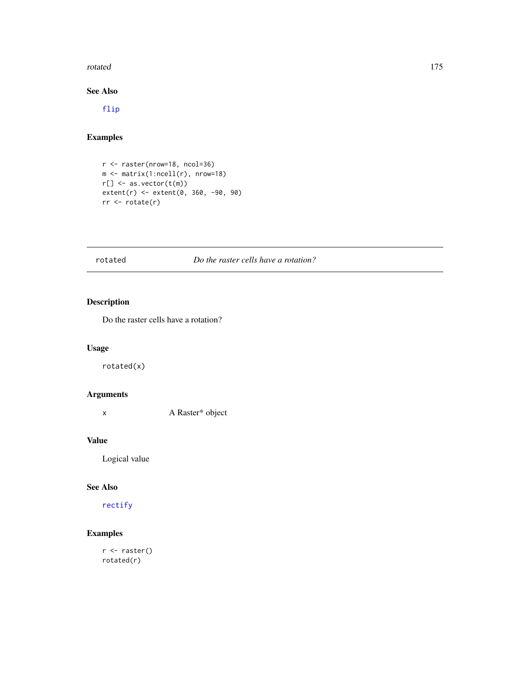#### rotated 175

# See Also

[flip](#page-86-0)

# Examples

r <- raster(nrow=18, ncol=36) m <- matrix(1:ncell(r), nrow=18) r[] <- as.vector(t(m)) extent(r) <- extent(0, 360, -90, 90) rr <- rotate(r)

# rotated *Do the raster cells have a rotation?*

# Description

Do the raster cells have a rotation?

# Usage

rotated(x)

# Arguments

x A Raster\* object

#### Value

Logical value

#### See Also

[rectify](#page-169-0)

# Examples

r <- raster() rotated(r)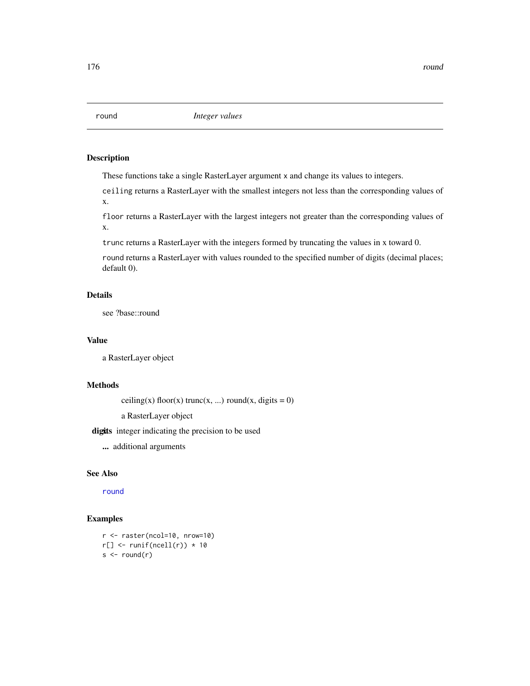<span id="page-175-0"></span>

These functions take a single RasterLayer argument x and change its values to integers.

ceiling returns a RasterLayer with the smallest integers not less than the corresponding values of x.

floor returns a RasterLayer with the largest integers not greater than the corresponding values of x.

trunc returns a RasterLayer with the integers formed by truncating the values in x toward 0.

round returns a RasterLayer with values rounded to the specified number of digits (decimal places; default 0).

# Details

see ?base::round

## Value

a RasterLayer object

## Methods

ceiling(x) floor(x) trunc(x, ...) round(x, digits = 0)

a RasterLayer object

digits integer indicating the precision to be used

... additional arguments

#### See Also

[round](#page-175-0)

# Examples

r <- raster(ncol=10, nrow=10)  $r[] \leftarrow runif(ncell(r)) * 10$  $s < -$  round(r)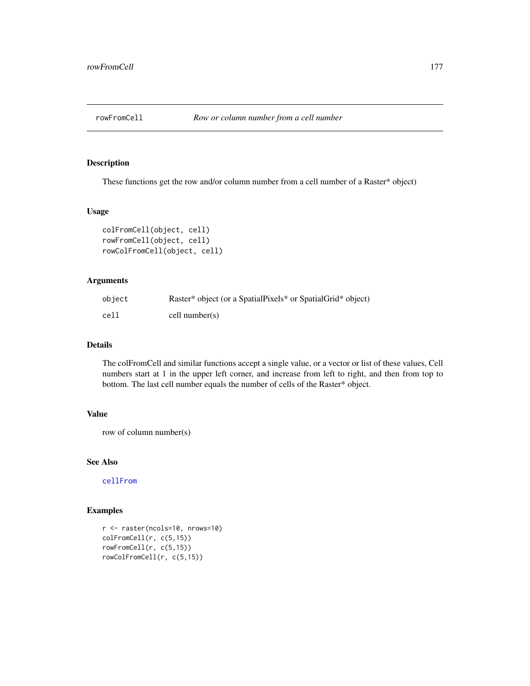<span id="page-176-0"></span>

These functions get the row and/or column number from a cell number of a Raster\* object)

# Usage

```
colFromCell(object, cell)
rowFromCell(object, cell)
rowColFromCell(object, cell)
```
# Arguments

| object | Raster* object (or a SpatialPixels* or SpatialGrid* object) |
|--------|-------------------------------------------------------------|
| cell   | cell number(s)                                              |

# Details

The colFromCell and similar functions accept a single value, or a vector or list of these values, Cell numbers start at 1 in the upper left corner, and increase from left to right, and then from top to bottom. The last cell number equals the number of cells of the Raster\* object.

#### Value

row of column number(s)

#### See Also

[cellFrom](#page-40-0)

#### Examples

```
r <- raster(ncols=10, nrows=10)
colFromCell(r, c(5,15))
rowFromCell(r, c(5,15))
rowColFromCell(r, c(5,15))
```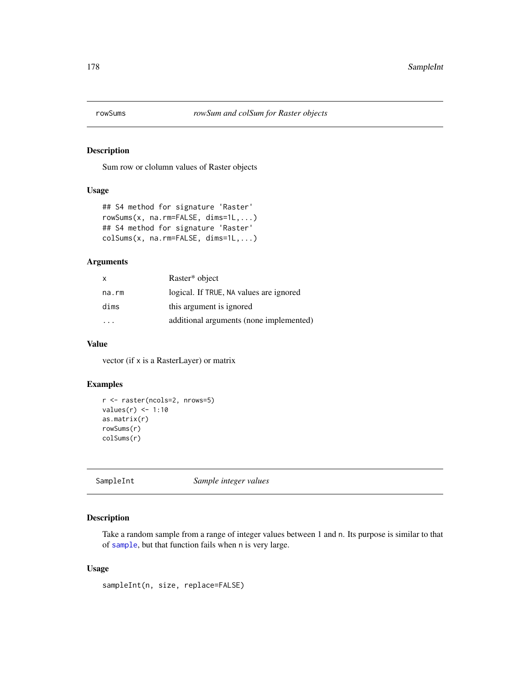Sum row or clolumn values of Raster objects

# Usage

```
## S4 method for signature 'Raster'
rowSums(x, na.rm=FALSE, dims=1L,...)
## S4 method for signature 'Raster'
colSums(x, na.rm=FALSE, dims=1L,...)
```
# Arguments

| X                    | Raster* object                          |
|----------------------|-----------------------------------------|
| na.rm                | logical. If TRUE, NA values are ignored |
| dims                 | this argument is ignored                |
| $\sim$ $\sim$ $\sim$ | additional arguments (none implemented) |

#### Value

vector (if x is a RasterLayer) or matrix

#### Examples

```
r <- raster(ncols=2, nrows=5)
values(r) \leq 1:10
as.matrix(r)
rowSums(r)
colSums(r)
```
SampleInt *Sample integer values*

# Description

Take a random sample from a range of integer values between 1 and n. Its purpose is similar to that of [sample](#page-0-0), but that function fails when n is very large.

# Usage

sampleInt(n, size, replace=FALSE)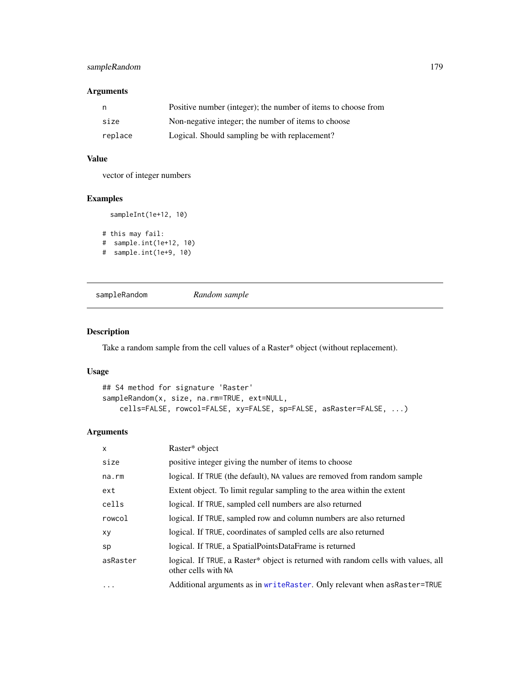# sampleRandom 179

# Arguments

|         | Positive number (integer); the number of items to choose from |
|---------|---------------------------------------------------------------|
| size    | Non-negative integer; the number of items to choose           |
| replace | Logical. Should sampling be with replacement?                 |

# Value

vector of integer numbers

# Examples

```
sampleInt(1e+12, 10)
```

```
# this may fail:
# sample.int(1e+12, 10)
# sample.int(1e+9, 10)
```
sampleRandom *Random sample*

# Description

Take a random sample from the cell values of a Raster\* object (without replacement).

# Usage

```
## S4 method for signature 'Raster'
sampleRandom(x, size, na.rm=TRUE, ext=NULL,
    cells=FALSE, rowcol=FALSE, xy=FALSE, sp=FALSE, asRaster=FALSE, ...)
```

| $\mathsf{x}$ | Raster* object                                                                                           |
|--------------|----------------------------------------------------------------------------------------------------------|
| size         | positive integer giving the number of items to choose                                                    |
| na.rm        | logical. If TRUE (the default), NA values are removed from random sample                                 |
| ext          | Extent object. To limit regular sampling to the area within the extent                                   |
| cells        | logical. If TRUE, sampled cell numbers are also returned                                                 |
| rowcol       | logical. If TRUE, sampled row and column numbers are also returned                                       |
| xy           | logical. If TRUE, coordinates of sampled cells are also returned                                         |
| sp           | logical. If TRUE, a SpatialPointsDataFrame is returned                                                   |
| asRaster     | logical. If TRUE, a Raster* object is returned with random cells with values, all<br>other cells with NA |
| $\cdots$     | Additional arguments as in writeRaster. Only relevant when asRaster=TRUE                                 |
|              |                                                                                                          |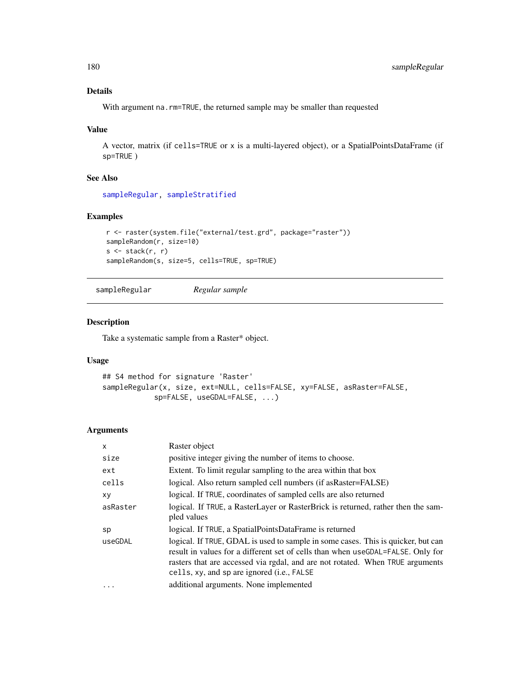# Details

With argument na.rm=TRUE, the returned sample may be smaller than requested

## Value

A vector, matrix (if cells=TRUE or x is a multi-layered object), or a SpatialPointsDataFrame (if sp=TRUE )

#### See Also

[sampleRegular,](#page-179-0) [sampleStratified](#page-180-0)

#### Examples

```
r <- raster(system.file("external/test.grd", package="raster"))
sampleRandom(r, size=10)
s \leftarrow \text{stack}(r, r)sampleRandom(s, size=5, cells=TRUE, sp=TRUE)
```

```
sampleRegular Regular sample
```
#### Description

Take a systematic sample from a Raster\* object.

#### Usage

```
## S4 method for signature 'Raster'
sampleRegular(x, size, ext=NULL, cells=FALSE, xy=FALSE, asRaster=FALSE,
            sp=FALSE, useGDAL=FALSE, ...)
```

| $\mathsf{x}$ | Raster object                                                                                                                                                                                                                                                                                                |
|--------------|--------------------------------------------------------------------------------------------------------------------------------------------------------------------------------------------------------------------------------------------------------------------------------------------------------------|
| size         | positive integer giving the number of items to choose.                                                                                                                                                                                                                                                       |
| ext          | Extent. To limit regular sampling to the area within that box                                                                                                                                                                                                                                                |
| cells        | logical. Also return sampled cell numbers (if as Raster=FALSE)                                                                                                                                                                                                                                               |
| xy           | logical. If TRUE, coordinates of sampled cells are also returned                                                                                                                                                                                                                                             |
| asRaster     | logical. If TRUE, a RasterLayer or RasterBrick is returned, rather then the sam-                                                                                                                                                                                                                             |
|              | pled values                                                                                                                                                                                                                                                                                                  |
| sp           | logical. If TRUE, a SpatialPointsDataFrame is returned                                                                                                                                                                                                                                                       |
| useGDAL      | logical. If TRUE, GDAL is used to sample in some cases. This is quicker, but can<br>result in values for a different set of cells than when use GDAL=FALSE. Only for<br>rasters that are accessed via rgdal, and are not rotated. When TRUE arguments<br>cells, xy, and sp are ignored ( <i>i.e.</i> , FALSE |
| .            | additional arguments. None implemented                                                                                                                                                                                                                                                                       |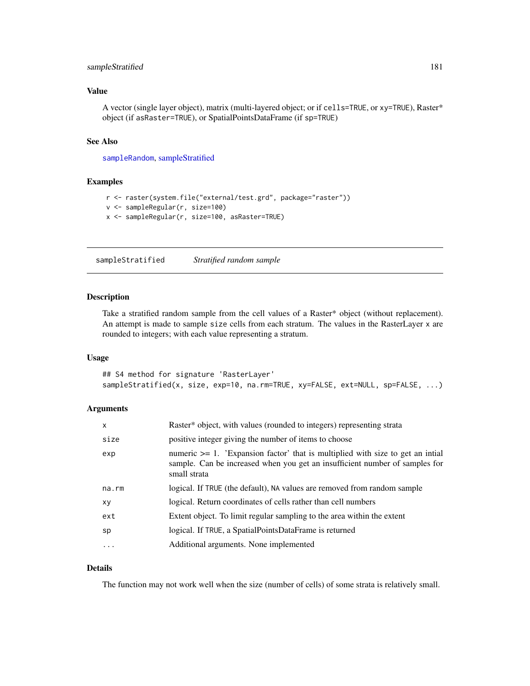## sampleStratified 181

## Value

A vector (single layer object), matrix (multi-layered object; or if cells=TRUE, or xy=TRUE), Raster\* object (if asRaster=TRUE), or SpatialPointsDataFrame (if sp=TRUE)

#### See Also

[sampleRandom](#page-178-0), [sampleStratified](#page-180-0)

## Examples

```
r <- raster(system.file("external/test.grd", package="raster"))
v <- sampleRegular(r, size=100)
x <- sampleRegular(r, size=100, asRaster=TRUE)
```
<span id="page-180-0"></span>sampleStratified *Stratified random sample*

#### Description

Take a stratified random sample from the cell values of a Raster\* object (without replacement). An attempt is made to sample size cells from each stratum. The values in the RasterLayer x are rounded to integers; with each value representing a stratum.

#### Usage

## S4 method for signature 'RasterLayer' sampleStratified(x, size, exp=10, na.rm=TRUE, xy=FALSE, ext=NULL, sp=FALSE, ...)

#### Arguments

| $\mathsf{x}$ | Raster* object, with values (rounded to integers) representing strata                                                                                                               |
|--------------|-------------------------------------------------------------------------------------------------------------------------------------------------------------------------------------|
| size         | positive integer giving the number of items to choose                                                                                                                               |
| exp          | numeric $\geq 1$ . 'Expansion factor' that is multiplied with size to get an initial<br>sample. Can be increased when you get an insufficient number of samples for<br>small strata |
| na.rm        | logical. If TRUE (the default), NA values are removed from random sample                                                                                                            |
| xy           | logical. Return coordinates of cells rather than cell numbers                                                                                                                       |
| ext          | Extent object. To limit regular sampling to the area within the extent                                                                                                              |
| sp           | logical. If TRUE, a SpatialPointsDataFrame is returned                                                                                                                              |
| .            | Additional arguments. None implemented                                                                                                                                              |
|              |                                                                                                                                                                                     |

#### Details

The function may not work well when the size (number of cells) of some strata is relatively small.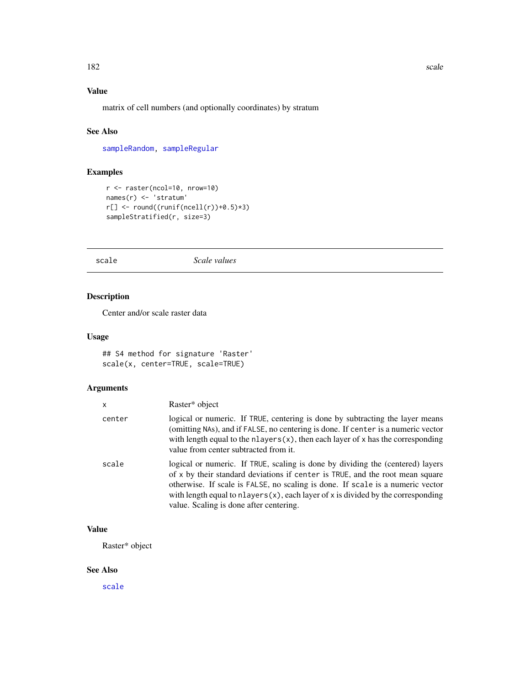# Value

matrix of cell numbers (and optionally coordinates) by stratum

# See Also

[sampleRandom,](#page-178-0) [sampleRegular](#page-179-0)

# Examples

```
r <- raster(ncol=10, nrow=10)
names(r) <- 'stratum'
r[] \leftarrow round((runif(ncell(r))+0.5)*3)sampleStratified(r, size=3)
```
<span id="page-181-0"></span>scale *Scale values*

# Description

Center and/or scale raster data

## Usage

```
## S4 method for signature 'Raster'
scale(x, center=TRUE, scale=TRUE)
```
## Arguments

| x      | Raster* object                                                                                                                                                                                                                                                                                                                                                                          |
|--------|-----------------------------------------------------------------------------------------------------------------------------------------------------------------------------------------------------------------------------------------------------------------------------------------------------------------------------------------------------------------------------------------|
| center | logical or numeric. If TRUE, centering is done by subtracting the layer means<br>(omitting NAs), and if FALSE, no centering is done. If center is a numeric vector<br>with length equal to the $n$ layers $(x)$ , then each layer of x has the corresponding<br>value from center subtracted from it.                                                                                   |
| scale  | logical or numeric. If TRUE, scaling is done by dividing the (centered) layers<br>of x by their standard deviations if center is TRUE, and the root mean square<br>otherwise. If scale is FALSE, no scaling is done. If scale is a numeric vector<br>with length equal to $n$ layers $(x)$ , each layer of x is divided by the corresponding<br>value. Scaling is done after centering. |

# Value

Raster\* object

## See Also

[scale](#page-181-0)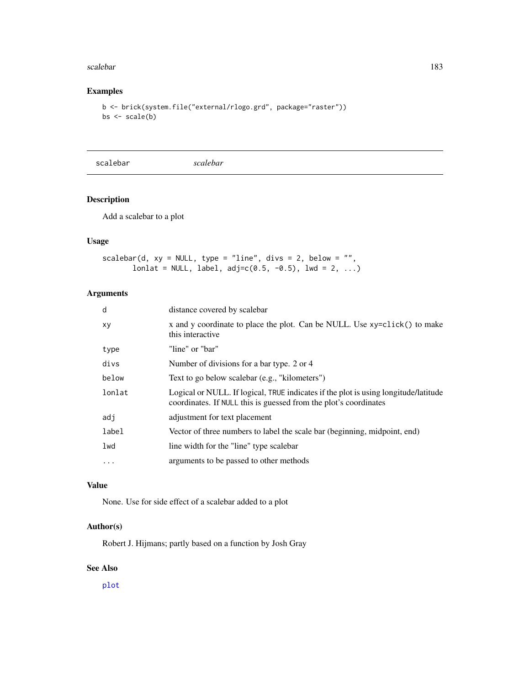#### scalebar 183

## Examples

```
b <- brick(system.file("external/rlogo.grd", package="raster"))
bs <- scale(b)
```
scalebar *scalebar*

# Description

Add a scalebar to a plot

## Usage

```
scaledbar(d, xy = NULL, type = "line", divs = 2, below = "",lonlat = NULL, label, adj=c(0.5, -0.5), lwd = 2, ...)
```
## Arguments

| distance covered by scalebar                                                                                                                            |
|---------------------------------------------------------------------------------------------------------------------------------------------------------|
| x and y coordinate to place the plot. Can be NULL. Use xy=click() to make<br>this interactive                                                           |
| "line" or "bar"                                                                                                                                         |
| Number of divisions for a bar type. 2 or 4                                                                                                              |
| Text to go below scalebar (e.g., "kilometers")                                                                                                          |
| Logical or NULL. If logical, TRUE indicates if the plot is using longitude/latitude<br>coordinates. If NULL this is guessed from the plot's coordinates |
| adjustment for text placement                                                                                                                           |
| Vector of three numbers to label the scale bar (beginning, midpoint, end)                                                                               |
| line width for the "line" type scalebar                                                                                                                 |
| arguments to be passed to other methods                                                                                                                 |
|                                                                                                                                                         |

## Value

None. Use for side effect of a scalebar added to a plot

## Author(s)

Robert J. Hijmans; partly based on a function by Josh Gray

# See Also

[plot](#page-136-0)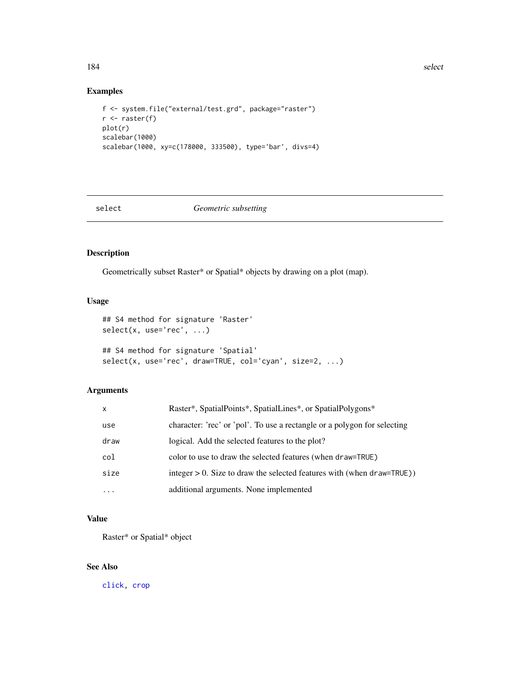184 select

## Examples

```
f <- system.file("external/test.grd", package="raster")
r <- raster(f)
plot(r)
scalebar(1000)
scalebar(1000, xy=c(178000, 333500), type='bar', divs=4)
```
select *Geometric subsetting*

# Description

Geometrically subset Raster\* or Spatial\* objects by drawing on a plot (map).

## Usage

```
## S4 method for signature 'Raster'
select(x, use='rec', ...)## S4 method for signature 'Spatial'
select(x, use='rec', draw=TRUE, col='cyan', size=2, ...)
```
## Arguments

| X          | Raster*, SpatialPoints*, SpatialLines*, or SpatialPolygons*               |
|------------|---------------------------------------------------------------------------|
| use        | character: 'rec' or 'pol'. To use a rectangle or a polygon for selecting  |
| draw       | logical. Add the selected features to the plot?                           |
| col        | color to use to draw the selected features (when draw=TRUE)               |
| size       | integer $> 0$ . Size to draw the selected features with (when draw=TRUE)) |
| $\ddots$ . | additional arguments. None implemented                                    |

# Value

Raster\* or Spatial\* object

## See Also

[click,](#page-45-0) [crop](#page-57-0)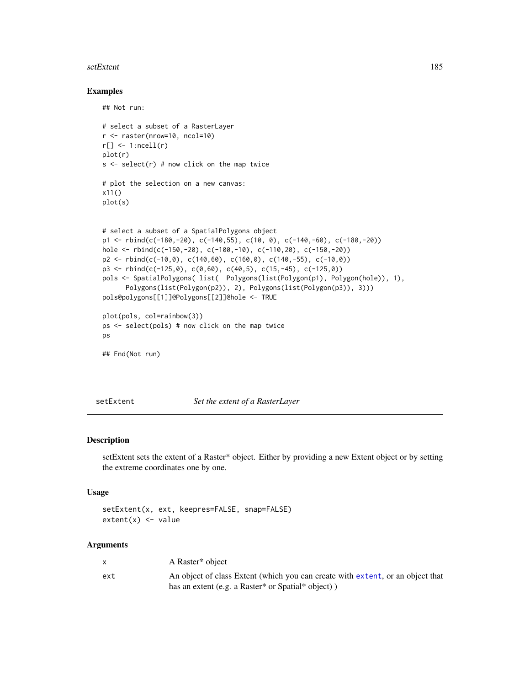#### setExtent 185

#### Examples

```
## Not run:
# select a subset of a RasterLayer
r <- raster(nrow=10, ncol=10)
r[] \leftarrow 1:ncell(r)plot(r)
s \le select(r) # now click on the map twice
# plot the selection on a new canvas:
x11()
plot(s)
# select a subset of a SpatialPolygons object
p1 <- rbind(c(-180,-20), c(-140,55), c(10, 0), c(-140,-60), c(-180,-20))
hole <- rbind(c(-150,-20), c(-100,-10), c(-110,20), c(-150,-20))
p2 \le - \text{rbind}(c(-10, 0), c(140, 60), c(160, 0), c(140, -55), c(-10, 0))p3 \le rbind(c(-125,0), c(0,60), c(40,5), c(15,-45), c(-125,0))
pols <- SpatialPolygons( list( Polygons(list(Polygon(p1), Polygon(hole)), 1),
      Polygons(list(Polygon(p2)), 2), Polygons(list(Polygon(p3)), 3)))
pols@polygons[[1]]@Polygons[[2]]@hole <- TRUE
plot(pols, col=rainbow(3))
ps <- select(pols) # now click on the map twice
ps
## End(Not run)
```
<span id="page-184-0"></span>setExtent *Set the extent of a RasterLayer*

#### Description

setExtent sets the extent of a Raster\* object. Either by providing a new Extent object or by setting the extreme coordinates one by one.

#### Usage

setExtent(x, ext, keepres=FALSE, snap=FALSE)  $extent(x) < -$  value

|     | A Raster <sup>*</sup> object                                                   |
|-----|--------------------------------------------------------------------------------|
| ext | An object of class Extent (which you can create with extent, or an object that |
|     | has an extent (e.g. a Raster* or Spatial* object))                             |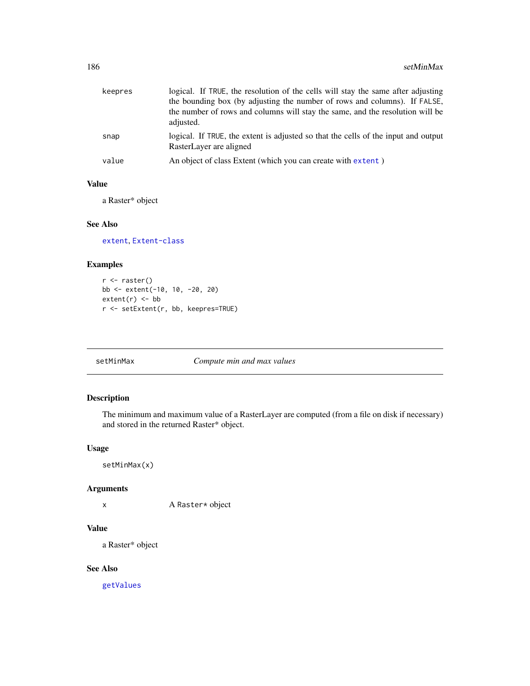| keepres | logical. If TRUE, the resolution of the cells will stay the same after adjusting<br>the bounding box (by adjusting the number of rows and columns). If FALSE,<br>the number of rows and columns will stay the same, and the resolution will be<br>adjusted. |
|---------|-------------------------------------------------------------------------------------------------------------------------------------------------------------------------------------------------------------------------------------------------------------|
| snap    | logical. If TRUE, the extent is adjusted so that the cells of the input and output<br>RasterLayer are aligned                                                                                                                                               |
| value   | An object of class Extent (which you can create with extent)                                                                                                                                                                                                |

#### Value

a Raster\* object

# See Also

[extent](#page-73-0), [Extent-class](#page-75-0)

# Examples

```
r <- raster()
bb <- extent(-10, 10, -20, 20)
extent(r) < -bbr <- setExtent(r, bb, keepres=TRUE)
```
# Description

The minimum and maximum value of a RasterLayer are computed (from a file on disk if necessary) and stored in the returned Raster\* object.

## Usage

setMinMax(x)

#### Arguments

x A Raster\* object

# Value

a Raster\* object

# See Also

[getValues](#page-95-0)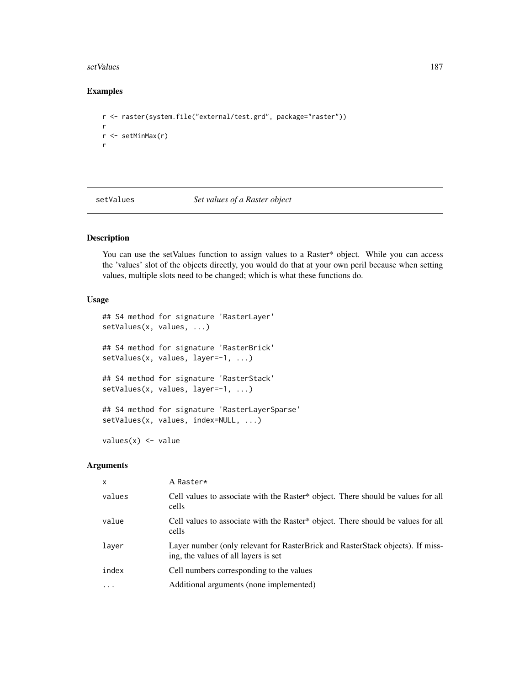#### setValues and the setValues of the set Values of the set Values of the set Values of the set Values of the set  $\sim$  187

## Examples

```
r <- raster(system.file("external/test.grd", package="raster"))
r
r <- setMinMax(r)
r
```
setValues *Set values of a Raster object*

# Description

You can use the setValues function to assign values to a Raster\* object. While you can access the 'values' slot of the objects directly, you would do that at your own peril because when setting values, multiple slots need to be changed; which is what these functions do.

## Usage

```
## S4 method for signature 'RasterLayer'
setValues(x, values, ...)
## S4 method for signature 'RasterBrick'
setValues(x, values, layer=-1, ...)
## S4 method for signature 'RasterStack'
setValues(x, values, layer=-1, ...)
## S4 method for signature 'RasterLayerSparse'
setValues(x, values, index=NULL, ...)
values(x) < -value
```

| $\mathsf{x}$ | A Raster*                                                                                                              |
|--------------|------------------------------------------------------------------------------------------------------------------------|
| values       | Cell values to associate with the Raster* object. There should be values for all<br>cells                              |
| value        | Cell values to associate with the Raster* object. There should be values for all<br>cells                              |
| layer        | Layer number (only relevant for RasterBrick and RasterStack objects). If miss-<br>ing, the values of all layers is set |
| index        | Cell numbers corresponding to the values                                                                               |
|              | Additional arguments (none implemented)                                                                                |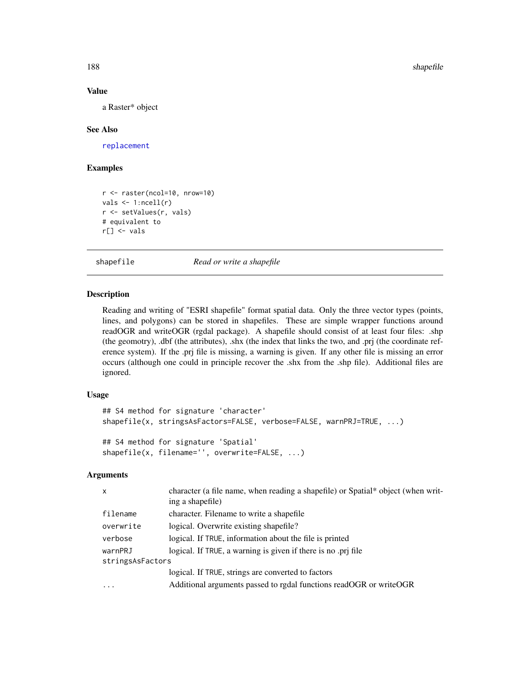188 shapefile

#### Value

a Raster\* object

#### See Also

[replacement](#page-170-0)

# Examples

```
r <- raster(ncol=10, nrow=10)
vals \leftarrow 1:ncell(r)r <- setValues(r, vals)
# equivalent to
r[] \leftarrow \text{vals}
```
shapefile *Read or write a shapefile*

#### Description

Reading and writing of "ESRI shapefile" format spatial data. Only the three vector types (points, lines, and polygons) can be stored in shapefiles. These are simple wrapper functions around readOGR and writeOGR (rgdal package). A shapefile should consist of at least four files: .shp (the geomotry), .dbf (the attributes), .shx (the index that links the two, and .prj (the coordinate reference system). If the .prj file is missing, a warning is given. If any other file is missing an error occurs (although one could in principle recover the .shx from the .shp file). Additional files are ignored.

#### Usage

```
## S4 method for signature 'character'
shapefile(x, stringsAsFactors=FALSE, verbose=FALSE, warnPRJ=TRUE, ...)
## S4 method for signature 'Spatial'
shapefile(x, filename='', overwrite=FALSE, ...)
```

| $\mathsf{x}$     | character (a file name, when reading a shapefile) or Spatial* object (when writ-<br>ing a shapefile) |
|------------------|------------------------------------------------------------------------------------------------------|
| filename         | character. Filename to write a shapefile                                                             |
| overwrite        | logical. Overwrite existing shapefile?                                                               |
| verbose          | logical. If TRUE, information about the file is printed                                              |
| warnPRJ          | logical. If TRUE, a warning is given if there is no .prj file                                        |
| stringsAsFactors |                                                                                                      |
|                  | logical. If TRUE, strings are converted to factors                                                   |
| $\cdot$          | Additional arguments passed to rgdal functions readOGR or writeOGR                                   |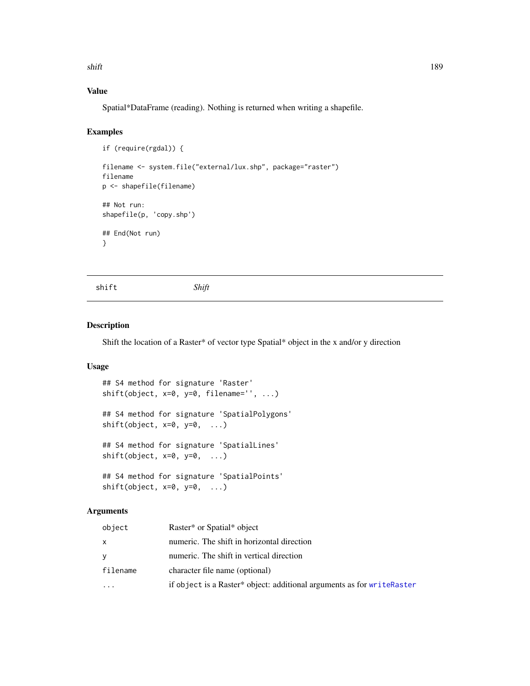shift the state of the state of the state of the state of the state of the state of the state of the state of the state of the state of the state of the state of the state of the state of the state of the state of the stat

# Value

Spatial\*DataFrame (reading). Nothing is returned when writing a shapefile.

#### Examples

```
if (require(rgdal)) {
filename <- system.file("external/lux.shp", package="raster")
filename
p <- shapefile(filename)
## Not run:
shapefile(p, 'copy.shp')
## End(Not run)
}
```
shift *Shift*

#### Description

Shift the location of a Raster\* of vector type Spatial\* object in the x and/or y direction

#### Usage

```
## S4 method for signature 'Raster'
shift(object, x=0, y=0, filename='', ...)
## S4 method for signature 'SpatialPolygons'
shift(object, x=0, y=0, ...)## S4 method for signature 'SpatialLines'
shift(object, x=0, y=0, ...)
## S4 method for signature 'SpatialPoints'
shift(object, x=0, y=0, ...)
```

| object    | Raster* or Spatial* object                                             |
|-----------|------------------------------------------------------------------------|
| x         | numeric. The shift in horizontal direction                             |
| v         | numeric. The shift in vertical direction                               |
| filename  | character file name (optional)                                         |
| $\ddotsc$ | if object is a Raster* object: additional arguments as for writeRaster |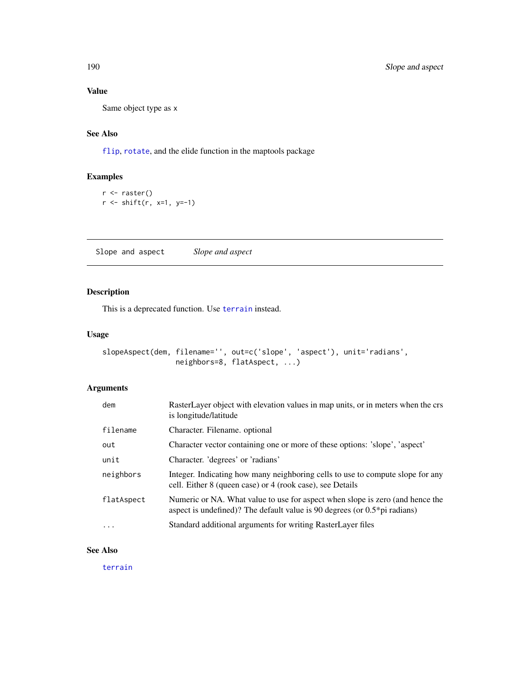# Value

Same object type as x

# See Also

[flip](#page-86-0), [rotate](#page-173-0), and the elide function in the maptools package

# Examples

```
r <- raster()
r <- shift(r, x=1, y=-1)
```
Slope and aspect *Slope and aspect*

## Description

This is a deprecated function. Use [terrain](#page-202-0) instead.

## Usage

```
slopeAspect(dem, filename='', out=c('slope', 'aspect'), unit='radians',
                 neighbors=8, flatAspect, ...)
```
# Arguments

| dem        | RasterLayer object with elevation values in map units, or in meters when the crs<br>is longitude/latitude                                                     |
|------------|---------------------------------------------------------------------------------------------------------------------------------------------------------------|
| filename   | Character. Filename. optional                                                                                                                                 |
| out        | Character vector containing one or more of these options: 'slope', 'aspect'                                                                                   |
| unit       | Character. 'degrees' or 'radians'                                                                                                                             |
| neighbors  | Integer. Indicating how many neighboring cells to use to compute slope for any<br>cell. Either 8 (queen case) or 4 (rook case), see Details                   |
| flatAspect | Numeric or NA. What value to use for aspect when slope is zero (and hence the<br>aspect is undefined)? The default value is 90 degrees (or $0.5*$ pi radians) |
| .          | Standard additional arguments for writing RasterLayer files                                                                                                   |

## See Also

[terrain](#page-202-0)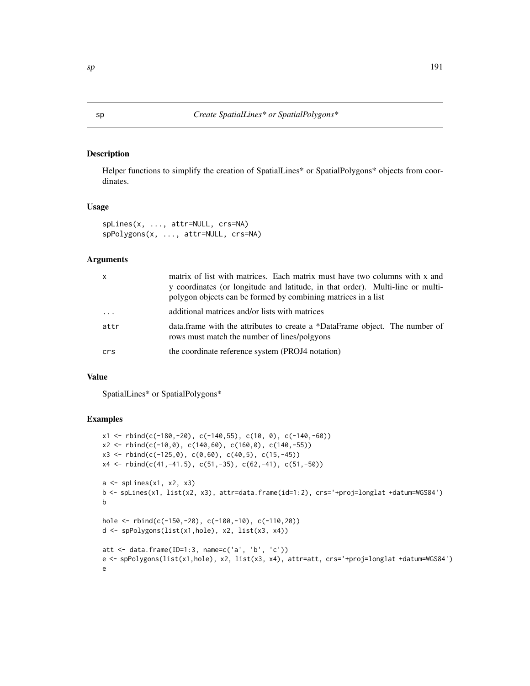Helper functions to simplify the creation of SpatialLines\* or SpatialPolygons\* objects from coordinates.

#### Usage

```
spLines(x, ..., attr=NULL, crs=NA)
spPolygons(x, ..., attr=NULL, crs=NA)
```
#### Arguments

| $\mathsf{x}$ | matrix of list with matrices. Each matrix must have two columns with x and<br>y coordinates (or longitude and latitude, in that order). Multi-line or multi-<br>polygon objects can be formed by combining matrices in a list |
|--------------|-------------------------------------------------------------------------------------------------------------------------------------------------------------------------------------------------------------------------------|
| $\cdots$     | additional matrices and/or lists with matrices                                                                                                                                                                                |
| attr         | data.frame with the attributes to create a *DataFrame object. The number of<br>rows must match the number of lines/polgyons                                                                                                   |
| crs          | the coordinate reference system (PROJ4 notation)                                                                                                                                                                              |

## Value

SpatialLines\* or SpatialPolygons\*

```
x1 \leftarrow \text{rbind}(c(-180, -20), c(-140, 55), c(10, 0), c(-140, -60))x2 \le rbind(c(-10,0), c(140,60), c(160,0), c(140,-55))
x3 \le rbind(c(-125,0), c(0,60), c(40,5), c(15,-45))
x4 \leftarrow \text{rbind}(c(41, -41.5), c(51, -35), c(62, -41), c(51, -50))a <- spLines(x1, x2, x3)
b <- spLines(x1, list(x2, x3), attr=data.frame(id=1:2), crs='+proj=longlat +datum=WGS84')
b
hole <- rbind(c(-150,-20), c(-100,-10), c(-110,20))
d <- spPolygons(list(x1,hole), x2, list(x3, x4))
att <- data.frame(ID=1:3, name=c('a', 'b', 'c'))
e <- spPolygons(list(x1,hole), x2, list(x3, x4), attr=att, crs='+proj=longlat +datum=WGS84')
e
```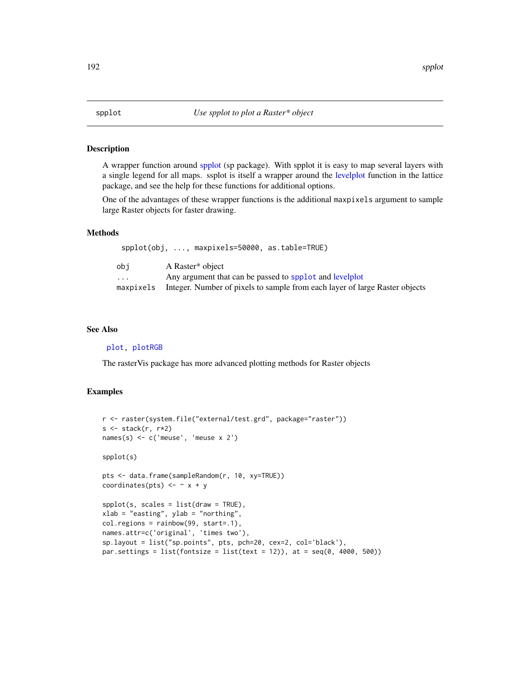<span id="page-191-0"></span>A wrapper function around [spplot](#page-191-0) (sp package). With spplot it is easy to map several layers with a single legend for all maps. ssplot is itself a wrapper around the [levelplot](#page-0-0) function in the lattice package, and see the help for these functions for additional options.

One of the advantages of these wrapper functions is the additional maxpixels argument to sample large Raster objects for faster drawing.

## Methods

|                         | $spplot(obj, , maxpixels = 50000, as_table = TRUE)$                         |
|-------------------------|-----------------------------------------------------------------------------|
| obi                     | A Raster <sup>*</sup> object                                                |
| $\cdot$ $\cdot$ $\cdot$ | Any argument that can be passed to spplot and levelplot                     |
| maxpixels               | Integer. Number of pixels to sample from each layer of large Raster objects |

#### See Also

[plot,](#page-136-0) [plotRGB](#page-139-0)

The rasterVis package has more advanced plotting methods for Raster objects

```
r <- raster(system.file("external/test.grd", package="raster"))
s <- stack(r, r*2)
names(s) <- c('meuse', 'meuse x 2')
spplot(s)
pts <- data.frame(sampleRandom(r, 10, xy=TRUE))
coordinates(pts) \leftarrow \sim x + y
spplot(s, scales = list(draw = TRUE),
xlab = "easting", ylab = "northing",
col.regions = rainbow(99, start=.1),
names.attr=c('original', 'times two'),
sp.layout = list("sp.points", pts, pch=20, cex=2, col='black'),
par.settings = list(fontsize = list(text = 12)), at = seq(0, 4000, 500))
```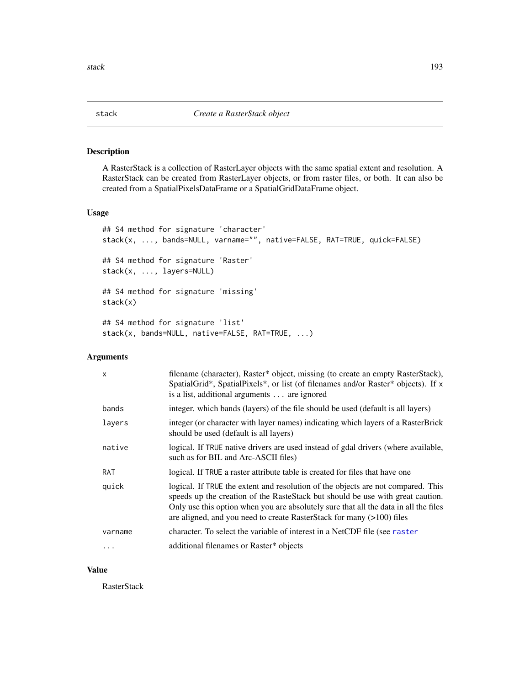<span id="page-192-0"></span>A RasterStack is a collection of RasterLayer objects with the same spatial extent and resolution. A RasterStack can be created from RasterLayer objects, or from raster files, or both. It can also be created from a SpatialPixelsDataFrame or a SpatialGridDataFrame object.

#### Usage

```
## S4 method for signature 'character'
stack(x, ..., bands=NULL, varname="", native=FALSE, RAT=TRUE, quick=FALSE)
## S4 method for signature 'Raster'
stack(x, ..., layers=NULL)
## S4 method for signature 'missing'
stack(x)
## S4 method for signature 'list'
stack(x, bands=NULL, native=FALSE, RAT=TRUE, ...)
```
# Arguments

| $\mathsf{x}$ | filename (character), Raster* object, missing (to create an empty RasterStack),<br>SpatialGrid*, SpatialPixels*, or list (of filenames and/or Raster* objects). If x<br>is a list, additional arguments are ignored                                                                                                                 |  |
|--------------|-------------------------------------------------------------------------------------------------------------------------------------------------------------------------------------------------------------------------------------------------------------------------------------------------------------------------------------|--|
| bands        | integer, which bands (layers) of the file should be used (default is all layers)                                                                                                                                                                                                                                                    |  |
| layers       | integer (or character with layer names) indicating which layers of a RasterBrick<br>should be used (default is all layers)                                                                                                                                                                                                          |  |
| native       | logical. If TRUE native drivers are used instead of gdal drivers (where available,<br>such as for BIL and Arc-ASCII files)                                                                                                                                                                                                          |  |
| RAT          | logical. If TRUE a raster attribute table is created for files that have one                                                                                                                                                                                                                                                        |  |
| quick        | logical. If TRUE the extent and resolution of the objects are not compared. This<br>speeds up the creation of the RasteStack but should be use with great caution.<br>Only use this option when you are absolutely sure that all the data in all the files<br>are aligned, and you need to create RasterStack for many (>100) files |  |
| varname      | character. To select the variable of interest in a NetCDF file (see raster                                                                                                                                                                                                                                                          |  |
| $\ddotsc$    | additional filenames or Raster* objects                                                                                                                                                                                                                                                                                             |  |

#### Value

RasterStack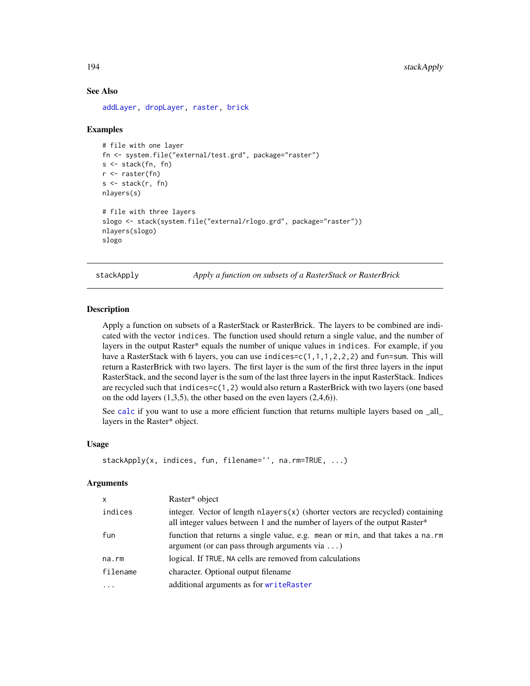#### See Also

[addLayer,](#page-12-0) [dropLayer,](#page-12-1) [raster,](#page-152-0) [brick](#page-34-0)

#### Examples

```
# file with one layer
fn <- system.file("external/test.grd", package="raster")
s <- stack(fn, fn)
r <- raster(fn)
s \leftarrow \text{stack}(r, fn)nlayers(s)
# file with three layers
slogo <- stack(system.file("external/rlogo.grd", package="raster"))
nlayers(slogo)
slogo
```
<span id="page-193-0"></span>stackApply *Apply a function on subsets of a RasterStack or RasterBrick*

## **Description**

Apply a function on subsets of a RasterStack or RasterBrick. The layers to be combined are indicated with the vector indices. The function used should return a single value, and the number of layers in the output Raster\* equals the number of unique values in indices. For example, if you have a RasterStack with 6 layers, you can use indices=c(1,1,1,2,2,2) and fun=sum. This will return a RasterBrick with two layers. The first layer is the sum of the first three layers in the input RasterStack, and the second layer is the sum of the last three layers in the input RasterStack. Indices are recycled such that indices=c(1,2) would also return a RasterBrick with two layers (one based on the odd layers (1,3,5), the other based on the even layers (2,4,6)).

See [calc](#page-37-0) if you want to use a more efficient function that returns multiple layers based on all layers in the Raster\* object.

#### Usage

```
stackApply(x, indices, fun, filename='', na.rm=TRUE, ...)
```

| X        | Raster* object                                                                                                                                                      |
|----------|---------------------------------------------------------------------------------------------------------------------------------------------------------------------|
| indices  | integer. Vector of length $n$ layers $(x)$ (shorter vectors are recycled) containing<br>all integer values between 1 and the number of layers of the output Raster* |
| fun      | function that returns a single value, e.g. mean or min, and that takes a na.rm<br>argument (or can pass through arguments via $\dots$ )                             |
| na.rm    | logical. If TRUE, NA cells are removed from calculations                                                                                                            |
| filename | character. Optional output filename                                                                                                                                 |
| $\cdots$ | additional arguments as for writeRaster                                                                                                                             |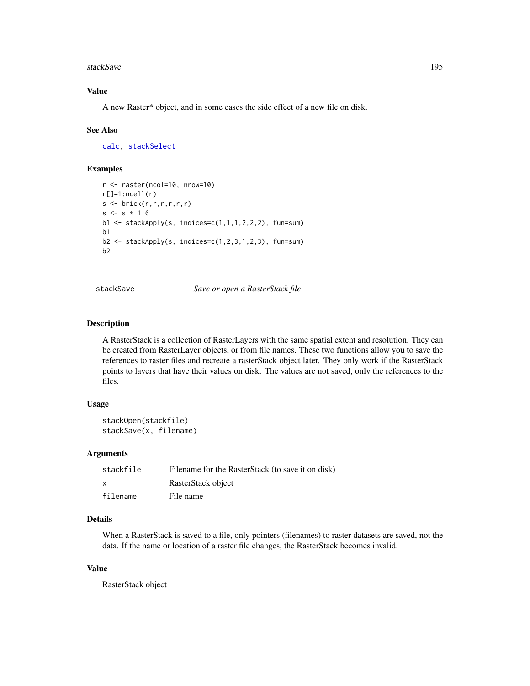#### stackSave and the state of the state of the state of the state of the state of the state of the state of the state of the state of the state of the state of the state of the state of the state of the state of the state of

## Value

A new Raster\* object, and in some cases the side effect of a new file on disk.

#### See Also

[calc,](#page-37-0) [stackSelect](#page-195-0)

#### Examples

```
r <- raster(ncol=10, nrow=10)
r[]=1:ncell(r)s \leftarrow \text{brick}(r,r,r,r,r,r)s \leq s * 1:6b1 <- stackApply(s, indices=c(1,1,1,2,2,2), fun=sum)
b1
b2 \leq -stackApply(s, indices=c(1,2,3,1,2,3), fun-sum)b2
```
stackSave *Save or open a RasterStack file*

#### Description

A RasterStack is a collection of RasterLayers with the same spatial extent and resolution. They can be created from RasterLayer objects, or from file names. These two functions allow you to save the references to raster files and recreate a rasterStack object later. They only work if the RasterStack points to layers that have their values on disk. The values are not saved, only the references to the files.

#### Usage

```
stackOpen(stackfile)
stackSave(x, filename)
```
#### Arguments

| stackfile | Filename for the RasterStack (to save it on disk) |
|-----------|---------------------------------------------------|
| X         | RasterStack object                                |
| filename  | File name                                         |

## Details

When a RasterStack is saved to a file, only pointers (filenames) to raster datasets are saved, not the data. If the name or location of a raster file changes, the RasterStack becomes invalid.

## Value

RasterStack object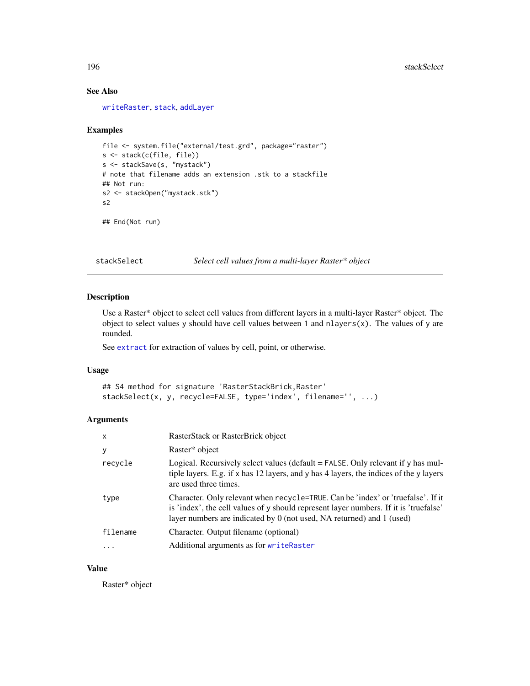## See Also

[writeRaster](#page-215-0), [stack](#page-192-0), [addLayer](#page-12-0)

#### Examples

```
file <- system.file("external/test.grd", package="raster")
s <- stack(c(file, file))
s <- stackSave(s, "mystack")
# note that filename adds an extension .stk to a stackfile
## Not run:
s2 <- stackOpen("mystack.stk")
s2
## End(Not run)
```
<span id="page-195-0"></span>stackSelect *Select cell values from a multi-layer Raster\* object*

#### Description

Use a Raster\* object to select cell values from different layers in a multi-layer Raster\* object. The object to select values y should have cell values between 1 and  $n$ layers(x). The values of y are rounded.

See [extract](#page-76-0) for extraction of values by cell, point, or otherwise.

#### Usage

```
## S4 method for signature 'RasterStackBrick, Raster'
stackSelect(x, y, recycle=FALSE, type='index', filename='', ...)
```
# Arguments

| $\mathsf{x}$ | RasterStack or RasterBrick object                                                                                                                                                                                                                      |
|--------------|--------------------------------------------------------------------------------------------------------------------------------------------------------------------------------------------------------------------------------------------------------|
| У            | Raster* object                                                                                                                                                                                                                                         |
| recycle      | Logical. Recursively select values (default $=$ FALSE. Only relevant if y has mul-<br>tiple layers. E.g. if x has 12 layers, and y has 4 layers, the indices of the y layers<br>are used three times.                                                  |
| type         | Character. Only relevant when recycle=TRUE. Can be 'index' or 'truefalse'. If it<br>is 'index', the cell values of y should represent layer numbers. If it is 'truefalse'<br>layer numbers are indicated by $0$ (not used, NA returned) and $1$ (used) |
| filename     | Character. Output filename (optional)                                                                                                                                                                                                                  |
| $\ddots$     | Additional arguments as for writeRaster                                                                                                                                                                                                                |

## Value

Raster\* object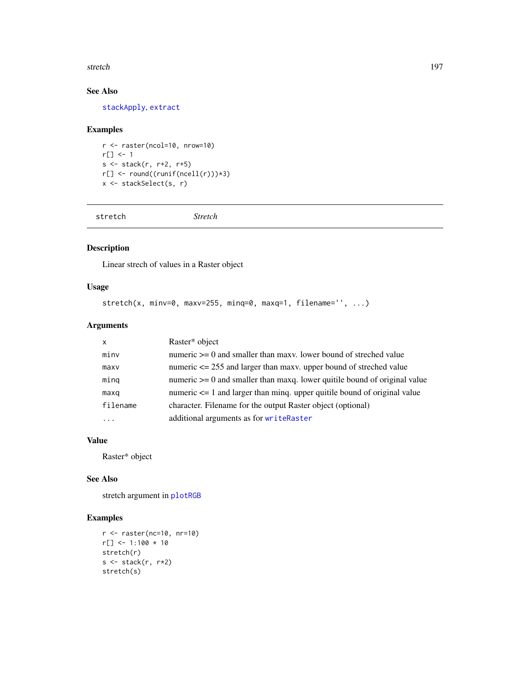#### stretch the stretch through the stretch through the stretch through the stretch through the stretch through the stretch through the stretch through the stretch through the stretch through the stretch through the stretch th

# See Also

[stackApply](#page-193-0), [extract](#page-76-0)

## Examples

```
r <- raster(ncol=10, nrow=10)
r[] <- 1
s <- stack(r, r+2, r+5)
r[] <- round((runif(ncell(r)))*3)
x <- stackSelect(s, r)
```
stretch *Stretch*

# Description

Linear strech of values in a Raster object

## Usage

```
stretch(x, minv=0, maxv=255, minq=0, maxq=1, filename='', ...)
```
## Arguments

| X    |          | Raster* object                                                                |
|------|----------|-------------------------------------------------------------------------------|
| minv |          | numeric $\geq 0$ and smaller than maxy. lower bound of streched value         |
| maxv |          | numeric $\leq$ 255 and larger than maxy. upper bound of streched value        |
| minq |          | numeric $\geq 0$ and smaller than maxq. lower quitile bound of original value |
| maxq |          | numeric $\leq$ 1 and larger than ming. upper quitile bound of original value  |
|      | filename | character. Filename for the output Raster object (optional)                   |
| .    |          | additional arguments as for writeRaster                                       |
|      |          |                                                                               |

# Value

Raster\* object

## See Also

stretch argument in [plotRGB](#page-139-0)

```
r <- raster(nc=10, nr=10)
r[] <- 1:100 * 10
stretch(r)
s <- stack(r, r*2)
stretch(s)
```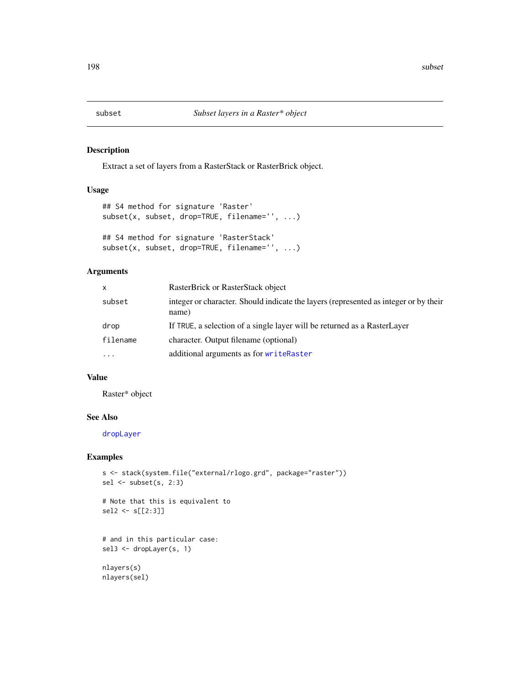Extract a set of layers from a RasterStack or RasterBrick object.

## Usage

```
## S4 method for signature 'Raster'
subset(x, subset, drop=TRUE, filename='', ...)
## S4 method for signature 'RasterStack'
subset(x, subset, drop=TRUE, filename='', ...)
```
## Arguments

| $\mathsf{x}$ | RasterBrick or RasterStack object                                                             |
|--------------|-----------------------------------------------------------------------------------------------|
| subset       | integer or character. Should indicate the layers (represented as integer or by their<br>name) |
| drop         | If TRUE, a selection of a single layer will be returned as a RasterLayer                      |
| filename     | character. Output filename (optional)                                                         |
|              | additional arguments as for writeRaster                                                       |

## Value

Raster\* object

## See Also

[dropLayer](#page-12-1)

## Examples

```
s <- stack(system.file("external/rlogo.grd", package="raster"))
sel <- subset(s, 2:3)
```

```
# Note that this is equivalent to
sel2 <- s[[2:3]]
```

```
# and in this particular case:
sel3 <- dropLayer(s, 1)
```
nlayers(s) nlayers(sel)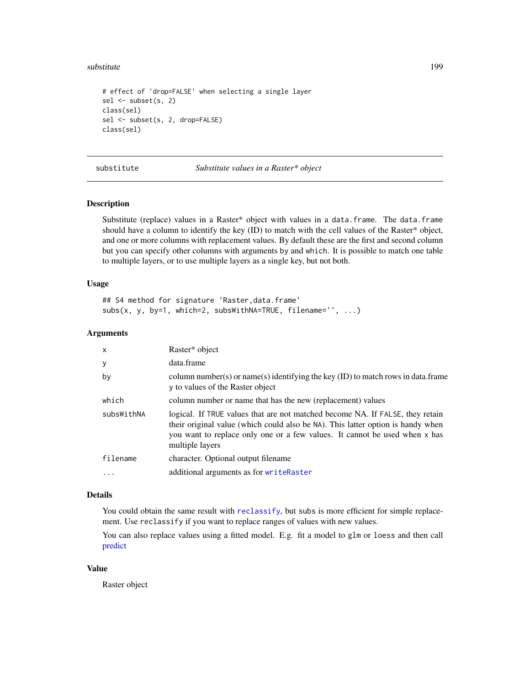#### substitute that the substitute of the substitute of the substitute of the substitute of the substitute of the substitute of the substitute of the substitute of the substitute of the substitute of the substitute of the subs

```
# effect of 'drop=FALSE' when selecting a single layer
sel <- subset(s, 2)
class(sel)
sel <- subset(s, 2, drop=FALSE)
class(sel)
```
substitute *Substitute values in a Raster\* object*

#### Description

Substitute (replace) values in a Raster\* object with values in a data.frame. The data.frame should have a column to identify the key (ID) to match with the cell values of the Raster\* object, and one or more columns with replacement values. By default these are the first and second column but you can specify other columns with arguments by and which. It is possible to match one table to multiple layers, or to use multiple layers as a single key, but not both.

#### Usage

## S4 method for signature 'Raster, data.frame' subs(x, y, by=1, which=2, subsWithNA=TRUE, filename='', ...)

#### Arguments

| Raster* object                                                                                                                                                                                                                                                    |  |
|-------------------------------------------------------------------------------------------------------------------------------------------------------------------------------------------------------------------------------------------------------------------|--|
| data.frame                                                                                                                                                                                                                                                        |  |
| column number(s) or name(s) identifying the key (ID) to match rows in data.frame<br>y to values of the Raster object                                                                                                                                              |  |
| column number or name that has the new (replacement) values                                                                                                                                                                                                       |  |
| logical. If TRUE values that are not matched become NA. If FALSE, they retain<br>their original value (which could also be NA). This latter option is handy when<br>you want to replace only one or a few values. It cannot be used when x has<br>multiple layers |  |
| character. Optional output filename                                                                                                                                                                                                                               |  |
| additional arguments as for writeRaster                                                                                                                                                                                                                           |  |
|                                                                                                                                                                                                                                                                   |  |

#### Details

You could obtain the same result with [reclassify](#page-168-0), but subs is more efficient for simple replacement. Use reclassify if you want to replace ranges of values with new values.

You can also replace values using a fitted model. E.g. fit a model to glm or loess and then call [predict](#page-142-0)

## Value

Raster object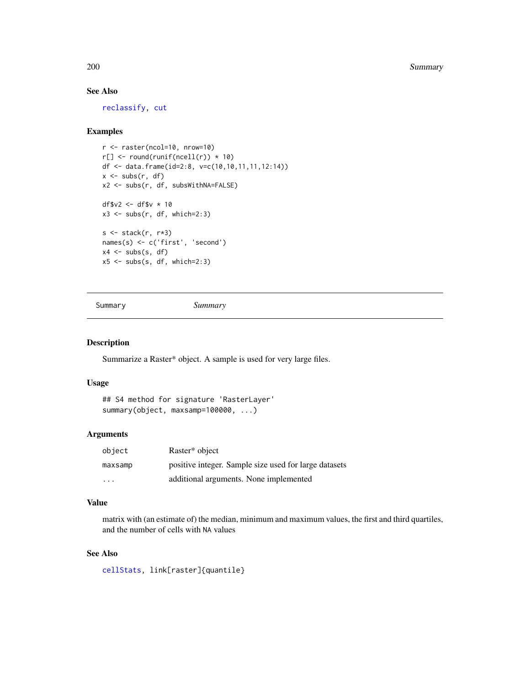200 Summary Summary Summary Summary Summary Summary Summary Summary Summary Summary Summary Summary Summary Summary

## See Also

[reclassify,](#page-168-0) [cut](#page-60-0)

#### Examples

```
r <- raster(ncol=10, nrow=10)
r[] \leftarrow round(runif(ncell(r)) * 10)df <- data.frame(id=2:8, v=c(10,10,11,11,12:14))
x \leftarrow subs(r, df)x2 <- subs(r, df, subsWithNA=FALSE)
df$v2 <- df$v * 10
x3 \leq -subs(r, df, which=2:3)s \leftarrow \text{stack}(r, r \star 3)names(s) <- c('first', 'second')
x4 \leftarrow subs(s, df)x5 \leq -subs(s, df, which=2:3)
```
Summary *Summary*

## Description

Summarize a Raster\* object. A sample is used for very large files.

## Usage

```
## S4 method for signature 'RasterLayer'
summary(object, maxsamp=100000, ...)
```
## Arguments

| object                  | Raster* object                                        |
|-------------------------|-------------------------------------------------------|
| maxsamp                 | positive integer. Sample size used for large datasets |
| $\cdot$ $\cdot$ $\cdot$ | additional arguments. None implemented                |

#### Value

matrix with (an estimate of) the median, minimum and maximum values, the first and third quartiles, and the number of cells with NA values

# See Also

[cellStats,](#page-43-0) link[raster]{quantile}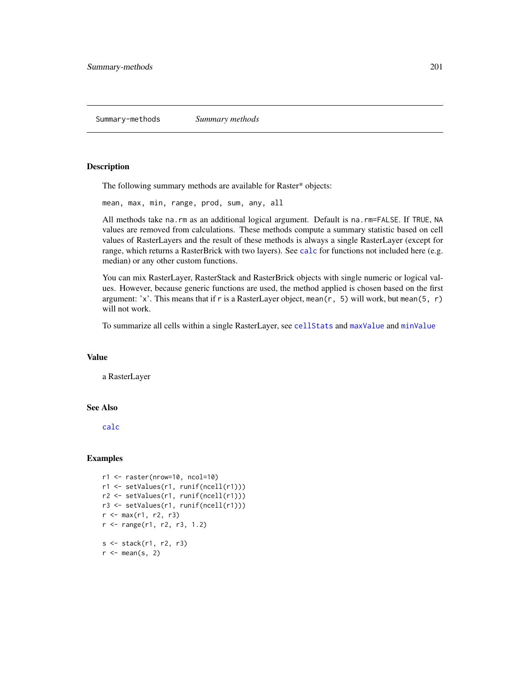<span id="page-200-0"></span>The following summary methods are available for Raster\* objects:

mean, max, min, range, prod, sum, any, all

All methods take na.rm as an additional logical argument. Default is na.rm=FALSE. If TRUE, NA values are removed from calculations. These methods compute a summary statistic based on cell values of RasterLayers and the result of these methods is always a single RasterLayer (except for range, which returns a RasterBrick with two layers). See [calc](#page-37-0) for functions not included here (e.g. median) or any other custom functions.

You can mix RasterLayer, RasterStack and RasterBrick objects with single numeric or logical values. However, because generic functions are used, the method applied is chosen based on the first argument: 'x'. This means that if r is a RasterLayer object, mean( $r$ , 5) will work, but mean( $5, r$ ) will not work.

To summarize all cells within a single RasterLayer, see [cellStats](#page-43-0) and [maxValue](#page-82-0) and [minValue](#page-82-0)

#### Value

a RasterLayer

## See Also

[calc](#page-37-0)

```
r1 <- raster(nrow=10, ncol=10)
r1 <- setValues(r1, runif(ncell(r1)))
r2 <- setValues(r1, runif(ncell(r1)))
r3 <- setValues(r1, runif(ncell(r1)))
r < - max(r1, r2, r3)
r <- range(r1, r2, r3, 1.2)
s <- stack(r1, r2, r3)
r \leq - mean(s, 2)
```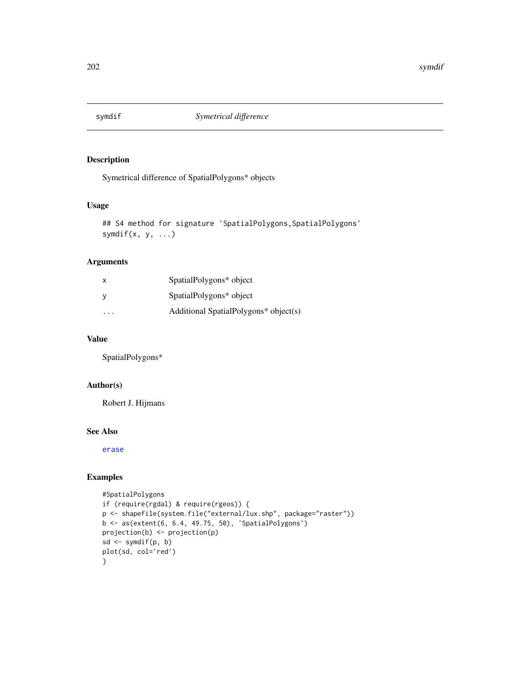Symetrical difference of SpatialPolygons\* objects

## Usage

```
## S4 method for signature 'SpatialPolygons, SpatialPolygons'
symdif(x, y, ...)
```
# Arguments

| X. | SpatialPolygons* object               |
|----|---------------------------------------|
|    | SpatialPolygons* object               |
| .  | Additional SpatialPolygons* object(s) |

# Value

SpatialPolygons\*

## Author(s)

Robert J. Hijmans

#### See Also

[erase](#page-70-0)

```
#SpatialPolygons
if (require(rgdal) & require(rgeos)) {
p <- shapefile(system.file("external/lux.shp", package="raster"))
b <- as(extent(6, 6.4, 49.75, 50), 'SpatialPolygons')
projection(b) <- projection(p)
sd <- symdif(p, b)
plot(sd, col='red')
}
```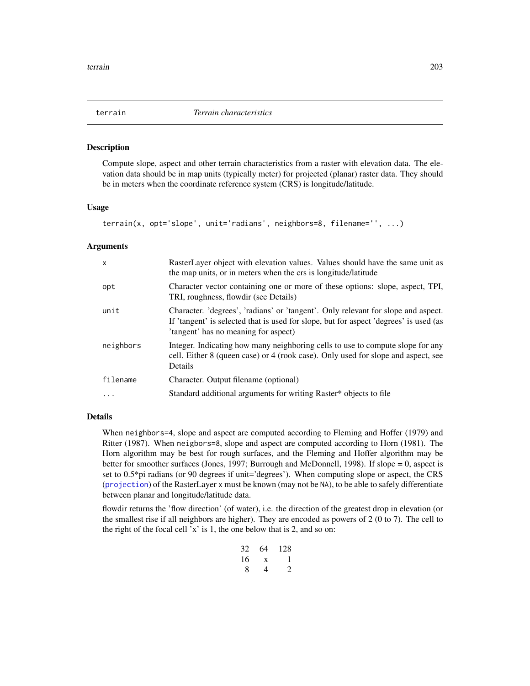<span id="page-202-0"></span>

Compute slope, aspect and other terrain characteristics from a raster with elevation data. The elevation data should be in map units (typically meter) for projected (planar) raster data. They should be in meters when the coordinate reference system (CRS) is longitude/latitude.

#### Usage

terrain(x, opt='slope', unit='radians', neighbors=8, filename='', ...)

#### Arguments

| $\mathsf{x}$ | RasterLayer object with elevation values. Values should have the same unit as<br>the map units, or in meters when the crs is longitude/latitude                                                                    |
|--------------|--------------------------------------------------------------------------------------------------------------------------------------------------------------------------------------------------------------------|
| opt          | Character vector containing one or more of these options: slope, aspect, TPI,<br>TRI, roughness, flowdir (see Details)                                                                                             |
| unit         | Character. 'degrees', 'radians' or 'tangent'. Only relevant for slope and aspect.<br>If 'tangent' is selected that is used for slope, but for aspect 'degrees' is used (as<br>'tangent' has no meaning for aspect) |
| neighbors    | Integer. Indicating how many neighboring cells to use to compute slope for any<br>cell. Either 8 (queen case) or 4 (rook case). Only used for slope and aspect, see<br>Details                                     |
| filename     | Character. Output filename (optional)                                                                                                                                                                              |
| $\cdots$     | Standard additional arguments for writing Raster* objects to file                                                                                                                                                  |

#### Details

When neighbors=4, slope and aspect are computed according to Fleming and Hoffer (1979) and Ritter (1987). When neigbors=8, slope and aspect are computed according to Horn (1981). The Horn algorithm may be best for rough surfaces, and the Fleming and Hoffer algorithm may be better for smoother surfaces (Jones, 1997; Burrough and McDonnell, 1998). If slope = 0, aspect is set to  $0.5*$ pi radians (or 90 degrees if unit='degrees'). When computing slope or aspect, the CRS ([projection](#page-147-0)) of the RasterLayer x must be known (may not be NA), to be able to safely differentiate between planar and longitude/latitude data.

flowdir returns the 'flow direction' (of water), i.e. the direction of the greatest drop in elevation (or the smallest rise if all neighbors are higher). They are encoded as powers of 2 (0 to 7). The cell to the right of the focal cell 'x' is 1, the one below that is 2, and so on:

| 32 | 64 | 128           |
|----|----|---------------|
| 16 | X  | 1             |
| 8  | 4  | $\mathcal{L}$ |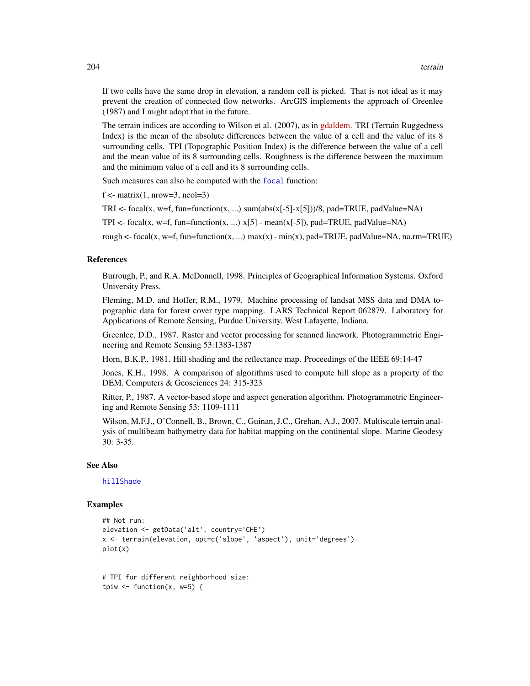If two cells have the same drop in elevation, a random cell is picked. That is not ideal as it may prevent the creation of connected flow networks. ArcGIS implements the approach of Greenlee (1987) and I might adopt that in the future.

The terrain indices are according to Wilson et al. (2007), as in [gdaldem.](http://www.gdal.org/gdaldem.html) TRI (Terrain Ruggedness Index) is the mean of the absolute differences between the value of a cell and the value of its 8 surrounding cells. TPI (Topographic Position Index) is the difference between the value of a cell and the mean value of its 8 surrounding cells. Roughness is the difference between the maximum and the minimum value of a cell and its 8 surrounding cells.

Such measures can also be computed with the [focal](#page-88-0) function:

 $f \le$ - matrix $(1, nrow=3, ncol=3)$ 

TRI <- focal(x, w=f, fun=function(x, ...) sum(abs(x[-5]-x[5]))/8, pad=TRUE, padValue=NA)

TPI <- focal(x, w=f, fun=function(x, ...)  $x[5]$  - mean(x[-5]), pad=TRUE, padValue=NA)

rough  $\le$ - focal(x, w=f, fun=function(x, ...) max(x) - min(x), pad=TRUE, padValue=NA, na.rm=TRUE)

#### References

Burrough, P., and R.A. McDonnell, 1998. Principles of Geographical Information Systems. Oxford University Press.

Fleming, M.D. and Hoffer, R.M., 1979. Machine processing of landsat MSS data and DMA topographic data for forest cover type mapping. LARS Technical Report 062879. Laboratory for Applications of Remote Sensing, Purdue University, West Lafayette, Indiana.

Greenlee, D.D., 1987. Raster and vector processing for scanned linework. Photogrammetric Engineering and Remote Sensing 53:1383-1387

Horn, B.K.P., 1981. Hill shading and the reflectance map. Proceedings of the IEEE 69:14-47

Jones, K.H., 1998. A comparison of algorithms used to compute hill slope as a property of the DEM. Computers & Geosciences 24: 315-323

Ritter, P., 1987. A vector-based slope and aspect generation algorithm. Photogrammetric Engineering and Remote Sensing 53: 1109-1111

Wilson, M.F.J., O'Connell, B., Brown, C., Guinan, J.C., Grehan, A.J., 2007. Multiscale terrain analysis of multibeam bathymetry data for habitat mapping on the continental slope. Marine Geodesy 30: 3-35.

#### See Also

## [hillShade](#page-101-0)

```
## Not run:
elevation <- getData('alt', country='CHE')
x <- terrain(elevation, opt=c('slope', 'aspect'), unit='degrees')
plot(x)
```

```
# TPI for different neighborhood size:
tpiw \le function(x, w=5) {
```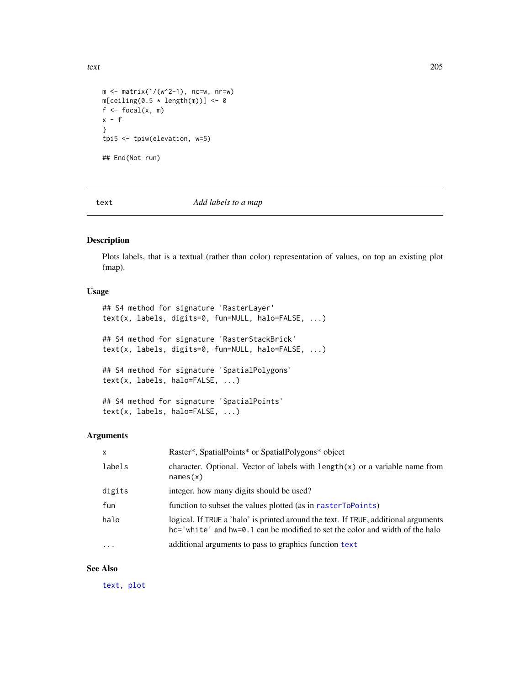```
m \le - matrix(1/(w^2-1), nc=w, nr=w)
m[ceiling(0.5 * length(m))] < -0f \leftarrow focal(x, m)x - f}
tpi5 <- tpiw(elevation, w=5)
## End(Not run)
```
<span id="page-204-0"></span>text *Add labels to a map*

#### Description

Plots labels, that is a textual (rather than color) representation of values, on top an existing plot (map).

## Usage

```
## S4 method for signature 'RasterLayer'
text(x, labels, digits=0, fun=NULL, halo=FALSE, ...)
## S4 method for signature 'RasterStackBrick'
text(x, labels, digits=0, fun=NULL, halo=FALSE, ...)
## S4 method for signature 'SpatialPolygons'
text(x, labels, halo=FALSE, ...)
## S4 method for signature 'SpatialPoints'
```

```
text(x, labels, halo=FALSE, ...)
```
## Arguments

| $\mathsf{x}$ | Raster*, SpatialPoints* or SpatialPolygons* object                                                                                                                  |  |
|--------------|---------------------------------------------------------------------------------------------------------------------------------------------------------------------|--|
| labels       | character. Optional. Vector of labels with $\text{length}(x)$ or a variable name from<br>names(x)                                                                   |  |
| digits       | integer, how many digits should be used?                                                                                                                            |  |
| fun          | function to subset the values plotted (as in rasterToPoints)                                                                                                        |  |
| halo         | logical. If TRUE a 'halo' is printed around the text. If TRUE, additional arguments<br>hc='white' and hw=0.1 can be modified to set the color and width of the halo |  |
| $\ddotsc$    | additional arguments to pass to graphics function text                                                                                                              |  |

#### See Also

[text,](#page-204-0) [plot](#page-136-0)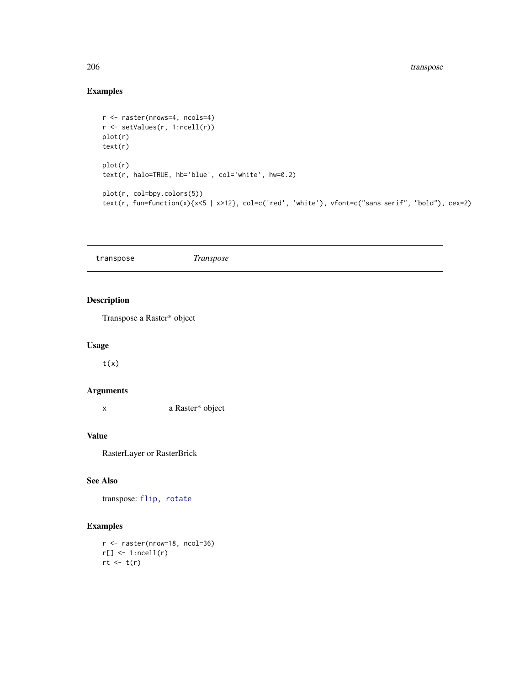# Examples

```
r <- raster(nrows=4, ncols=4)
r <- setValues(r, 1:ncell(r))
plot(r)
text(r)
plot(r)
text(r, halo=TRUE, hb='blue', col='white', hw=0.2)
plot(r, col=bpy.colors(5))
text(r, fun=function(x){x<5 | x>12}, col=c('red', 'white'), vfont=c("sans serif", "bold"), cex=2)
```
transpose *Transpose*

# Description

Transpose a Raster\* object

# Usage

 $t(x)$ 

## Arguments

x a Raster\* object

# Value

RasterLayer or RasterBrick

# See Also

transpose: [flip,](#page-86-0) [rotate](#page-173-0)

## Examples

r <- raster(nrow=18, ncol=36)  $r[] \leftarrow 1$ :ncell $(r)$  $rt \leftarrow t(r)$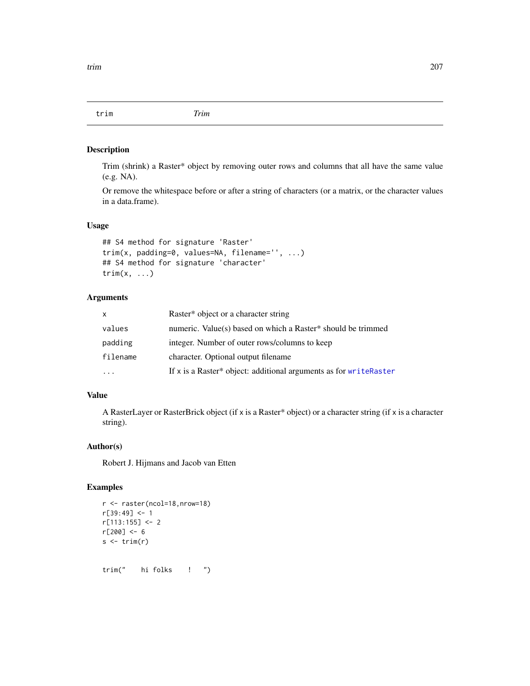trim *Trim*

#### Description

Trim (shrink) a Raster\* object by removing outer rows and columns that all have the same value (e.g. NA).

Or remove the whitespace before or after a string of characters (or a matrix, or the character values in a data.frame).

#### Usage

```
## S4 method for signature 'Raster'
trim(x, padding=0, values=NA, filename='', ...)
## S4 method for signature 'character'
trim(x, \ldots)
```
#### Arguments

| X        | Raster* object or a character string                              |  |
|----------|-------------------------------------------------------------------|--|
| values   | numeric. Value(s) based on which a Raster* should be trimmed      |  |
| padding  | integer. Number of outer rows/columns to keep                     |  |
| filename | character. Optional output filename                               |  |
|          | If x is a Raster* object: additional arguments as for writeRaster |  |

## Value

A RasterLayer or RasterBrick object (if x is a Raster\* object) or a character string (if x is a character string).

## Author(s)

Robert J. Hijmans and Jacob van Etten

```
r <- raster(ncol=18,nrow=18)
r[39:49] <- 1
r[113:155] <- 2
r[200] <- 6
s \leftarrow \text{trim}(r)trim(" hi folks ! ")
```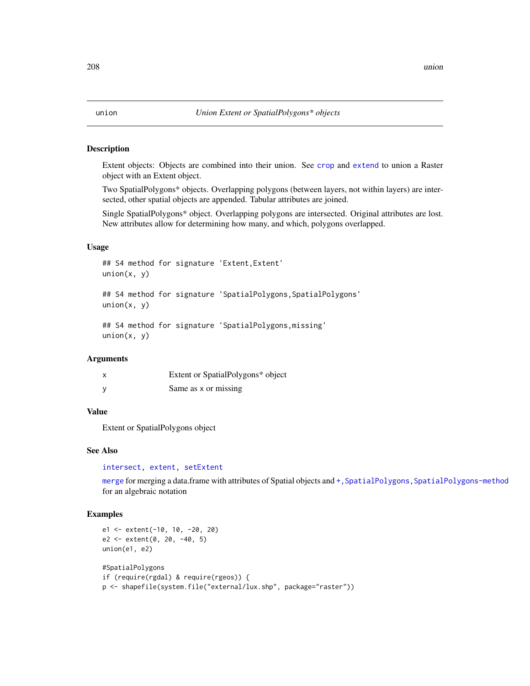Extent objects: Objects are combined into their union. See [crop](#page-57-0) and [extend](#page-71-0) to union a Raster object with an Extent object.

Two SpatialPolygons\* objects. Overlapping polygons (between layers, not within layers) are intersected, other spatial objects are appended. Tabular attributes are joined.

Single SpatialPolygons\* object. Overlapping polygons are intersected. Original attributes are lost. New attributes allow for determining how many, and which, polygons overlapped.

#### Usage

## S4 method for signature 'Extent,Extent'  $union(x, y)$ 

## S4 method for signature 'SpatialPolygons, SpatialPolygons'  $union(x, y)$ 

```
## S4 method for signature 'SpatialPolygons,missing'
union(x, y)
```
#### Arguments

| X | Extent or SpatialPolygons* object |
|---|-----------------------------------|
| у | Same as x or missing              |

#### Value

Extent or SpatialPolygons object

#### See Also

[intersect,](#page-109-0) [extent,](#page-73-0) [setExtent](#page-184-0)

[merge](#page-121-0) for merging a data.frame with attributes of Spatial objects and +, SpatialPolygons, SpatialPolygons-method for an algebraic notation

```
e1 <- extent(-10, 10, -20, 20)
e2 <- extent(0, 20, -40, 5)
union(e1, e2)
#SpatialPolygons
if (require(rgdal) & require(rgeos)) {
p <- shapefile(system.file("external/lux.shp", package="raster"))
```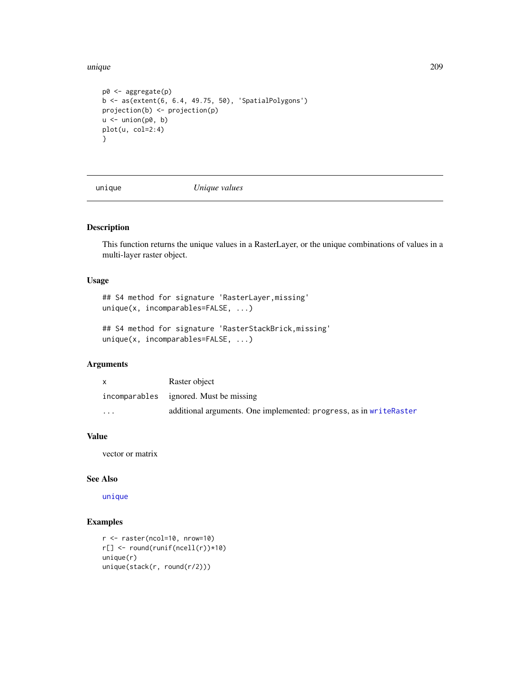unique 209

```
p0 <- aggregate(p)
b <- as(extent(6, 6.4, 49.75, 50), 'SpatialPolygons')
projection(b) <- projection(p)
u <- union(p0, b)
plot(u, col=2:4)
}
```
<span id="page-208-0"></span>

unique *Unique values*

## Description

This function returns the unique values in a RasterLayer, or the unique combinations of values in a multi-layer raster object.

#### Usage

## S4 method for signature 'RasterLayer,missing' unique(x, incomparables=FALSE, ...)

## S4 method for signature 'RasterStackBrick,missing' unique(x, incomparables=FALSE, ...)

# Arguments

|                         | Raster object                                                       |
|-------------------------|---------------------------------------------------------------------|
|                         | incomparables ignored. Must be missing                              |
| $\cdot$ $\cdot$ $\cdot$ | additional arguments. One implemented: progress, as in write Raster |

#### Value

vector or matrix

## See Also

[unique](#page-208-0)

```
r <- raster(ncol=10, nrow=10)
r[] <- round(runif(ncell(r))*10)
unique(r)
unique(stack(r, round(r/2)))
```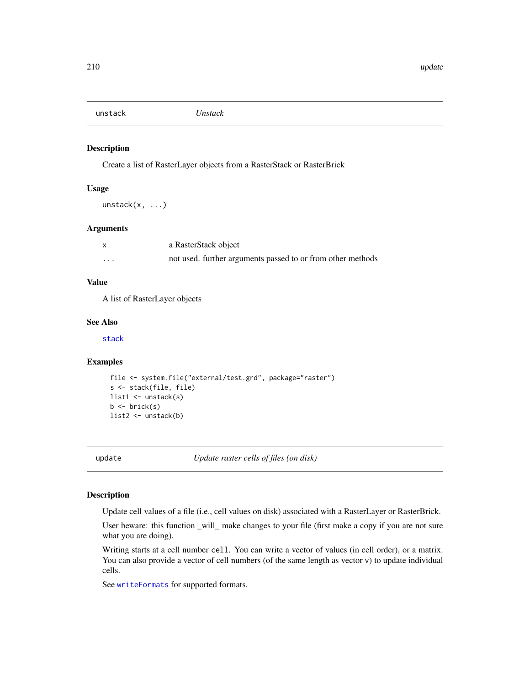unstack *Unstack*

#### Description

Create a list of RasterLayer objects from a RasterStack or RasterBrick

#### Usage

unstack(x, ...)

#### Arguments

|   | a RasterStack object                                        |
|---|-------------------------------------------------------------|
| . | not used. further arguments passed to or from other methods |

# Value

A list of RasterLayer objects

#### See Also

[stack](#page-192-0)

#### Examples

```
file <- system.file("external/test.grd", package="raster")
s <- stack(file, file)
list1 <- unstack(s)
b \leftarrow \text{brick}(s)list2 <- unstack(b)
```
update *Update raster cells of files (on disk)*

## Description

Update cell values of a file (i.e., cell values on disk) associated with a RasterLayer or RasterBrick.

User beware: this function \_will\_ make changes to your file (first make a copy if you are not sure what you are doing).

Writing starts at a cell number cell. You can write a vector of values (in cell order), or a matrix. You can also provide a vector of cell numbers (of the same length as vector v) to update individual cells.

See [writeFormats](#page-215-1) for supported formats.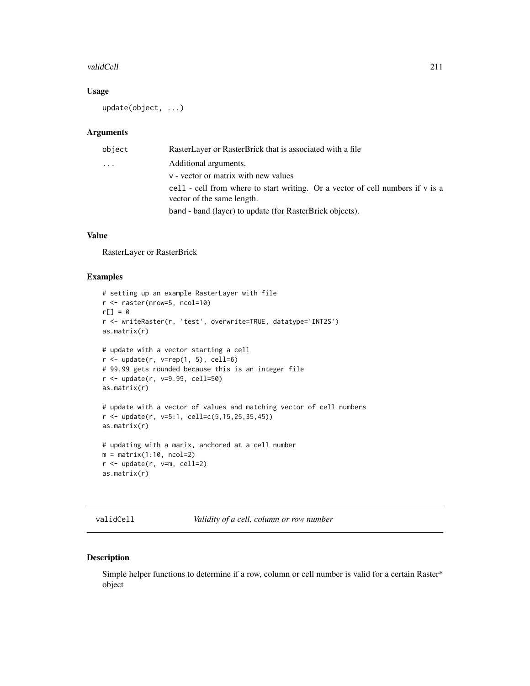#### validCell 211

## Usage

update(object, ...)

#### Arguments

| Additional arguments.<br>$\cdot$<br>v - vector or matrix with new values<br>vector of the same length.<br>band - band (layer) to update (for RasterBrick objects). | object | RasterLayer or RasterBrick that is associated with a file                      |  |  |
|--------------------------------------------------------------------------------------------------------------------------------------------------------------------|--------|--------------------------------------------------------------------------------|--|--|
|                                                                                                                                                                    |        |                                                                                |  |  |
|                                                                                                                                                                    |        |                                                                                |  |  |
|                                                                                                                                                                    |        | cell - cell from where to start writing. Or a vector of cell numbers if v is a |  |  |
|                                                                                                                                                                    |        |                                                                                |  |  |

#### Value

RasterLayer or RasterBrick

## Examples

```
# setting up an example RasterLayer with file
r <- raster(nrow=5, ncol=10)
r[] = 0r <- writeRaster(r, 'test', overwrite=TRUE, datatype='INT2S')
as.matrix(r)
# update with a vector starting a cell
r \leftarrow \text{update}(r, \text{ v=rep}(1, 5), \text{ cell=6})# 99.99 gets rounded because this is an integer file
r <- update(r, v=9.99, cell=50)
as.matrix(r)
# update with a vector of values and matching vector of cell numbers
r \leq - update(r, v=5:1, cell=c(5, 15, 25, 35, 45))
as.matrix(r)
# updating with a marix, anchored at a cell number
m = matrix(1:10, ncol=2)r <- update(r, v=m, cell=2)
as.matrix(r)
```
validCell *Validity of a cell, column or row number*

## Description

Simple helper functions to determine if a row, column or cell number is valid for a certain Raster\* object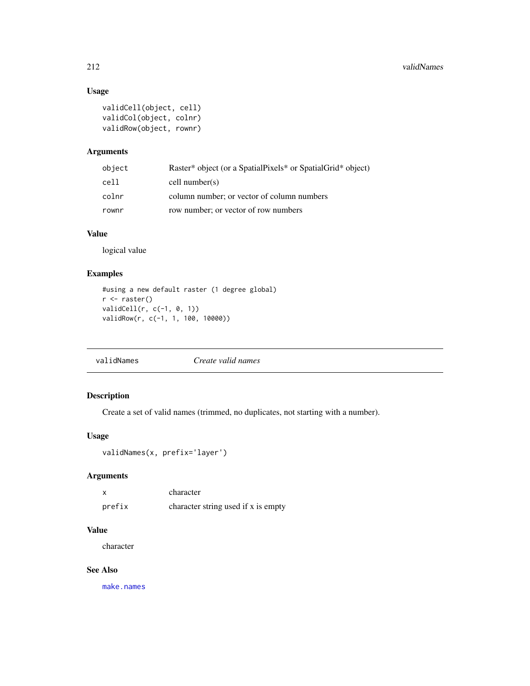# Usage

```
validCell(object, cell)
validCol(object, colnr)
validRow(object, rownr)
```
## Arguments

| object | Raster* object (or a SpatialPixels* or SpatialGrid* object) |
|--------|-------------------------------------------------------------|
| cell   | cell number(s)                                              |
| colnr  | column number; or vector of column numbers                  |
| rownr  | row number; or vector of row numbers                        |

## Value

logical value

## Examples

```
#using a new default raster (1 degree global)
r <- raster()
validCell(r, c(-1, 0, 1))
validRow(r, c(-1, 1, 100, 10000))
```
validNames *Create valid names*

## Description

Create a set of valid names (trimmed, no duplicates, not starting with a number).

## Usage

```
validNames(x, prefix='layer')
```
## Arguments

|        | character                           |
|--------|-------------------------------------|
| prefix | character string used if x is empty |

# Value

character

## See Also

[make.names](#page-0-0)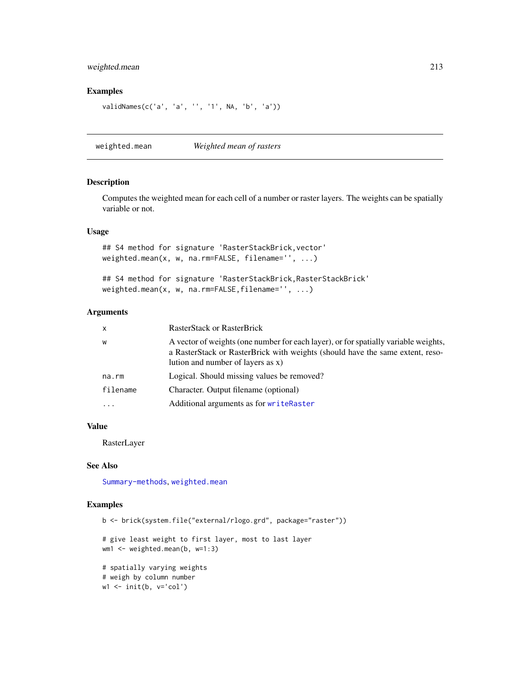## weighted.mean 213

## Examples

```
validNames(c('a', 'a', '', '1', NA, 'b', 'a'))
```
<span id="page-212-0"></span>weighted.mean *Weighted mean of rasters*

#### Description

Computes the weighted mean for each cell of a number or raster layers. The weights can be spatially variable or not.

#### Usage

## S4 method for signature 'RasterStackBrick,vector' weighted.mean(x, w, na.rm=FALSE, filename='', ...)

```
## S4 method for signature 'RasterStackBrick, RasterStackBrick'
weighted.mean(x, w, na.rm=FALSE,filename='', ...)
```
## Arguments

| $\mathsf{x}$ | <b>RasterStack or RasterBrick</b>                                                                                                                                                                         |
|--------------|-----------------------------------------------------------------------------------------------------------------------------------------------------------------------------------------------------------|
| W            | A vector of weights (one number for each layer), or for spatially variable weights,<br>a RasterStack or RasterBrick with weights (should have the same extent, reso-<br>lution and number of layers as x) |
| na.rm        | Logical. Should missing values be removed?                                                                                                                                                                |
| filename     | Character. Output filename (optional)                                                                                                                                                                     |
| $\cdot$      | Additional arguments as for writeRaster                                                                                                                                                                   |
|              |                                                                                                                                                                                                           |

## Value

RasterLayer

## See Also

[Summary-methods](#page-200-0), [weighted.mean](#page-212-0)

```
b <- brick(system.file("external/rlogo.grd", package="raster"))
```

```
# give least weight to first layer, most to last layer
wm1 < -</math> weighted mean(b, w=1:3)
```

```
# spatially varying weights
# weigh by column number
w1 <- init(b, v='col')
```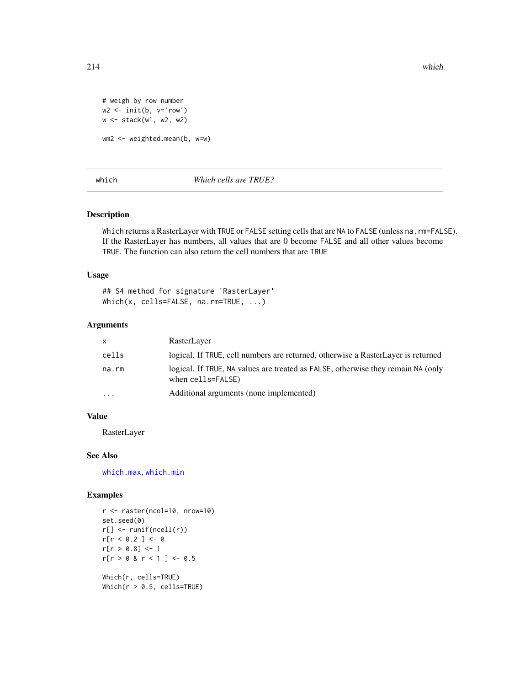```
# weigh by row number
w2 <- init(b, v='row')
w <- stack(w1, w2, w2)
wm2 <- weighted.mean(b, w=w)
```
which *Which cells are TRUE?*

## <span id="page-213-0"></span>Description

Which returns a RasterLayer with TRUE or FALSE setting cells that are NA to FALSE (unless na.rm=FALSE). If the RasterLayer has numbers, all values that are 0 become FALSE and all other values become TRUE. The function can also return the cell numbers that are TRUE

#### Usage

## S4 method for signature 'RasterLayer' Which(x, cells=FALSE, na.rm=TRUE, ...)

#### Arguments

| X         | RasterLayer                                                                                           |
|-----------|-------------------------------------------------------------------------------------------------------|
| cells     | logical. If TRUE, cell numbers are returned, otherwise a RasterLayer is returned                      |
| na.rm     | logical. If TRUE, NA values are treated as FALSE, otherwise they remain NA (only<br>when cells=FALSE) |
| $\ddotsc$ | Additional arguments (none implemented)                                                               |

#### Value

RasterLayer

## See Also

[which.max](#page-214-0), [which.min](#page-214-1)

```
r <- raster(ncol=10, nrow=10)
set.seed(0)
r[] <- runif(ncell(r))
r[r < 0.2] < -0r[r > 0.8] <- 1
r[r > 0 \& r < 1] <- 0.5
Which(r, cells=TRUE)
Which(r > 0.5, cells=TRUE)
```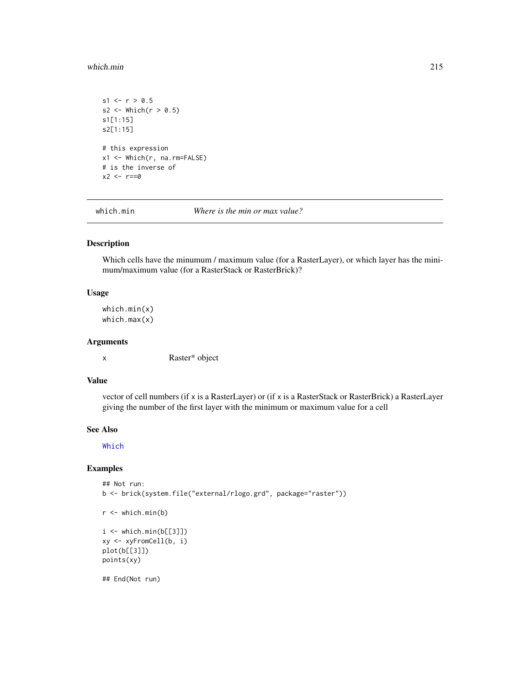#### which.min 215

```
s1 \le r > 0.5s2 \leftarrow \text{Which}(r > 0.5)s1[1:15]
s2[1:15]
# this expression
x1 <- Which(r, na.rm=FALSE)
# is the inverse of
x2 < -r == 0
```
<span id="page-214-1"></span>

which.min *Where is the min or max value?*

## <span id="page-214-0"></span>Description

Which cells have the minumum / maximum value (for a RasterLayer), or which layer has the minimum/maximum value (for a RasterStack or RasterBrick)?

#### Usage

which.min(x) which.max(x)

## Arguments

x Raster\* object

#### Value

vector of cell numbers (if x is a RasterLayer) or (if x is a RasterStack or RasterBrick) a RasterLayer giving the number of the first layer with the minimum or maximum value for a cell

#### See Also

[Which](#page-213-0)

## Examples

```
## Not run:
b <- brick(system.file("external/rlogo.grd", package="raster"))
```

```
r <- which.min(b)
```

```
i \le which.min(b[[3]])
xy <- xyFromCell(b, i)
plot(b[[3]])
points(xy)
```
## End(Not run)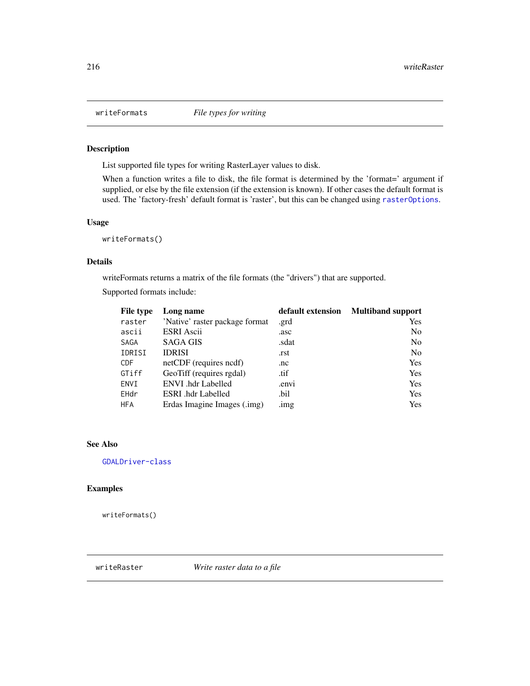<span id="page-215-1"></span>

List supported file types for writing RasterLayer values to disk.

When a function writes a file to disk, the file format is determined by the 'format=' argument if supplied, or else by the file extension (if the extension is known). If other cases the default format is used. The 'factory-fresh' default format is 'raster', but this can be changed using [rasterOptions](#page-130-0).

#### Usage

writeFormats()

## Details

writeFormats returns a matrix of the file formats (the "drivers") that are supported.

Supported formats include:

| File type  | Long name                      | default extension | <b>Multiband support</b> |
|------------|--------------------------------|-------------------|--------------------------|
| raster     | 'Native' raster package format | .grd              | <b>Yes</b>               |
| ascii      | <b>ESRI</b> Ascii              | .asc              | N <sub>0</sub>           |
| SAGA       | <b>SAGA GIS</b>                | .sdat             | N <sub>0</sub>           |
| IDRISI     | <b>IDRISI</b>                  | .rst              | N <sub>0</sub>           |
| <b>CDF</b> | netCDF (requires ncdf)         | .nc               | <b>Yes</b>               |
| GTiff      | GeoTiff (requires rgdal)       | .tif              | Yes                      |
| ENVI       | ENVI .hdr Labelled             | .envi             | <b>Yes</b>               |
| EHdr       | <b>ESRI</b> .hdr Labelled      | .bil              | Yes                      |
| <b>HFA</b> | Erdas Imagine Images (.img)    | .img              | <b>Yes</b>               |

#### See Also

[GDALDriver-class](#page-0-0)

#### Examples

writeFormats()

<span id="page-215-0"></span>writeRaster *Write raster data to a file*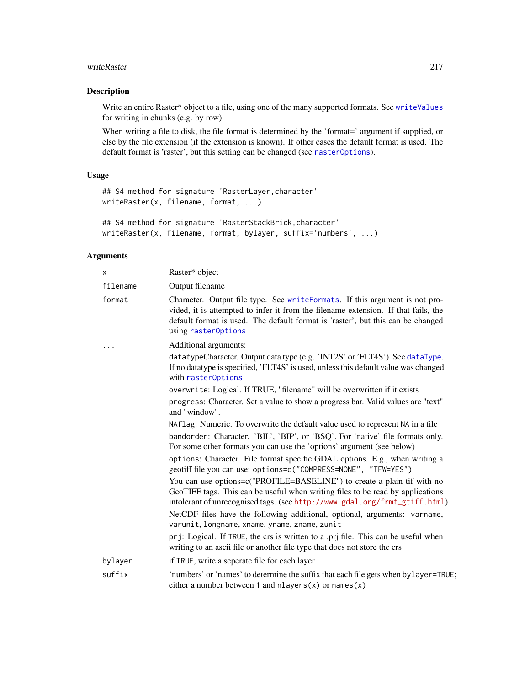#### <span id="page-216-0"></span>writeRaster 217

# Description

Write an entire Raster\* object to a file, using one of the many supported formats. See [writeValues](#page-218-0) for writing in chunks (e.g. by row).

When writing a file to disk, the file format is determined by the 'format=' argument if supplied, or else by the file extension (if the extension is known). If other cases the default format is used. The default format is 'raster', but this setting can be changed (see [rasterOptions](#page-130-0)).

# Usage

```
## S4 method for signature 'RasterLayer,character'
writeRaster(x, filename, format, ...)
```

```
## S4 method for signature 'RasterStackBrick,character'
writeRaster(x, filename, format, bylayer, suffix='numbers', ...)
```
#### Arguments

| X        | Raster* object                                                                                                                                                                                                                                                              |
|----------|-----------------------------------------------------------------------------------------------------------------------------------------------------------------------------------------------------------------------------------------------------------------------------|
| filename | Output filename                                                                                                                                                                                                                                                             |
| format   | Character. Output file type. See writeFormats. If this argument is not pro-<br>vided, it is attempted to infer it from the filename extension. If that fails, the<br>default format is used. The default format is 'raster', but this can be changed<br>using raster0ptions |
|          | Additional arguments:                                                                                                                                                                                                                                                       |
|          | datatypeCharacter. Output data type (e.g. 'INT2S' or 'FLT4S'). See dataType.<br>If no datatype is specified, 'FLT4S' is used, unless this default value was changed<br>with rasterOptions                                                                                   |
|          | overwrite: Logical. If TRUE, "filename" will be overwritten if it exists                                                                                                                                                                                                    |
|          | progress: Character. Set a value to show a progress bar. Valid values are "text"<br>and "window".                                                                                                                                                                           |
|          | NAflag: Numeric. To overwrite the default value used to represent NA in a file                                                                                                                                                                                              |
|          | bandorder: Character. 'BIL', 'BIP', or 'BSQ'. For 'native' file formats only.<br>For some other formats you can use the 'options' argument (see below)                                                                                                                      |
|          | options: Character. File format specific GDAL options. E.g., when writing a<br>geotiff file you can use: options=c("COMPRESS=NONE", "TFW=YES")                                                                                                                              |
|          | You can use options=c("PROFILE=BASELINE") to create a plain tif with no<br>GeoTIFF tags. This can be useful when writing files to be read by applications<br>intolerant of unrecognised tags. (see http://www.gdal.org/frmt_gtiff.html)                                     |
|          | NetCDF files have the following additional, optional, arguments: varname,<br>varunit, longname, xname, yname, zname, zunit                                                                                                                                                  |
|          | prj: Logical. If TRUE, the crs is written to a .prj file. This can be useful when<br>writing to an ascii file or another file type that does not store the crs                                                                                                              |
| bylayer  | if TRUE, write a seperate file for each layer                                                                                                                                                                                                                               |
| suffix   | 'numbers' or 'names' to determine the suffix that each file gets when bylayer=TRUE;<br>either a number between 1 and nlayers $(x)$ or names $(x)$                                                                                                                           |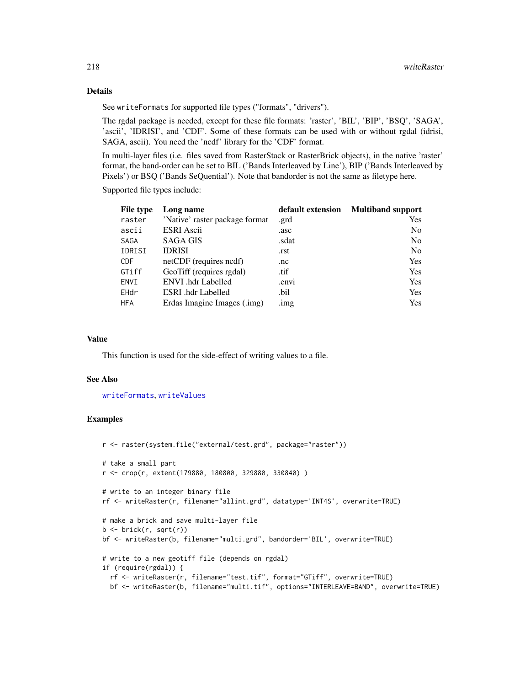# Details

See writeFormats for supported file types ("formats", "drivers").

The rgdal package is needed, except for these file formats: 'raster', 'BIL', 'BIP', 'BSQ', 'SAGA', 'ascii', 'IDRISI', and 'CDF'. Some of these formats can be used with or without rgdal (idrisi, SAGA, ascii). You need the 'ncdf' library for the 'CDF' format.

In multi-layer files (i.e. files saved from RasterStack or RasterBrick objects), in the native 'raster' format, the band-order can be set to BIL ('Bands Interleaved by Line'), BIP ('Bands Interleaved by Pixels') or BSQ ('Bands SeQuential'). Note that bandorder is not the same as filetype here.

Supported file types include:

| <b>File type</b> | Long name                      | default extension | <b>Multiband support</b> |
|------------------|--------------------------------|-------------------|--------------------------|
| raster           | 'Native' raster package format | .grd              | <b>Yes</b>               |
| ascii            | <b>ESRI</b> Ascii              | .asc              | N <sub>0</sub>           |
| <b>SAGA</b>      | <b>SAGA GIS</b>                | .sdat             | N <sub>0</sub>           |
| IDRISI           | <b>IDRISI</b>                  | .rst              | N <sub>0</sub>           |
| <b>CDF</b>       | netCDF (requires ncdf)         | .nc               | <b>Yes</b>               |
| GTiff            | GeoTiff (requires rgdal)       | .tif              | Yes                      |
| ENVI             | <b>ENVI</b> .hdr Labelled      | .envi             | <b>Yes</b>               |
| EHdr             | ESRI .hdr Labelled             | .bil              | Yes                      |
| <b>HFA</b>       | Erdas Imagine Images (.img)    | $\lim g$          | <b>Yes</b>               |

### Value

This function is used for the side-effect of writing values to a file.

#### See Also

[writeFormats](#page-215-0), [writeValues](#page-218-0)

# Examples

```
r <- raster(system.file("external/test.grd", package="raster"))
# take a small part
r <- crop(r, extent(179880, 180800, 329880, 330840) )
# write to an integer binary file
rf <- writeRaster(r, filename="allint.grd", datatype='INT4S', overwrite=TRUE)
# make a brick and save multi-layer file
b <- brick(r, sqrt(r))
bf <- writeRaster(b, filename="multi.grd", bandorder='BIL', overwrite=TRUE)
# write to a new geotiff file (depends on rgdal)
if (require(rgdal)) {
  rf <- writeRaster(r, filename="test.tif", format="GTiff", overwrite=TRUE)
  bf <- writeRaster(b, filename="multi.tif", options="INTERLEAVE=BAND", overwrite=TRUE)
```
<span id="page-217-0"></span>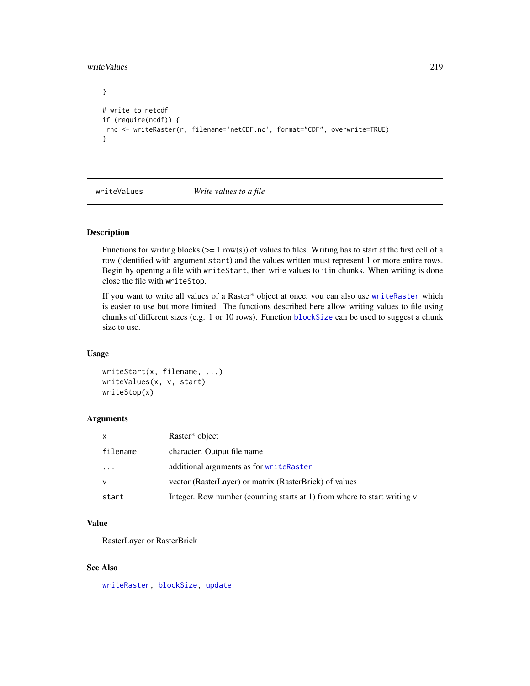<span id="page-218-1"></span>writeValues 219

```
}
# write to netcdf
if (require(ncdf)) {
rnc <- writeRaster(r, filename='netCDF.nc', format="CDF", overwrite=TRUE)
}
```
<span id="page-218-0"></span>writeValues *Write values to a file*

### Description

Functions for writing blocks ( $>= 1$  row(s)) of values to files. Writing has to start at the first cell of a row (identified with argument start) and the values written must represent 1 or more entire rows. Begin by opening a file with writeStart, then write values to it in chunks. When writing is done close the file with writeStop.

If you want to write all values of a Raster\* object at once, you can also use [writeRaster](#page-215-1) which is easier to use but more limited. The functions described here allow writing values to file using chunks of different sizes (e.g. 1 or 10 rows). Function [blockSize](#page-31-0) can be used to suggest a chunk size to use.

# Usage

```
writeStart(x, filename, ...)
writeValues(x, v, start)
writeStop(x)
```
# Arguments

| $\mathsf{x}$ | Raster <sup>*</sup> object                                               |
|--------------|--------------------------------------------------------------------------|
| filename     | character. Output file name                                              |
| $\cdots$     | additional arguments as for writeRaster                                  |
| <b>V</b>     | vector (RasterLayer) or matrix (RasterBrick) of values                   |
| start        | Integer. Row number (counting starts at 1) from where to start writing v |

#### Value

RasterLayer or RasterBrick

# See Also

[writeRaster,](#page-215-1) [blockSize,](#page-31-0) [update](#page-209-0)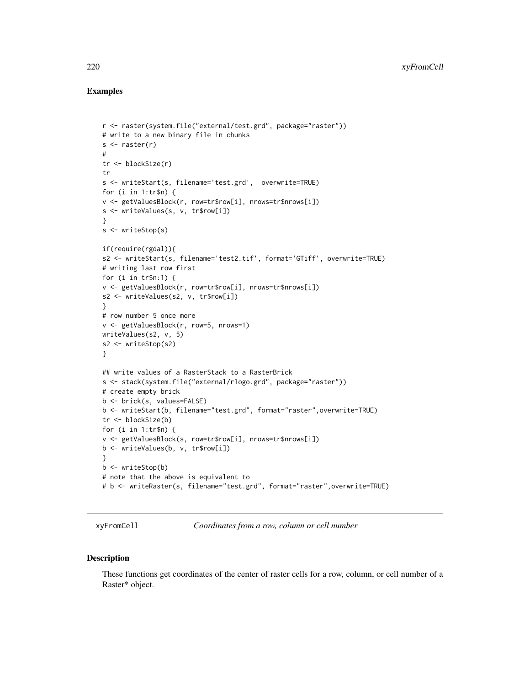# <span id="page-219-0"></span>Examples

```
r <- raster(system.file("external/test.grd", package="raster"))
# write to a new binary file in chunks
s \leftarrow raster(r)
#
tr <- blockSize(r)
tr
s <- writeStart(s, filename='test.grd', overwrite=TRUE)
for (i in 1:tr$n) {
v <- getValuesBlock(r, row=tr$row[i], nrows=tr$nrows[i])
s <- writeValues(s, v, tr$row[i])
}
s <- writeStop(s)
if(require(rgdal)){
s2 <- writeStart(s, filename='test2.tif', format='GTiff', overwrite=TRUE)
# writing last row first
for (i in tr$n:1) {
v <- getValuesBlock(r, row=tr$row[i], nrows=tr$nrows[i])
s2 <- writeValues(s2, v, tr$row[i])
}
# row number 5 once more
v <- getValuesBlock(r, row=5, nrows=1)
writeValues(s2, v, 5)
s2 <- writeStop(s2)
}
## write values of a RasterStack to a RasterBrick
s <- stack(system.file("external/rlogo.grd", package="raster"))
# create empty brick
b <- brick(s, values=FALSE)
b <- writeStart(b, filename="test.grd", format="raster",overwrite=TRUE)
tr <- blockSize(b)
for (i in 1:tr$n) {
v <- getValuesBlock(s, row=tr$row[i], nrows=tr$nrows[i])
b <- writeValues(b, v, tr$row[i])
}
b <- writeStop(b)
# note that the above is equivalent to
# b <- writeRaster(s, filename="test.grd", format="raster",overwrite=TRUE)
```
xyFromCell *Coordinates from a row, column or cell number*

#### **Description**

These functions get coordinates of the center of raster cells for a row, column, or cell number of a Raster\* object.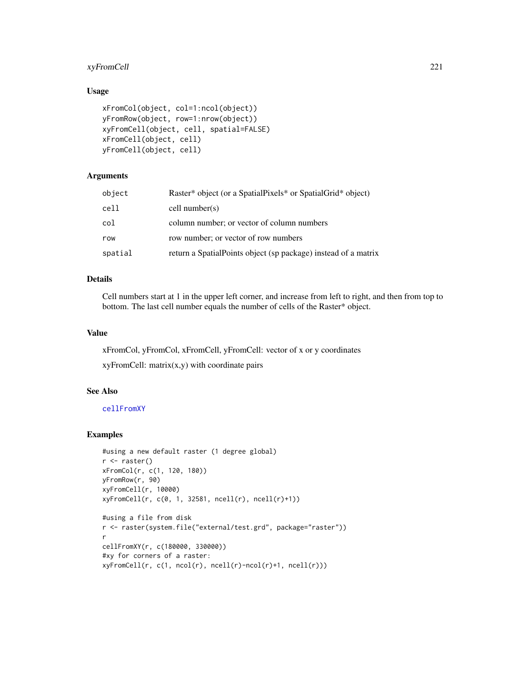# <span id="page-220-0"></span>xyFromCell 221

# Usage

```
xFromCol(object, col=1:ncol(object))
yFromRow(object, row=1:nrow(object))
xyFromCell(object, cell, spatial=FALSE)
xFromCell(object, cell)
yFromCell(object, cell)
```
# Arguments

| object  | Raster* object (or a SpatialPixels* or SpatialGrid* object)     |
|---------|-----------------------------------------------------------------|
| cell    | cell number(s)                                                  |
| col     | column number; or vector of column numbers                      |
| row     | row number; or vector of row numbers                            |
| spatial | return a Spatial Points object (sp package) instead of a matrix |

#### Details

Cell numbers start at 1 in the upper left corner, and increase from left to right, and then from top to bottom. The last cell number equals the number of cells of the Raster\* object.

#### Value

xFromCol, yFromCol, xFromCell, yFromCell: vector of x or y coordinates

 $xyFromCell: matrix(x,y)$  with coordinate pairs

# See Also

[cellFromXY](#page-40-0)

# Examples

```
#using a new default raster (1 degree global)
r <- raster()
xFromCol(r, c(1, 120, 180))
yFromRow(r, 90)
xyFromCell(r, 10000)
xyFromCell(r, c(0, 1, 32581, ncell(r), ncell(r)+1))
#using a file from disk
r <- raster(system.file("external/test.grd", package="raster"))
r
cellFromXY(r, c(180000, 330000))
#xy for corners of a raster:
xyFromCell(r, c(1, ncol(r), ncell(r)-ncol(r)+1, ncell(r)))
```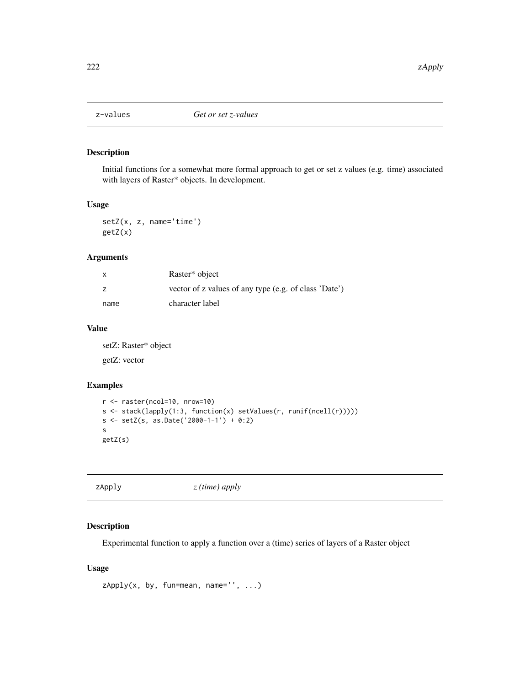<span id="page-221-0"></span>

# Description

Initial functions for a somewhat more formal approach to get or set z values (e.g. time) associated with layers of Raster\* objects. In development.

#### Usage

setZ(x, z, name='time') getZ(x)

# Arguments

| x    | Raster* object                                        |
|------|-------------------------------------------------------|
| z    | vector of z values of any type (e.g. of class 'Date') |
| name | character label                                       |

# Value

setZ: Raster\* object getZ: vector

# Examples

```
r <- raster(ncol=10, nrow=10)
s <- stack(lapply(1:3, function(x) setValues(r, runif(ncell(r)))))
s <- setZ(s, as.Date('2000-1-1') + 0:2)
s
getZ(s)
```

| $z$ (time) apply<br>zApply |
|----------------------------|
|----------------------------|

#### Description

Experimental function to apply a function over a (time) series of layers of a Raster object

# Usage

```
zApply(x, by, fun=mean, name='', ...)
```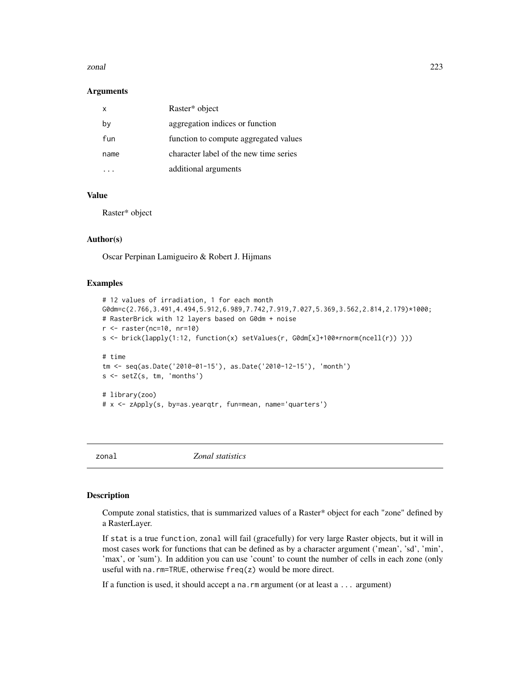#### <span id="page-222-0"></span>zonal 223

#### **Arguments**

| x    | Raster* object                         |
|------|----------------------------------------|
| by   | aggregation indices or function        |
| fun  | function to compute aggregated values  |
| name | character label of the new time series |
|      | additional arguments                   |

# Value

Raster\* object

#### Author(s)

Oscar Perpinan Lamigueiro & Robert J. Hijmans

#### Examples

```
# 12 values of irradiation, 1 for each month
G0dm=c(2.766,3.491,4.494,5.912,6.989,7.742,7.919,7.027,5.369,3.562,2.814,2.179)*1000;
# RasterBrick with 12 layers based on G0dm + noise
r <- raster(nc=10, nr=10)
s <- brick(lapply(1:12, function(x) setValues(r, G0dm[x]+100*rnorm(ncell(r)) )))
# time
tm <- seq(as.Date('2010-01-15'), as.Date('2010-12-15'), 'month')
s <- setZ(s, tm, 'months')
# library(zoo)
# x <- zApply(s, by=as.yearqtr, fun=mean, name='quarters')
```
zonal *Zonal statistics*

# Description

Compute zonal statistics, that is summarized values of a Raster\* object for each "zone" defined by a RasterLayer.

If stat is a true function, zonal will fail (gracefully) for very large Raster objects, but it will in most cases work for functions that can be defined as by a character argument ('mean', 'sd', 'min', 'max', or 'sum'). In addition you can use 'count' to count the number of cells in each zone (only useful with na.rm=TRUE, otherwise freq(z) would be more direct.

If a function is used, it should accept a na.rm argument (or at least a ... argument)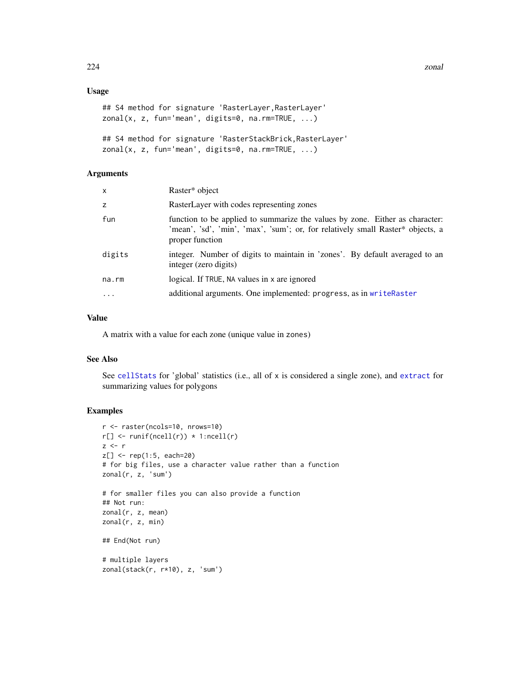<span id="page-223-0"></span>224 zonal zonal zonal zonal zonal zonal zonal zonal zonal zonal zonal zonal zonal zonal zonal zonal zonal zona

# Usage

```
## S4 method for signature 'RasterLayer,RasterLayer'
zonal(x, z, fun='mean', digits=0, na.rm=True, ...)
```

```
## S4 method for signature 'RasterStackBrick,RasterLayer'
zonal(x, z, fun='mean', digits=0, na.rm=TRUE, ...)
```
#### Arguments

| RasterLayer with codes representing zones<br>z                                                                                                                                           |  |
|------------------------------------------------------------------------------------------------------------------------------------------------------------------------------------------|--|
|                                                                                                                                                                                          |  |
| fun<br>function to be applied to summarize the values by zone. Either as character:<br>'mean', 'sd', 'min', 'max', 'sum'; or, for relatively small Raster* objects, a<br>proper function |  |
| integer. Number of digits to maintain in 'zones'. By default averaged to an<br>digits<br>integer (zero digits)                                                                           |  |
| logical. If TRUE, NA values in x are ignored<br>na.rm                                                                                                                                    |  |
| additional arguments. One implemented: progress, as in writeRaster<br>$\cdot$                                                                                                            |  |

# Value

A matrix with a value for each zone (unique value in zones)

#### See Also

See [cellStats](#page-43-0) for 'global' statistics (i.e., all of x is considered a single zone), and [extract](#page-76-0) for summarizing values for polygons

#### Examples

```
r <- raster(ncols=10, nrows=10)
r[] \leftarrow runif(ncell(r)) * 1:ncell(r)z \leq -rz[] <- rep(1:5, each=20)
# for big files, use a character value rather than a function
zonal(r, z, 'sum')
# for smaller files you can also provide a function
## Not run:
zonal(r, z, mean)
zonal(r, z, min)
## End(Not run)
# multiple layers
zonal(stack(r, r*10), z, 'sum')
```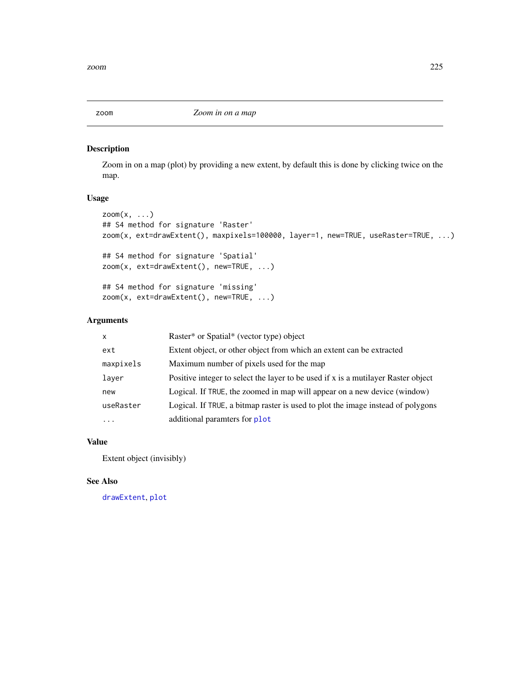# <span id="page-224-0"></span>Description

Zoom in on a map (plot) by providing a new extent, by default this is done by clicking twice on the map.

# Usage

```
zoom(x, \ldots)## S4 method for signature 'Raster'
zoom(x, ext=drawExtent(), maxpixels=100000, layer=1, new=TRUE, useRaster=TRUE, ...)
## S4 method for signature 'Spatial'
```

```
zoom(x, ext=drawExtent(), new=TRUE, ...)
```

```
## S4 method for signature 'missing'
zoom(x, ext=drawExtent(), new=TRUE, ...)
```
## Arguments

| $\mathsf{x}$ | Raster* or Spatial* (vector type) object                                          |
|--------------|-----------------------------------------------------------------------------------|
| ext          | Extent object, or other object from which an extent can be extracted              |
| maxpixels    | Maximum number of pixels used for the map                                         |
| layer        | Positive integer to select the layer to be used if x is a mutilayer Raster object |
| new          | Logical. If TRUE, the zoomed in map will appear on a new device (window)          |
| useRaster    | Logical. If TRUE, a bitmap raster is used to plot the image instead of polygons   |
| $\ddotsc$    | additional paramters for plot                                                     |

# Value

Extent object (invisibly)

# See Also

[drawExtent](#page-70-0), [plot](#page-136-0)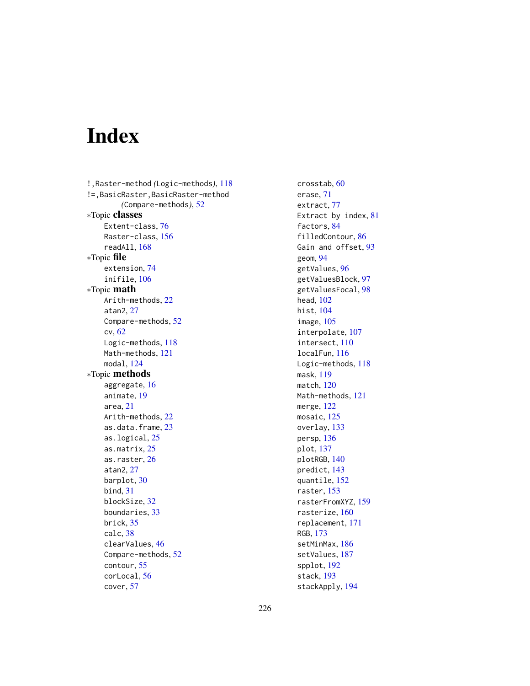# Index

!,Raster-method *(*Logic-methods*)*, [118](#page-117-0) !=,BasicRaster,BasicRaster-method *(*Compare-methods*)*, [52](#page-51-0) ∗Topic classes Extent-class, [76](#page-75-0) Raster-class, [156](#page-155-0) readAll, [168](#page-167-0) ∗Topic file extension, [74](#page-73-0) inifile, [106](#page-105-0) ∗Topic math Arith-methods, [22](#page-21-0) atan2, [27](#page-26-0) Compare-methods, [52](#page-51-0) cv, [62](#page-61-0) Logic-methods, [118](#page-117-0) Math-methods, [121](#page-120-0) modal, [124](#page-123-0) ∗Topic methods aggregate, [16](#page-15-0) animate, [19](#page-18-0) area, [21](#page-20-0) Arith-methods, [22](#page-21-0) as.data.frame, [23](#page-22-0) as.logical, [25](#page-24-0) as.matrix, [25](#page-24-0) as.raster, [26](#page-25-0) atan2, [27](#page-26-0) barplot, [30](#page-29-0) bind, [31](#page-30-0) blockSize, [32](#page-31-1) boundaries, [33](#page-32-0) brick, [35](#page-34-0) calc, [38](#page-37-0) clearValues, [46](#page-45-0) Compare-methods, [52](#page-51-0) contour, [55](#page-54-0) corLocal, [56](#page-55-0) cover, [57](#page-56-0)

crosstab, [60](#page-59-0) erase, [71](#page-70-1) extract, [77](#page-76-1) Extract by index, [81](#page-80-0) factors, [84](#page-83-0) filledContour, [86](#page-85-0) Gain and offset, [93](#page-92-0) geom, [94](#page-93-0) getValues, [96](#page-95-0) getValuesBlock, [97](#page-96-0) getValuesFocal, [98](#page-97-0) head, [102](#page-101-0) hist, [104](#page-103-0) image, [105](#page-104-0) interpolate, [107](#page-106-0) intersect, [110](#page-109-0) localFun, [116](#page-115-0) Logic-methods, [118](#page-117-0) mask, [119](#page-118-0) match, [120](#page-119-0) Math-methods, [121](#page-120-0) merge, [122](#page-121-0) mosaic, [125](#page-124-0) overlay, [133](#page-132-0) persp, [136](#page-135-0) plot, [137](#page-136-1) plotRGB, [140](#page-139-0) predict, [143](#page-142-0) quantile, [152](#page-151-0) raster, [153](#page-152-0) rasterFromXYZ, [159](#page-158-0) rasterize, [160](#page-159-0) replacement, [171](#page-170-0) RGB, [173](#page-172-0) setMinMax, [186](#page-185-0) setValues, [187](#page-186-0) spplot, [192](#page-191-0) stack, [193](#page-192-0) stackApply, [194](#page-193-0)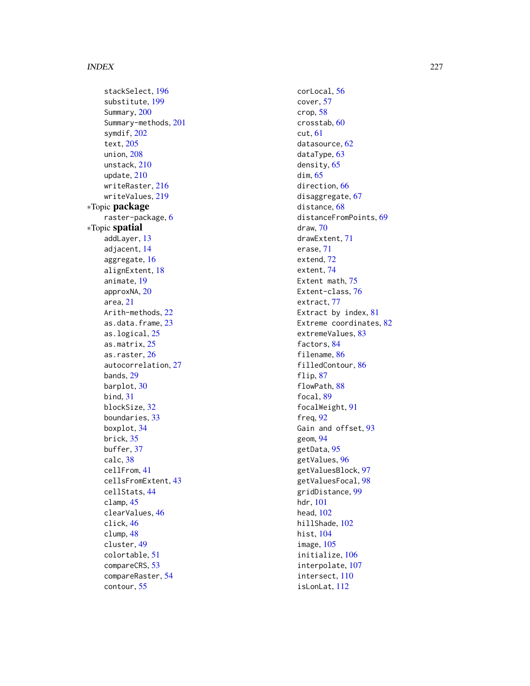stackSelect , [196](#page-195-0) substitute , [199](#page-198-0) Summary, [200](#page-199-0) Summary-methods , [201](#page-200-0) symdif , [202](#page-201-0) text , [205](#page-204-0) union , [208](#page-207-0) unstack , [210](#page-209-1) update , [210](#page-209-1) writeRaster , [216](#page-215-2) writeValues , [219](#page-218-1) ∗Topic package raster-package , [6](#page-5-0) ∗Topic spatial addLayer , [13](#page-12-0) adjacent , [14](#page-13-0) aggregate , [16](#page-15-0) alignExtent , [18](#page-17-0) animate , [19](#page-18-0) approxNA , [20](#page-19-0) area , [21](#page-20-0) Arith-methods , [22](#page-21-0) as.data.frame, [23](#page-22-0) as.logical, [25](#page-24-0) as.matrix , [25](#page-24-0) as.raster , [26](#page-25-0) autocorrelation , [27](#page-26-0) bands , [29](#page-28-0) barplot, [30](#page-29-0) bind , [31](#page-30-0) blockSize , [32](#page-31-1) boundaries , [33](#page-32-0) boxplot , [34](#page-33-0) brick , [35](#page-34-0) buffer , [37](#page-36-0) calc , [38](#page-37-0) cellFrom , [41](#page-40-1) cellsFromExtent , [43](#page-42-0) cellStats , [44](#page-43-1) clamp , [45](#page-44-0) clearValues , [46](#page-45-0) click , [46](#page-45-0) clump , [48](#page-47-0) cluster , [49](#page-48-0) colortable , [51](#page-50-0) compareCRS , [53](#page-52-0) compareRaster , [54](#page-53-0) contour , [55](#page-54-0)

corLocal , [56](#page-55-0) cover , [57](#page-56-0) crop , [58](#page-57-0) crosstab , [60](#page-59-0) cut , [61](#page-60-0) datasource, [62](#page-61-0) dataType, [63](#page-62-1) density, [65](#page-64-0) dim , [65](#page-64-0) direction , [66](#page-65-0) disaggregate, [67](#page-66-0) distance, [68](#page-67-0) distanceFromPoints , [69](#page-68-0) draw , [70](#page-69-0) drawExtent , [71](#page-70-1) erase , [71](#page-70-1) extend, [72](#page-71-0) extent , [74](#page-73-0) Extent math, [75](#page-74-0) Extent-class , [76](#page-75-0) extract , [77](#page-76-1) Extract by index, [81](#page-80-0) Extreme coordinates, [82](#page-81-0) extremeValues, [83](#page-82-0) factors, [84](#page-83-0) filename, [86](#page-85-0) filledContour , [86](#page-85-0) flip, [87](#page-86-0) flowPath, [88](#page-87-0) focal, [89](#page-88-0) focalWeight , [91](#page-90-0) freq , [92](#page-91-0) Gain and offset, [93](#page-92-0) geom , [94](#page-93-0) getData , [95](#page-94-0) getValues , [96](#page-95-0) getValuesBlock , [97](#page-96-0) getValuesFocal , [98](#page-97-0) gridDistance , [99](#page-98-0) hdr , [101](#page-100-0) head , [102](#page-101-0) hillShade , [102](#page-101-0) hist , [104](#page-103-0) image , [105](#page-104-0) initialize , [106](#page-105-0) interpolate , [107](#page-106-0) intersect , [110](#page-109-0) isLonLat , [112](#page-111-0)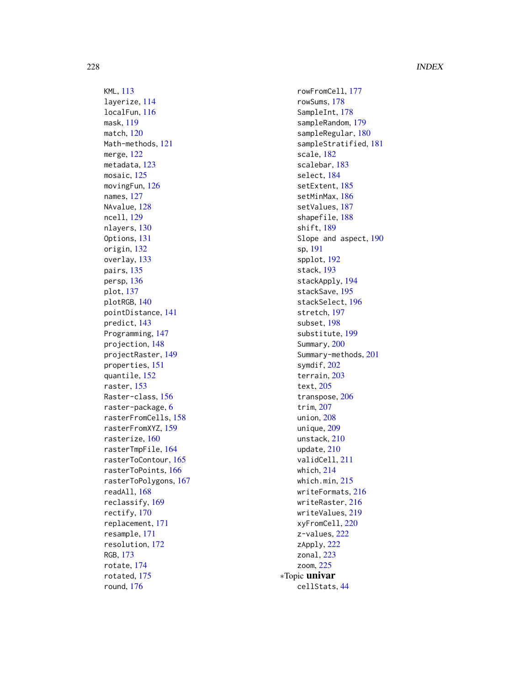KML , [113](#page-112-0) layerize , [114](#page-113-0) localFun , [116](#page-115-0) mask , [119](#page-118-0) match , [120](#page-119-0) Math-methods , [121](#page-120-0) merge , [122](#page-121-0) metadata , [123](#page-122-0) mosaic, [125](#page-124-0) movingFun , [126](#page-125-0) names , [127](#page-126-0) NAvalue, [128](#page-127-0) ncell , [129](#page-128-0) nlayers, [130](#page-129-0) Options , [131](#page-130-1) origin , [132](#page-131-0) overlay , [133](#page-132-0) pairs, [135](#page-134-0) persp , [136](#page-135-0) plot , [137](#page-136-1) plotRGB , [140](#page-139-0) pointDistance , [141](#page-140-0) predict , [143](#page-142-0) Programming , [147](#page-146-0) projection , [148](#page-147-0) projectRaster , [149](#page-148-0) properties , [151](#page-150-0) quantile , [152](#page-151-0) raster, [153](#page-152-0) Raster-class , [156](#page-155-0) raster-package , [6](#page-5-0) rasterFromCells , [158](#page-157-0) rasterFromXYZ , [159](#page-158-0) rasterize , [160](#page-159-0) rasterTmpFile , [164](#page-163-0) rasterToContour , [165](#page-164-0) rasterToPoints , [166](#page-165-0) rasterToPolygons , [167](#page-166-0) readAll , [168](#page-167-0) reclassify , [169](#page-168-0) rectify , [170](#page-169-0) replacement , [171](#page-170-0) resample , [171](#page-170-0) resolution , [172](#page-171-0) RGB , [173](#page-172-0) rotate , [174](#page-173-0) rotated , [175](#page-174-0) round , [176](#page-175-0)

rowFromCell , [177](#page-176-0) rowSums , [178](#page-177-0) SampleInt, [178](#page-177-0) sampleRandom , [179](#page-178-0) sampleRegular, [180](#page-179-0) sampleStratified , [181](#page-180-0) scale , [182](#page-181-0) scalebar , [183](#page-182-0) select , [184](#page-183-0) setExtent , [185](#page-184-0) setMinMax , [186](#page-185-0) setValues , [187](#page-186-0) shapefile , [188](#page-187-0) shift, [189](#page-188-0) Slope and aspect, [190](#page-189-0) sp , [191](#page-190-0) spplot , [192](#page-191-0) stack , [193](#page-192-0) stackApply , [194](#page-193-0) stackSave , [195](#page-194-0) stackSelect , [196](#page-195-0) stretch , [197](#page-196-0) subset , [198](#page-197-0) substitute , [199](#page-198-0) Summary, [200](#page-199-0) Summary-methods , [201](#page-200-0) symdif , [202](#page-201-0) terrain , [203](#page-202-0) text , [205](#page-204-0) transpose , [206](#page-205-0) trim , [207](#page-206-0) union , [208](#page-207-0) unique , [209](#page-208-0) unstack , [210](#page-209-1) update , [210](#page-209-1) validCell , [211](#page-210-0) which , [214](#page-213-0) which.min, [215](#page-214-0) writeFormats , [216](#page-215-2) writeRaster , [216](#page-215-2) writeValues , [219](#page-218-1) xyFromCell , [220](#page-219-0) z-values, [222](#page-221-0) zApply , [222](#page-221-0) zonal , [223](#page-222-0) zoom , [225](#page-224-0) ∗Topic univar cellStats , [44](#page-43-1)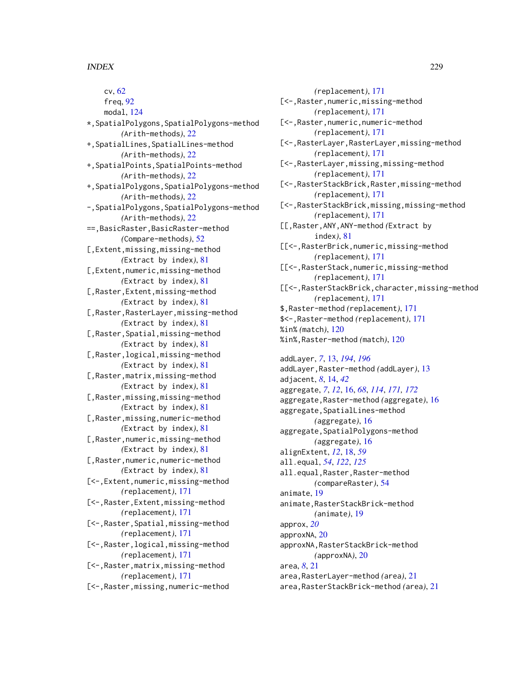cv, [62](#page-61-0) freq, [92](#page-91-0) modal, [124](#page-123-0) \*,SpatialPolygons,SpatialPolygons-method *(*Arith-methods*)*, [22](#page-21-0) +,SpatialLines,SpatialLines-method *(*Arith-methods*)*, [22](#page-21-0) +,SpatialPoints,SpatialPoints-method *(*Arith-methods*)*, [22](#page-21-0) +,SpatialPolygons,SpatialPolygons-method *(*Arith-methods*)*, [22](#page-21-0) -,SpatialPolygons,SpatialPolygons-method *(*Arith-methods*)*, [22](#page-21-0) ==,BasicRaster,BasicRaster-method *(*Compare-methods*)*, [52](#page-51-0) [,Extent,missing,missing-method *(*Extract by index*)*, [81](#page-80-0) [,Extent,numeric,missing-method *(*Extract by index*)*, [81](#page-80-0) [,Raster,Extent,missing-method *(*Extract by index*)*, [81](#page-80-0) [,Raster,RasterLayer,missing-method *(*Extract by index*)*, [81](#page-80-0) [, Raster, Spatial, missing-method *(*Extract by index*)*, [81](#page-80-0) [,Raster,logical,missing-method *(*Extract by index*)*, [81](#page-80-0) [,Raster,matrix,missing-method *(*Extract by index*)*, [81](#page-80-0) [,Raster,missing,missing-method *(*Extract by index*)*, [81](#page-80-0) [,Raster,missing,numeric-method *(*Extract by index*)*, [81](#page-80-0) [,Raster,numeric,missing-method *(*Extract by index*)*, [81](#page-80-0) [,Raster,numeric,numeric-method *(*Extract by index*)*, [81](#page-80-0) [<-,Extent,numeric,missing-method *(*replacement*)*, [171](#page-170-0) [<-,Raster,Extent,missing-method *(*replacement*)*, [171](#page-170-0) [<-,Raster,Spatial,missing-method *(*replacement*)*, [171](#page-170-0) [<-,Raster,logical,missing-method *(*replacement*)*, [171](#page-170-0) [<-,Raster,matrix,missing-method *(*replacement*)*, [171](#page-170-0) [<-,Raster,missing,numeric-method

*(*replacement*)*, [171](#page-170-0) [<-, Raster, numeric, missing-method *(*replacement*)*, [171](#page-170-0) [<-,Raster,numeric,numeric-method *(*replacement*)*, [171](#page-170-0) [<-,RasterLayer,RasterLayer,missing-method *(*replacement*)*, [171](#page-170-0) [<-,RasterLayer,missing,missing-method *(*replacement*)*, [171](#page-170-0) [<-,RasterStackBrick,Raster,missing-method *(*replacement*)*, [171](#page-170-0) [<-,RasterStackBrick,missing,missing-method *(*replacement*)*, [171](#page-170-0) [[,Raster,ANY,ANY-method *(*Extract by index*)*, [81](#page-80-0) [[<-,RasterBrick,numeric,missing-method *(*replacement*)*, [171](#page-170-0) [[<-,RasterStack,numeric,missing-method *(*replacement*)*, [171](#page-170-0) [[<-,RasterStackBrick,character,missing-method *(*replacement*)*, [171](#page-170-0) \$,Raster-method *(*replacement*)*, [171](#page-170-0) \$<-,Raster-method *(*replacement*)*, [171](#page-170-0) %in% *(*match*)*, [120](#page-119-0) %in%,Raster-method *(*match*)*, [120](#page-119-0) addLayer, *[7](#page-6-0)*, [13,](#page-12-0) *[194](#page-193-0)*, *[196](#page-195-0)* addLayer,Raster-method *(*addLayer*)*, [13](#page-12-0) adjacent, *[8](#page-7-0)*, [14,](#page-13-0) *[42](#page-41-0)* aggregate, *[7](#page-6-0)*, *[12](#page-11-0)*, [16,](#page-15-0) *[68](#page-67-0)*, *[114](#page-113-0)*, *[171,](#page-170-0) [172](#page-171-0)* aggregate,Raster-method *(*aggregate*)*, [16](#page-15-0) aggregate, SpatialLines-method *(*aggregate*)*, [16](#page-15-0) aggregate,SpatialPolygons-method *(*aggregate*)*, [16](#page-15-0) alignExtent, *[12](#page-11-0)*, [18,](#page-17-0) *[59](#page-58-0)* all.equal, *[54](#page-53-0)*, *[122](#page-121-0)*, *[125](#page-124-0)* all.equal,Raster,Raster-method *(*compareRaster*)*, [54](#page-53-0) animate, [19](#page-18-0) animate,RasterStackBrick-method *(*animate*)*, [19](#page-18-0) approx, *[20](#page-19-0)* approxNA, [20](#page-19-0) approxNA,RasterStackBrick-method *(*approxNA*)*, [20](#page-19-0) area, *[8](#page-7-0)*, [21](#page-20-0) area,RasterLayer-method *(*area*)*, [21](#page-20-0) area,RasterStackBrick-method *(*area*)*, [21](#page-20-0)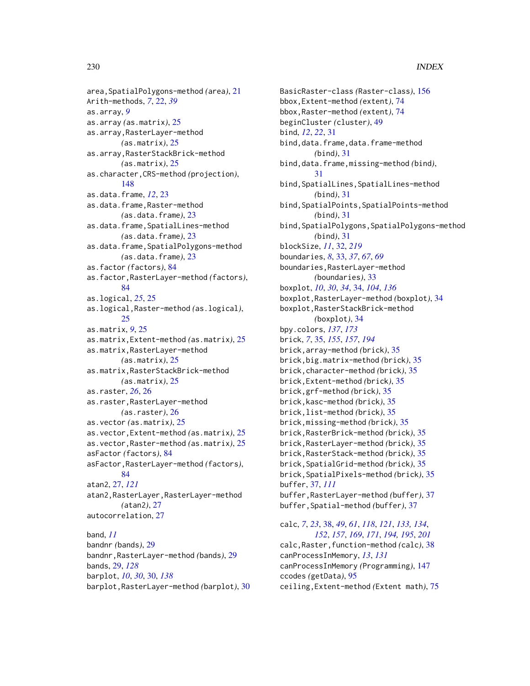area,SpatialPolygons-method *(*area*)*, [21](#page-20-0) Arith-methods, *[7](#page-6-0)*, [22,](#page-21-0) *[39](#page-38-0)* as.array, *[9](#page-8-0)* as.array *(*as.matrix*)*, [25](#page-24-0) as.array,RasterLayer-method *(*as.matrix*)*, [25](#page-24-0) as.array,RasterStackBrick-method *(*as.matrix*)*, [25](#page-24-0) as.character,CRS-method *(*projection*)*, [148](#page-147-0) as.data.frame, *[12](#page-11-0)*, [23](#page-22-0) as.data.frame,Raster-method *(*as.data.frame*)*, [23](#page-22-0) as.data.frame,SpatialLines-method *(*as.data.frame*)*, [23](#page-22-0) as.data.frame,SpatialPolygons-method *(*as.data.frame*)*, [23](#page-22-0) as.factor *(*factors*)*, [84](#page-83-0) as.factor,RasterLayer-method *(*factors*)*, [84](#page-83-0) as.logical, *[25](#page-24-0)*, [25](#page-24-0) as.logical,Raster-method *(*as.logical*)*, [25](#page-24-0) as.matrix, *[9](#page-8-0)*, [25](#page-24-0) as.matrix,Extent-method *(*as.matrix*)*, [25](#page-24-0) as.matrix,RasterLayer-method *(*as.matrix*)*, [25](#page-24-0) as.matrix,RasterStackBrick-method *(*as.matrix*)*, [25](#page-24-0) as.raster, *[26](#page-25-0)*, [26](#page-25-0) as.raster,RasterLayer-method *(*as.raster*)*, [26](#page-25-0) as.vector *(*as.matrix*)*, [25](#page-24-0) as.vector,Extent-method *(*as.matrix*)*, [25](#page-24-0) as.vector,Raster-method *(*as.matrix*)*, [25](#page-24-0) asFactor *(*factors*)*, [84](#page-83-0) asFactor,RasterLayer-method *(*factors*)*, [84](#page-83-0) atan2, [27,](#page-26-0) *[121](#page-120-0)* atan2,RasterLayer,RasterLayer-method *(*atan2*)*, [27](#page-26-0) autocorrelation, [27](#page-26-0) band, *[11](#page-10-0)* bandnr *(*bands*)*, [29](#page-28-0) bandnr,RasterLayer-method *(*bands*)*, [29](#page-28-0) bands, [29,](#page-28-0) *[128](#page-127-0)*

barplot, *[10](#page-9-0)*, *[30](#page-29-0)*, [30,](#page-29-0) *[138](#page-137-0)* barplot,RasterLayer-method *(*barplot*)*, [30](#page-29-0)

BasicRaster-class *(*Raster-class*)*, [156](#page-155-0) bbox,Extent-method *(*extent*)*, [74](#page-73-0) bbox,Raster-method *(*extent*)*, [74](#page-73-0) beginCluster *(*cluster*)*, [49](#page-48-0) bind, *[12](#page-11-0)*, *[22](#page-21-0)*, [31](#page-30-0) bind,data.frame,data.frame-method *(*bind*)*, [31](#page-30-0) bind,data.frame,missing-method *(*bind*)*, [31](#page-30-0) bind,SpatialLines,SpatialLines-method *(*bind*)*, [31](#page-30-0) bind,SpatialPoints,SpatialPoints-method *(*bind*)*, [31](#page-30-0) bind,SpatialPolygons,SpatialPolygons-method *(*bind*)*, [31](#page-30-0) blockSize, *[11](#page-10-0)*, [32,](#page-31-1) *[219](#page-218-1)* boundaries, *[8](#page-7-0)*, [33,](#page-32-0) *[37](#page-36-0)*, *[67](#page-66-0)*, *[69](#page-68-0)* boundaries,RasterLayer-method *(*boundaries*)*, [33](#page-32-0) boxplot, *[10](#page-9-0)*, *[30](#page-29-0)*, *[34](#page-33-0)*, [34,](#page-33-0) *[104](#page-103-0)*, *[136](#page-135-0)* boxplot,RasterLayer-method *(*boxplot*)*, [34](#page-33-0) boxplot,RasterStackBrick-method *(*boxplot*)*, [34](#page-33-0) bpy.colors, *[137](#page-136-1)*, *[173](#page-172-0)* brick, *[7](#page-6-0)*, [35,](#page-34-0) *[155](#page-154-0)*, *[157](#page-156-0)*, *[194](#page-193-0)* brick,array-method *(*brick*)*, [35](#page-34-0) brick,big.matrix-method *(*brick*)*, [35](#page-34-0) brick,character-method *(*brick*)*, [35](#page-34-0) brick,Extent-method *(*brick*)*, [35](#page-34-0) brick,grf-method *(*brick*)*, [35](#page-34-0) brick,kasc-method *(*brick*)*, [35](#page-34-0) brick,list-method *(*brick*)*, [35](#page-34-0) brick,missing-method *(*brick*)*, [35](#page-34-0) brick,RasterBrick-method *(*brick*)*, [35](#page-34-0) brick,RasterLayer-method *(*brick*)*, [35](#page-34-0) brick,RasterStack-method *(*brick*)*, [35](#page-34-0) brick,SpatialGrid-method *(*brick*)*, [35](#page-34-0) brick,SpatialPixels-method *(*brick*)*, [35](#page-34-0) buffer, [37,](#page-36-0) *[111](#page-110-0)* buffer,RasterLayer-method *(*buffer*)*, [37](#page-36-0) buffer,Spatial-method *(*buffer*)*, [37](#page-36-0)

calc, *[7](#page-6-0)*, *[23](#page-22-0)*, [38,](#page-37-0) *[49](#page-48-0)*, *[61](#page-60-0)*, *[118](#page-117-0)*, *[121](#page-120-0)*, *[133,](#page-132-0) [134](#page-133-0)*, *[152](#page-151-0)*, *[157](#page-156-0)*, *[169](#page-168-0)*, *[171](#page-170-0)*, *[194,](#page-193-0) [195](#page-194-0)*, *[201](#page-200-0)* calc,Raster,function-method *(*calc*)*, [38](#page-37-0) canProcessInMemory, *[13](#page-12-0)*, *[131](#page-130-1)* canProcessInMemory *(*Programming*)*, [147](#page-146-0) ccodes *(*getData*)*, [95](#page-94-0) ceiling,Extent-method *(*Extent math*)*, [75](#page-74-0)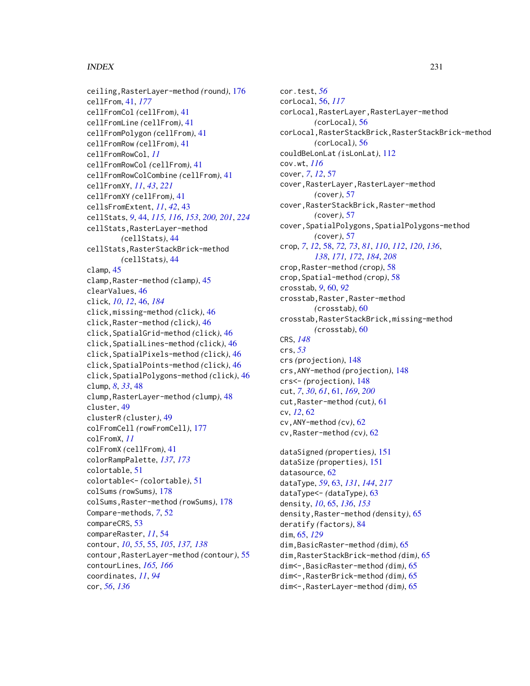ceiling,RasterLayer-method *(*round*)*, [176](#page-175-0) cellFrom, [41,](#page-40-1) *[177](#page-176-0)* cellFromCol *(*cellFrom*)*, [41](#page-40-1) cellFromLine *(*cellFrom*)*, [41](#page-40-1) cellFromPolygon *(*cellFrom*)*, [41](#page-40-1) cellFromRow *(*cellFrom*)*, [41](#page-40-1) cellFromRowCol, *[11](#page-10-0)* cellFromRowCol *(*cellFrom*)*, [41](#page-40-1) cellFromRowColCombine *(*cellFrom*)*, [41](#page-40-1) cellFromXY, *[11](#page-10-0)*, *[43](#page-42-0)*, *[221](#page-220-0)* cellFromXY *(*cellFrom*)*, [41](#page-40-1) cellsFromExtent, *[11](#page-10-0)*, *[42](#page-41-0)*, [43](#page-42-0) cellStats, *[9](#page-8-0)*, [44,](#page-43-1) *[115,](#page-114-0) [116](#page-115-0)*, *[153](#page-152-0)*, *[200,](#page-199-0) [201](#page-200-0)*, *[224](#page-223-0)* cellStats,RasterLayer-method *(*cellStats*)*, [44](#page-43-1) cellStats,RasterStackBrick-method *(*cellStats*)*, [44](#page-43-1) clamp, [45](#page-44-0) clamp,Raster-method *(*clamp*)*, [45](#page-44-0) clearValues, [46](#page-45-0) click, *[10](#page-9-0)*, *[12](#page-11-0)*, [46,](#page-45-0) *[184](#page-183-0)* click,missing-method *(*click*)*, [46](#page-45-0) click,Raster-method *(*click*)*, [46](#page-45-0) click,SpatialGrid-method *(*click*)*, [46](#page-45-0) click,SpatialLines-method *(*click*)*, [46](#page-45-0) click,SpatialPixels-method *(*click*)*, [46](#page-45-0) click,SpatialPoints-method *(*click*)*, [46](#page-45-0) click,SpatialPolygons-method *(*click*)*, [46](#page-45-0) clump, *[8](#page-7-0)*, *[33](#page-32-0)*, [48](#page-47-0) clump,RasterLayer-method *(*clump*)*, [48](#page-47-0) cluster, [49](#page-48-0) clusterR *(*cluster*)*, [49](#page-48-0) colFromCell *(*rowFromCell*)*, [177](#page-176-0) colFromX, *[11](#page-10-0)* colFromX *(*cellFrom*)*, [41](#page-40-1) colorRampPalette, *[137](#page-136-1)*, *[173](#page-172-0)* colortable, [51](#page-50-0) colortable<- *(*colortable*)*, [51](#page-50-0) colSums *(*rowSums*)*, [178](#page-177-0) colSums,Raster-method *(*rowSums*)*, [178](#page-177-0) Compare-methods, *[7](#page-6-0)*, [52](#page-51-0) compareCRS, [53](#page-52-0) compareRaster, *[11](#page-10-0)*, [54](#page-53-0) contour, *[10](#page-9-0)*, *[55](#page-54-0)*, [55,](#page-54-0) *[105](#page-104-0)*, *[137,](#page-136-1) [138](#page-137-0)* contour,RasterLayer-method *(*contour*)*, [55](#page-54-0) contourLines, *[165,](#page-164-0) [166](#page-165-0)* coordinates, *[11](#page-10-0)*, *[94](#page-93-0)* cor, *[56](#page-55-0)*, *[136](#page-135-0)*

cor.test, *[56](#page-55-0)* corLocal, [56,](#page-55-0) *[117](#page-116-0)* corLocal,RasterLayer,RasterLayer-method *(*corLocal*)*, [56](#page-55-0) corLocal,RasterStackBrick,RasterStackBrick-method *(*corLocal*)*, [56](#page-55-0) couldBeLonLat *(*isLonLat*)*, [112](#page-111-0) cov.wt, *[116](#page-115-0)* cover, *[7](#page-6-0)*, *[12](#page-11-0)*, [57](#page-56-0) cover,RasterLayer,RasterLayer-method *(*cover*)*, [57](#page-56-0) cover,RasterStackBrick,Raster-method *(*cover*)*, [57](#page-56-0) cover,SpatialPolygons,SpatialPolygons-method *(*cover*)*, [57](#page-56-0) crop, *[7](#page-6-0)*, *[12](#page-11-0)*, [58,](#page-57-0) *[72,](#page-71-0) [73](#page-72-0)*, *[81](#page-80-0)*, *[110](#page-109-0)*, *[112](#page-111-0)*, *[120](#page-119-0)*, *[136](#page-135-0)*, *[138](#page-137-0)*, *[171,](#page-170-0) [172](#page-171-0)*, *[184](#page-183-0)*, *[208](#page-207-0)* crop,Raster-method *(*crop*)*, [58](#page-57-0) crop,Spatial-method *(*crop*)*, [58](#page-57-0) crosstab, *[9](#page-8-0)*, [60,](#page-59-0) *[92](#page-91-0)* crosstab,Raster,Raster-method *(*crosstab*)*, [60](#page-59-0) crosstab,RasterStackBrick,missing-method *(*crosstab*)*, [60](#page-59-0) CRS, *[148](#page-147-0)* crs, *[53](#page-52-0)* crs *(*projection*)*, [148](#page-147-0) crs,ANY-method *(*projection*)*, [148](#page-147-0) crs<- *(*projection*)*, [148](#page-147-0) cut, *[7](#page-6-0)*, *[30](#page-29-0)*, *[61](#page-60-0)*, [61,](#page-60-0) *[169](#page-168-0)*, *[200](#page-199-0)* cut,Raster-method *(*cut*)*, [61](#page-60-0) cv, *[12](#page-11-0)*, [62](#page-61-0) cv,ANY-method *(*cv*)*, [62](#page-61-0) cv,Raster-method *(*cv*)*, [62](#page-61-0) dataSigned *(*properties*)*, [151](#page-150-0) dataSize *(*properties*)*, [151](#page-150-0) datasource, [62](#page-61-0) dataType, *[59](#page-58-0)*, [63,](#page-62-1) *[131](#page-130-1)*, *[144](#page-143-0)*, *[217](#page-216-0)* dataType<- *(*dataType*)*, [63](#page-62-1) density, *[10](#page-9-0)*, [65,](#page-64-0) *[136](#page-135-0)*, *[153](#page-152-0)* density,Raster-method *(*density*)*, [65](#page-64-0) deratify *(*factors*)*, [84](#page-83-0) dim, [65,](#page-64-0) *[129](#page-128-0)* dim,BasicRaster-method *(*dim*)*, [65](#page-64-0) dim,RasterStackBrick-method *(*dim*)*, [65](#page-64-0) dim<-,BasicRaster-method *(*dim*)*, [65](#page-64-0) dim<-,RasterBrick-method *(*dim*)*, [65](#page-64-0)

dim<-,RasterLayer-method *(*dim*)*, [65](#page-64-0)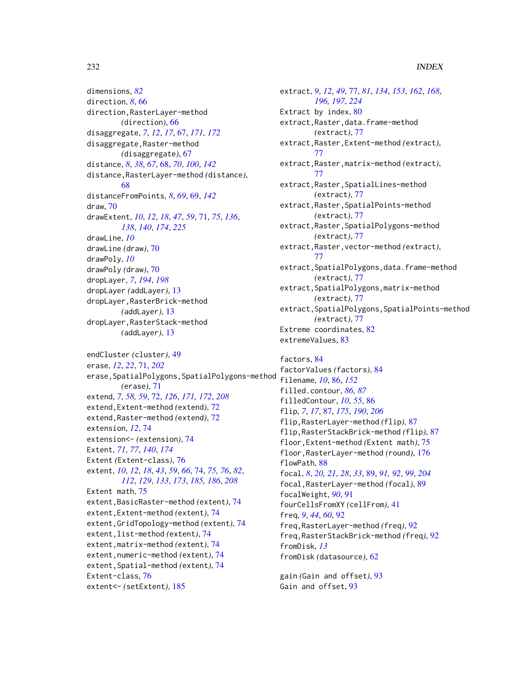dimensions, *[82](#page-81-0)* direction, *[8](#page-7-0)*, [66](#page-65-0) direction,RasterLayer-method *(*direction*)*, [66](#page-65-0) disaggregate, *[7](#page-6-0)*, *[12](#page-11-0)*, *[17](#page-16-0)*, [67,](#page-66-0) *[171,](#page-170-0) [172](#page-171-0)* disaggregate,Raster-method *(*disaggregate*)*, [67](#page-66-0) distance, *[8](#page-7-0)*, *[38](#page-37-0)*, *[67](#page-66-0)*, [68,](#page-67-0) *[70](#page-69-0)*, *[100](#page-99-0)*, *[142](#page-141-0)* distance,RasterLayer-method *(*distance*)*, [68](#page-67-0) distanceFromPoints, *[8](#page-7-0)*, *[69](#page-68-0)*, [69,](#page-68-0) *[142](#page-141-0)* draw, [70](#page-69-0) drawExtent, *[10](#page-9-0)*, *[12](#page-11-0)*, *[18](#page-17-0)*, *[47](#page-46-0)*, *[59](#page-58-0)*, [71,](#page-70-1) *[75](#page-74-0)*, *[136](#page-135-0)*, *[138](#page-137-0)*, *[140](#page-139-0)*, *[174](#page-173-0)*, *[225](#page-224-0)* drawLine, *[10](#page-9-0)* drawLine *(*draw*)*, [70](#page-69-0) drawPoly, *[10](#page-9-0)* drawPoly *(*draw*)*, [70](#page-69-0) dropLayer, *[7](#page-6-0)*, *[194](#page-193-0)*, *[198](#page-197-0)* dropLayer *(*addLayer*)*, [13](#page-12-0) dropLayer,RasterBrick-method *(*addLayer*)*, [13](#page-12-0) dropLayer,RasterStack-method *(*addLayer*)*, [13](#page-12-0)

endCluster *(*cluster*)*, [49](#page-48-0) erase, *[12](#page-11-0)*, *[22](#page-21-0)*, [71,](#page-70-1) *[202](#page-201-0)* erase,SpatialPolygons,SpatialPolygons-method *(*erase*)*, [71](#page-70-1) extend, *[7](#page-6-0)*, *[58,](#page-57-0) [59](#page-58-0)*, [72,](#page-71-0) *[126](#page-125-0)*, *[171,](#page-170-0) [172](#page-171-0)*, *[208](#page-207-0)* extend,Extent-method *(*extend*)*, [72](#page-71-0) extend,Raster-method *(*extend*)*, [72](#page-71-0) extension, *[12](#page-11-0)*, [74](#page-73-0) extension<- *(*extension*)*, [74](#page-73-0) Extent, *[71](#page-70-1)*, *[77](#page-76-1)*, *[140](#page-139-0)*, *[174](#page-173-0)* Extent *(*Extent-class*)*, [76](#page-75-0) extent, *[10](#page-9-0)*, *[12](#page-11-0)*, *[18](#page-17-0)*, *[43](#page-42-0)*, *[59](#page-58-0)*, *[66](#page-65-0)*, [74,](#page-73-0) *[75,](#page-74-0) [76](#page-75-0)*, *[82](#page-81-0)*, *[112](#page-111-0)*, *[129](#page-128-0)*, *[133](#page-132-0)*, *[173](#page-172-0)*, *[185,](#page-184-0) [186](#page-185-0)*, *[208](#page-207-0)* Extent math, [75](#page-74-0) extent,BasicRaster-method *(*extent*)*, [74](#page-73-0) extent,Extent-method *(*extent*)*, [74](#page-73-0) extent,GridTopology-method *(*extent*)*, [74](#page-73-0) extent,list-method *(*extent*)*, [74](#page-73-0) extent,matrix-method *(*extent*)*, [74](#page-73-0) extent,numeric-method *(*extent*)*, [74](#page-73-0) extent,Spatial-method *(*extent*)*, [74](#page-73-0) Extent-class, [76](#page-75-0) extent<- *(*setExtent*)*, [185](#page-184-0)

extract, *[9](#page-8-0)*, *[12](#page-11-0)*, *[49](#page-48-0)*, [77,](#page-76-1) *[81](#page-80-0)*, *[134](#page-133-0)*, *[153](#page-152-0)*, *[162](#page-161-0)*, *[168](#page-167-0)*, *[196,](#page-195-0) [197](#page-196-0)*, *[224](#page-223-0)* Extract by index, [80](#page-79-0) extract,Raster,data.frame-method *(*extract*)*, [77](#page-76-1) extract,Raster,Extent-method *(*extract*)*, [77](#page-76-1) extract,Raster,matrix-method *(*extract*)*, [77](#page-76-1) extract,Raster,SpatialLines-method *(*extract*)*, [77](#page-76-1) extract,Raster,SpatialPoints-method *(*extract*)*, [77](#page-76-1) extract,Raster,SpatialPolygons-method *(*extract*)*, [77](#page-76-1) extract,Raster,vector-method *(*extract*)*, [77](#page-76-1) extract,SpatialPolygons,data.frame-method *(*extract*)*, [77](#page-76-1) extract,SpatialPolygons,matrix-method *(*extract*)*, [77](#page-76-1) extract,SpatialPolygons,SpatialPoints-method *(*extract*)*, [77](#page-76-1) Extreme coordinates, [82](#page-81-0) extremeValues, [83](#page-82-0)

factors, [84](#page-83-0) factorValues *(*factors*)*, [84](#page-83-0) filename, *[10](#page-9-0)*, [86,](#page-85-0) *[152](#page-151-0)* filled.contour, *[86,](#page-85-0) [87](#page-86-0)* filledContour, *[10](#page-9-0)*, *[55](#page-54-0)*, [86](#page-85-0) flip, *[7](#page-6-0)*, *[17](#page-16-0)*, [87,](#page-86-0) *[175](#page-174-0)*, *[190](#page-189-0)*, *[206](#page-205-0)* flip,RasterLayer-method *(*flip*)*, [87](#page-86-0) flip,RasterStackBrick-method *(*flip*)*, [87](#page-86-0) floor,Extent-method *(*Extent math*)*, [75](#page-74-0) floor,RasterLayer-method *(*round*)*, [176](#page-175-0) flowPath, [88](#page-87-0) focal, *[8](#page-7-0)*, *[20,](#page-19-0) [21](#page-20-0)*, *[28](#page-27-0)*, *[33](#page-32-0)*, [89,](#page-88-0) *[91,](#page-90-0) [92](#page-91-0)*, *[99](#page-98-0)*, *[204](#page-203-0)* focal,RasterLayer-method *(*focal*)*, [89](#page-88-0) focalWeight, *[90](#page-89-0)*, [91](#page-90-0) fourCellsFromXY *(*cellFrom*)*, [41](#page-40-1) freq, *[9](#page-8-0)*, *[44](#page-43-1)*, *[60](#page-59-0)*, [92](#page-91-0) freq,RasterLayer-method *(*freq*)*, [92](#page-91-0) freq,RasterStackBrick-method *(*freq*)*, [92](#page-91-0) fromDisk, *[13](#page-12-0)* fromDisk *(*datasource*)*, [62](#page-61-0)

gain *(*Gain and offset*)*, [93](#page-92-0) Gain and offset, [93](#page-92-0)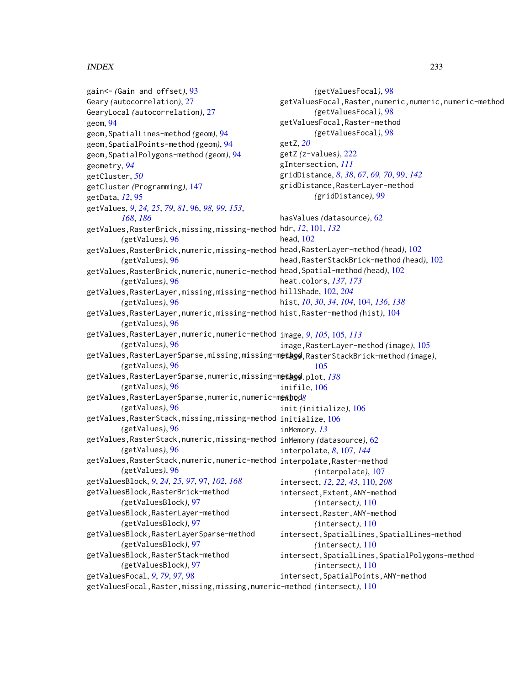gain<- *(*Gain and offset*)*, [93](#page-92-0) Geary *(*autocorrelation*)*, [27](#page-26-0) GearyLocal *(*autocorrelation*)*, [27](#page-26-0) geom, [94](#page-93-0) geom,SpatialLines-method *(*geom*)*, [94](#page-93-0) geom,SpatialPoints-method *(*geom*)*, [94](#page-93-0) geom,SpatialPolygons-method *(*geom*)*, [94](#page-93-0) geometry, *[94](#page-93-0)* getCluster, *[50](#page-49-0)* getCluster *(*Programming*)*, [147](#page-146-0) getData, *[12](#page-11-0)*, [95](#page-94-0) getValues, *[9](#page-8-0)*, *[24,](#page-23-0) [25](#page-24-0)*, *[79](#page-78-0)*, *[81](#page-80-0)*, [96,](#page-95-0) *[98,](#page-97-0) [99](#page-98-0)*, *[153](#page-152-0)*, *[168](#page-167-0)*, *[186](#page-185-0)* getValues,RasterBrick,missing,missing-method hdr, *[12](#page-11-0)*, [101,](#page-100-0) *[132](#page-131-0) (*getValues*)*, [96](#page-95-0) getValues,RasterBrick,numeric,missing-method head,RasterLayer-method *(*head*)*, [102](#page-101-0) *(*getValues*)*, [96](#page-95-0) getValues,RasterBrick,numeric,numeric-method head,Spatial-method *(*head*)*, [102](#page-101-0) *(*getValues*)*, [96](#page-95-0) getValues,RasterLayer,missing,missing-method hillShade, [102,](#page-101-0) *[204](#page-203-0) (*getValues*)*, [96](#page-95-0) getValues,RasterLayer,numeric,missing-method hist,Raster-method *(*hist*)*, [104](#page-103-0) *(*getValues*)*, [96](#page-95-0) getValues,RasterLayer,numeric,numeric-method image, *[9](#page-8-0)*, *[105](#page-104-0)*, [105,](#page-104-0) *[113](#page-112-0) (*getValues*)*, [96](#page-95-0) getValues,RasterLayerSparse,missing,missing-method image,RasterStackBrick-method *(*image*)*, *(*getValues*)*, [96](#page-95-0) getValues,RasterLayerSparse,numeric,missing-m**enage**.plot,*[138](#page-137-0) (*getValues*)*, [96](#page-95-0) getValues,RasterLayerSparse,numeric,numeric-m<u>ethod[8](#page-7-0)</u> *(*getValues*)*, [96](#page-95-0) getValues,RasterStack,missing,missing-method initialize, [106](#page-105-0) *(*getValues*)*, [96](#page-95-0) getValues,RasterStack,numeric,missing-method inMemory *(*datasource*)*, [62](#page-61-0) *(*getValues*)*, [96](#page-95-0) getValues,RasterStack,numeric,numeric-method interpolate,Raster-method *(*getValues*)*, [96](#page-95-0) getValuesBlock, *[9](#page-8-0)*, *[24,](#page-23-0) [25](#page-24-0)*, *[97](#page-96-0)*, [97,](#page-96-0) *[102](#page-101-0)*, *[168](#page-167-0)* getValuesBlock,RasterBrick-method *(*getValuesBlock*)*, [97](#page-96-0) getValuesBlock,RasterLayer-method *(*getValuesBlock*)*, [97](#page-96-0) getValuesBlock,RasterLayerSparse-method *(*getValuesBlock*)*, [97](#page-96-0) getValuesBlock,RasterStack-method *(*getValuesBlock*)*, [97](#page-96-0) getValuesFocal, *[9](#page-8-0)*, *[79](#page-78-0)*, *[97](#page-96-0)*, [98](#page-97-0) getValuesFocal,Raster,missing,missing,numeric-method *(*intersect*)*, [110](#page-109-0)*(*getValuesFocal*)*, [98](#page-97-0) getValuesFocal,Raster,numeric,numeric,numeric-method *(*getValuesFocal*)*, [98](#page-97-0) getValuesFocal,Raster-method *(*getValuesFocal*)*, [98](#page-97-0) getZ, *[20](#page-19-0)* getZ *(*z-values*)*, [222](#page-221-0) gIntersection, *[111](#page-110-0)* gridDistance, *[8](#page-7-0)*, *[38](#page-37-0)*, *[67](#page-66-0)*, *[69,](#page-68-0) [70](#page-69-0)*, [99,](#page-98-0) *[142](#page-141-0)* gridDistance,RasterLayer-method *(*gridDistance*)*, [99](#page-98-0) hasValues *(*datasource*)*, [62](#page-61-0) head, [102](#page-101-0) head,RasterStackBrick-method *(*head*)*, [102](#page-101-0) heat.colors, *[137](#page-136-1)*, *[173](#page-172-0)* hist, *[10](#page-9-0)*, *[30](#page-29-0)*, *[34](#page-33-0)*, *[104](#page-103-0)*, [104,](#page-103-0) *[136](#page-135-0)*, *[138](#page-137-0)* image,RasterLayer-method *(*image*)*, [105](#page-104-0) [105](#page-104-0) inifile, [106](#page-105-0) init *(*initialize*)*, [106](#page-105-0) inMemory, *[13](#page-12-0)* interpolate, *[8](#page-7-0)*, [107,](#page-106-0) *[144](#page-143-0) (*interpolate*)*, [107](#page-106-0) intersect, *[12](#page-11-0)*, *[22](#page-21-0)*, *[43](#page-42-0)*, [110,](#page-109-0) *[208](#page-207-0)* intersect,Extent,ANY-method *(*intersect*)*, [110](#page-109-0) intersect,Raster,ANY-method *(*intersect*)*, [110](#page-109-0) intersect,SpatialLines,SpatialLines-method *(*intersect*)*, [110](#page-109-0) intersect,SpatialLines,SpatialPolygons-method *(*intersect*)*, [110](#page-109-0) intersect,SpatialPoints,ANY-method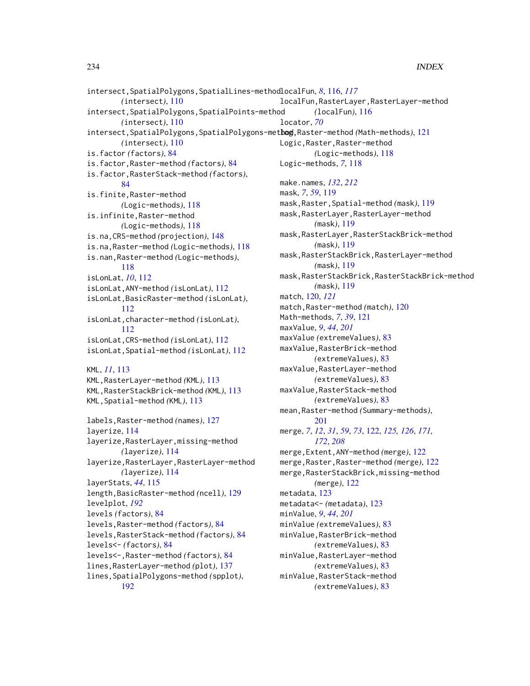```
intersect,SpatialPolygons,SpatialLines-method
localFun, 8, 116, 117
        (intersect), 110
intersect,SpatialPolygons,SpatialPoints-method
        (intersect), 110
intersect,SpatialPolygons,SpatialPolygons-method
log,Raster-method (Math-methods), 121
        (intersect), 110
is.factor (factors), 84
is.factor,Raster-method (factors), 84
is.factor,RasterStack-method (factors),
        84
is.finite,Raster-method
        (Logic-methods), 118
is.infinite,Raster-method
        (Logic-methods), 118
is.na,CRS-method (projection), 148
is.na,Raster-method (Logic-methods), 118
is.nan,Raster-method (Logic-methods),
        118
isLonLat, 10, 112
isLonLat,ANY-method (isLonLat), 112
isLonLat,BasicRaster-method (isLonLat),
        112
isLonLat,character-method (isLonLat),
        112
isLonLat,CRS-method (isLonLat), 112
isLonLat,Spatial-method (isLonLat), 112
KML, 11, 113
KML,RasterLayer-method (KML), 113
KML,RasterStackBrick-method (KML), 113
KML,Spatial-method (KML), 113
labels,Raster-method (names), 127
layerize, 114
layerize,RasterLayer,missing-method
        (layerize), 114
layerize,RasterLayer,RasterLayer-method
        (layerize), 114
layerStats, 44, 115
length,BasicRaster-method (ncell), 129
levelplot, 192
levels (factors), 84
levels,Raster-method (factors), 84
levels,RasterStack-method (factors), 84
levels<- (factors), 84
levels<-,Raster-method (factors), 84
lines,RasterLayer-method (plot), 137
lines,SpatialPolygons-method (spplot),
        192
                                                localFun,RasterLayer,RasterLayer-method
                                                        (localFun), 116
                                                locator, 70
                                                Logic,Raster,Raster-method
                                                        (Logic-methods), 118
                                                Logic-methods, 7, 118
                                                make.names, 132, 212
                                                mask, 7, 59, 119
                                                mask,Raster,Spatial-method (mask), 119
                                                mask,RasterLayer,RasterLayer-method
                                                        (mask), 119
                                                mask,RasterLayer,RasterStackBrick-method
                                                        (mask), 119
                                                mask,RasterStackBrick,RasterLayer-method
                                                        (mask), 119
                                                mask,RasterStackBrick,RasterStackBrick-method
                                                        (mask), 119
                                                match, 120, 121
                                                match,Raster-method (match), 120
                                                Math-methods, 7, 39, 121
                                                maxValue, 9, 44, 201
                                                maxValue (extremeValues), 83
                                                maxValue,RasterBrick-method
                                                        (extremeValues), 83
                                                maxValue,RasterLayer-method
                                                        (extremeValues), 83
                                                maxValue,RasterStack-method
                                                        (extremeValues), 83
                                                mean,Raster-method (Summary-methods),
                                                        201
                                                merge, 7, 12, 31, 59, 73, 122, 125, 126, 171,
                                                        172, 208
                                                merge,Extent,ANY-method (merge), 122
                                                merge,Raster,Raster-method (merge), 122
                                                merge,RasterStackBrick,missing-method
                                                        (merge), 122
                                                metadata, 123
                                                metadata<- (metadata), 123
                                                minValue, 9, 44, 201
                                                minValue (extremeValues), 83
                                                minValue,RasterBrick-method
                                                        (extremeValues), 83
                                                minValue,RasterLayer-method
                                                        (extremeValues), 83
                                                minValue,RasterStack-method
                                                        (extremeValues), 83
```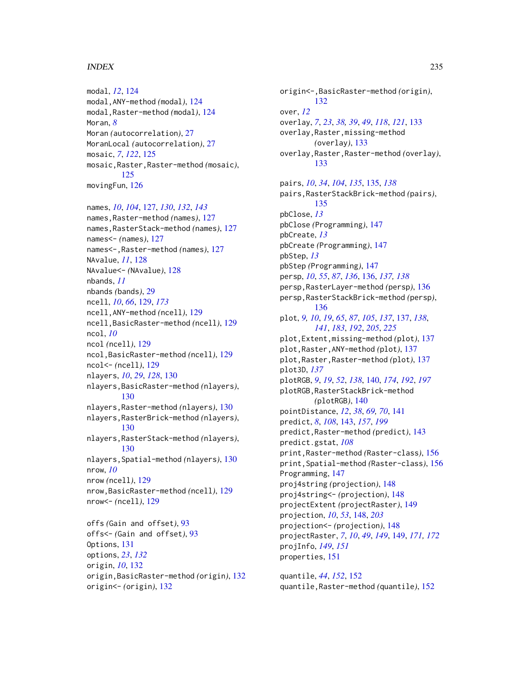modal, *[12](#page-11-0)*, [124](#page-123-0) modal,ANY-method *(*modal*)*, [124](#page-123-0) modal,Raster-method *(*modal*)*, [124](#page-123-0) Moran, *[8](#page-7-0)* Moran *(*autocorrelation*)*, [27](#page-26-0) MoranLocal *(*autocorrelation*)*, [27](#page-26-0) mosaic, *[7](#page-6-0)*, *[122](#page-121-0)*, [125](#page-124-0) mosaic,Raster,Raster-method *(*mosaic*)*, [125](#page-124-0) movingFun, [126](#page-125-0)

names, *[10](#page-9-0)*, *[104](#page-103-0)*, [127,](#page-126-0) *[130](#page-129-0)*, *[132](#page-131-0)*, *[143](#page-142-0)* names,Raster-method *(*names*)*, [127](#page-126-0) names,RasterStack-method *(*names*)*, [127](#page-126-0) names<- *(*names*)*, [127](#page-126-0) names<-,Raster-method *(*names*)*, [127](#page-126-0) NAvalue, *[11](#page-10-0)*, [128](#page-127-0) NAvalue<- *(*NAvalue*)*, [128](#page-127-0) nbands, *[11](#page-10-0)* nbands *(*bands*)*, [29](#page-28-0) ncell, *[10](#page-9-0)*, *[66](#page-65-0)*, [129,](#page-128-0) *[173](#page-172-0)* ncell,ANY-method *(*ncell*)*, [129](#page-128-0) ncell,BasicRaster-method *(*ncell*)*, [129](#page-128-0) ncol, *[10](#page-9-0)* ncol *(*ncell*)*, [129](#page-128-0) ncol,BasicRaster-method *(*ncell*)*, [129](#page-128-0) ncol<- *(*ncell*)*, [129](#page-128-0) nlayers, *[10](#page-9-0)*, *[29](#page-28-0)*, *[128](#page-127-0)*, [130](#page-129-0) nlayers,BasicRaster-method *(*nlayers*)*, [130](#page-129-0) nlayers,Raster-method *(*nlayers*)*, [130](#page-129-0) nlayers,RasterBrick-method *(*nlayers*)*, [130](#page-129-0) nlayers,RasterStack-method *(*nlayers*)*, [130](#page-129-0) nlayers,Spatial-method *(*nlayers*)*, [130](#page-129-0) nrow, *[10](#page-9-0)* nrow *(*ncell*)*, [129](#page-128-0) nrow,BasicRaster-method *(*ncell*)*, [129](#page-128-0) nrow<- *(*ncell*)*, [129](#page-128-0) offs *(*Gain and offset*)*, [93](#page-92-0) offs<- *(*Gain and offset*)*, [93](#page-92-0) Options, [131](#page-130-1) options, *[23](#page-22-0)*, *[132](#page-131-0)* origin, *[10](#page-9-0)*, [132](#page-131-0)

origin,BasicRaster-method *(*origin*)*, [132](#page-131-0) origin<- *(*origin*)*, [132](#page-131-0)

origin<-,BasicRaster-method *(*origin*)*, [132](#page-131-0) over, *[12](#page-11-0)* overlay, *[7](#page-6-0)*, *[23](#page-22-0)*, *[38,](#page-37-0) [39](#page-38-0)*, *[49](#page-48-0)*, *[118](#page-117-0)*, *[121](#page-120-0)*, [133](#page-132-0) overlay,Raster,missing-method *(*overlay*)*, [133](#page-132-0) overlay,Raster,Raster-method *(*overlay*)*, [133](#page-132-0) pairs, *[10](#page-9-0)*, *[34](#page-33-0)*, *[104](#page-103-0)*, *[135](#page-134-0)*, [135,](#page-134-0) *[138](#page-137-0)* pairs,RasterStackBrick-method *(*pairs*)*,

[135](#page-134-0) pbClose, *[13](#page-12-0)* pbClose *(*Programming*)*, [147](#page-146-0) pbCreate, *[13](#page-12-0)* pbCreate *(*Programming*)*, [147](#page-146-0) pbStep, *[13](#page-12-0)* pbStep *(*Programming*)*, [147](#page-146-0) persp, *[10](#page-9-0)*, *[55](#page-54-0)*, *[87](#page-86-0)*, *[136](#page-135-0)*, [136,](#page-135-0) *[137,](#page-136-1) [138](#page-137-0)* persp,RasterLayer-method *(*persp*)*, [136](#page-135-0) persp,RasterStackBrick-method *(*persp*)*, [136](#page-135-0) plot, *[9,](#page-8-0) [10](#page-9-0)*, *[19](#page-18-0)*, *[65](#page-64-0)*, *[87](#page-86-0)*, *[105](#page-104-0)*, *[137](#page-136-1)*, [137,](#page-136-1) *[138](#page-137-0)*, *[141](#page-140-0)*, *[183](#page-182-0)*, *[192](#page-191-0)*, *[205](#page-204-0)*, *[225](#page-224-0)* plot,Extent,missing-method *(*plot*)*, [137](#page-136-1) plot,Raster,ANY-method *(*plot*)*, [137](#page-136-1) plot,Raster,Raster-method *(*plot*)*, [137](#page-136-1) plot3D, *[137](#page-136-1)* plotRGB, *[9](#page-8-0)*, *[19](#page-18-0)*, *[52](#page-51-0)*, *[138](#page-137-0)*, [140,](#page-139-0) *[174](#page-173-0)*, *[192](#page-191-0)*, *[197](#page-196-0)* plotRGB,RasterStackBrick-method *(*plotRGB*)*, [140](#page-139-0) pointDistance, *[12](#page-11-0)*, *[38](#page-37-0)*, *[69,](#page-68-0) [70](#page-69-0)*, [141](#page-140-0) predict, *[8](#page-7-0)*, *[108](#page-107-0)*, [143,](#page-142-0) *[157](#page-156-0)*, *[199](#page-198-0)* predict,Raster-method *(*predict*)*, [143](#page-142-0) predict.gstat, *[108](#page-107-0)* print,Raster-method *(*Raster-class*)*, [156](#page-155-0) print,Spatial-method *(*Raster-class*)*, [156](#page-155-0) Programming, [147](#page-146-0) proj4string *(*projection*)*, [148](#page-147-0) proj4string<- *(*projection*)*, [148](#page-147-0) projectExtent *(*projectRaster*)*, [149](#page-148-0) projection, *[10](#page-9-0)*, *[53](#page-52-0)*, [148,](#page-147-0) *[203](#page-202-0)* projection<- *(*projection*)*, [148](#page-147-0) projectRaster, *[7](#page-6-0)*, *[10](#page-9-0)*, *[49](#page-48-0)*, *[149](#page-148-0)*, [149,](#page-148-0) *[171,](#page-170-0) [172](#page-171-0)* projInfo, *[149](#page-148-0)*, *[151](#page-150-0)* properties, [151](#page-150-0)

quantile, *[44](#page-43-1)*, *[152](#page-151-0)*, [152](#page-151-0) quantile,Raster-method *(*quantile*)*, [152](#page-151-0)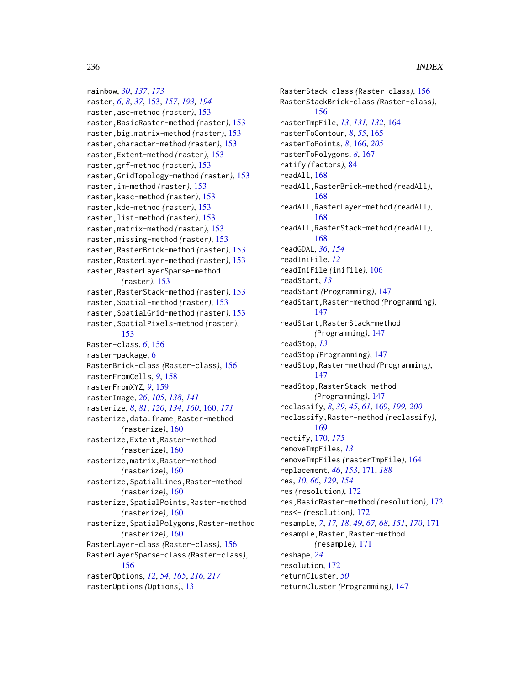rainbow, *[30](#page-29-0)*, *[137](#page-136-1)*, *[173](#page-172-0)* raster, *[6](#page-5-0)*, *[8](#page-7-0)*, *[37](#page-36-0)*, [153,](#page-152-0) *[157](#page-156-0)*, *[193,](#page-192-0) [194](#page-193-0)* raster,asc-method *(*raster*)*, [153](#page-152-0) raster,BasicRaster-method *(*raster*)*, [153](#page-152-0) raster,big.matrix-method *(*raster*)*, [153](#page-152-0) raster,character-method *(*raster*)*, [153](#page-152-0) raster,Extent-method *(*raster*)*, [153](#page-152-0) raster,grf-method *(*raster*)*, [153](#page-152-0) raster,GridTopology-method *(*raster*)*, [153](#page-152-0) raster,im-method *(*raster*)*, [153](#page-152-0) raster,kasc-method *(*raster*)*, [153](#page-152-0) raster,kde-method *(*raster*)*, [153](#page-152-0) raster,list-method *(*raster*)*, [153](#page-152-0) raster,matrix-method *(*raster*)*, [153](#page-152-0) raster,missing-method *(*raster*)*, [153](#page-152-0) raster,RasterBrick-method *(*raster*)*, [153](#page-152-0) raster,RasterLayer-method *(*raster*)*, [153](#page-152-0) raster,RasterLayerSparse-method *(*raster*)*, [153](#page-152-0) raster,RasterStack-method *(*raster*)*, [153](#page-152-0) raster,Spatial-method *(*raster*)*, [153](#page-152-0) raster,SpatialGrid-method *(*raster*)*, [153](#page-152-0) raster,SpatialPixels-method *(*raster*)*, [153](#page-152-0) Raster-class, *[6](#page-5-0)*, [156](#page-155-0) raster-package, [6](#page-5-0) RasterBrick-class *(*Raster-class*)*, [156](#page-155-0) rasterFromCells, *[9](#page-8-0)*, [158](#page-157-0) rasterFromXYZ, *[9](#page-8-0)*, [159](#page-158-0) rasterImage, *[26](#page-25-0)*, *[105](#page-104-0)*, *[138](#page-137-0)*, *[141](#page-140-0)* rasterize, *[8](#page-7-0)*, *[81](#page-80-0)*, *[120](#page-119-0)*, *[134](#page-133-0)*, *[160](#page-159-0)*, [160,](#page-159-0) *[171](#page-170-0)* rasterize,data.frame,Raster-method *(*rasterize*)*, [160](#page-159-0) rasterize,Extent,Raster-method *(*rasterize*)*, [160](#page-159-0) rasterize,matrix,Raster-method *(*rasterize*)*, [160](#page-159-0) rasterize,SpatialLines,Raster-method *(*rasterize*)*, [160](#page-159-0) rasterize,SpatialPoints,Raster-method *(*rasterize*)*, [160](#page-159-0) rasterize,SpatialPolygons,Raster-method *(*rasterize*)*, [160](#page-159-0) RasterLayer-class *(*Raster-class*)*, [156](#page-155-0) RasterLayerSparse-class *(*Raster-class*)*, [156](#page-155-0) rasterOptions, *[12](#page-11-0)*, *[54](#page-53-0)*, *[165](#page-164-0)*, *[216,](#page-215-2) [217](#page-216-0)* rasterOptions *(*Options*)*, [131](#page-130-1)

RasterStack-class *(*Raster-class*)*, [156](#page-155-0) RasterStackBrick-class *(*Raster-class*)*, [156](#page-155-0) rasterTmpFile, *[13](#page-12-0)*, *[131,](#page-130-1) [132](#page-131-0)*, [164](#page-163-0) rasterToContour, *[8](#page-7-0)*, *[55](#page-54-0)*, [165](#page-164-0) rasterToPoints, *[8](#page-7-0)*, [166,](#page-165-0) *[205](#page-204-0)* rasterToPolygons, *[8](#page-7-0)*, [167](#page-166-0) ratify *(*factors*)*, [84](#page-83-0) readAll, [168](#page-167-0) readAll,RasterBrick-method *(*readAll*)*, [168](#page-167-0) readAll,RasterLayer-method *(*readAll*)*, [168](#page-167-0) readAll,RasterStack-method *(*readAll*)*, [168](#page-167-0) readGDAL, *[36](#page-35-0)*, *[154](#page-153-0)* readIniFile, *[12](#page-11-0)* readIniFile *(*inifile*)*, [106](#page-105-0) readStart, *[13](#page-12-0)* readStart *(*Programming*)*, [147](#page-146-0) readStart,Raster-method *(*Programming*)*, [147](#page-146-0) readStart,RasterStack-method *(*Programming*)*, [147](#page-146-0) readStop, *[13](#page-12-0)* readStop *(*Programming*)*, [147](#page-146-0) readStop,Raster-method *(*Programming*)*, [147](#page-146-0) readStop,RasterStack-method *(*Programming*)*, [147](#page-146-0) reclassify, *[8](#page-7-0)*, *[39](#page-38-0)*, *[45](#page-44-0)*, *[61](#page-60-0)*, [169,](#page-168-0) *[199,](#page-198-0) [200](#page-199-0)* reclassify,Raster-method *(*reclassify*)*, [169](#page-168-0) rectify, [170,](#page-169-0) *[175](#page-174-0)* removeTmpFiles, *[13](#page-12-0)* removeTmpFiles *(*rasterTmpFile*)*, [164](#page-163-0) replacement, *[46](#page-45-0)*, *[153](#page-152-0)*, [171,](#page-170-0) *[188](#page-187-0)* res, *[10](#page-9-0)*, *[66](#page-65-0)*, *[129](#page-128-0)*, *[154](#page-153-0)* res *(*resolution*)*, [172](#page-171-0) res,BasicRaster-method *(*resolution*)*, [172](#page-171-0) res<- *(*resolution*)*, [172](#page-171-0) resample, *[7](#page-6-0)*, *[17,](#page-16-0) [18](#page-17-0)*, *[49](#page-48-0)*, *[67,](#page-66-0) [68](#page-67-0)*, *[151](#page-150-0)*, *[170](#page-169-0)*, [171](#page-170-0) resample,Raster,Raster-method *(*resample*)*, [171](#page-170-0) reshape, *[24](#page-23-0)* resolution, [172](#page-171-0) returnCluster, *[50](#page-49-0)* returnCluster *(*Programming*)*, [147](#page-146-0)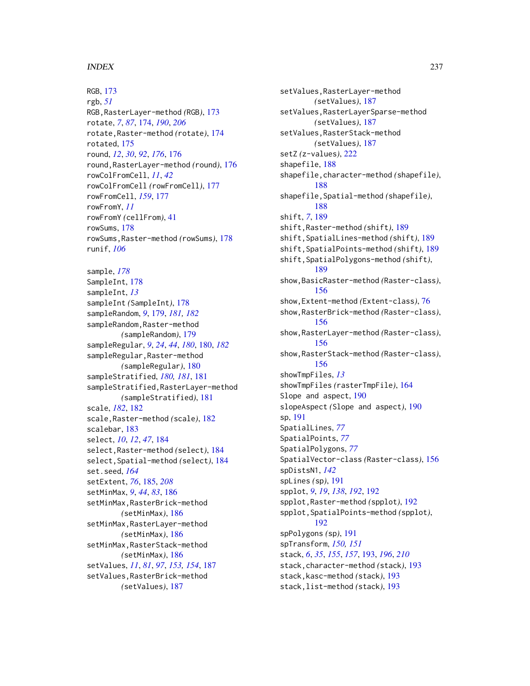RGB, [173](#page-172-0) rgb, *[51](#page-50-0)* RGB,RasterLayer-method *(*RGB*)*, [173](#page-172-0) rotate, *[7](#page-6-0)*, *[87](#page-86-0)*, [174,](#page-173-0) *[190](#page-189-0)*, *[206](#page-205-0)* rotate,Raster-method *(*rotate*)*, [174](#page-173-0) rotated, [175](#page-174-0) round, *[12](#page-11-0)*, *[30](#page-29-0)*, *[92](#page-91-0)*, *[176](#page-175-0)*, [176](#page-175-0) round,RasterLayer-method *(*round*)*, [176](#page-175-0) rowColFromCell, *[11](#page-10-0)*, *[42](#page-41-0)* rowColFromCell *(*rowFromCell*)*, [177](#page-176-0) rowFromCell, *[159](#page-158-0)*, [177](#page-176-0) rowFromY, *[11](#page-10-0)* rowFromY *(*cellFrom*)*, [41](#page-40-1) rowSums, [178](#page-177-0) rowSums,Raster-method *(*rowSums*)*, [178](#page-177-0) runif, *[106](#page-105-0)* sample, *[178](#page-177-0)* SampleInt, [178](#page-177-0) sampleInt, *[13](#page-12-0)* sampleInt *(*SampleInt*)*, [178](#page-177-0) sampleRandom, *[9](#page-8-0)*, [179,](#page-178-0) *[181,](#page-180-0) [182](#page-181-0)* sampleRandom,Raster-method *(*sampleRandom*)*, [179](#page-178-0) sampleRegular, *[9](#page-8-0)*, *[24](#page-23-0)*, *[44](#page-43-1)*, *[180](#page-179-0)*, [180,](#page-179-0) *[182](#page-181-0)* sampleRegular, Raster-method *(*sampleRegular*)*, [180](#page-179-0) sampleStratified, *[180,](#page-179-0) [181](#page-180-0)*, [181](#page-180-0) sampleStratified,RasterLayer-method *(*sampleStratified*)*, [181](#page-180-0) scale, *[182](#page-181-0)*, [182](#page-181-0) scale,Raster-method *(*scale*)*, [182](#page-181-0) scalebar, [183](#page-182-0) select, *[10](#page-9-0)*, *[12](#page-11-0)*, *[47](#page-46-0)*, [184](#page-183-0) select,Raster-method *(*select*)*, [184](#page-183-0) select,Spatial-method *(*select*)*, [184](#page-183-0) set.seed, *[164](#page-163-0)* setExtent, *[76](#page-75-0)*, [185,](#page-184-0) *[208](#page-207-0)* setMinMax, *[9](#page-8-0)*, *[44](#page-43-1)*, *[83](#page-82-0)*, [186](#page-185-0) setMinMax,RasterBrick-method *(*setMinMax*)*, [186](#page-185-0) setMinMax,RasterLayer-method *(*setMinMax*)*, [186](#page-185-0) setMinMax,RasterStack-method *(*setMinMax*)*, [186](#page-185-0) setValues, *[11](#page-10-0)*, *[81](#page-80-0)*, *[97](#page-96-0)*, *[153,](#page-152-0) [154](#page-153-0)*, [187](#page-186-0) setValues,RasterBrick-method *(*setValues*)*, [187](#page-186-0)

setValues,RasterLayer-method *(*setValues*)*, [187](#page-186-0) setValues, RasterLayerSparse-method *(*setValues*)*, [187](#page-186-0) setValues,RasterStack-method *(*setValues*)*, [187](#page-186-0) setZ *(*z-values*)*, [222](#page-221-0) shapefile, [188](#page-187-0) shapefile,character-method *(*shapefile*)*, [188](#page-187-0) shapefile,Spatial-method *(*shapefile*)*, [188](#page-187-0) shift, *[7](#page-6-0)*, [189](#page-188-0) shift,Raster-method *(*shift*)*, [189](#page-188-0) shift,SpatialLines-method *(*shift*)*, [189](#page-188-0) shift,SpatialPoints-method *(*shift*)*, [189](#page-188-0) shift,SpatialPolygons-method *(*shift*)*, [189](#page-188-0) show,BasicRaster-method *(*Raster-class*)*, [156](#page-155-0) show,Extent-method *(*Extent-class*)*, [76](#page-75-0) show,RasterBrick-method *(*Raster-class*)*, [156](#page-155-0) show,RasterLayer-method *(*Raster-class*)*, [156](#page-155-0) show,RasterStack-method *(*Raster-class*)*, [156](#page-155-0) showTmpFiles, *[13](#page-12-0)* showTmpFiles *(*rasterTmpFile*)*, [164](#page-163-0) Slope and aspect, [190](#page-189-0) slopeAspect *(*Slope and aspect*)*, [190](#page-189-0) sp, [191](#page-190-0) SpatialLines, *[77](#page-76-1)* SpatialPoints, *[77](#page-76-1)* SpatialPolygons, *[77](#page-76-1)* SpatialVector-class *(*Raster-class*)*, [156](#page-155-0) spDistsN1, *[142](#page-141-0)* spLines *(*sp*)*, [191](#page-190-0) spplot, *[9](#page-8-0)*, *[19](#page-18-0)*, *[138](#page-137-0)*, *[192](#page-191-0)*, [192](#page-191-0) spplot,Raster-method *(*spplot*)*, [192](#page-191-0) spplot,SpatialPoints-method *(*spplot*)*, [192](#page-191-0) spPolygons *(*sp*)*, [191](#page-190-0) spTransform, *[150,](#page-149-0) [151](#page-150-0)* stack, *[6](#page-5-0)*, *[35](#page-34-0)*, *[155](#page-154-0)*, *[157](#page-156-0)*, [193,](#page-192-0) *[196](#page-195-0)*, *[210](#page-209-1)* stack,character-method *(*stack*)*, [193](#page-192-0) stack,kasc-method *(*stack*)*, [193](#page-192-0) stack,list-method *(*stack*)*, [193](#page-192-0)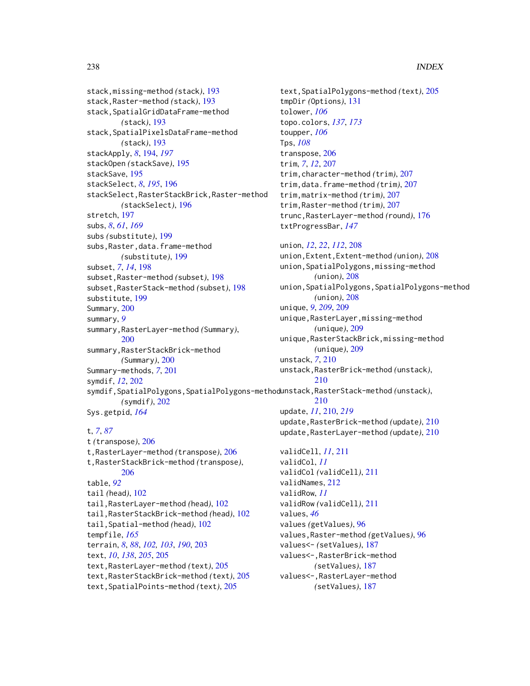stack,missing-method *(*stack*)*, [193](#page-192-0) stack,Raster-method *(*stack*)*, [193](#page-192-0) stack,SpatialGridDataFrame-method *(*stack*)*, [193](#page-192-0) stack,SpatialPixelsDataFrame-method *(*stack*)*, [193](#page-192-0) stackApply, *[8](#page-7-0)*, [194,](#page-193-0) *[197](#page-196-0)* stackOpen *(*stackSave*)*, [195](#page-194-0) stackSave, [195](#page-194-0) stackSelect, *[8](#page-7-0)*, *[195](#page-194-0)*, [196](#page-195-0) stackSelect,RasterStackBrick,Raster-method *(*stackSelect*)*, [196](#page-195-0) stretch, [197](#page-196-0) subs, *[8](#page-7-0)*, *[61](#page-60-0)*, *[169](#page-168-0)* subs *(*substitute*)*, [199](#page-198-0) subs,Raster,data.frame-method *(*substitute*)*, [199](#page-198-0) subset, *[7](#page-6-0)*, *[14](#page-13-0)*, [198](#page-197-0) subset,Raster-method *(*subset*)*, [198](#page-197-0) subset,RasterStack-method *(*subset*)*, [198](#page-197-0) substitute, [199](#page-198-0) Summary, [200](#page-199-0) summary, *[9](#page-8-0)* summary,RasterLayer-method *(*Summary*)*, [200](#page-199-0) summary,RasterStackBrick-method *(*Summary*)*, [200](#page-199-0) Summary-methods, *[7](#page-6-0)*, [201](#page-200-0) symdif, *[12](#page-11-0)*, [202](#page-201-0) symdif,SpatialPolygons,SpatialPolygons-method unstack,RasterStack-method *(*unstack*)*, *(*symdif*)*, [202](#page-201-0) Sys.getpid, *[164](#page-163-0)*

#### t, *[7](#page-6-0)*, *[87](#page-86-0)*

t *(*transpose*)*, [206](#page-205-0) t,RasterLayer-method *(*transpose*)*, [206](#page-205-0) t,RasterStackBrick-method *(*transpose*)*, [206](#page-205-0) table, *[92](#page-91-0)* tail *(*head*)*, [102](#page-101-0) tail,RasterLayer-method *(*head*)*, [102](#page-101-0) tail,RasterStackBrick-method *(*head*)*, [102](#page-101-0) tail,Spatial-method *(*head*)*, [102](#page-101-0) tempfile, *[165](#page-164-0)* terrain, *[8](#page-7-0)*, *[88](#page-87-0)*, *[102,](#page-101-0) [103](#page-102-0)*, *[190](#page-189-0)*, [203](#page-202-0) text, *[10](#page-9-0)*, *[138](#page-137-0)*, *[205](#page-204-0)*, [205](#page-204-0) text,RasterLayer-method *(*text*)*, [205](#page-204-0) text,RasterStackBrick-method *(*text*)*, [205](#page-204-0) text,SpatialPoints-method *(*text*)*, [205](#page-204-0)

text,SpatialPolygons-method *(*text*)*, [205](#page-204-0) tmpDir *(*Options*)*, [131](#page-130-1) tolower, *[106](#page-105-0)* topo.colors, *[137](#page-136-1)*, *[173](#page-172-0)* toupper, *[106](#page-105-0)* Tps, *[108](#page-107-0)* transpose, [206](#page-205-0) trim, *[7](#page-6-0)*, *[12](#page-11-0)*, [207](#page-206-0) trim,character-method *(*trim*)*, [207](#page-206-0) trim,data.frame-method *(*trim*)*, [207](#page-206-0) trim,matrix-method *(*trim*)*, [207](#page-206-0) trim,Raster-method *(*trim*)*, [207](#page-206-0) trunc,RasterLayer-method *(*round*)*, [176](#page-175-0) txtProgressBar, *[147](#page-146-0)* union, *[12](#page-11-0)*, *[22](#page-21-0)*, *[112](#page-111-0)*, [208](#page-207-0) union,Extent,Extent-method *(*union*)*, [208](#page-207-0) union,SpatialPolygons,missing-method *(*union*)*, [208](#page-207-0) union,SpatialPolygons,SpatialPolygons-method *(*union*)*, [208](#page-207-0) unique, *[9](#page-8-0)*, *[209](#page-208-0)*, [209](#page-208-0) unique,RasterLayer,missing-method *(*unique*)*, [209](#page-208-0) unique,RasterStackBrick,missing-method *(*unique*)*, [209](#page-208-0) unstack, *[7](#page-6-0)*, [210](#page-209-1) unstack,RasterBrick-method *(*unstack*)*, [210](#page-209-1) [210](#page-209-1) update, *[11](#page-10-0)*, [210,](#page-209-1) *[219](#page-218-1)* update,RasterBrick-method *(*update*)*, [210](#page-209-1) update,RasterLayer-method *(*update*)*, [210](#page-209-1) validCell, *[11](#page-10-0)*, [211](#page-210-0) validCol, *[11](#page-10-0)* validCol *(*validCell*)*, [211](#page-210-0) validNames, [212](#page-211-0) validRow, *[11](#page-10-0)* validRow *(*validCell*)*, [211](#page-210-0) values, *[46](#page-45-0)* values *(*getValues*)*, [96](#page-95-0) values,Raster-method *(*getValues*)*, [96](#page-95-0) values<- *(*setValues*)*, [187](#page-186-0) values<-,RasterBrick-method *(*setValues*)*, [187](#page-186-0) values<-,RasterLayer-method *(*setValues*)*, [187](#page-186-0)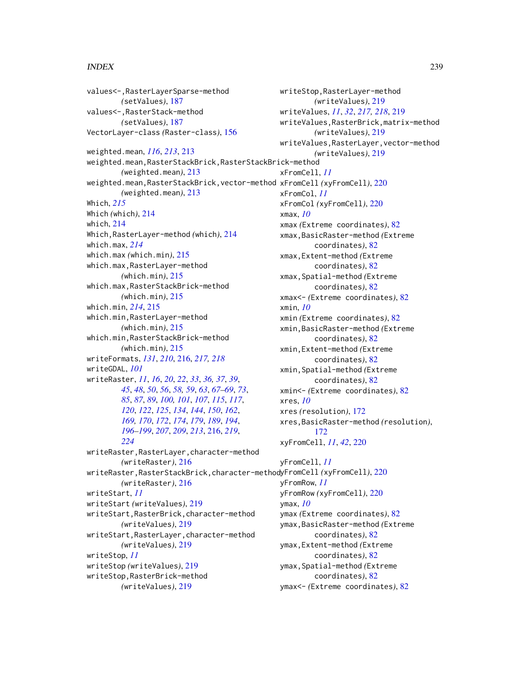values<-,RasterLayerSparse-method *(*setValues*)*, [187](#page-186-0) values<-,RasterStack-method *(*setValues*)*, [187](#page-186-0) VectorLayer-class *(*Raster-class*)*, [156](#page-155-0) weighted.mean, *[116](#page-115-0)*, *[213](#page-212-0)*, [213](#page-212-0) weighted.mean,RasterStackBrick,RasterStackBrick-method *(*weighted.mean*)*, [213](#page-212-0) weighted.mean,RasterStackBrick,vector-method xFromCell *(*xyFromCell*)*, [220](#page-219-0) *(*weighted.mean*)*, [213](#page-212-0) Which, *[215](#page-214-0)* Which *(*which*)*, [214](#page-213-0) which, [214](#page-213-0) Which,RasterLayer-method *(*which*)*, [214](#page-213-0) which.max, *[214](#page-213-0)* which.max *(*which.min*)*, [215](#page-214-0) which.max,RasterLayer-method *(*which.min*)*, [215](#page-214-0) which.max,RasterStackBrick-method *(*which.min*)*, [215](#page-214-0) which.min, *[214](#page-213-0)*, [215](#page-214-0) which.min,RasterLayer-method *(*which.min*)*, [215](#page-214-0) which.min,RasterStackBrick-method *(*which.min*)*, [215](#page-214-0) writeFormats, *[131](#page-130-1)*, *[210](#page-209-1)*, [216,](#page-215-2) *[217,](#page-216-0) [218](#page-217-0)* writeGDAL, *[101](#page-100-0)* writeRaster, *[11](#page-10-0)*, *[16](#page-15-0)*, *[20](#page-19-0)*, *[22](#page-21-0)*, *[33](#page-32-0)*, *[36,](#page-35-0) [37](#page-36-0)*, *[39](#page-38-0)*, *[45](#page-44-0)*, *[48](#page-47-0)*, *[50](#page-49-0)*, *[56](#page-55-0)*, *[58,](#page-57-0) [59](#page-58-0)*, *[63](#page-62-1)*, *[67–](#page-66-0)[69](#page-68-0)*, *[73](#page-72-0)*, *[85](#page-84-0)*, *[87](#page-86-0)*, *[89](#page-88-0)*, *[100,](#page-99-0) [101](#page-100-0)*, *[107](#page-106-0)*, *[115](#page-114-0)*, *[117](#page-116-0)*, *[120](#page-119-0)*, *[122](#page-121-0)*, *[125](#page-124-0)*, *[134](#page-133-0)*, *[144](#page-143-0)*, *[150](#page-149-0)*, *[162](#page-161-0)*, *[169,](#page-168-0) [170](#page-169-0)*, *[172](#page-171-0)*, *[174](#page-173-0)*, *[179](#page-178-0)*, *[189](#page-188-0)*, *[194](#page-193-0)*, *[196](#page-195-0)[–199](#page-198-0)*, *[207](#page-206-0)*, *[209](#page-208-0)*, *[213](#page-212-0)*, [216,](#page-215-2) *[219](#page-218-1)*, *[224](#page-223-0)* writeRaster,RasterLayer,character-method *(*writeRaster*)*, [216](#page-215-2) writeRaster,RasterStackBrick,character-method yFromCell *(*xyFromCell*)*, [220](#page-219-0) *(*writeRaster*)*, [216](#page-215-2) writeStart, *[11](#page-10-0)* writeStart *(*writeValues*)*, [219](#page-218-1) writeStart,RasterBrick,character-method *(*writeValues*)*, [219](#page-218-1) writeStart,RasterLayer,character-method *(*writeValues*)*, [219](#page-218-1) writeStop, *[11](#page-10-0)* writeStop *(*writeValues*)*, [219](#page-218-1) writeStop,RasterBrick-method *(*writeValues*)*, [219](#page-218-1) xmax, *[10](#page-9-0)* xmin, *[10](#page-9-0)* xres, *[10](#page-9-0)* ymax, *[10](#page-9-0)*

writeStop,RasterLayer-method *(*writeValues*)*, [219](#page-218-1) writeValues, *[11](#page-10-0)*, *[32](#page-31-1)*, *[217,](#page-216-0) [218](#page-217-0)*, [219](#page-218-1) writeValues,RasterBrick,matrix-method *(*writeValues*)*, [219](#page-218-1) writeValues,RasterLayer,vector-method *(*writeValues*)*, [219](#page-218-1) xFromCell, *[11](#page-10-0)* xFromCol, *[11](#page-10-0)* xFromCol *(*xyFromCell*)*, [220](#page-219-0) xmax *(*Extreme coordinates*)*, [82](#page-81-0) xmax,BasicRaster-method *(*Extreme coordinates*)*, [82](#page-81-0) xmax,Extent-method *(*Extreme coordinates*)*, [82](#page-81-0) xmax,Spatial-method *(*Extreme coordinates*)*, [82](#page-81-0) xmax<- *(*Extreme coordinates*)*, [82](#page-81-0) xmin *(*Extreme coordinates*)*, [82](#page-81-0) xmin,BasicRaster-method *(*Extreme coordinates*)*, [82](#page-81-0) xmin,Extent-method *(*Extreme coordinates*)*, [82](#page-81-0) xmin,Spatial-method *(*Extreme coordinates*)*, [82](#page-81-0) xmin<- *(*Extreme coordinates*)*, [82](#page-81-0) xres *(*resolution*)*, [172](#page-171-0) xres,BasicRaster-method *(*resolution*)*, [172](#page-171-0) xyFromCell, *[11](#page-10-0)*, *[42](#page-41-0)*, [220](#page-219-0)

yFromCell, *[11](#page-10-0)* yFromRow, *[11](#page-10-0)* yFromRow *(*xyFromCell*)*, [220](#page-219-0) ymax *(*Extreme coordinates*)*, [82](#page-81-0) ymax,BasicRaster-method *(*Extreme coordinates*)*, [82](#page-81-0) ymax,Extent-method *(*Extreme coordinates*)*, [82](#page-81-0) ymax,Spatial-method *(*Extreme coordinates*)*, [82](#page-81-0) ymax<- *(*Extreme coordinates*)*, [82](#page-81-0)